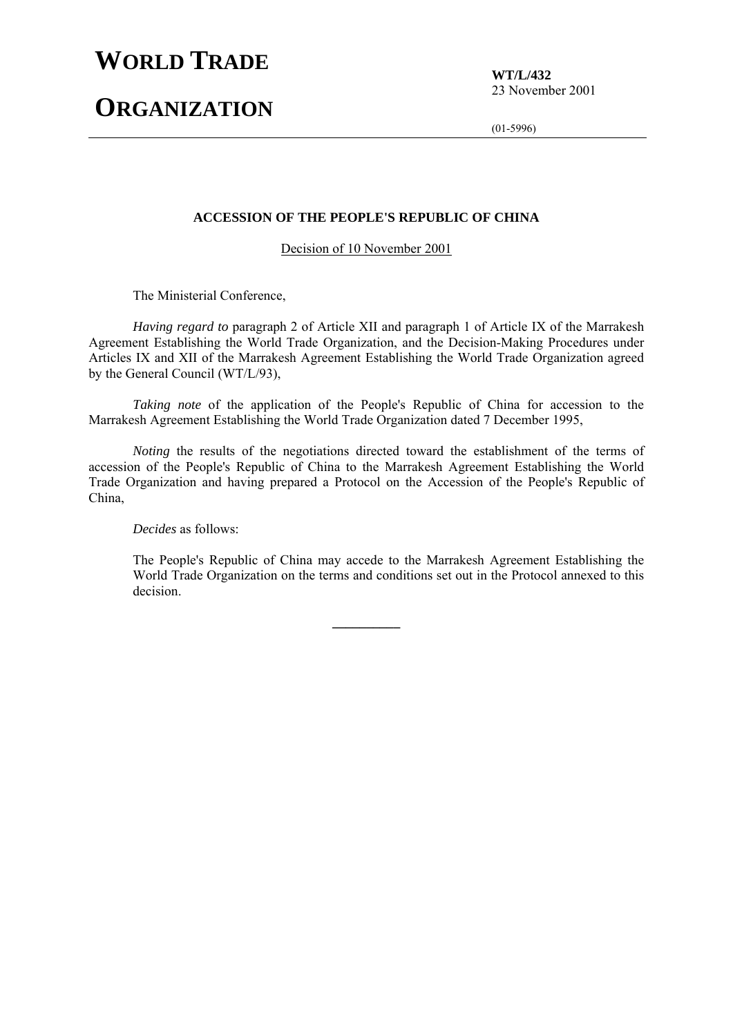# **WORLD TRADE**

**ORGANIZATION**

(01-5996)

#### **ACCESSION OF THE PEOPLE'S REPUBLIC OF CHINA**

Decision of 10 November 2001

The Ministerial Conference,

*Having regard to* paragraph 2 of Article XII and paragraph 1 of Article IX of the Marrakesh Agreement Establishing the World Trade Organization, and the Decision-Making Procedures under Articles IX and XII of the Marrakesh Agreement Establishing the World Trade Organization agreed by the General Council (WT/L/93),

 *Taking note* of the application of the People's Republic of China for accession to the Marrakesh Agreement Establishing the World Trade Organization dated 7 December 1995,

 *Noting* the results of the negotiations directed toward the establishment of the terms of accession of the People's Republic of China to the Marrakesh Agreement Establishing the World Trade Organization and having prepared a Protocol on the Accession of the People's Republic of China,

*Decides* as follows:

 The People's Republic of China may accede to the Marrakesh Agreement Establishing the World Trade Organization on the terms and conditions set out in the Protocol annexed to this decision.

**\_\_\_\_\_\_\_\_\_\_**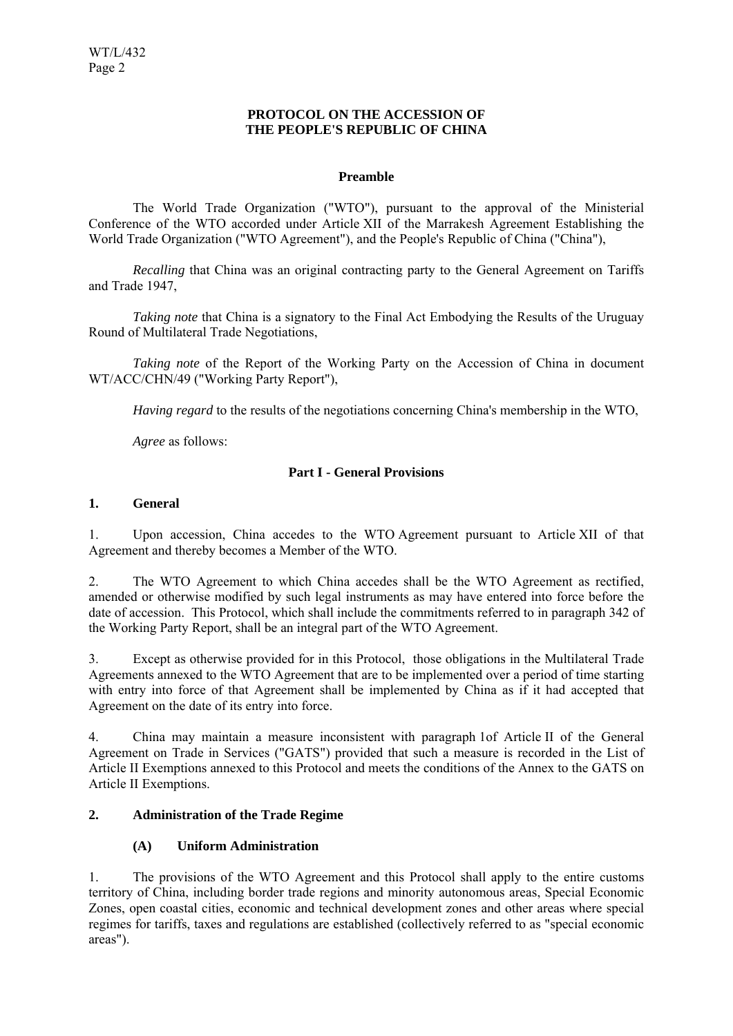# **PROTOCOL ON THE ACCESSION OF THE PEOPLE'S REPUBLIC OF CHINA**

#### **Preamble**

 The World Trade Organization ("WTO"), pursuant to the approval of the Ministerial Conference of the WTO accorded under Article XII of the Marrakesh Agreement Establishing the World Trade Organization ("WTO Agreement"), and the People's Republic of China ("China"),

*Recalling* that China was an original contracting party to the General Agreement on Tariffs and Trade 1947,

*Taking note* that China is a signatory to the Final Act Embodying the Results of the Uruguay Round of Multilateral Trade Negotiations,

 *Taking note* of the Report of the Working Party on the Accession of China in document WT/ACC/CHN/49 ("Working Party Report"),

 *Having regard* to the results of the negotiations concerning China's membership in the WTO,

 *Agree* as follows:

# **Part I - General Provisions**

### **1. General**

1. Upon accession, China accedes to the WTO Agreement pursuant to Article XII of that Agreement and thereby becomes a Member of the WTO.

2. The WTO Agreement to which China accedes shall be the WTO Agreement as rectified, amended or otherwise modified by such legal instruments as may have entered into force before the date of accession. This Protocol, which shall include the commitments referred to in paragraph 342 of the Working Party Report, shall be an integral part of the WTO Agreement.

3. Except as otherwise provided for in this Protocol, those obligations in the Multilateral Trade Agreements annexed to the WTO Agreement that are to be implemented over a period of time starting with entry into force of that Agreement shall be implemented by China as if it had accepted that Agreement on the date of its entry into force.

4. China may maintain a measure inconsistent with paragraph 1of Article II of the General Agreement on Trade in Services ("GATS") provided that such a measure is recorded in the List of Article II Exemptions annexed to this Protocol and meets the conditions of the Annex to the GATS on Article II Exemptions.

# **2. Administration of the Trade Regime**

# **(A) Uniform Administration**

1. The provisions of the WTO Agreement and this Protocol shall apply to the entire customs territory of China, including border trade regions and minority autonomous areas, Special Economic Zones, open coastal cities, economic and technical development zones and other areas where special regimes for tariffs, taxes and regulations are established (collectively referred to as "special economic areas").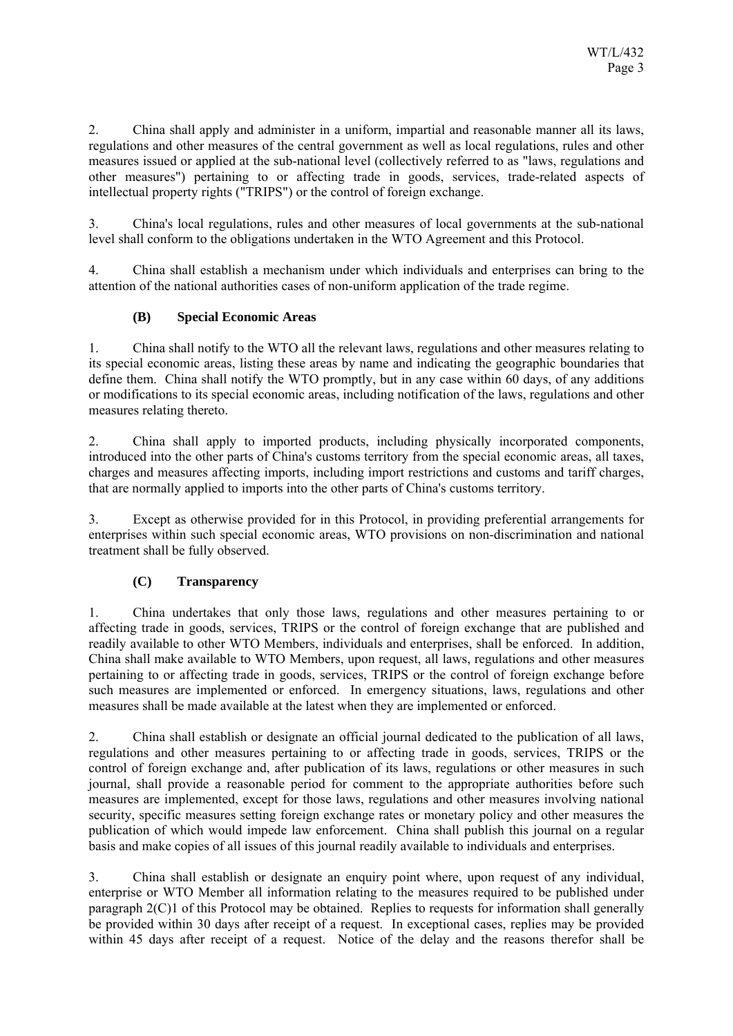2. China shall apply and administer in a uniform, impartial and reasonable manner all its laws, regulations and other measures of the central government as well as local regulations, rules and other measures issued or applied at the sub-national level (collectively referred to as "laws, regulations and other measures") pertaining to or affecting trade in goods, services, trade-related aspects of intellectual property rights ("TRIPS") or the control of foreign exchange.

3. China's local regulations, rules and other measures of local governments at the sub-national level shall conform to the obligations undertaken in the WTO Agreement and this Protocol.

4. China shall establish a mechanism under which individuals and enterprises can bring to the attention of the national authorities cases of non-uniform application of the trade regime.

# **(B) Special Economic Areas**

1. China shall notify to the WTO all the relevant laws, regulations and other measures relating to its special economic areas, listing these areas by name and indicating the geographic boundaries that define them. China shall notify the WTO promptly, but in any case within 60 days, of any additions or modifications to its special economic areas, including notification of the laws, regulations and other measures relating thereto.

2. China shall apply to imported products, including physically incorporated components, introduced into the other parts of China's customs territory from the special economic areas, all taxes, charges and measures affecting imports, including import restrictions and customs and tariff charges, that are normally applied to imports into the other parts of China's customs territory.

3. Except as otherwise provided for in this Protocol, in providing preferential arrangements for enterprises within such special economic areas, WTO provisions on non-discrimination and national treatment shall be fully observed.

# **(C) Transparency**

1. China undertakes that only those laws, regulations and other measures pertaining to or affecting trade in goods, services, TRIPS or the control of foreign exchange that are published and readily available to other WTO Members, individuals and enterprises, shall be enforced. In addition, China shall make available to WTO Members, upon request, all laws, regulations and other measures pertaining to or affecting trade in goods, services, TRIPS or the control of foreign exchange before such measures are implemented or enforced. In emergency situations, laws, regulations and other measures shall be made available at the latest when they are implemented or enforced.

2. China shall establish or designate an official journal dedicated to the publication of all laws, regulations and other measures pertaining to or affecting trade in goods, services, TRIPS or the control of foreign exchange and, after publication of its laws, regulations or other measures in such journal, shall provide a reasonable period for comment to the appropriate authorities before such measures are implemented, except for those laws, regulations and other measures involving national security, specific measures setting foreign exchange rates or monetary policy and other measures the publication of which would impede law enforcement. China shall publish this journal on a regular basis and make copies of all issues of this journal readily available to individuals and enterprises.

3. China shall establish or designate an enquiry point where, upon request of any individual, enterprise or WTO Member all information relating to the measures required to be published under paragraph 2(C)1 of this Protocol may be obtained. Replies to requests for information shall generally be provided within 30 days after receipt of a request. In exceptional cases, replies may be provided within 45 days after receipt of a request. Notice of the delay and the reasons therefor shall be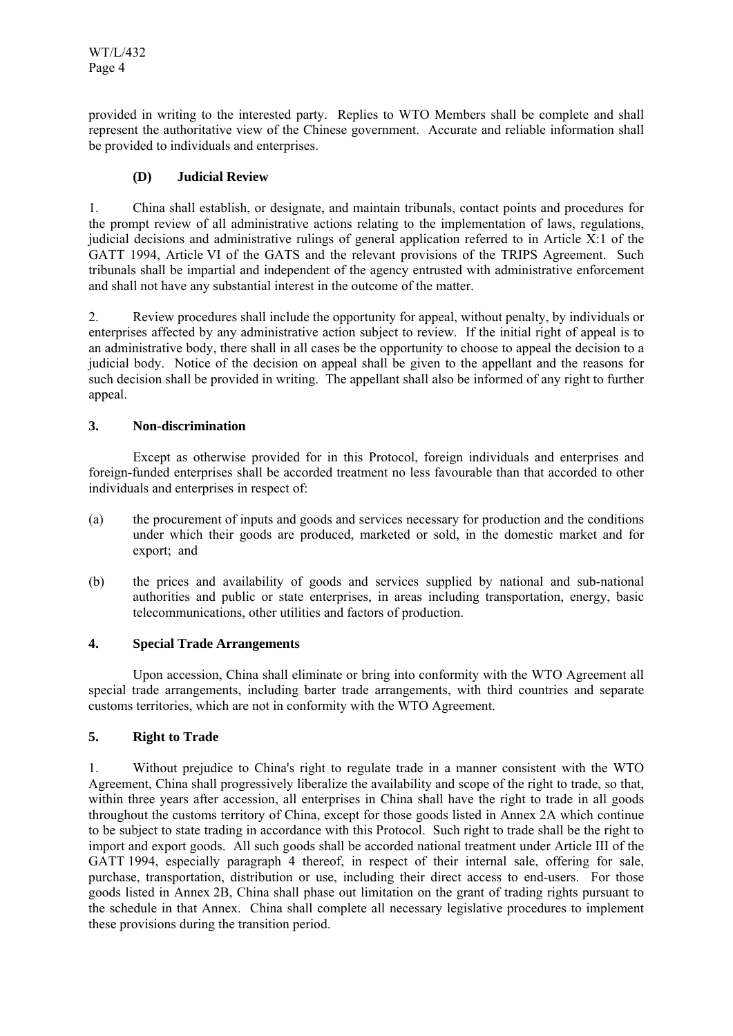provided in writing to the interested party. Replies to WTO Members shall be complete and shall represent the authoritative view of the Chinese government. Accurate and reliable information shall be provided to individuals and enterprises.

# **(D) Judicial Review**

1. China shall establish, or designate, and maintain tribunals, contact points and procedures for the prompt review of all administrative actions relating to the implementation of laws, regulations, judicial decisions and administrative rulings of general application referred to in Article X:1 of the GATT 1994, Article VI of the GATS and the relevant provisions of the TRIPS Agreement. Such tribunals shall be impartial and independent of the agency entrusted with administrative enforcement and shall not have any substantial interest in the outcome of the matter.

2. Review procedures shall include the opportunity for appeal, without penalty, by individuals or enterprises affected by any administrative action subject to review. If the initial right of appeal is to an administrative body, there shall in all cases be the opportunity to choose to appeal the decision to a judicial body. Notice of the decision on appeal shall be given to the appellant and the reasons for such decision shall be provided in writing. The appellant shall also be informed of any right to further appeal.

# **3. Non-discrimination**

 Except as otherwise provided for in this Protocol, foreign individuals and enterprises and foreign-funded enterprises shall be accorded treatment no less favourable than that accorded to other individuals and enterprises in respect of:

- (a) the procurement of inputs and goods and services necessary for production and the conditions under which their goods are produced, marketed or sold, in the domestic market and for export; and
- (b) the prices and availability of goods and services supplied by national and sub-national authorities and public or state enterprises, in areas including transportation, energy, basic telecommunications, other utilities and factors of production.

# **4. Special Trade Arrangements**

 Upon accession, China shall eliminate or bring into conformity with the WTO Agreement all special trade arrangements, including barter trade arrangements, with third countries and separate customs territories, which are not in conformity with the WTO Agreement.

# **5. Right to Trade**

1. Without prejudice to China's right to regulate trade in a manner consistent with the WTO Agreement, China shall progressively liberalize the availability and scope of the right to trade, so that, within three years after accession, all enterprises in China shall have the right to trade in all goods throughout the customs territory of China, except for those goods listed in Annex 2A which continue to be subject to state trading in accordance with this Protocol. Such right to trade shall be the right to import and export goods. All such goods shall be accorded national treatment under Article III of the GATT 1994, especially paragraph 4 thereof, in respect of their internal sale, offering for sale, purchase, transportation, distribution or use, including their direct access to end-users. For those goods listed in Annex 2B, China shall phase out limitation on the grant of trading rights pursuant to the schedule in that Annex. China shall complete all necessary legislative procedures to implement these provisions during the transition period.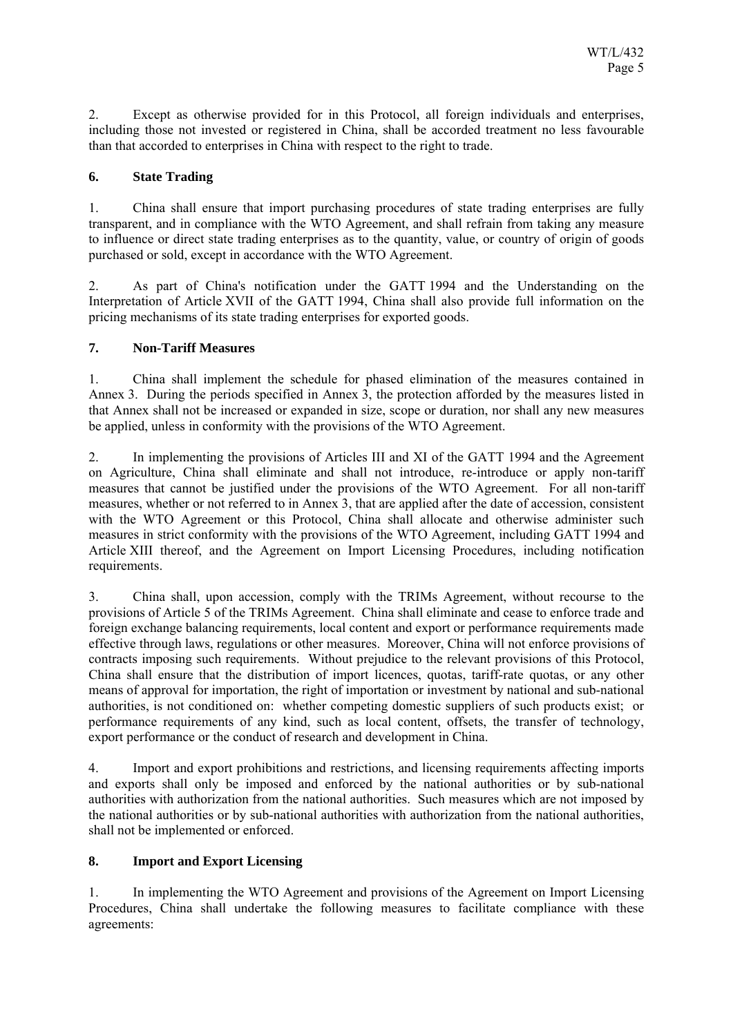2. Except as otherwise provided for in this Protocol, all foreign individuals and enterprises, including those not invested or registered in China, shall be accorded treatment no less favourable than that accorded to enterprises in China with respect to the right to trade.

### **6. State Trading**

1. China shall ensure that import purchasing procedures of state trading enterprises are fully transparent, and in compliance with the WTO Agreement, and shall refrain from taking any measure to influence or direct state trading enterprises as to the quantity, value, or country of origin of goods purchased or sold, except in accordance with the WTO Agreement.

2. As part of China's notification under the GATT 1994 and the Understanding on the Interpretation of Article XVII of the GATT 1994, China shall also provide full information on the pricing mechanisms of its state trading enterprises for exported goods.

### **7. Non-Tariff Measures**

1. China shall implement the schedule for phased elimination of the measures contained in Annex 3. During the periods specified in Annex 3, the protection afforded by the measures listed in that Annex shall not be increased or expanded in size, scope or duration, nor shall any new measures be applied, unless in conformity with the provisions of the WTO Agreement.

2. In implementing the provisions of Articles III and XI of the GATT 1994 and the Agreement on Agriculture, China shall eliminate and shall not introduce, re-introduce or apply non-tariff measures that cannot be justified under the provisions of the WTO Agreement. For all non-tariff measures, whether or not referred to in Annex 3, that are applied after the date of accession, consistent with the WTO Agreement or this Protocol, China shall allocate and otherwise administer such measures in strict conformity with the provisions of the WTO Agreement, including GATT 1994 and Article XIII thereof, and the Agreement on Import Licensing Procedures, including notification requirements.

3. China shall, upon accession, comply with the TRIMs Agreement, without recourse to the provisions of Article 5 of the TRIMs Agreement. China shall eliminate and cease to enforce trade and foreign exchange balancing requirements, local content and export or performance requirements made effective through laws, regulations or other measures. Moreover, China will not enforce provisions of contracts imposing such requirements. Without prejudice to the relevant provisions of this Protocol, China shall ensure that the distribution of import licences, quotas, tariff-rate quotas, or any other means of approval for importation, the right of importation or investment by national and sub-national authorities, is not conditioned on: whether competing domestic suppliers of such products exist; or performance requirements of any kind, such as local content, offsets, the transfer of technology, export performance or the conduct of research and development in China.

4. Import and export prohibitions and restrictions, and licensing requirements affecting imports and exports shall only be imposed and enforced by the national authorities or by sub-national authorities with authorization from the national authorities. Such measures which are not imposed by the national authorities or by sub-national authorities with authorization from the national authorities, shall not be implemented or enforced.

# **8. Import and Export Licensing**

1. In implementing the WTO Agreement and provisions of the Agreement on Import Licensing Procedures, China shall undertake the following measures to facilitate compliance with these agreements: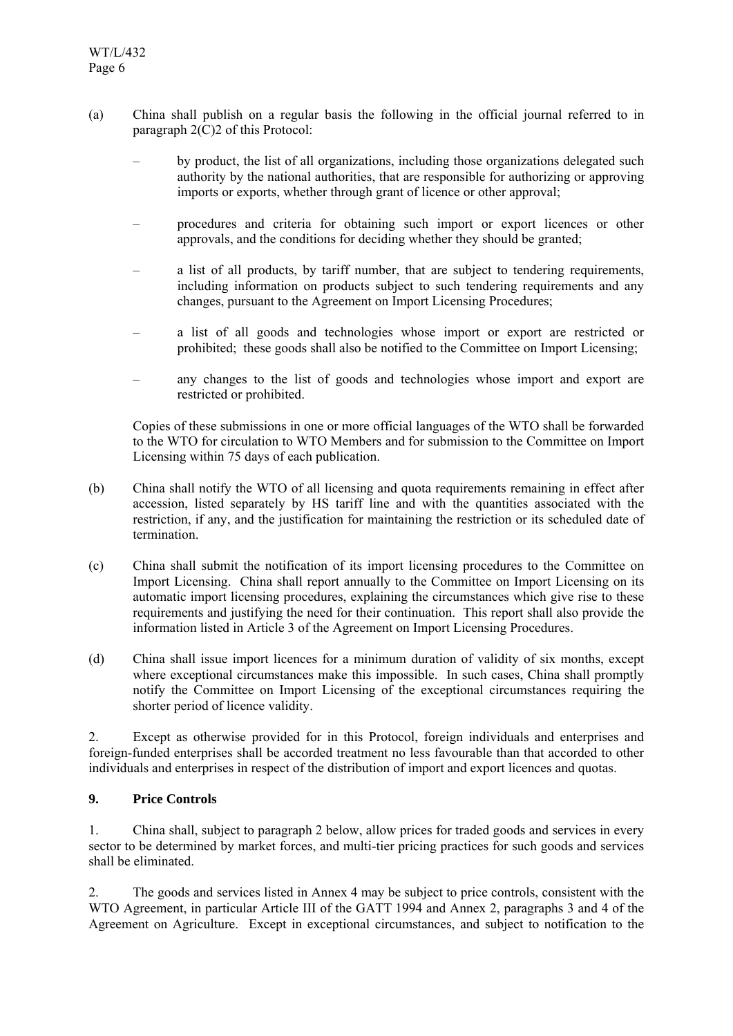- (a) China shall publish on a regular basis the following in the official journal referred to in paragraph 2(C)2 of this Protocol:
	- by product, the list of all organizations, including those organizations delegated such authority by the national authorities, that are responsible for authorizing or approving imports or exports, whether through grant of licence or other approval;
	- procedures and criteria for obtaining such import or export licences or other approvals, and the conditions for deciding whether they should be granted;
	- a list of all products, by tariff number, that are subject to tendering requirements, including information on products subject to such tendering requirements and any changes, pursuant to the Agreement on Import Licensing Procedures;
	- a list of all goods and technologies whose import or export are restricted or prohibited; these goods shall also be notified to the Committee on Import Licensing;
	- any changes to the list of goods and technologies whose import and export are restricted or prohibited.

Copies of these submissions in one or more official languages of the WTO shall be forwarded to the WTO for circulation to WTO Members and for submission to the Committee on Import Licensing within 75 days of each publication.

- (b) China shall notify the WTO of all licensing and quota requirements remaining in effect after accession, listed separately by HS tariff line and with the quantities associated with the restriction, if any, and the justification for maintaining the restriction or its scheduled date of termination.
- (c) China shall submit the notification of its import licensing procedures to the Committee on Import Licensing. China shall report annually to the Committee on Import Licensing on its automatic import licensing procedures, explaining the circumstances which give rise to these requirements and justifying the need for their continuation. This report shall also provide the information listed in Article 3 of the Agreement on Import Licensing Procedures.
- (d) China shall issue import licences for a minimum duration of validity of six months, except where exceptional circumstances make this impossible. In such cases, China shall promptly notify the Committee on Import Licensing of the exceptional circumstances requiring the shorter period of licence validity.

2. Except as otherwise provided for in this Protocol, foreign individuals and enterprises and foreign-funded enterprises shall be accorded treatment no less favourable than that accorded to other individuals and enterprises in respect of the distribution of import and export licences and quotas.

# **9. Price Controls**

1. China shall, subject to paragraph 2 below, allow prices for traded goods and services in every sector to be determined by market forces, and multi-tier pricing practices for such goods and services shall be eliminated.

2. The goods and services listed in Annex 4 may be subject to price controls, consistent with the WTO Agreement, in particular Article III of the GATT 1994 and Annex 2, paragraphs 3 and 4 of the Agreement on Agriculture. Except in exceptional circumstances, and subject to notification to the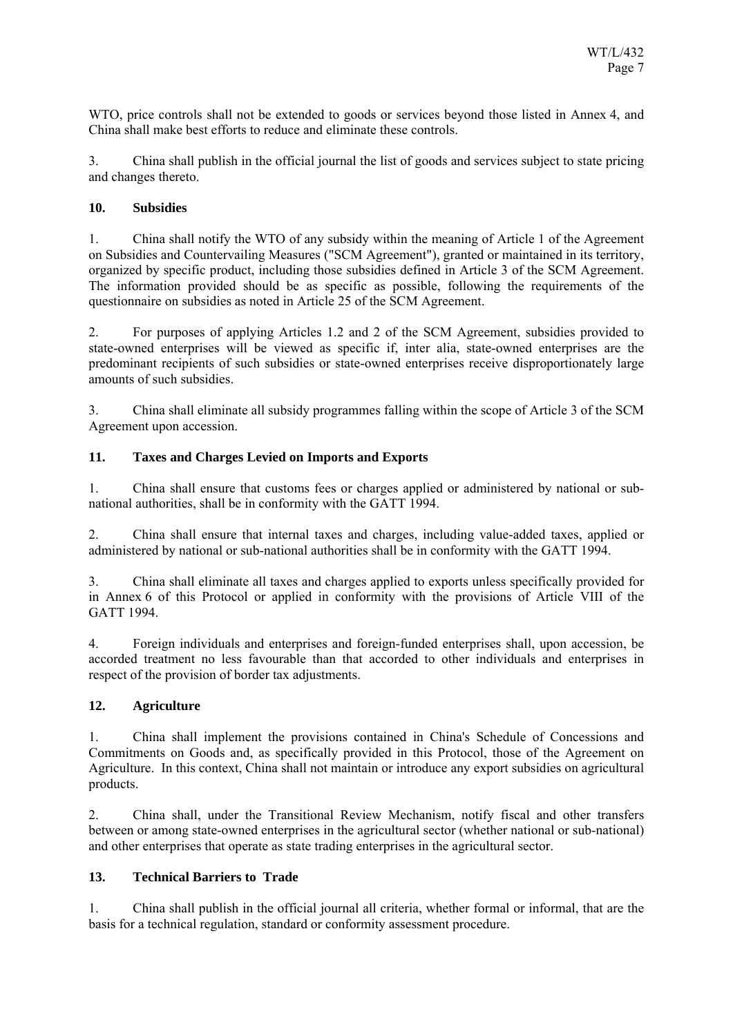WTO, price controls shall not be extended to goods or services beyond those listed in Annex 4, and China shall make best efforts to reduce and eliminate these controls.

3. China shall publish in the official journal the list of goods and services subject to state pricing and changes thereto.

### **10. Subsidies**

1. China shall notify the WTO of any subsidy within the meaning of Article 1 of the Agreement on Subsidies and Countervailing Measures ("SCM Agreement"), granted or maintained in its territory, organized by specific product, including those subsidies defined in Article 3 of the SCM Agreement. The information provided should be as specific as possible, following the requirements of the questionnaire on subsidies as noted in Article 25 of the SCM Agreement.

2. For purposes of applying Articles 1.2 and 2 of the SCM Agreement, subsidies provided to state-owned enterprises will be viewed as specific if, inter alia, state-owned enterprises are the predominant recipients of such subsidies or state-owned enterprises receive disproportionately large amounts of such subsidies.

3. China shall eliminate all subsidy programmes falling within the scope of Article 3 of the SCM Agreement upon accession.

# **11. Taxes and Charges Levied on Imports and Exports**

1. China shall ensure that customs fees or charges applied or administered by national or subnational authorities, shall be in conformity with the GATT 1994.

2. China shall ensure that internal taxes and charges, including value-added taxes, applied or administered by national or sub-national authorities shall be in conformity with the GATT 1994.

3. China shall eliminate all taxes and charges applied to exports unless specifically provided for in Annex 6 of this Protocol or applied in conformity with the provisions of Article VIII of the GATT 1994.

4. Foreign individuals and enterprises and foreign-funded enterprises shall, upon accession, be accorded treatment no less favourable than that accorded to other individuals and enterprises in respect of the provision of border tax adjustments.

# **12. Agriculture**

1. China shall implement the provisions contained in China's Schedule of Concessions and Commitments on Goods and, as specifically provided in this Protocol, those of the Agreement on Agriculture. In this context, China shall not maintain or introduce any export subsidies on agricultural products.

2. China shall, under the Transitional Review Mechanism, notify fiscal and other transfers between or among state-owned enterprises in the agricultural sector (whether national or sub-national) and other enterprises that operate as state trading enterprises in the agricultural sector.

# **13. Technical Barriers to Trade**

1. China shall publish in the official journal all criteria, whether formal or informal, that are the basis for a technical regulation, standard or conformity assessment procedure.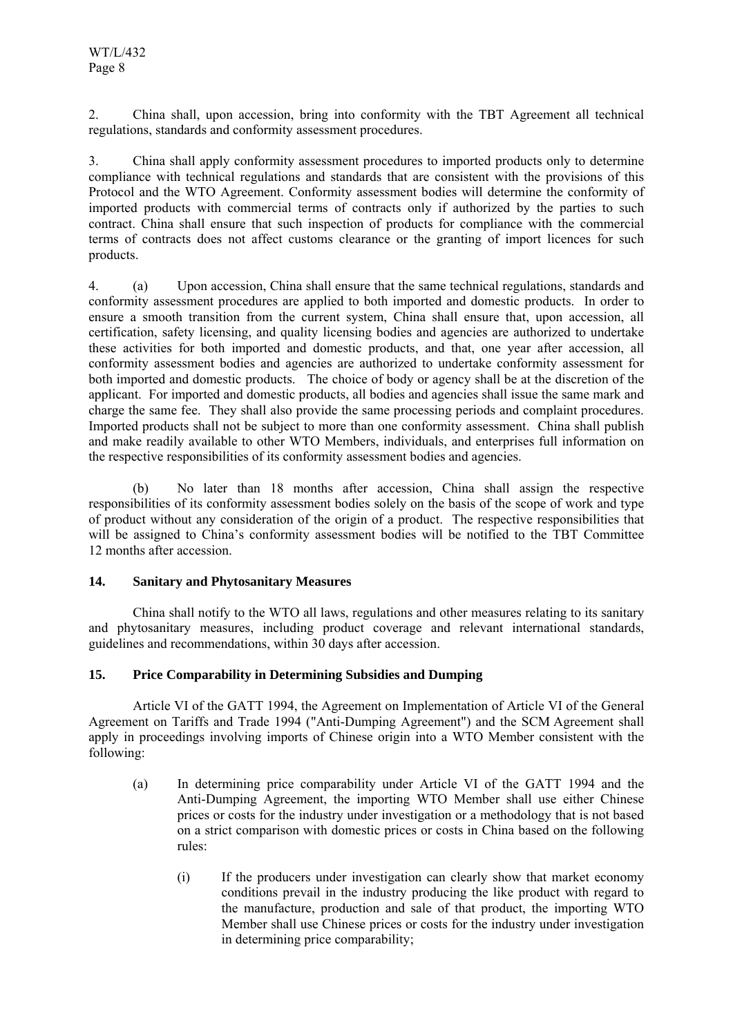2. China shall, upon accession, bring into conformity with the TBT Agreement all technical regulations, standards and conformity assessment procedures.

3. China shall apply conformity assessment procedures to imported products only to determine compliance with technical regulations and standards that are consistent with the provisions of this Protocol and the WTO Agreement. Conformity assessment bodies will determine the conformity of imported products with commercial terms of contracts only if authorized by the parties to such contract. China shall ensure that such inspection of products for compliance with the commercial terms of contracts does not affect customs clearance or the granting of import licences for such products.

4. (a) Upon accession, China shall ensure that the same technical regulations, standards and conformity assessment procedures are applied to both imported and domestic products. In order to ensure a smooth transition from the current system, China shall ensure that, upon accession, all certification, safety licensing, and quality licensing bodies and agencies are authorized to undertake these activities for both imported and domestic products, and that, one year after accession, all conformity assessment bodies and agencies are authorized to undertake conformity assessment for both imported and domestic products. The choice of body or agency shall be at the discretion of the applicant. For imported and domestic products, all bodies and agencies shall issue the same mark and charge the same fee. They shall also provide the same processing periods and complaint procedures. Imported products shall not be subject to more than one conformity assessment. China shall publish and make readily available to other WTO Members, individuals, and enterprises full information on the respective responsibilities of its conformity assessment bodies and agencies.

 (b) No later than 18 months after accession, China shall assign the respective responsibilities of its conformity assessment bodies solely on the basis of the scope of work and type of product without any consideration of the origin of a product. The respective responsibilities that will be assigned to China's conformity assessment bodies will be notified to the TBT Committee 12 months after accession.

# **14. Sanitary and Phytosanitary Measures**

 China shall notify to the WTO all laws, regulations and other measures relating to its sanitary and phytosanitary measures, including product coverage and relevant international standards, guidelines and recommendations, within 30 days after accession.

#### **15. Price Comparability in Determining Subsidies and Dumping**

 Article VI of the GATT 1994, the Agreement on Implementation of Article VI of the General Agreement on Tariffs and Trade 1994 ("Anti-Dumping Agreement") and the SCM Agreement shall apply in proceedings involving imports of Chinese origin into a WTO Member consistent with the following:

- (a) In determining price comparability under Article VI of the GATT 1994 and the Anti-Dumping Agreement, the importing WTO Member shall use either Chinese prices or costs for the industry under investigation or a methodology that is not based on a strict comparison with domestic prices or costs in China based on the following rules:
	- (i) If the producers under investigation can clearly show that market economy conditions prevail in the industry producing the like product with regard to the manufacture, production and sale of that product, the importing WTO Member shall use Chinese prices or costs for the industry under investigation in determining price comparability;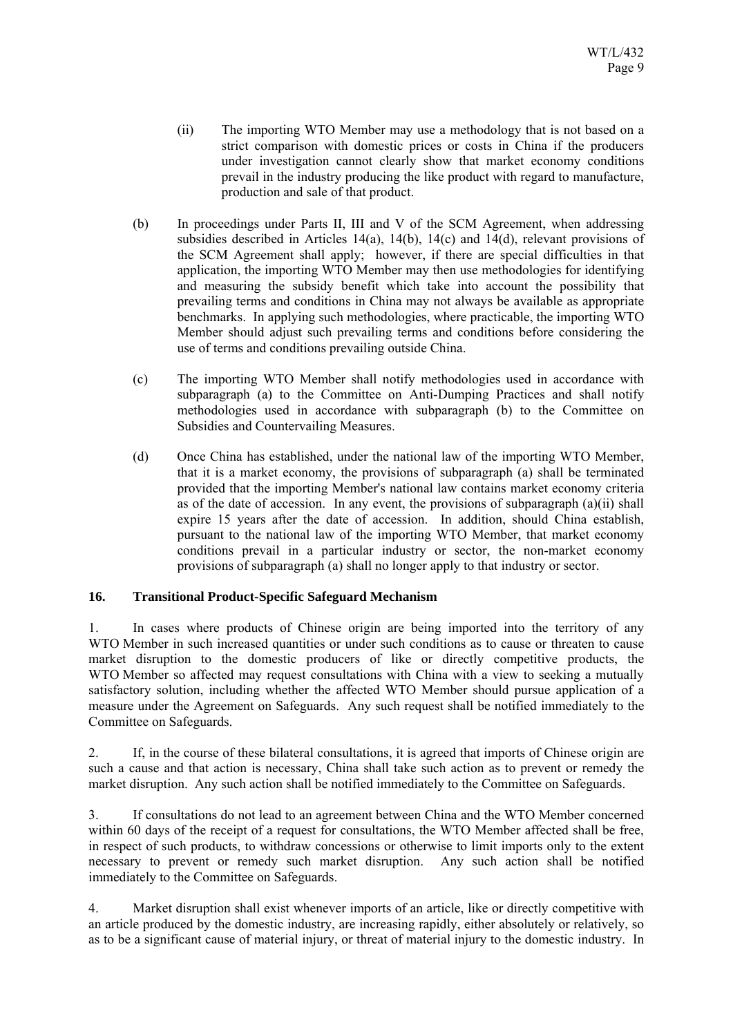- (ii) The importing WTO Member may use a methodology that is not based on a strict comparison with domestic prices or costs in China if the producers under investigation cannot clearly show that market economy conditions prevail in the industry producing the like product with regard to manufacture, production and sale of that product.
- (b) In proceedings under Parts II, III and V of the SCM Agreement, when addressing subsidies described in Articles 14(a), 14(b), 14(c) and 14(d), relevant provisions of the SCM Agreement shall apply; however, if there are special difficulties in that application, the importing WTO Member may then use methodologies for identifying and measuring the subsidy benefit which take into account the possibility that prevailing terms and conditions in China may not always be available as appropriate benchmarks. In applying such methodologies, where practicable, the importing WTO Member should adjust such prevailing terms and conditions before considering the use of terms and conditions prevailing outside China.
- (c) The importing WTO Member shall notify methodologies used in accordance with subparagraph (a) to the Committee on Anti-Dumping Practices and shall notify methodologies used in accordance with subparagraph (b) to the Committee on Subsidies and Countervailing Measures.
- (d) Once China has established, under the national law of the importing WTO Member, that it is a market economy, the provisions of subparagraph (a) shall be terminated provided that the importing Member's national law contains market economy criteria as of the date of accession. In any event, the provisions of subparagraph  $(a)(ii)$  shall expire 15 years after the date of accession. In addition, should China establish, pursuant to the national law of the importing WTO Member, that market economy conditions prevail in a particular industry or sector, the non-market economy provisions of subparagraph (a) shall no longer apply to that industry or sector.

#### **16. Transitional Product-Specific Safeguard Mechanism**

1. In cases where products of Chinese origin are being imported into the territory of any WTO Member in such increased quantities or under such conditions as to cause or threaten to cause market disruption to the domestic producers of like or directly competitive products, the WTO Member so affected may request consultations with China with a view to seeking a mutually satisfactory solution, including whether the affected WTO Member should pursue application of a measure under the Agreement on Safeguards. Any such request shall be notified immediately to the Committee on Safeguards.

2. If, in the course of these bilateral consultations, it is agreed that imports of Chinese origin are such a cause and that action is necessary, China shall take such action as to prevent or remedy the market disruption. Any such action shall be notified immediately to the Committee on Safeguards.

3. If consultations do not lead to an agreement between China and the WTO Member concerned within 60 days of the receipt of a request for consultations, the WTO Member affected shall be free, in respect of such products, to withdraw concessions or otherwise to limit imports only to the extent necessary to prevent or remedy such market disruption. Any such action shall be notified immediately to the Committee on Safeguards.

4. Market disruption shall exist whenever imports of an article, like or directly competitive with an article produced by the domestic industry, are increasing rapidly, either absolutely or relatively, so as to be a significant cause of material injury, or threat of material injury to the domestic industry. In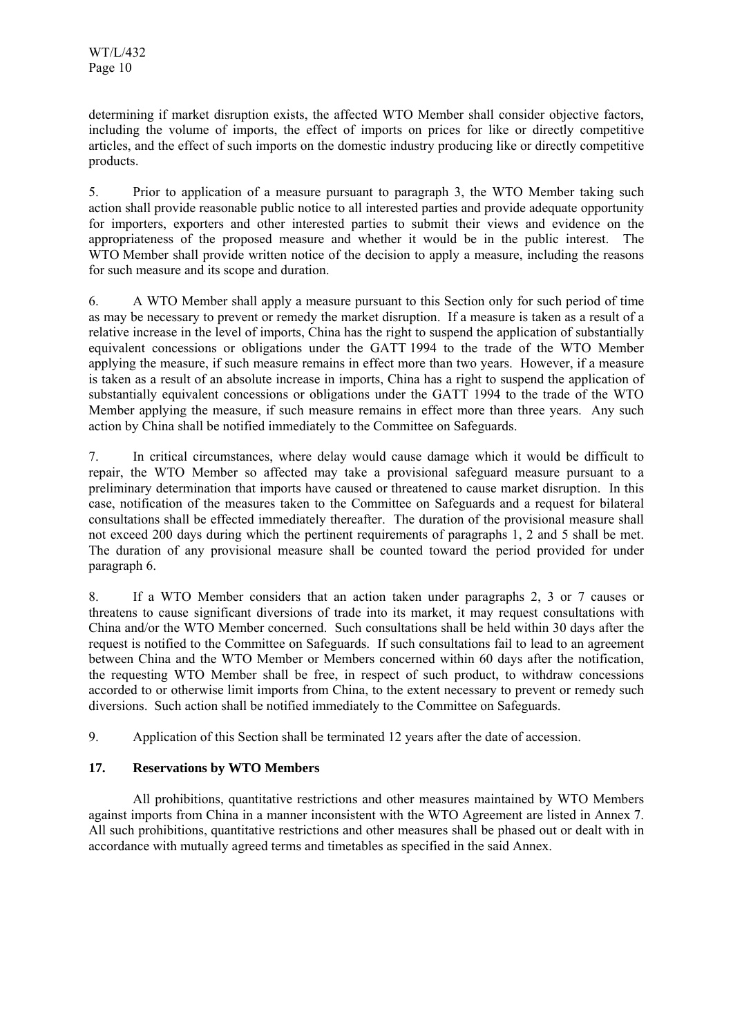determining if market disruption exists, the affected WTO Member shall consider objective factors, including the volume of imports, the effect of imports on prices for like or directly competitive articles, and the effect of such imports on the domestic industry producing like or directly competitive products.

5. Prior to application of a measure pursuant to paragraph 3, the WTO Member taking such action shall provide reasonable public notice to all interested parties and provide adequate opportunity for importers, exporters and other interested parties to submit their views and evidence on the appropriateness of the proposed measure and whether it would be in the public interest. The WTO Member shall provide written notice of the decision to apply a measure, including the reasons for such measure and its scope and duration.

6. A WTO Member shall apply a measure pursuant to this Section only for such period of time as may be necessary to prevent or remedy the market disruption. If a measure is taken as a result of a relative increase in the level of imports, China has the right to suspend the application of substantially equivalent concessions or obligations under the GATT 1994 to the trade of the WTO Member applying the measure, if such measure remains in effect more than two years. However, if a measure is taken as a result of an absolute increase in imports, China has a right to suspend the application of substantially equivalent concessions or obligations under the GATT 1994 to the trade of the WTO Member applying the measure, if such measure remains in effect more than three years. Any such action by China shall be notified immediately to the Committee on Safeguards.

7. In critical circumstances, where delay would cause damage which it would be difficult to repair, the WTO Member so affected may take a provisional safeguard measure pursuant to a preliminary determination that imports have caused or threatened to cause market disruption. In this case, notification of the measures taken to the Committee on Safeguards and a request for bilateral consultations shall be effected immediately thereafter. The duration of the provisional measure shall not exceed 200 days during which the pertinent requirements of paragraphs 1, 2 and 5 shall be met. The duration of any provisional measure shall be counted toward the period provided for under paragraph 6.

8. If a WTO Member considers that an action taken under paragraphs 2, 3 or 7 causes or threatens to cause significant diversions of trade into its market, it may request consultations with China and/or the WTO Member concerned. Such consultations shall be held within 30 days after the request is notified to the Committee on Safeguards. If such consultations fail to lead to an agreement between China and the WTO Member or Members concerned within 60 days after the notification, the requesting WTO Member shall be free, in respect of such product, to withdraw concessions accorded to or otherwise limit imports from China, to the extent necessary to prevent or remedy such diversions. Such action shall be notified immediately to the Committee on Safeguards.

9. Application of this Section shall be terminated 12 years after the date of accession.

# **17. Reservations by WTO Members**

 All prohibitions, quantitative restrictions and other measures maintained by WTO Members against imports from China in a manner inconsistent with the WTO Agreement are listed in Annex 7. All such prohibitions, quantitative restrictions and other measures shall be phased out or dealt with in accordance with mutually agreed terms and timetables as specified in the said Annex.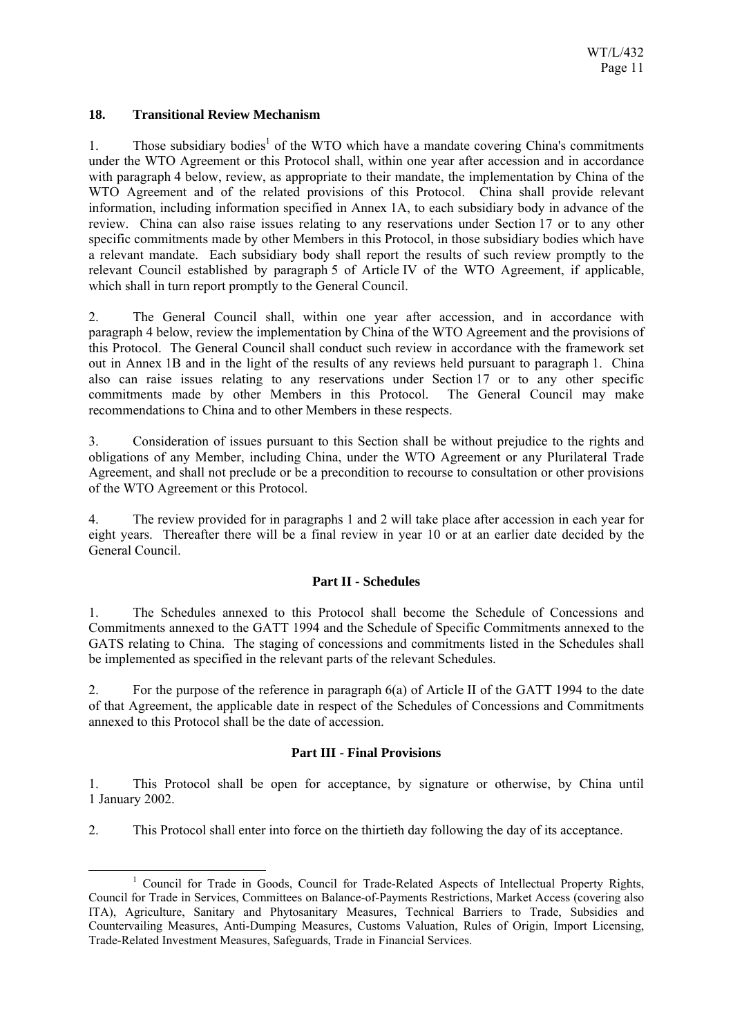#### **18. Transitional Review Mechanism**

1. Those subsidiary bodies<sup>1</sup> of the WTO which have a mandate covering China's commitments under the WTO Agreement or this Protocol shall, within one year after accession and in accordance with paragraph 4 below, review, as appropriate to their mandate, the implementation by China of the WTO Agreement and of the related provisions of this Protocol. China shall provide relevant information, including information specified in Annex 1A, to each subsidiary body in advance of the review. China can also raise issues relating to any reservations under Section 17 or to any other specific commitments made by other Members in this Protocol, in those subsidiary bodies which have a relevant mandate. Each subsidiary body shall report the results of such review promptly to the relevant Council established by paragraph 5 of Article IV of the WTO Agreement, if applicable, which shall in turn report promptly to the General Council.

2. The General Council shall, within one year after accession, and in accordance with paragraph 4 below, review the implementation by China of the WTO Agreement and the provisions of this Protocol. The General Council shall conduct such review in accordance with the framework set out in Annex 1B and in the light of the results of any reviews held pursuant to paragraph 1. China also can raise issues relating to any reservations under Section 17 or to any other specific commitments made by other Members in this Protocol. The General Council may make recommendations to China and to other Members in these respects.

3. Consideration of issues pursuant to this Section shall be without prejudice to the rights and obligations of any Member, including China, under the WTO Agreement or any Plurilateral Trade Agreement, and shall not preclude or be a precondition to recourse to consultation or other provisions of the WTO Agreement or this Protocol.

4. The review provided for in paragraphs 1 and 2 will take place after accession in each year for eight years. Thereafter there will be a final review in year 10 or at an earlier date decided by the General Council.

#### **Part II - Schedules**

1. The Schedules annexed to this Protocol shall become the Schedule of Concessions and Commitments annexed to the GATT 1994 and the Schedule of Specific Commitments annexed to the GATS relating to China. The staging of concessions and commitments listed in the Schedules shall be implemented as specified in the relevant parts of the relevant Schedules.

2. For the purpose of the reference in paragraph 6(a) of Article II of the GATT 1994 to the date of that Agreement, the applicable date in respect of the Schedules of Concessions and Commitments annexed to this Protocol shall be the date of accession.

#### **Part III - Final Provisions**

1. This Protocol shall be open for acceptance, by signature or otherwise, by China until 1 January 2002.

2. This Protocol shall enter into force on the thirtieth day following the day of its acceptance.

 $\begin{array}{c|c}\n\hline\n\end{array}$ <sup>1</sup> Council for Trade in Goods, Council for Trade-Related Aspects of Intellectual Property Rights, Council for Trade in Services, Committees on Balance-of-Payments Restrictions, Market Access (covering also ITA), Agriculture, Sanitary and Phytosanitary Measures, Technical Barriers to Trade, Subsidies and Countervailing Measures, Anti-Dumping Measures, Customs Valuation, Rules of Origin, Import Licensing, Trade-Related Investment Measures, Safeguards, Trade in Financial Services.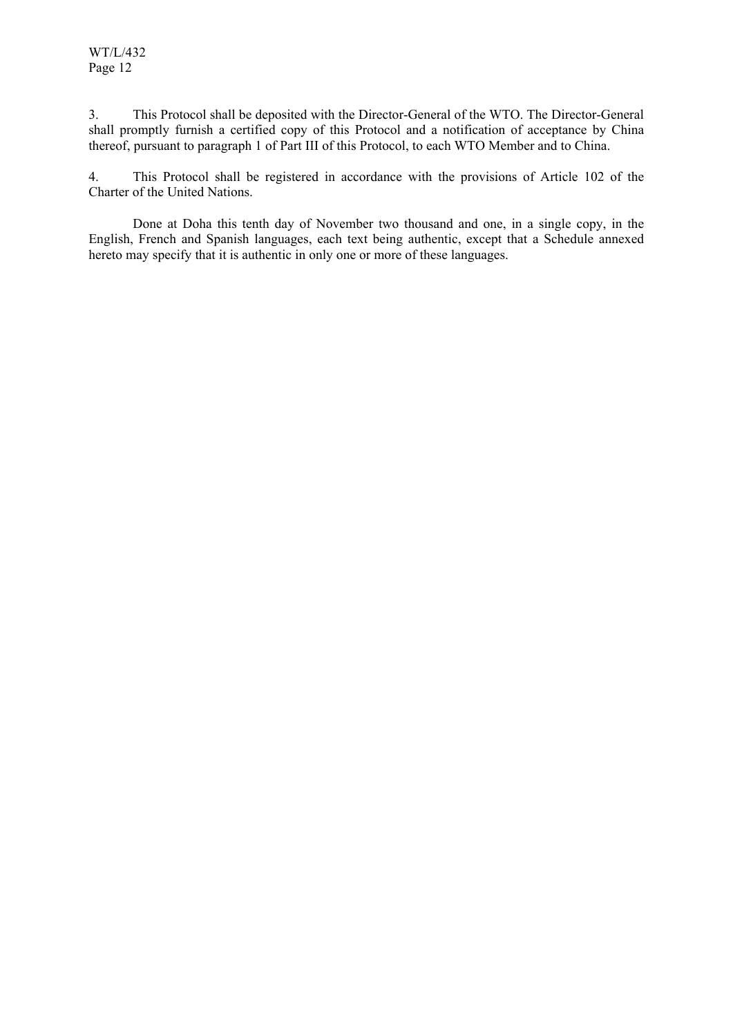3. This Protocol shall be deposited with the Director-General of the WTO. The Director-General shall promptly furnish a certified copy of this Protocol and a notification of acceptance by China thereof, pursuant to paragraph 1 of Part III of this Protocol, to each WTO Member and to China.

4. This Protocol shall be registered in accordance with the provisions of Article 102 of the Charter of the United Nations.

 Done at Doha this tenth day of November two thousand and one, in a single copy, in the English, French and Spanish languages, each text being authentic, except that a Schedule annexed hereto may specify that it is authentic in only one or more of these languages.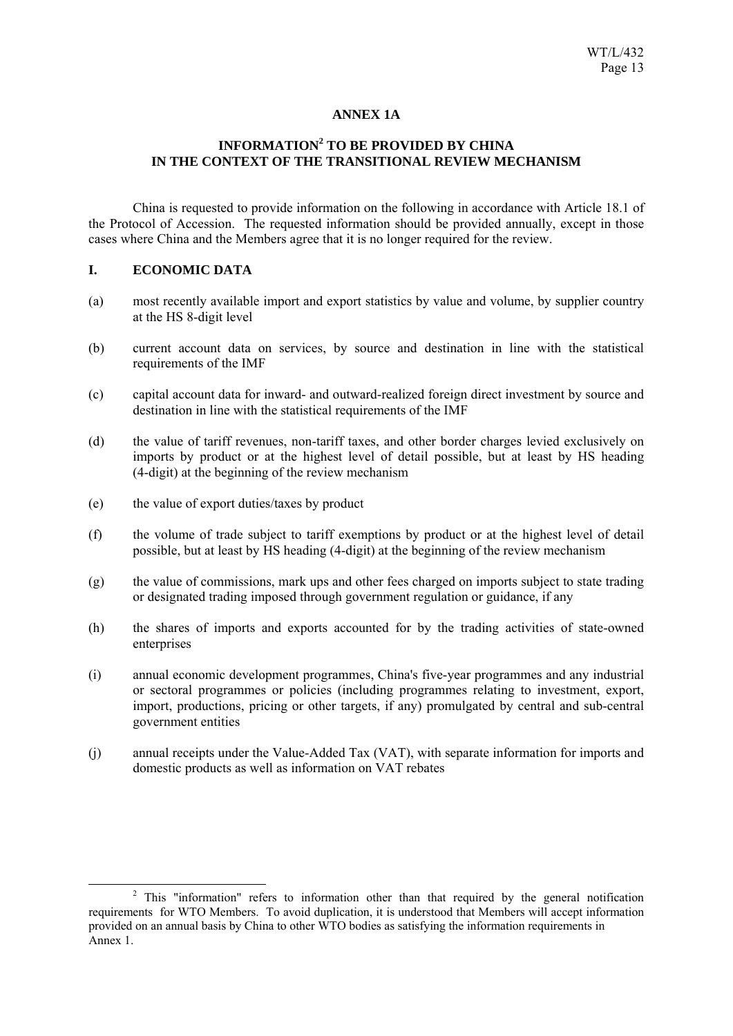### **ANNEX 1A**

# **INFORMATION<sup>2</sup> TO BE PROVIDED BY CHINA IN THE CONTEXT OF THE TRANSITIONAL REVIEW MECHANISM**

China is requested to provide information on the following in accordance with Article 18.1 of the Protocol of Accession. The requested information should be provided annually, except in those cases where China and the Members agree that it is no longer required for the review.

#### **I. ECONOMIC DATA**

- (a) most recently available import and export statistics by value and volume, by supplier country at the HS 8-digit level
- (b) current account data on services, by source and destination in line with the statistical requirements of the IMF
- (c) capital account data for inward- and outward-realized foreign direct investment by source and destination in line with the statistical requirements of the IMF
- (d) the value of tariff revenues, non-tariff taxes, and other border charges levied exclusively on imports by product or at the highest level of detail possible, but at least by HS heading (4-digit) at the beginning of the review mechanism
- (e) the value of export duties/taxes by product
- (f) the volume of trade subject to tariff exemptions by product or at the highest level of detail possible, but at least by HS heading (4-digit) at the beginning of the review mechanism
- (g) the value of commissions, mark ups and other fees charged on imports subject to state trading or designated trading imposed through government regulation or guidance, if any
- (h) the shares of imports and exports accounted for by the trading activities of state-owned enterprises
- (i) annual economic development programmes, China's five-year programmes and any industrial or sectoral programmes or policies (including programmes relating to investment, export, import, productions, pricing or other targets, if any) promulgated by central and sub-central government entities
- (j) annual receipts under the Value-Added Tax (VAT), with separate information for imports and domestic products as well as information on VAT rebates

 $\frac{1}{2}$ <sup>2</sup> This "information" refers to information other than that required by the general notification requirements for WTO Members. To avoid duplication, it is understood that Members will accept information provided on an annual basis by China to other WTO bodies as satisfying the information requirements in Annex 1.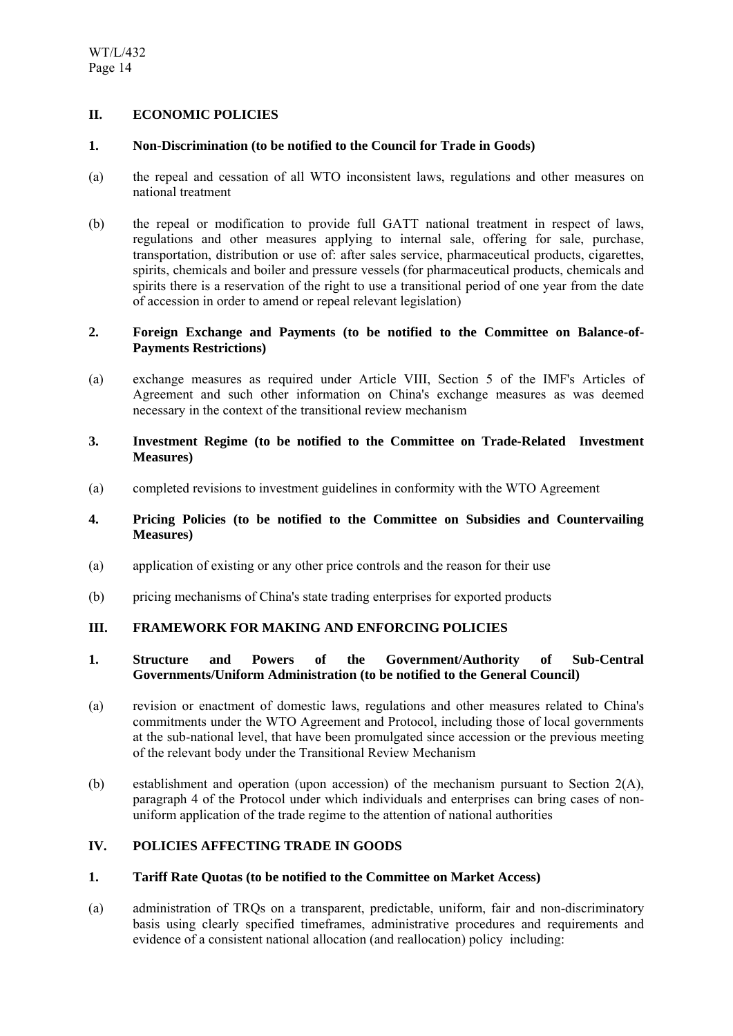# **II. ECONOMIC POLICIES**

#### **1. Non-Discrimination (to be notified to the Council for Trade in Goods)**

- (a) the repeal and cessation of all WTO inconsistent laws, regulations and other measures on national treatment
- (b) the repeal or modification to provide full GATT national treatment in respect of laws, regulations and other measures applying to internal sale, offering for sale, purchase, transportation, distribution or use of: after sales service, pharmaceutical products, cigarettes, spirits, chemicals and boiler and pressure vessels (for pharmaceutical products, chemicals and spirits there is a reservation of the right to use a transitional period of one year from the date of accession in order to amend or repeal relevant legislation)

#### **2. Foreign Exchange and Payments (to be notified to the Committee on Balance-of-Payments Restrictions)**

- (a) exchange measures as required under Article VIII, Section 5 of the IMF's Articles of Agreement and such other information on China's exchange measures as was deemed necessary in the context of the transitional review mechanism
- **3. Investment Regime (to be notified to the Committee on Trade-Related Investment Measures)**
- (a) completed revisions to investment guidelines in conformity with the WTO Agreement
- **4. Pricing Policies (to be notified to the Committee on Subsidies and Countervailing Measures)**
- (a) application of existing or any other price controls and the reason for their use
- (b) pricing mechanisms of China's state trading enterprises for exported products

#### **III. FRAMEWORK FOR MAKING AND ENFORCING POLICIES**

#### **1. Structure and Powers of the Government/Authority of Sub-Central Governments/Uniform Administration (to be notified to the General Council)**

- (a) revision or enactment of domestic laws, regulations and other measures related to China's commitments under the WTO Agreement and Protocol, including those of local governments at the sub-national level, that have been promulgated since accession or the previous meeting of the relevant body under the Transitional Review Mechanism
- (b) establishment and operation (upon accession) of the mechanism pursuant to Section 2(A), paragraph 4 of the Protocol under which individuals and enterprises can bring cases of nonuniform application of the trade regime to the attention of national authorities

### **IV. POLICIES AFFECTING TRADE IN GOODS**

#### **1. Tariff Rate Quotas (to be notified to the Committee on Market Access)**

(a) administration of TRQs on a transparent, predictable, uniform, fair and non-discriminatory basis using clearly specified timeframes, administrative procedures and requirements and evidence of a consistent national allocation (and reallocation) policy including: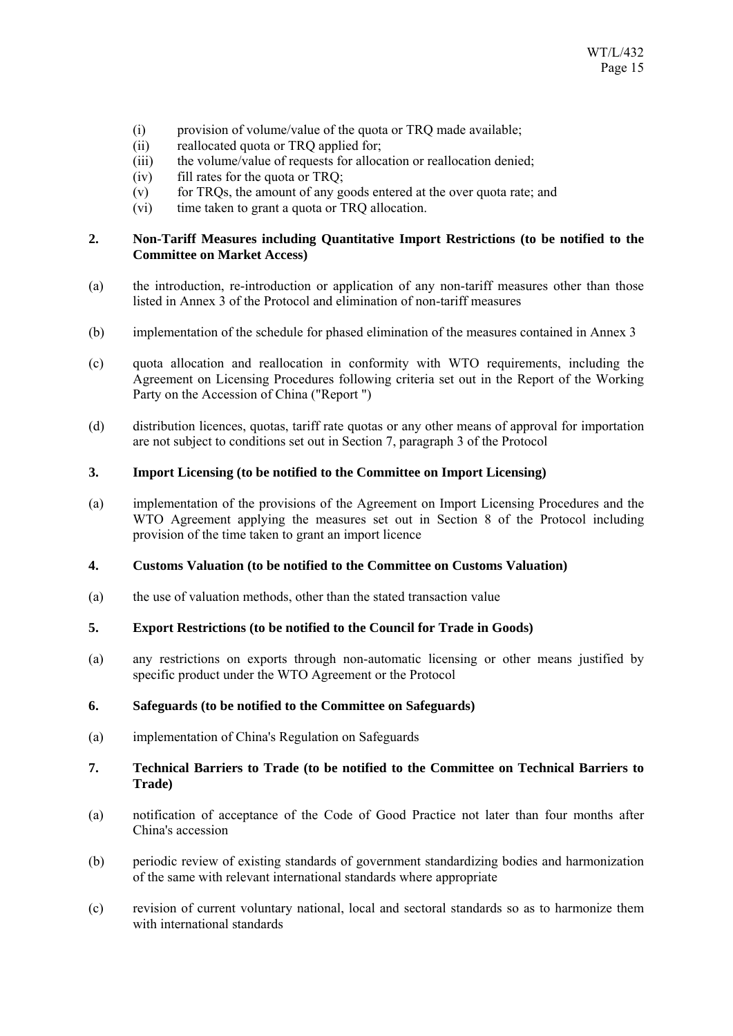- (i) provision of volume/value of the quota or TRQ made available;
- (ii) reallocated quota or TRQ applied for;
- (iii) the volume/value of requests for allocation or reallocation denied;
- (iv) fill rates for the quota or TRQ;
- (v) for TRQs, the amount of any goods entered at the over quota rate; and
- (vi) time taken to grant a quota or TRQ allocation.

#### **2. Non-Tariff Measures including Quantitative Import Restrictions (to be notified to the Committee on Market Access)**

- (a) the introduction, re-introduction or application of any non-tariff measures other than those listed in Annex 3 of the Protocol and elimination of non-tariff measures
- (b) implementation of the schedule for phased elimination of the measures contained in Annex 3
- (c) quota allocation and reallocation in conformity with WTO requirements, including the Agreement on Licensing Procedures following criteria set out in the Report of the Working Party on the Accession of China ("Report ")
- (d) distribution licences, quotas, tariff rate quotas or any other means of approval for importation are not subject to conditions set out in Section 7, paragraph 3 of the Protocol

#### **3. Import Licensing (to be notified to the Committee on Import Licensing)**

(a) implementation of the provisions of the Agreement on Import Licensing Procedures and the WTO Agreement applying the measures set out in Section 8 of the Protocol including provision of the time taken to grant an import licence

#### **4. Customs Valuation (to be notified to the Committee on Customs Valuation)**

(a) the use of valuation methods, other than the stated transaction value

#### **5. Export Restrictions (to be notified to the Council for Trade in Goods)**

(a) any restrictions on exports through non-automatic licensing or other means justified by specific product under the WTO Agreement or the Protocol

#### **6. Safeguards (to be notified to the Committee on Safeguards)**

(a) implementation of China's Regulation on Safeguards

#### **7. Technical Barriers to Trade (to be notified to the Committee on Technical Barriers to Trade)**

- (a) notification of acceptance of the Code of Good Practice not later than four months after China's accession
- (b) periodic review of existing standards of government standardizing bodies and harmonization of the same with relevant international standards where appropriate
- (c) revision of current voluntary national, local and sectoral standards so as to harmonize them with international standards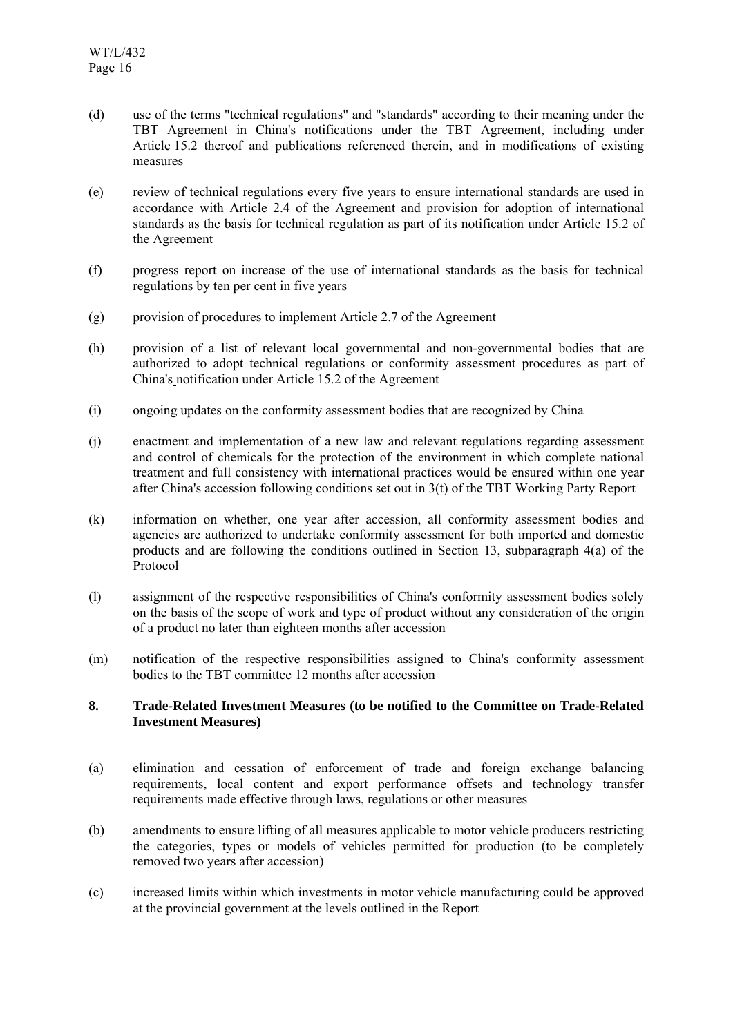- (d) use of the terms "technical regulations" and "standards" according to their meaning under the TBT Agreement in China's notifications under the TBT Agreement, including under Article 15.2 thereof and publications referenced therein, and in modifications of existing measures
- (e) review of technical regulations every five years to ensure international standards are used in accordance with Article 2.4 of the Agreement and provision for adoption of international standards as the basis for technical regulation as part of its notification under Article 15.2 of the Agreement
- (f) progress report on increase of the use of international standards as the basis for technical regulations by ten per cent in five years
- (g) provision of procedures to implement Article 2.7 of the Agreement
- (h) provision of a list of relevant local governmental and non-governmental bodies that are authorized to adopt technical regulations or conformity assessment procedures as part of China's notification under Article 15.2 of the Agreement
- (i) ongoing updates on the conformity assessment bodies that are recognized by China
- (j) enactment and implementation of a new law and relevant regulations regarding assessment and control of chemicals for the protection of the environment in which complete national treatment and full consistency with international practices would be ensured within one year after China's accession following conditions set out in 3(t) of the TBT Working Party Report
- (k) information on whether, one year after accession, all conformity assessment bodies and agencies are authorized to undertake conformity assessment for both imported and domestic products and are following the conditions outlined in Section 13, subparagraph 4(a) of the Protocol
- (l) assignment of the respective responsibilities of China's conformity assessment bodies solely on the basis of the scope of work and type of product without any consideration of the origin of a product no later than eighteen months after accession
- (m) notification of the respective responsibilities assigned to China's conformity assessment bodies to the TBT committee 12 months after accession

### **8. Trade-Related Investment Measures (to be notified to the Committee on Trade-Related Investment Measures)**

- (a) elimination and cessation of enforcement of trade and foreign exchange balancing requirements, local content and export performance offsets and technology transfer requirements made effective through laws, regulations or other measures
- (b) amendments to ensure lifting of all measures applicable to motor vehicle producers restricting the categories, types or models of vehicles permitted for production (to be completely removed two years after accession)
- (c) increased limits within which investments in motor vehicle manufacturing could be approved at the provincial government at the levels outlined in the Report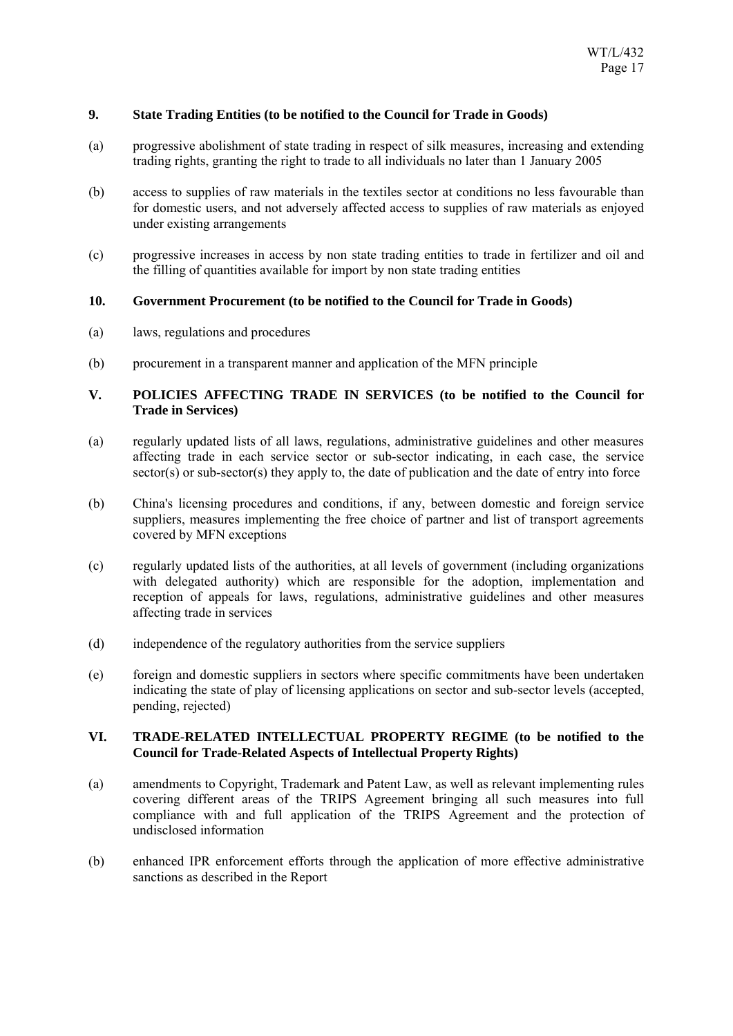#### **9. State Trading Entities (to be notified to the Council for Trade in Goods)**

- (a) progressive abolishment of state trading in respect of silk measures, increasing and extending trading rights, granting the right to trade to all individuals no later than 1 January 2005
- (b) access to supplies of raw materials in the textiles sector at conditions no less favourable than for domestic users, and not adversely affected access to supplies of raw materials as enjoyed under existing arrangements
- (c) progressive increases in access by non state trading entities to trade in fertilizer and oil and the filling of quantities available for import by non state trading entities

#### **10. Government Procurement (to be notified to the Council for Trade in Goods)**

- (a) laws, regulations and procedures
- (b) procurement in a transparent manner and application of the MFN principle

#### **V. POLICIES AFFECTING TRADE IN SERVICES (to be notified to the Council for Trade in Services)**

- (a) regularly updated lists of all laws, regulations, administrative guidelines and other measures affecting trade in each service sector or sub-sector indicating, in each case, the service sector(s) or sub-sector(s) they apply to, the date of publication and the date of entry into force
- (b) China's licensing procedures and conditions, if any, between domestic and foreign service suppliers, measures implementing the free choice of partner and list of transport agreements covered by MFN exceptions
- (c) regularly updated lists of the authorities, at all levels of government (including organizations with delegated authority) which are responsible for the adoption, implementation and reception of appeals for laws, regulations, administrative guidelines and other measures affecting trade in services
- (d) independence of the regulatory authorities from the service suppliers
- (e) foreign and domestic suppliers in sectors where specific commitments have been undertaken indicating the state of play of licensing applications on sector and sub-sector levels (accepted, pending, rejected)

#### **VI. TRADE-RELATED INTELLECTUAL PROPERTY REGIME (to be notified to the Council for Trade-Related Aspects of Intellectual Property Rights)**

- (a) amendments to Copyright, Trademark and Patent Law, as well as relevant implementing rules covering different areas of the TRIPS Agreement bringing all such measures into full compliance with and full application of the TRIPS Agreement and the protection of undisclosed information
- (b) enhanced IPR enforcement efforts through the application of more effective administrative sanctions as described in the Report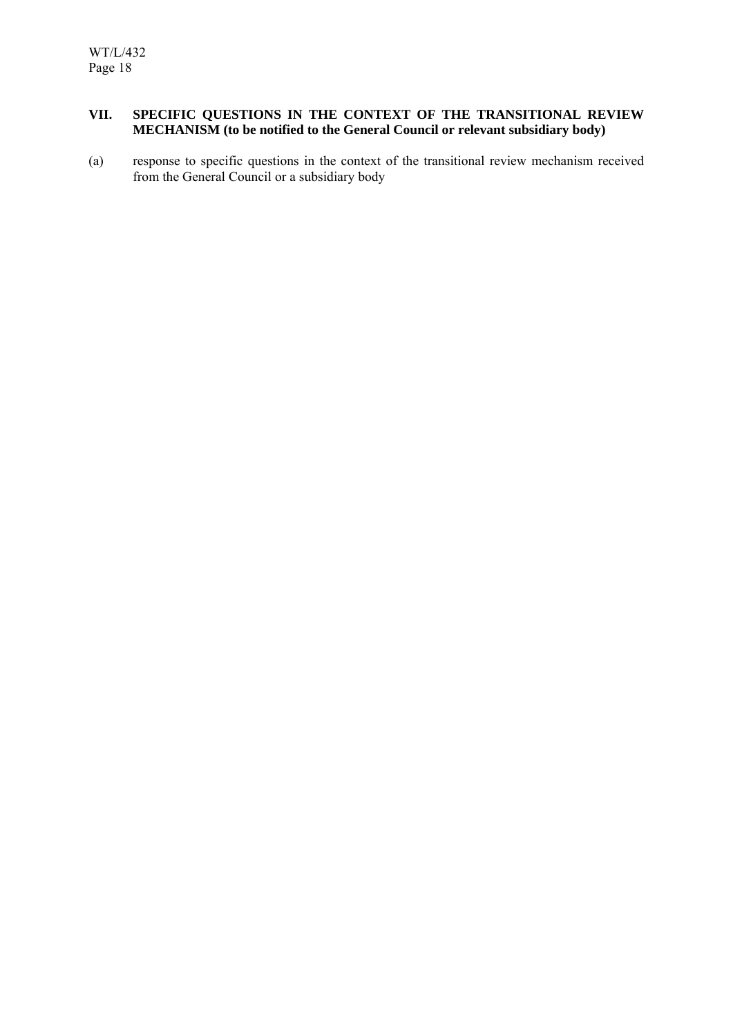# **VII. SPECIFIC QUESTIONS IN THE CONTEXT OF THE TRANSITIONAL REVIEW MECHANISM (to be notified to the General Council or relevant subsidiary body)**

(a) response to specific questions in the context of the transitional review mechanism received from the General Council or a subsidiary body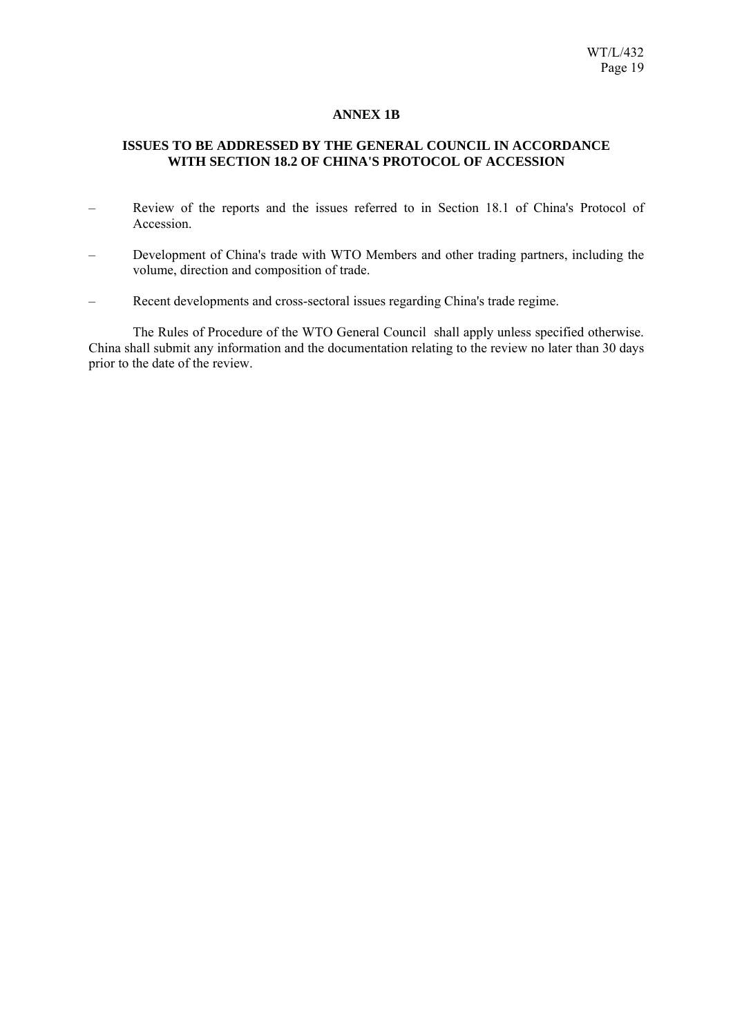#### **ANNEX 1B**

### **ISSUES TO BE ADDRESSED BY THE GENERAL COUNCIL IN ACCORDANCE WITH SECTION 18.2 OF CHINA'S PROTOCOL OF ACCESSION**

- Review of the reports and the issues referred to in Section 18.1 of China's Protocol of Accession.
- Development of China's trade with WTO Members and other trading partners, including the volume, direction and composition of trade.
- Recent developments and cross-sectoral issues regarding China's trade regime.

 The Rules of Procedure of the WTO General Council shall apply unless specified otherwise. China shall submit any information and the documentation relating to the review no later than 30 days prior to the date of the review.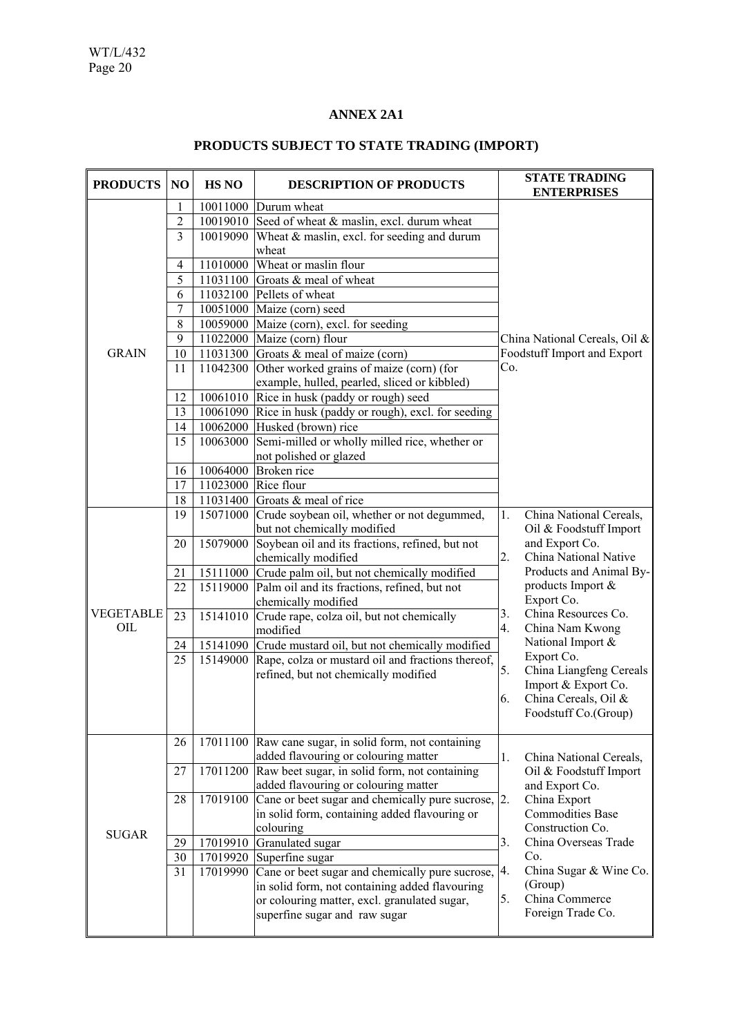# **ANNEX 2A1**

# **PRODUCTS SUBJECT TO STATE TRADING (IMPORT)**

| <b>PRODUCTS</b> | N <sub>O</sub> | <b>HS NO</b>        | DESCRIPTION OF PRODUCTS                                                        |     | <b>STATE TRADING</b><br><b>ENTERPRISES</b>        |
|-----------------|----------------|---------------------|--------------------------------------------------------------------------------|-----|---------------------------------------------------|
|                 | $\mathbf{1}$   |                     | 10011000 Durum wheat                                                           |     |                                                   |
|                 | $\overline{2}$ |                     | 10019010 Seed of wheat & maslin, excl. durum wheat                             |     |                                                   |
|                 | $\overline{3}$ | 10019090            | Wheat & maslin, excl. for seeding and durum                                    |     |                                                   |
|                 |                |                     | wheat                                                                          |     |                                                   |
|                 | $\overline{4}$ |                     | 11010000 Wheat or maslin flour                                                 |     |                                                   |
|                 | 5              |                     | 11031100 Groats $&$ meal of wheat                                              |     |                                                   |
|                 | 6              |                     | 11032100 Pellets of wheat                                                      |     |                                                   |
|                 | $\overline{7}$ |                     | 10051000 Maize (corn) seed                                                     |     |                                                   |
|                 | 8              |                     | 10059000 Maize (corn), excl. for seeding                                       |     |                                                   |
|                 | 9              |                     | 11022000 Maize (corn) flour                                                    |     | China National Cereals, Oil &                     |
| <b>GRAIN</b>    | 10             |                     | 11031300 Groats & meal of maize (corn)                                         |     | Foodstuff Import and Export                       |
|                 | 11             |                     | 11042300 Other worked grains of maize (corn) (for                              | Co. |                                                   |
|                 |                |                     | example, hulled, pearled, sliced or kibbled)                                   |     |                                                   |
|                 | 12             |                     | 10061010 Rice in husk (paddy or rough) seed                                    |     |                                                   |
|                 | 13             |                     | 10061090 Rice in husk (paddy or rough), excl. for seeding                      |     |                                                   |
|                 | 14             |                     | 10062000 Husked (brown) rice                                                   |     |                                                   |
|                 | 15             |                     | 10063000 Semi-milled or wholly milled rice, whether or                         |     |                                                   |
|                 |                |                     | not polished or glazed                                                         |     |                                                   |
|                 | 16             |                     | 10064000 Broken rice                                                           |     |                                                   |
|                 | 17             | 11023000 Rice flour |                                                                                |     |                                                   |
|                 | 18             |                     | 11031400 Groats $&$ meal of rice                                               |     |                                                   |
|                 | 19             |                     | 15071000 Crude soybean oil, whether or not degummed,                           | 1.  | China National Cereals,                           |
|                 |                | 15079000            | but not chemically modified<br>Soybean oil and its fractions, refined, but not |     | Oil & Foodstuff Import<br>and Export Co.          |
|                 | 20             |                     | chemically modified                                                            | 2.  | China National Native                             |
|                 | 21             |                     | 15111000 Crude palm oil, but not chemically modified                           |     | Products and Animal By-                           |
|                 | 22             |                     | 15119000 Palm oil and its fractions, refined, but not                          |     | products Import &                                 |
|                 |                |                     | chemically modified                                                            |     | Export Co.                                        |
| VEGETABLE       | 23             | 15141010            | Crude rape, colza oil, but not chemically                                      | 3.  | China Resources Co.                               |
| OIL             |                |                     | modified                                                                       | 4.  | China Nam Kwong                                   |
|                 | 24             |                     | 15141090 Crude mustard oil, but not chemically modified                        |     | National Import &                                 |
|                 | 25             | 15149000            | Rape, colza or mustard oil and fractions thereof,                              |     | Export Co.                                        |
|                 |                |                     | refined, but not chemically modified                                           | 5.  | China Liangfeng Cereals                           |
|                 |                |                     |                                                                                |     | Import & Export Co.                               |
|                 |                |                     |                                                                                | 6.  | China Cereals, Oil &                              |
|                 |                |                     |                                                                                |     | Foodstuff Co.(Group)                              |
|                 |                |                     | 17011100 Raw cane sugar, in solid form, not containing                         |     |                                                   |
|                 | 26             |                     | added flavouring or colouring matter                                           |     |                                                   |
|                 | 27             | 17011200            | Raw beet sugar, in solid form, not containing                                  | 1.  | China National Cereals,<br>Oil & Foodstuff Import |
|                 |                |                     | added flavouring or colouring matter                                           |     | and Export Co.                                    |
|                 | 28             | 17019100            | Cane or beet sugar and chemically pure sucrose,                                | 2.  | China Export                                      |
|                 |                |                     | in solid form, containing added flavouring or                                  |     | <b>Commodities Base</b>                           |
|                 |                |                     | colouring                                                                      |     | Construction Co.                                  |
| <b>SUGAR</b>    | 29             |                     | 17019910 Granulated sugar                                                      | 3.  | China Overseas Trade                              |
|                 | 30             |                     | 17019920 Superfine sugar                                                       |     | Co.                                               |
|                 | 31             |                     | 17019990 Cane or beet sugar and chemically pure sucrose,                       | 4.  | China Sugar & Wine Co.                            |
|                 |                |                     | in solid form, not containing added flavouring                                 |     | (Group)                                           |
|                 |                |                     | or colouring matter, excl. granulated sugar,                                   | 5.  | China Commerce                                    |
|                 |                |                     | superfine sugar and raw sugar                                                  |     | Foreign Trade Co.                                 |
|                 |                |                     |                                                                                |     |                                                   |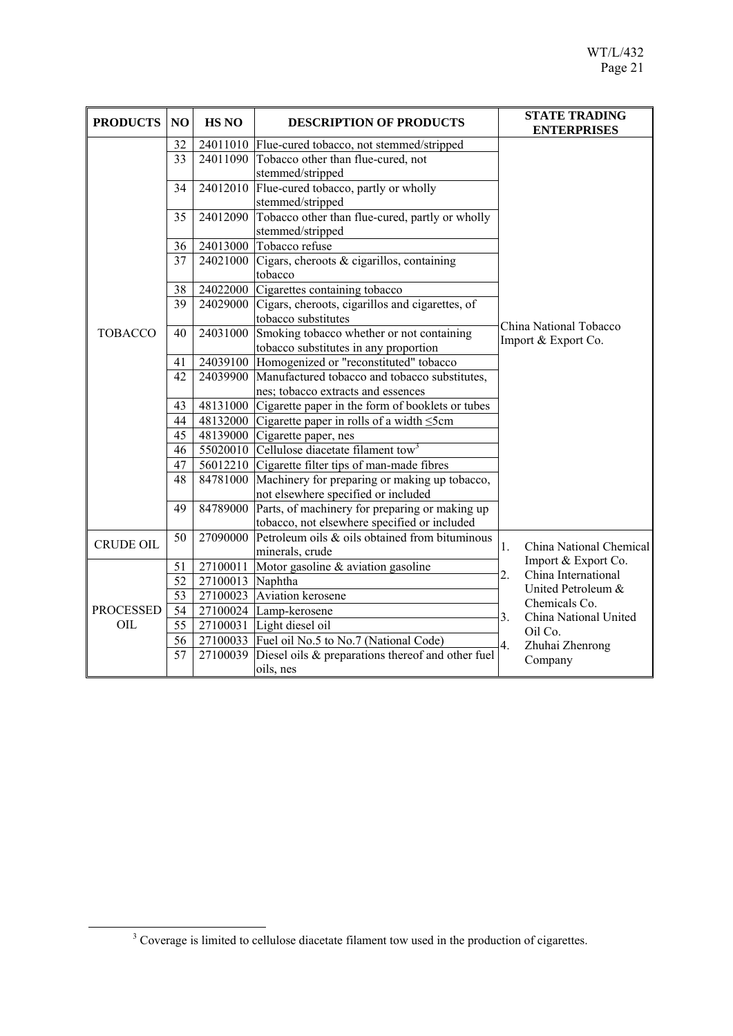| <b>PRODUCTS</b>  | NO              | <b>HS NO</b>     | <b>DESCRIPTION OF PRODUCTS</b>                          | <b>STATE TRADING</b><br><b>ENTERPRISES</b>                     |
|------------------|-----------------|------------------|---------------------------------------------------------|----------------------------------------------------------------|
|                  | 32              |                  | 24011010 Flue-cured tobacco, not stemmed/stripped       |                                                                |
|                  | $\overline{33}$ |                  | 24011090 Tobacco other than flue-cured, not             |                                                                |
|                  |                 |                  | stemmed/stripped                                        |                                                                |
|                  | 34              |                  | 24012010 Flue-cured tobacco, partly or wholly           |                                                                |
|                  |                 |                  | stemmed/stripped                                        |                                                                |
|                  | 35              | 24012090         | Tobacco other than flue-cured, partly or wholly         |                                                                |
|                  |                 |                  | stemmed/stripped                                        |                                                                |
|                  | 36              |                  | 24013000 Tobacco refuse                                 |                                                                |
|                  | 37              | 24021000         | Cigars, cheroots & cigarillos, containing               |                                                                |
|                  |                 |                  | tobacco                                                 |                                                                |
|                  | 38              |                  | 24022000 Cigarettes containing tobacco                  |                                                                |
|                  | 39              | 24029000         | Cigars, cheroots, cigarillos and cigarettes, of         |                                                                |
|                  |                 |                  | tobacco substitutes                                     | China National Tobacco                                         |
| <b>TOBACCO</b>   | 40              | 24031000         | Smoking tobacco whether or not containing               | Import & Export Co.                                            |
|                  |                 |                  | tobacco substitutes in any proportion                   |                                                                |
|                  | 41              | 24039100         | Homogenized or "reconstituted" tobacco                  |                                                                |
|                  | 42              |                  | 24039900 Manufactured tobacco and tobacco substitutes,  |                                                                |
|                  |                 |                  | nes; tobacco extracts and essences                      |                                                                |
|                  | 43              | 48131000         | Cigarette paper in the form of booklets or tubes        |                                                                |
|                  | 44              |                  | 48132000 Cigarette paper in rolls of a width $\leq$ 5cm |                                                                |
|                  | 45              |                  | 48139000 Cigarette paper, nes                           |                                                                |
|                  | 46              |                  | 55020010 Cellulose diacetate filament tow <sup>3</sup>  |                                                                |
|                  | 47              |                  | 56012210 Cigarette filter tips of man-made fibres       |                                                                |
|                  | 48              |                  | 84781000 Machinery for preparing or making up tobacco,  |                                                                |
|                  |                 |                  | not elsewhere specified or included                     |                                                                |
|                  | 49              | 84789000         | Parts, of machinery for preparing or making up          |                                                                |
|                  |                 |                  | tobacco, not elsewhere specified or included            |                                                                |
| <b>CRUDE OIL</b> | 50              | 27090000         | Petroleum oils & oils obtained from bituminous          |                                                                |
|                  |                 |                  | minerals, crude                                         | $\overline{1}$ .<br>China National Chemical                    |
|                  | 51              | 27100011         | Motor gasoline & aviation gasoline                      | Import & Export Co.<br>$\overline{2}$ .<br>China International |
|                  | 52              | 27100013 Naphtha |                                                         |                                                                |
|                  | 53              |                  | 27100023 Aviation kerosene                              | United Petroleum &<br>Chemicals Co.                            |
| <b>PROCESSED</b> | 54              | 27100024         | Lamp-kerosene                                           | China National United<br>$\overline{3}$ .                      |
| OIL              | 55              | 27100031         | Light diesel oil                                        | Oil Co.                                                        |
|                  | 56              | 27100033         | Fuel oil No.5 to No.7 (National Code)                   | Zhuhai Zhenrong<br>4.                                          |
|                  | 57              | 27100039         | Diesel oils & preparations thereof and other fuel       |                                                                |
|                  |                 |                  | oils, nes                                               | Company                                                        |

<sup>&</sup>lt;sup>3</sup> Coverage is limited to cellulose diacetate filament tow used in the production of cigarettes.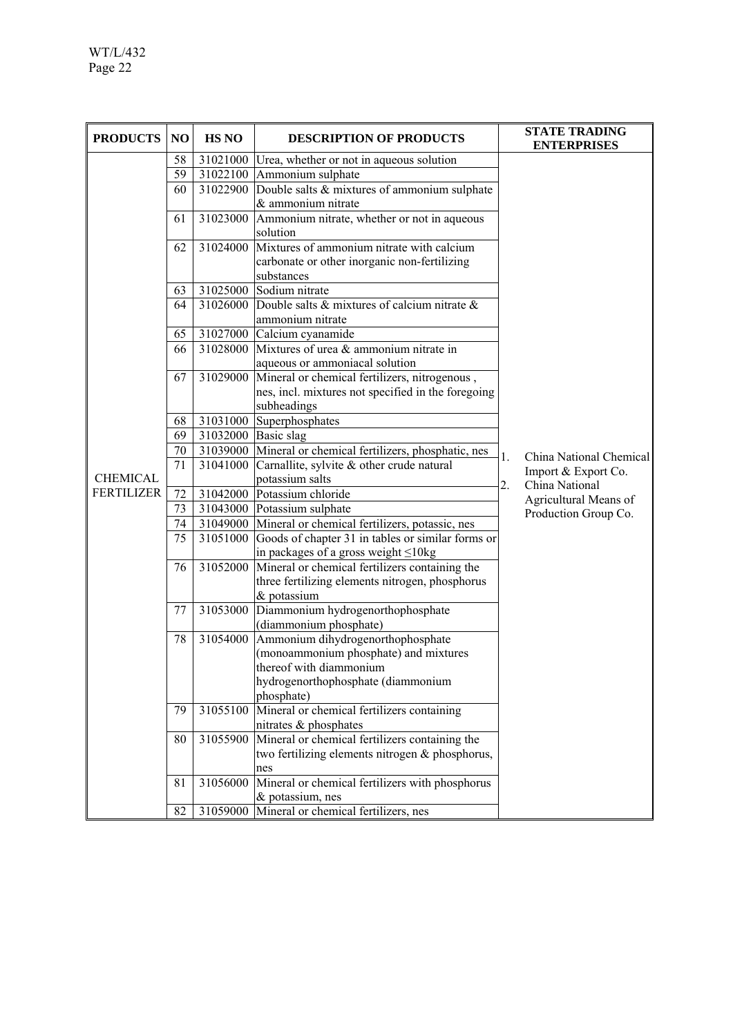| <b>PRODUCTS</b>   | N <sub>O</sub> | HS <sub>NO</sub>    | <b>DESCRIPTION OF PRODUCTS</b>                                    |          | <b>STATE TRADING</b><br><b>ENTERPRISES</b>                                                                        |
|-------------------|----------------|---------------------|-------------------------------------------------------------------|----------|-------------------------------------------------------------------------------------------------------------------|
|                   | 58             |                     | 31021000 Urea, whether or not in aqueous solution                 |          |                                                                                                                   |
|                   | 59             |                     | 31022100 Ammonium sulphate                                        |          |                                                                                                                   |
|                   | 60             |                     | 31022900 Double salts & mixtures of ammonium sulphate             |          |                                                                                                                   |
|                   |                |                     | & ammonium nitrate                                                |          |                                                                                                                   |
|                   | 61             | 31023000            | Ammonium nitrate, whether or not in aqueous                       |          |                                                                                                                   |
|                   |                |                     | solution                                                          |          |                                                                                                                   |
|                   | 62             |                     | 31024000 Mixtures of ammonium nitrate with calcium                |          |                                                                                                                   |
|                   |                |                     | carbonate or other inorganic non-fertilizing                      |          |                                                                                                                   |
|                   |                |                     | substances                                                        |          |                                                                                                                   |
|                   | 63             |                     | 31025000 Sodium nitrate                                           |          |                                                                                                                   |
|                   | 64             |                     | 31026000 Double salts & mixtures of calcium nitrate $\&$          |          |                                                                                                                   |
|                   |                |                     | ammonium nitrate                                                  |          |                                                                                                                   |
|                   | 65             |                     | 31027000 Calcium cyanamide                                        |          |                                                                                                                   |
|                   | 66             |                     | 31028000 Mixtures of urea & ammonium nitrate in                   |          | China National Chemical<br>Import & Export Co.<br>China National<br>Agricultural Means of<br>Production Group Co. |
|                   |                |                     | aqueous or ammoniacal solution                                    |          |                                                                                                                   |
|                   | 67             |                     | 31029000 Mineral or chemical fertilizers, nitrogenous,            |          |                                                                                                                   |
|                   |                |                     | nes, incl. mixtures not specified in the foregoing                |          |                                                                                                                   |
|                   |                |                     | subheadings                                                       |          |                                                                                                                   |
|                   | 68             |                     | 31031000 Superphosphates                                          | 1.<br>2. |                                                                                                                   |
|                   | 69             | 31032000 Basic slag |                                                                   |          |                                                                                                                   |
|                   | 70             |                     | 31039000 Mineral or chemical fertilizers, phosphatic, nes         |          |                                                                                                                   |
|                   | 71             |                     | 31041000 Carnallite, sylvite $\&$ other crude natural             |          |                                                                                                                   |
| <b>CHEMICAL</b>   |                |                     | potassium salts                                                   |          |                                                                                                                   |
| <b>FERTILIZER</b> | 72             |                     | 31042000 Potassium chloride                                       |          |                                                                                                                   |
|                   | 73             |                     | 31043000 Potassium sulphate                                       |          |                                                                                                                   |
|                   | 74             |                     | 31049000 Mineral or chemical fertilizers, potassic, nes           |          |                                                                                                                   |
|                   | 75             |                     | 31051000 Goods of chapter 31 in tables or similar forms or        |          |                                                                                                                   |
|                   |                |                     | in packages of a gross weight $\leq 10$ kg                        |          |                                                                                                                   |
|                   | 76             |                     | 31052000 Mineral or chemical fertilizers containing the           |          |                                                                                                                   |
|                   |                |                     | three fertilizing elements nitrogen, phosphorus                   |          |                                                                                                                   |
|                   |                |                     | & potassium                                                       |          |                                                                                                                   |
|                   | 77             |                     | 31053000 Diammonium hydrogenorthophosphate                        |          |                                                                                                                   |
|                   |                |                     | (diammonium phosphate)                                            |          |                                                                                                                   |
|                   | 78             |                     | 31054000 Ammonium dihydrogenorthophosphate                        |          |                                                                                                                   |
|                   |                |                     | (monoammonium phosphate) and mixtures                             |          |                                                                                                                   |
|                   |                |                     | thereof with diammonium                                           |          |                                                                                                                   |
|                   |                |                     | hydrogenorthophosphate (diammonium                                |          |                                                                                                                   |
|                   |                |                     | phosphate)                                                        |          |                                                                                                                   |
|                   | 79             |                     | 31055100 Mineral or chemical fertilizers containing               |          |                                                                                                                   |
|                   |                |                     | nitrates & phosphates                                             |          |                                                                                                                   |
|                   | 80             |                     | 31055900 Mineral or chemical fertilizers containing the           |          |                                                                                                                   |
|                   |                |                     | two fertilizing elements nitrogen & phosphorus,                   |          |                                                                                                                   |
|                   | 81             |                     | nes<br>31056000 Mineral or chemical fertilizers with phosphorus   |          |                                                                                                                   |
|                   |                |                     |                                                                   |          |                                                                                                                   |
|                   |                |                     | & potassium, nes<br>31059000 Mineral or chemical fertilizers, nes |          |                                                                                                                   |
|                   | 82             |                     |                                                                   |          |                                                                                                                   |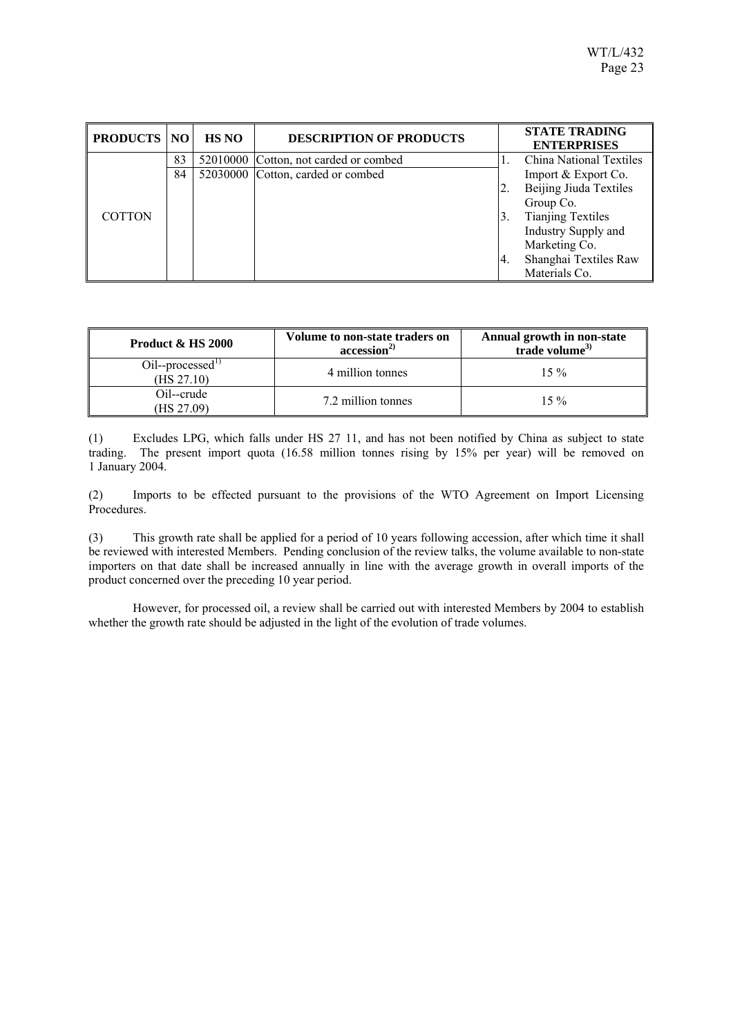| <b>PRODUCTS</b> NO |    | <b>HS NO</b> | <b>DESCRIPTION OF PRODUCTS</b>        |                  | <b>STATE TRADING</b><br><b>ENTERPRISES</b> |
|--------------------|----|--------------|---------------------------------------|------------------|--------------------------------------------|
|                    | 83 |              | 52010000 Cotton, not carded or combed |                  | China National Textiles                    |
|                    | 84 |              | 52030000 Cotton, carded or combed     |                  | Import & Export Co.                        |
|                    |    |              |                                       |                  | Beijing Jiuda Textiles                     |
|                    |    |              |                                       |                  | Group Co.                                  |
| <b>COTTON</b>      |    |              |                                       | 3.               | <b>Tianjing Textiles</b>                   |
|                    |    |              |                                       |                  | Industry Supply and                        |
|                    |    |              |                                       |                  | Marketing Co.                              |
|                    |    |              |                                       | $\overline{4}$ . | Shanghai Textiles Raw                      |
|                    |    |              |                                       |                  | Materials Co.                              |

| Product & HS 2000                            | Volume to non-state traders on<br>$\arcces$ sion <sup>2)</sup> | Annual growth in non-state<br>trade volume <sup>3)</sup> |
|----------------------------------------------|----------------------------------------------------------------|----------------------------------------------------------|
| $Oil$ -processed <sup>1)</sup><br>(HS 27.10) | 4 million tonnes                                               | $15\%$                                                   |
| Oil--crude<br>(HS 27.09)                     | 7.2 million tonnes                                             | $15\%$                                                   |

(1) Excludes LPG, which falls under HS 27 11, and has not been notified by China as subject to state trading. The present import quota (16.58 million tonnes rising by 15% per year) will be removed on 1 January 2004.

(2) Imports to be effected pursuant to the provisions of the WTO Agreement on Import Licensing Procedures.

(3) This growth rate shall be applied for a period of 10 years following accession, after which time it shall be reviewed with interested Members. Pending conclusion of the review talks, the volume available to non-state importers on that date shall be increased annually in line with the average growth in overall imports of the product concerned over the preceding 10 year period.

 However, for processed oil, a review shall be carried out with interested Members by 2004 to establish whether the growth rate should be adjusted in the light of the evolution of trade volumes.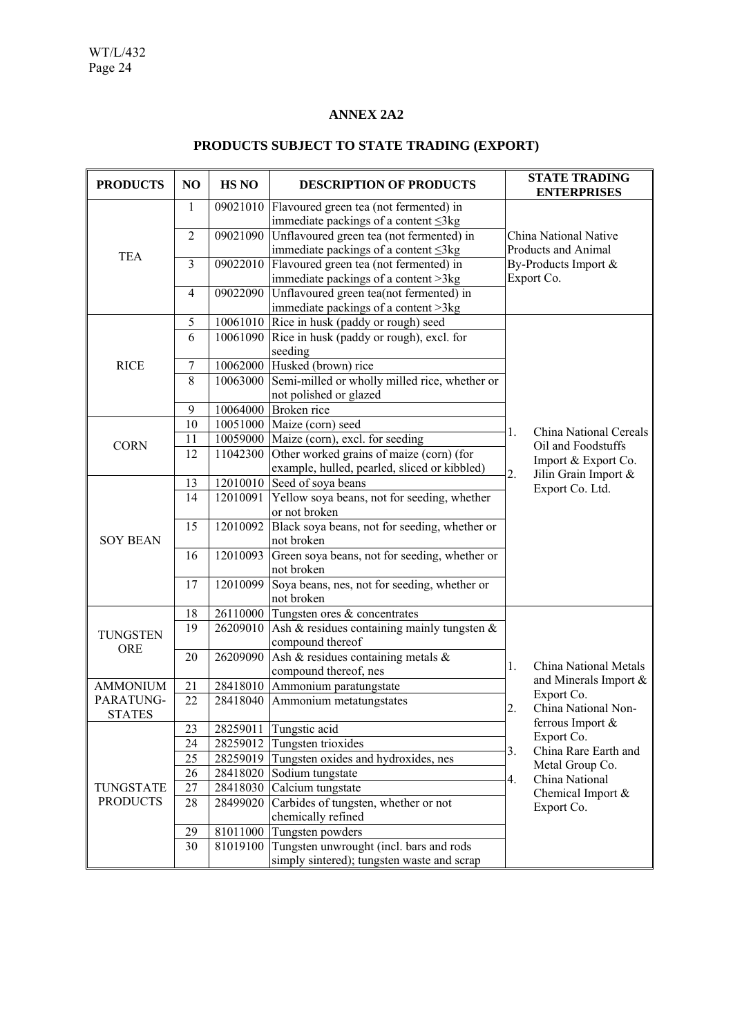# **ANNEX 2A2**

| <b>PRODUCTS</b>            | N <sub>O</sub>  | HS NO    | <b>DESCRIPTION OF PRODUCTS</b>                                                                   | <b>STATE TRADING</b><br><b>ENTERPRISES</b> |  |  |
|----------------------------|-----------------|----------|--------------------------------------------------------------------------------------------------|--------------------------------------------|--|--|
|                            | 1               | 09021010 | Flavoured green tea (not fermented) in                                                           |                                            |  |  |
|                            |                 |          | immediate packings of a content ≤3kg                                                             |                                            |  |  |
|                            | $\overline{2}$  | 09021090 | Unflavoured green tea (not fermented) in                                                         | China National Native                      |  |  |
| <b>TEA</b>                 |                 |          | immediate packings of a content ≤3kg                                                             | Products and Animal                        |  |  |
|                            | $\overline{3}$  |          | 09022010 Flavoured green tea (not fermented) in                                                  | By-Products Import &                       |  |  |
|                            |                 |          | immediate packings of a content >3kg                                                             | Export Co.                                 |  |  |
|                            | $\overline{4}$  |          | 09022090 Unflavoured green tea(not fermented) in                                                 |                                            |  |  |
|                            |                 |          | immediate packings of a content >3kg                                                             |                                            |  |  |
|                            | 5<br>6          |          | 10061010 Rice in husk (paddy or rough) seed<br>10061090 Rice in husk (paddy or rough), excl. for |                                            |  |  |
|                            |                 |          | seeding                                                                                          |                                            |  |  |
| <b>RICE</b>                | 7               |          | 10062000 Husked (brown) rice                                                                     |                                            |  |  |
|                            | 8               | 10063000 | Semi-milled or wholly milled rice, whether or                                                    |                                            |  |  |
|                            |                 |          | not polished or glazed                                                                           |                                            |  |  |
|                            | 9               | 10064000 | <b>Broken</b> rice                                                                               |                                            |  |  |
|                            | 10              |          | 10051000 Maize (corn) seed                                                                       |                                            |  |  |
|                            | 11              |          | 10059000 Maize (corn), excl. for seeding                                                         | China National Cereals<br>1.               |  |  |
| <b>CORN</b>                | 12              |          | 11042300 Other worked grains of maize (corn) (for                                                | Oil and Foodstuffs                         |  |  |
|                            |                 |          | example, hulled, pearled, sliced or kibbled)                                                     | Import & Export Co.                        |  |  |
| <b>SOY BEAN</b>            | 13              |          | 12010010 Seed of soya beans                                                                      | 2.<br>Jilin Grain Import &                 |  |  |
|                            | $\overline{14}$ | 12010091 | Yellow soya beans, not for seeding, whether                                                      | Export Co. Ltd.                            |  |  |
|                            |                 |          | or not broken                                                                                    |                                            |  |  |
|                            | 15              | 12010092 | Black soya beans, not for seeding, whether or                                                    |                                            |  |  |
|                            |                 |          | not broken                                                                                       |                                            |  |  |
|                            | 16              | 12010093 | Green soya beans, not for seeding, whether or                                                    |                                            |  |  |
|                            |                 |          | not broken                                                                                       |                                            |  |  |
|                            | 17              | 12010099 | Soya beans, nes, not for seeding, whether or                                                     |                                            |  |  |
|                            |                 |          | not broken                                                                                       |                                            |  |  |
|                            | 18              | 26110000 | Tungsten ores & concentrates                                                                     |                                            |  |  |
| <b>TUNGSTEN</b>            | 19              | 26209010 | Ash & residues containing mainly tungsten &                                                      |                                            |  |  |
| <b>ORE</b>                 |                 |          | compound thereof                                                                                 |                                            |  |  |
|                            | 20              | 26209090 | Ash & residues containing metals &                                                               | 1.<br>China National Metals                |  |  |
|                            |                 |          | compound thereof, nes                                                                            | and Minerals Import &                      |  |  |
| <b>AMMONIUM</b>            | 21              | 28418010 | Ammonium paratungstate                                                                           | Export Co.                                 |  |  |
| PARATUNG-<br><b>STATES</b> | 22              | 28418040 | Ammonium metatungstates                                                                          | China National Non-<br>2.                  |  |  |
|                            | 23              | 28259011 | Tungstic acid                                                                                    | ferrous Import &                           |  |  |
|                            | 24              | 28259012 | Tungsten trioxides                                                                               | Export Co.                                 |  |  |
|                            | 25              | 28259019 | Tungsten oxides and hydroxides, nes                                                              | 3.<br>China Rare Earth and                 |  |  |
|                            | 26              |          | 28418020 Sodium tungstate                                                                        | Metal Group Co.                            |  |  |
| <b>TUNGSTATE</b>           | 27              |          | 28418030 Calcium tungstate                                                                       | 4.<br>China National                       |  |  |
| <b>PRODUCTS</b>            | 28              |          | 28499020 Carbides of tungsten, whether or not                                                    | Chemical Import &                          |  |  |
|                            |                 |          | chemically refined                                                                               | Export Co.                                 |  |  |
|                            | 29              | 81011000 | Tungsten powders                                                                                 |                                            |  |  |
|                            | 30              |          | 81019100 Tungsten unwrought (incl. bars and rods                                                 |                                            |  |  |
|                            |                 |          | simply sintered); tungsten waste and scrap                                                       |                                            |  |  |

# **PRODUCTS SUBJECT TO STATE TRADING (EXPORT)**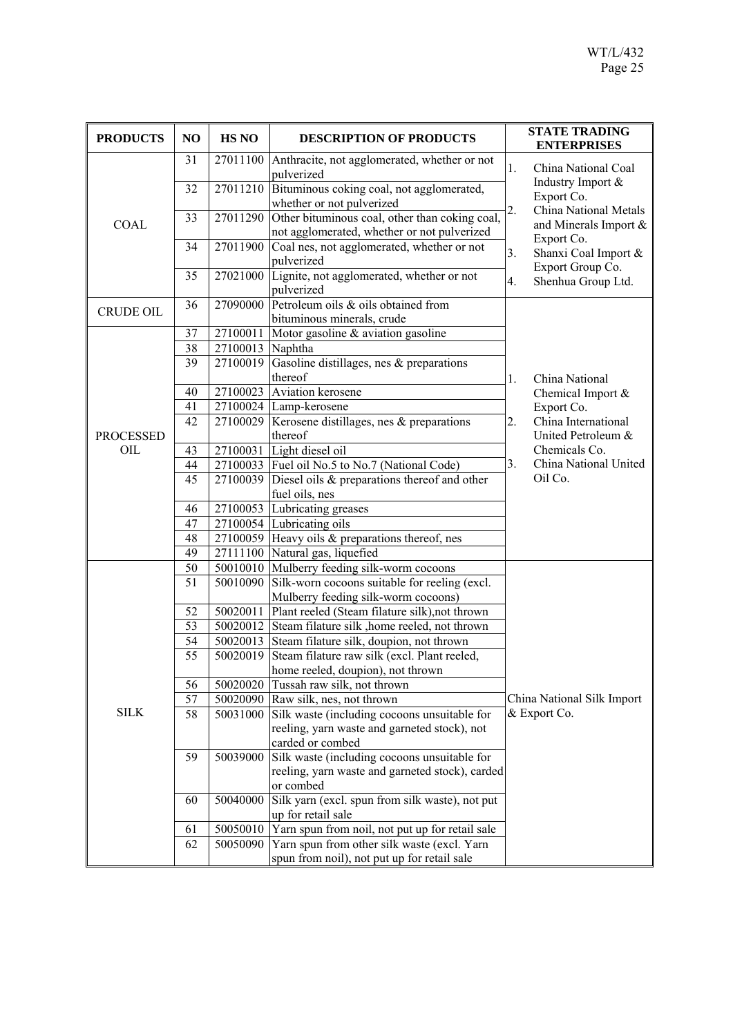| <b>PRODUCTS</b>  | NO | <b>HS NO</b>     | <b>DESCRIPTION OF PRODUCTS</b>                                                                |    | <b>STATE TRADING</b><br><b>ENTERPRISES</b>            |
|------------------|----|------------------|-----------------------------------------------------------------------------------------------|----|-------------------------------------------------------|
|                  | 31 | 27011100         | Anthracite, not agglomerated, whether or not<br>pulverized                                    | 1. | China National Coal                                   |
|                  | 32 | 27011210         | Bituminous coking coal, not agglomerated,<br>whether or not pulverized                        |    | Industry Import &<br>Export Co.                       |
| <b>COAL</b>      | 33 | 27011290         | Other bituminous coal, other than coking coal,<br>not agglomerated, whether or not pulverized | 2. | <b>China National Metals</b><br>and Minerals Import & |
|                  | 34 | 27011900         | Coal nes, not agglomerated, whether or not<br>pulverized                                      | 3. | Export Co.<br>Shanxi Coal Import &                    |
|                  | 35 | 27021000         | Lignite, not agglomerated, whether or not<br>pulverized                                       | 4. | Export Group Co.<br>Shenhua Group Ltd.                |
| <b>CRUDE OIL</b> | 36 | 27090000         | Petroleum oils & oils obtained from<br>bituminous minerals, crude                             |    |                                                       |
|                  | 37 | 27100011         | Motor gasoline & aviation gasoline                                                            |    |                                                       |
|                  | 38 | 27100013 Naphtha |                                                                                               |    |                                                       |
|                  | 39 | 27100019         | Gasoline distillages, nes & preparations                                                      |    |                                                       |
|                  |    |                  | thereof                                                                                       | 1. | China National                                        |
|                  | 40 |                  | 27100023 Aviation kerosene                                                                    |    | Chemical Import &                                     |
|                  | 41 |                  | 27100024 Lamp-kerosene                                                                        |    | Export Co.                                            |
|                  | 42 | 27100029         | Kerosene distillages, nes & preparations                                                      | 2. | China International                                   |
| <b>PROCESSED</b> |    |                  | thereof                                                                                       |    | United Petroleum &                                    |
| OIL              | 43 |                  | 27100031 Light diesel oil                                                                     |    | Chemicals Co.                                         |
|                  | 44 |                  | 27100033 Fuel oil No.5 to No.7 (National Code)                                                | 3. | China National United                                 |
|                  | 45 |                  | 27100039 Diesel oils $\&$ preparations thereof and other                                      |    | Oil Co.                                               |
|                  |    |                  | fuel oils, nes                                                                                |    |                                                       |
|                  | 46 |                  | 27100053 Lubricating greases                                                                  |    |                                                       |
|                  | 47 |                  | 27100054 Lubricating oils                                                                     |    |                                                       |
|                  | 48 |                  | 27100059 Heavy oils & preparations thereof, nes                                               |    |                                                       |
|                  | 49 |                  | 27111100 Natural gas, liquefied                                                               |    |                                                       |
|                  | 50 |                  | 50010010 Mulberry feeding silk-worm cocoons                                                   |    |                                                       |
|                  | 51 | 50010090         | Silk-worn cocoons suitable for reeling (excl.                                                 |    |                                                       |
|                  |    |                  | Mulberry feeding silk-worm cocoons)                                                           |    |                                                       |
|                  | 52 | 50020011         | Plant reeled (Steam filature silk), not thrown                                                |    |                                                       |
|                  | 53 |                  | 50020012 Steam filature silk , home reeled, not thrown                                        |    |                                                       |
|                  | 54 |                  | 50020013 Steam filature silk, doupion, not thrown                                             |    |                                                       |
|                  | 55 | 50020019         | Steam filature raw silk (excl. Plant reeled,                                                  |    |                                                       |
|                  |    |                  | home reeled, doupion), not thrown                                                             |    |                                                       |
|                  | 56 | 50020020         | Tussah raw silk, not thrown                                                                   |    |                                                       |
|                  | 57 |                  | 50020090 Raw silk, nes, not thrown                                                            |    | China National Silk Import                            |
| <b>SILK</b>      | 58 | 50031000         | Silk waste (including cocoons unsuitable for                                                  |    | & Export Co.                                          |
|                  |    |                  | reeling, yarn waste and garneted stock), not                                                  |    |                                                       |
|                  |    |                  | carded or combed                                                                              |    |                                                       |
|                  | 59 | 50039000         | Silk waste (including cocoons unsuitable for                                                  |    |                                                       |
|                  |    |                  | reeling, yarn waste and garneted stock), carded                                               |    |                                                       |
|                  |    |                  | or combed                                                                                     |    |                                                       |
|                  | 60 | 50040000         | Silk yarn (excl. spun from silk waste), not put                                               |    |                                                       |
|                  |    |                  | up for retail sale                                                                            |    |                                                       |
|                  | 61 | 50050010         | Yarn spun from noil, not put up for retail sale                                               |    |                                                       |
|                  | 62 | 50050090         | Yarn spun from other silk waste (excl. Yarn                                                   |    |                                                       |
|                  |    |                  | spun from noil), not put up for retail sale                                                   |    |                                                       |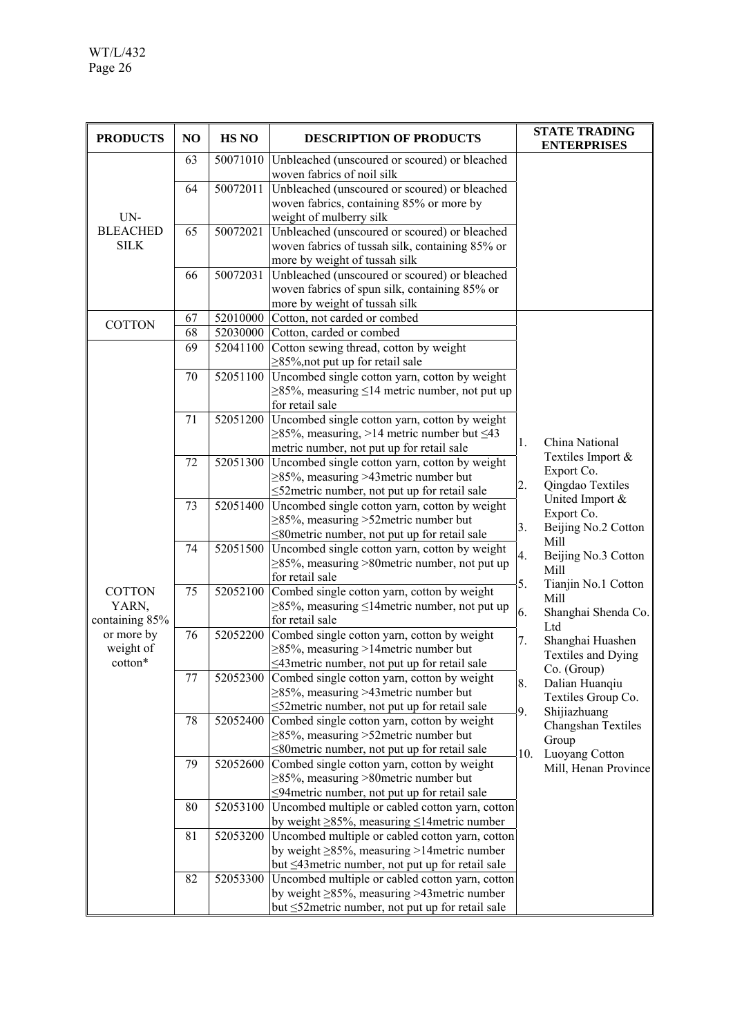| <b>PRODUCTS</b>                          | NO | HS NO    | <b>DESCRIPTION OF PRODUCTS</b>                                                                                                                                  |          | <b>STATE TRADING</b><br><b>ENTERPRISES</b>                                                                                                                           |  |  |
|------------------------------------------|----|----------|-----------------------------------------------------------------------------------------------------------------------------------------------------------------|----------|----------------------------------------------------------------------------------------------------------------------------------------------------------------------|--|--|
|                                          | 63 | 50071010 | Unbleached (unscoured or scoured) or bleached<br>woven fabrics of noil silk                                                                                     |          |                                                                                                                                                                      |  |  |
| UN-                                      | 64 | 50072011 | Unbleached (unscoured or scoured) or bleached<br>woven fabrics, containing 85% or more by<br>weight of mulberry silk                                            |          |                                                                                                                                                                      |  |  |
| <b>BLEACHED</b><br><b>SILK</b>           | 65 | 50072021 | Unbleached (unscoured or scoured) or bleached<br>woven fabrics of tussah silk, containing 85% or<br>more by weight of tussah silk                               |          |                                                                                                                                                                      |  |  |
|                                          | 66 | 50072031 | Unbleached (unscoured or scoured) or bleached<br>woven fabrics of spun silk, containing 85% or<br>more by weight of tussah silk                                 |          |                                                                                                                                                                      |  |  |
| <b>COTTON</b>                            | 67 | 52010000 | Cotton, not carded or combed                                                                                                                                    |          |                                                                                                                                                                      |  |  |
|                                          | 68 |          | 52030000 Cotton, carded or combed                                                                                                                               |          |                                                                                                                                                                      |  |  |
|                                          | 69 |          | 52041100 Cotton sewing thread, cotton by weight<br>$\geq$ 85%, not put up for retail sale                                                                       |          |                                                                                                                                                                      |  |  |
|                                          | 70 |          | 52051100 Uncombed single cotton yarn, cotton by weight<br>$\geq$ 85%, measuring $\leq$ 14 metric number, not put up<br>for retail sale                          |          |                                                                                                                                                                      |  |  |
|                                          | 71 |          | 52051200 Uncombed single cotton yarn, cotton by weight<br>$\geq$ 85%, measuring, >14 metric number but $\leq$ 43<br>metric number, not put up for retail sale   | 1.       | China National<br>Textiles Import &<br>Export Co.<br>Qingdao Textiles<br>United Import &<br>Export Co.<br>Beijing No.2 Cotton<br>Mill<br>Beijing No.3 Cotton<br>Mill |  |  |
|                                          | 72 |          | 52051300 Uncombed single cotton yarn, cotton by weight<br>$\geq$ 85%, measuring >43 metric number but<br>≤52 metric number, not put up for retail sale          | 2.<br>3. |                                                                                                                                                                      |  |  |
|                                          | 73 | 52051400 | Uncombed single cotton yarn, cotton by weight<br>$\geq$ 85%, measuring >52 metric number but<br>$\leq$ 80 metric number, not put up for retail sale             |          |                                                                                                                                                                      |  |  |
|                                          | 74 | 52051500 | Uncombed single cotton yarn, cotton by weight<br>$\geq$ 85%, measuring $>$ 80 metric number, not put up<br>for retail sale                                      | 4.<br>5. |                                                                                                                                                                      |  |  |
| <b>COTTON</b><br>YARN,<br>containing 85% | 75 | 52052100 | Combed single cotton yarn, cotton by weight<br>$\geq$ 85%, measuring $\leq$ 14 metric number, not put up<br>for retail sale                                     | 6.       | Tianjin No.1 Cotton<br>Mill<br>Shanghai Shenda Co.                                                                                                                   |  |  |
| or more by<br>weight of<br>cotton*       | 76 | 52052200 | Combed single cotton yarn, cotton by weight<br>$\geq$ 85%, measuring >14 metric number but<br>$\leq$ 43 metric number, not put up for retail sale               | 7.       | Ltd<br>Shanghai Huashen<br>Textiles and Dying                                                                                                                        |  |  |
|                                          | 77 |          | 52052300 Combed single cotton yarn, cotton by weight<br>$\geq$ 85%, measuring >43 metric number but<br>$\leq$ 52 metric number, not put up for retail sale      | 8.       | Co. (Group)<br>Dalian Huanqiu<br>Textiles Group Co.                                                                                                                  |  |  |
|                                          | 78 | 52052400 | Combed single cotton yarn, cotton by weight<br>$\geq$ 85%, measuring >52 metric number but<br>$\leq$ 80 metric number, not put up for retail sale               | 9.       | Shijiazhuang<br>Changshan Textiles<br>Group                                                                                                                          |  |  |
|                                          | 79 | 52052600 | Combed single cotton yarn, cotton by weight<br>$\geq$ 85%, measuring $>$ 80 metric number but<br>$\leq$ 94 metric number, not put up for retail sale            | 10.      | Luoyang Cotton<br>Mill, Henan Province                                                                                                                               |  |  |
|                                          | 80 | 52053100 | Uncombed multiple or cabled cotton yarn, cotton<br>by weight $\geq$ 85%, measuring $\leq$ 14 metric number                                                      |          |                                                                                                                                                                      |  |  |
|                                          | 81 | 52053200 | Uncombed multiple or cabled cotton yarn, cotton<br>by weight $\geq$ 85%, measuring >14 metric number<br>but ≤43 metric number, not put up for retail sale       |          |                                                                                                                                                                      |  |  |
|                                          | 82 | 52053300 | Uncombed multiple or cabled cotton yarn, cotton<br>by weight $\geq$ 85%, measuring >43 metric number<br>but $\leq$ 52 metric number, not put up for retail sale |          |                                                                                                                                                                      |  |  |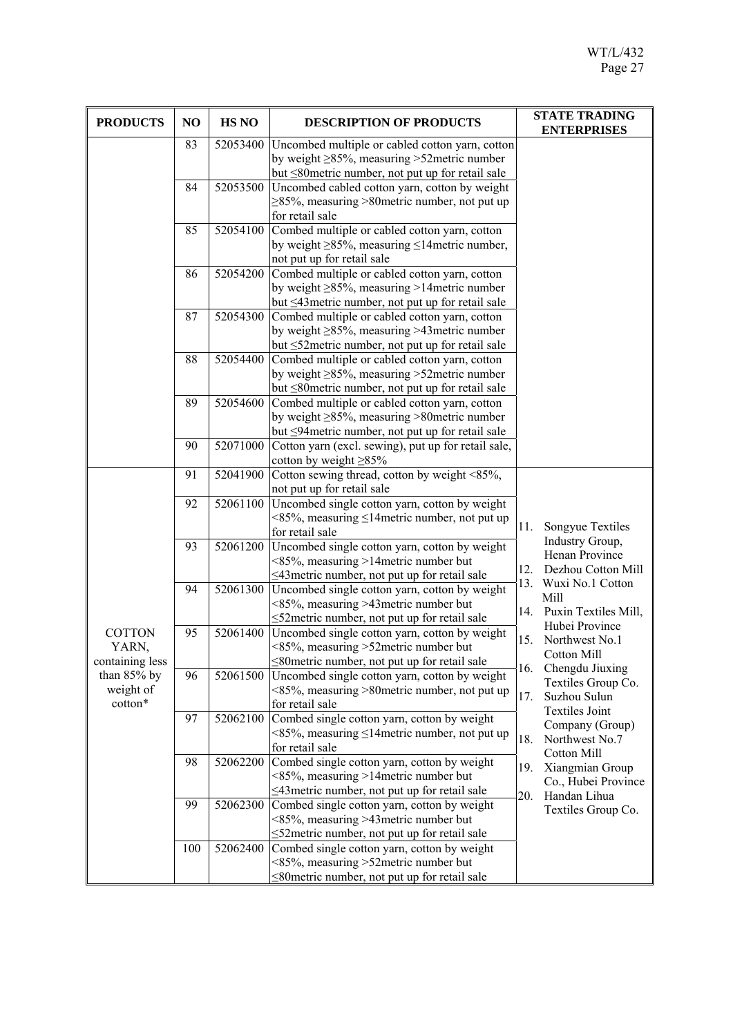| <b>PRODUCTS</b>                                 | NO  | HS NO    | <b>DESCRIPTION OF PRODUCTS</b>                                                                                                                                                               | <b>STATE TRADING</b><br><b>ENTERPRISES</b>                          |
|-------------------------------------------------|-----|----------|----------------------------------------------------------------------------------------------------------------------------------------------------------------------------------------------|---------------------------------------------------------------------|
|                                                 | 83  | 52053400 | Uncombed multiple or cabled cotton yarn, cotton<br>by weight $\geq$ 85%, measuring >52 metric number<br>but <80metric number, not put up for retail sale                                     |                                                                     |
|                                                 | 84  | 52053500 | Uncombed cabled cotton yarn, cotton by weight<br>$\geq$ 85%, measuring >80 metric number, not put up<br>for retail sale                                                                      |                                                                     |
|                                                 | 85  | 52054100 | Combed multiple or cabled cotton yarn, cotton<br>by weight $\geq$ 85%, measuring $\leq$ 14 metric number,<br>not put up for retail sale                                                      |                                                                     |
|                                                 | 86  | 52054200 | Combed multiple or cabled cotton yarn, cotton<br>by weight $\geq$ 85%, measuring >14 metric number<br>but <43 metric number, not put up for retail sale                                      |                                                                     |
|                                                 | 87  | 52054300 | Combed multiple or cabled cotton yarn, cotton<br>by weight $\geq$ 85%, measuring >43 metric number<br>but <52 metric number, not put up for retail sale                                      |                                                                     |
|                                                 | 88  | 52054400 | Combed multiple or cabled cotton yarn, cotton<br>by weight $\geq$ 85%, measuring >52 metric number<br>but ≤80 metric number, not put up for retail sale                                      |                                                                     |
|                                                 | 89  | 52054600 | Combed multiple or cabled cotton yarn, cotton<br>by weight $\geq$ 85%, measuring $>$ 80 metric number<br>but <94 metric number, not put up for retail sale                                   |                                                                     |
|                                                 | 90  | 52071000 | Cotton yarn (excl. sewing), put up for retail sale,<br>cotton by weight $\geq 85\%$                                                                                                          |                                                                     |
|                                                 | 91  | 52041900 | Cotton sewing thread, cotton by weight <85%,<br>not put up for retail sale                                                                                                                   |                                                                     |
|                                                 | 92  | 52061100 | Uncombed single cotton yarn, cotton by weight<br>$\leq$ 85%, measuring $\leq$ 14 metric number, not put up<br>for retail sale                                                                | 11.<br>Songyue Textiles                                             |
|                                                 | 93  | 52061200 | Uncombed single cotton yarn, cotton by weight<br><85%, measuring >14 metric number but<br>$\leq$ 43 metric number, not put up for retail sale                                                | Industry Group,<br>Henan Province<br>Dezhou Cotton Mill<br>12.      |
|                                                 | 94  | 52061300 | Uncombed single cotton yarn, cotton by weight<br><85%, measuring >43 metric number but<br>$\leq$ 52 metric number, not put up for retail sale                                                | 13.<br>Wuxi No.1 Cotton<br>Mill<br>Puxin Textiles Mill,<br>14.      |
| <b>COTTON</b><br>YARN,<br>containing less       | 95  | 52061400 | Uncombed single cotton yarn, cotton by weight<br>$<85\%$ , measuring > 52 metric number but<br>$\leq$ 80 metric number, not put up for retail sale                                           | Hubei Province<br>15.<br>Northwest No.1<br>Cotton Mill              |
| than 85% by<br>weight of<br>$\cot$ <sub>*</sub> | 96  | 52061500 | Uncombed single cotton yarn, cotton by weight<br><85%, measuring >80 metric number, not put up<br>for retail sale                                                                            | 16.<br>Chengdu Jiuxing<br>Textiles Group Co.<br>Suzhou Sulun<br>17. |
|                                                 | 97  | 52062100 | Combed single cotton yarn, cotton by weight<br>$\leq$ 85%, measuring $\leq$ 14 metric number, not put up<br>for retail sale                                                                  | <b>Textiles Joint</b><br>Company (Group)<br>18.<br>Northwest No.7   |
|                                                 | 98  | 52062200 | Combed single cotton yarn, cotton by weight<br><85%, measuring >14 metric number but<br>$\leq$ 43 metric number, not put up for retail sale                                                  | <b>Cotton Mill</b><br>Xiangmian Group<br>19.<br>Co., Hubei Province |
|                                                 | 99  | 52062300 | Combed single cotton yarn, cotton by weight<br><85%, measuring >43 metric number but                                                                                                         | Handan Lihua<br>20.<br>Textiles Group Co.                           |
|                                                 | 100 | 52062400 | $\leq$ 52 metric number, not put up for retail sale<br>Combed single cotton yarn, cotton by weight<br><85%, measuring >52 metric number but<br>≤80 metric number, not put up for retail sale |                                                                     |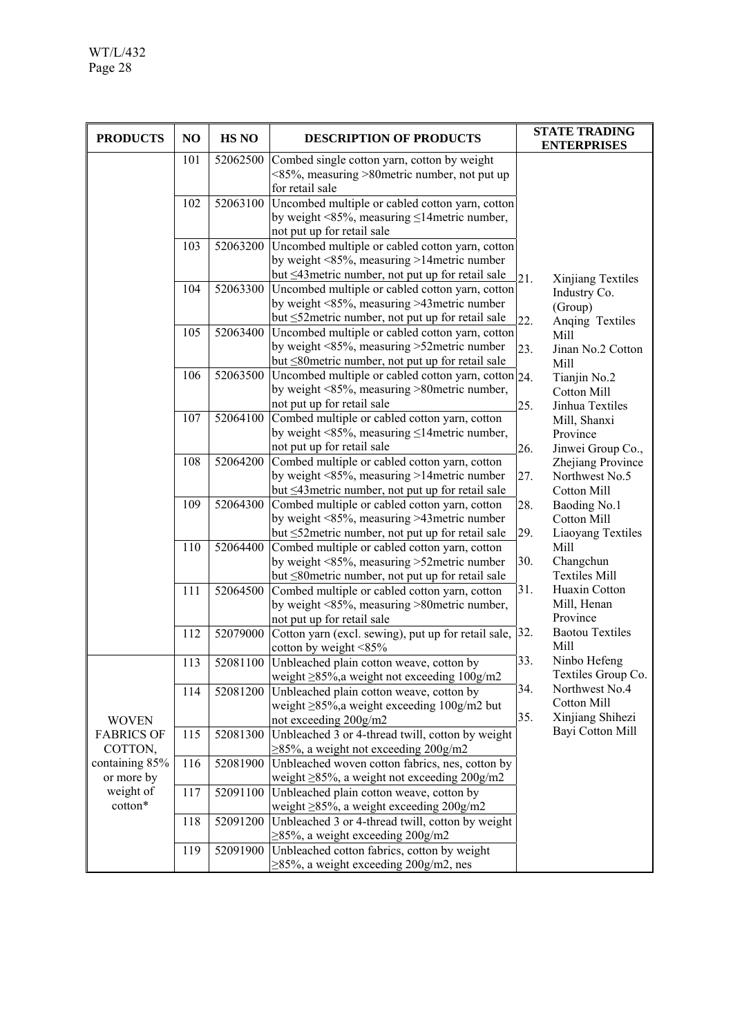| <b>PRODUCTS</b>   | N <sub>O</sub> | HS NO    | <b>DESCRIPTION OF PRODUCTS</b>                                                       |     | <b>STATE TRADING</b><br><b>ENTERPRISES</b> |
|-------------------|----------------|----------|--------------------------------------------------------------------------------------|-----|--------------------------------------------|
|                   | 101            | 52062500 | Combed single cotton yarn, cotton by weight                                          |     |                                            |
|                   |                |          | <85%, measuring >80 metric number, not put up                                        |     |                                            |
|                   |                |          | for retail sale                                                                      |     |                                            |
|                   | 102            | 52063100 | Uncombed multiple or cabled cotton yarn, cotton                                      |     |                                            |
|                   |                |          | by weight $\leq$ 85%, measuring $\leq$ 14 metric number,                             |     |                                            |
|                   | 103            | 52063200 | not put up for retail sale<br>Uncombed multiple or cabled cotton yarn, cotton        |     |                                            |
|                   |                |          | by weight <85%, measuring >14 metric number                                          |     |                                            |
|                   |                |          | but ≤43 metric number, not put up for retail sale                                    |     |                                            |
|                   | 104            |          | 52063300 Uncombed multiple or cabled cotton yarn, cotton                             | 21. | Xinjiang Textiles                          |
|                   |                |          | by weight <85%, measuring >43 metric number                                          |     | Industry Co.                               |
|                   |                |          | but ≤52 metric number, not put up for retail sale                                    | 22. | (Group)                                    |
|                   | 105            |          | 52063400 Uncombed multiple or cabled cotton yarn, cotton                             |     | Anqing Textiles<br>Mill                    |
|                   |                |          | by weight $\leq$ 85%, measuring $>$ 52 metric number                                 | 23. | Jinan No.2 Cotton                          |
|                   |                |          | but <80 metric number, not put up for retail sale                                    |     | Mill                                       |
|                   | 106            | 52063500 | Uncombed multiple or cabled cotton yarn, cotton 24.                                  |     | Tianjin No.2                               |
|                   |                |          | by weight <85%, measuring >80 metric number,                                         |     | Cotton Mill                                |
|                   |                |          | not put up for retail sale                                                           | 25. | Jinhua Textiles                            |
|                   | 107            | 52064100 | Combed multiple or cabled cotton yarn, cotton                                        |     | Mill, Shanxi                               |
|                   |                |          | by weight $\leq$ 85%, measuring $\leq$ 14 metric number,                             |     | Province                                   |
|                   |                |          | not put up for retail sale                                                           | 26. | Jinwei Group Co.,                          |
|                   | 108            | 52064200 | Combed multiple or cabled cotton yarn, cotton                                        |     | Zhejiang Province                          |
|                   |                |          | by weight <85%, measuring >14 metric number                                          | 27. | Northwest No.5                             |
|                   |                |          | but ≤43 metric number, not put up for retail sale                                    |     | <b>Cotton Mill</b>                         |
|                   | 109            | 52064300 | Combed multiple or cabled cotton yarn, cotton                                        | 28. | Baoding No.1                               |
|                   |                |          | by weight <85%, measuring >43 metric number                                          |     | <b>Cotton Mill</b>                         |
|                   |                |          | but ≤52 metric number, not put up for retail sale                                    | 29. | Liaoyang Textiles                          |
|                   | 110            | 52064400 | Combed multiple or cabled cotton yarn, cotton                                        |     | Mill                                       |
|                   |                |          | by weight $\leq$ 85%, measuring $>$ 52 metric number                                 | 30. | Changchun                                  |
|                   |                |          | but ≤80 metric number, not put up for retail sale                                    |     | <b>Textiles Mill</b>                       |
|                   | 111            | 52064500 | Combed multiple or cabled cotton yarn, cotton                                        | 31. | Huaxin Cotton                              |
|                   |                |          | by weight $\leq 85\%$ , measuring $\geq 80$ metric number,                           |     | Mill, Henan                                |
|                   |                |          | not put up for retail sale                                                           |     | Province                                   |
|                   | 112            | 52079000 | Cotton yarn (excl. sewing), put up for retail sale, $ 32$ .<br>cotton by weight <85% |     | <b>Baotou Textiles</b><br>Mill             |
|                   | 113            |          | 52081100 Unbleached plain cotton weave, cotton by                                    | 33. | Ninbo Hefeng                               |
|                   |                |          | weight $\geq$ 85%, a weight not exceeding 100g/m2                                    |     | Textiles Group Co.                         |
|                   | 114            | 52081200 | Unbleached plain cotton weave, cotton by                                             | 34. | Northwest No.4                             |
|                   |                |          | weight ≥85%, a weight exceeding 100g/m2 but                                          |     | Cotton Mill                                |
| <b>WOVEN</b>      |                |          | not exceeding 200g/m2                                                                | 35. | Xinjiang Shihezi                           |
| <b>FABRICS OF</b> | 115            | 52081300 | Unbleached 3 or 4-thread twill, cotton by weight                                     |     | Bayi Cotton Mill                           |
| COTTON,           |                |          | $\geq$ 85%, a weight not exceeding 200g/m2                                           |     |                                            |
| containing 85%    | 116            | 52081900 | Unbleached woven cotton fabrics, nes, cotton by                                      |     |                                            |
| or more by        |                |          | weight $\geq$ 85%, a weight not exceeding 200g/m2                                    |     |                                            |
| weight of         | 117            | 52091100 | Unbleached plain cotton weave, cotton by                                             |     |                                            |
| cotton*           |                |          | weight $\geq$ 85%, a weight exceeding 200g/m2                                        |     |                                            |
|                   | 118            | 52091200 | Unbleached 3 or 4-thread twill, cotton by weight                                     |     |                                            |
|                   |                |          | ≥85%, a weight exceeding 200g/m2                                                     |     |                                            |
|                   | 119            | 52091900 | Unbleached cotton fabrics, cotton by weight                                          |     |                                            |
|                   |                |          | $\geq$ 85%, a weight exceeding 200g/m2, nes                                          |     |                                            |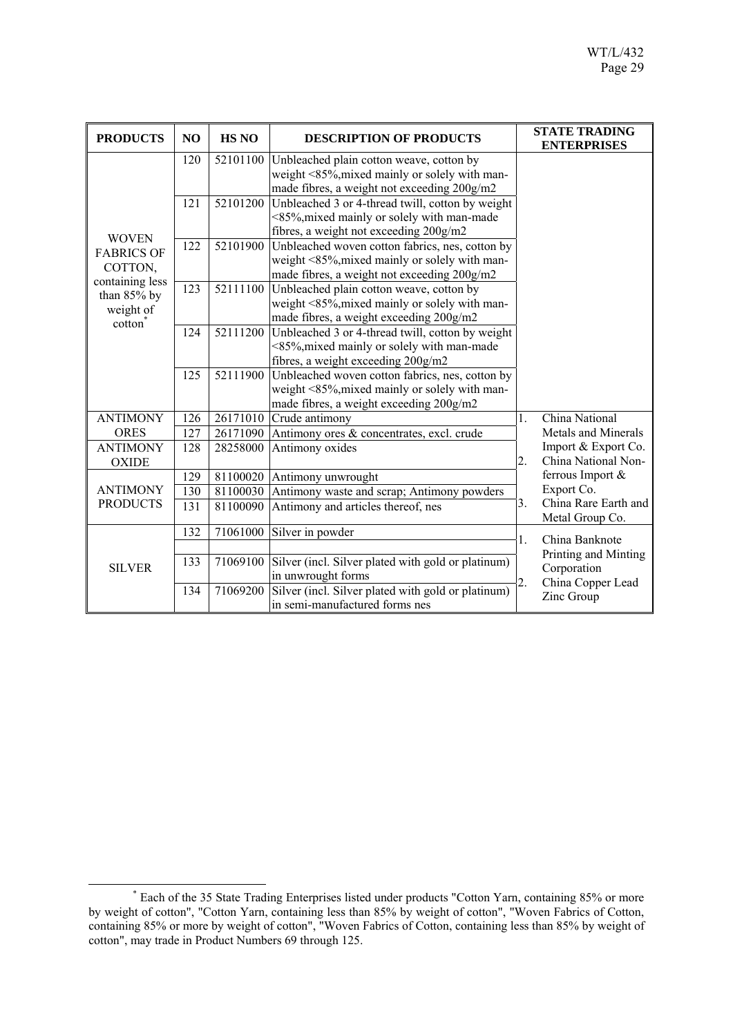| <b>PRODUCTS</b>                | N <sub>O</sub> | <b>HS NO</b> | <b>DESCRIPTION OF PRODUCTS</b>                                                                   |                  | <b>STATE TRADING</b><br><b>ENTERPRISES</b> |
|--------------------------------|----------------|--------------|--------------------------------------------------------------------------------------------------|------------------|--------------------------------------------|
|                                | 120            | 52101100     | Unbleached plain cotton weave, cotton by<br>weight <85%, mixed mainly or solely with man-        |                  |                                            |
|                                |                |              | made fibres, a weight not exceeding 200g/m2                                                      |                  |                                            |
|                                | 121            | 52101200     | Unbleached 3 or 4-thread twill, cotton by weight<br><85%, mixed mainly or solely with man-made   |                  |                                            |
|                                |                |              | fibres, a weight not exceeding 200g/m2                                                           |                  |                                            |
| <b>WOVEN</b>                   | 122            | 52101900     | Unbleached woven cotton fabrics, nes, cotton by                                                  |                  |                                            |
| <b>FABRICS OF</b>              |                |              | weight <85%, mixed mainly or solely with man-                                                    |                  |                                            |
| COTTON,                        |                |              | made fibres, a weight not exceeding 200g/m2                                                      |                  |                                            |
| containing less<br>than 85% by | 123            | 52111100     | Unbleached plain cotton weave, cotton by                                                         |                  |                                            |
| weight of                      |                |              | weight <85%, mixed mainly or solely with man-                                                    |                  |                                            |
| cotton <sup>*</sup>            |                |              | made fibres, a weight exceeding 200g/m2                                                          |                  |                                            |
|                                | 124            | 52111200     | Unbleached 3 or 4-thread twill, cotton by weight                                                 |                  |                                            |
|                                |                |              | <85%, mixed mainly or solely with man-made                                                       |                  |                                            |
|                                |                |              | fibres, a weight exceeding 200g/m2                                                               |                  |                                            |
|                                | 125            | 52111900     | Unbleached woven cotton fabrics, nes, cotton by<br>weight <85%, mixed mainly or solely with man- |                  |                                            |
|                                |                |              | made fibres, a weight exceeding 200g/m2                                                          |                  |                                            |
| <b>ANTIMONY</b>                | 126            | 26171010     | Crude antimony                                                                                   | 1.               | China National                             |
| <b>ORES</b>                    | 127            | 26171090     | Antimony ores & concentrates, excl. crude                                                        |                  | <b>Metals and Minerals</b>                 |
| <b>ANTIMONY</b>                | 128            | 28258000     | Antimony oxides                                                                                  |                  | Import & Export Co.                        |
| <b>OXIDE</b>                   |                |              |                                                                                                  | $\overline{2}$ . | China National Non-                        |
|                                | 129            |              | 81100020 Antimony unwrought                                                                      |                  | ferrous Import &                           |
| <b>ANTIMONY</b>                | 130            | 81100030     | Antimony waste and scrap; Antimony powders                                                       |                  | Export Co.                                 |
| <b>PRODUCTS</b>                | 131            | 81100090     | Antimony and articles thereof, nes                                                               | 3.               | China Rare Earth and<br>Metal Group Co.    |
|                                | 132            | 71061000     | Silver in powder                                                                                 | 1.               | China Banknote                             |
|                                |                |              |                                                                                                  |                  | Printing and Minting                       |
| <b>SILVER</b>                  | 133            | 71069100     | Silver (incl. Silver plated with gold or platinum)                                               |                  | Corporation                                |
|                                |                |              | in unwrought forms                                                                               | 2.               | China Copper Lead                          |
|                                | 134            | 71069200     | Silver (incl. Silver plated with gold or platinum)                                               |                  | Zinc Group                                 |
|                                |                |              | in semi-manufactured forms nes                                                                   |                  |                                            |

<sup>\*</sup> Each of the 35 State Trading Enterprises listed under products "Cotton Yarn, containing 85% or more by weight of cotton", "Cotton Yarn, containing less than 85% by weight of cotton", "Woven Fabrics of Cotton, containing 85% or more by weight of cotton", "Woven Fabrics of Cotton, containing less than 85% by weight of cotton", may trade in Product Numbers 69 through 125.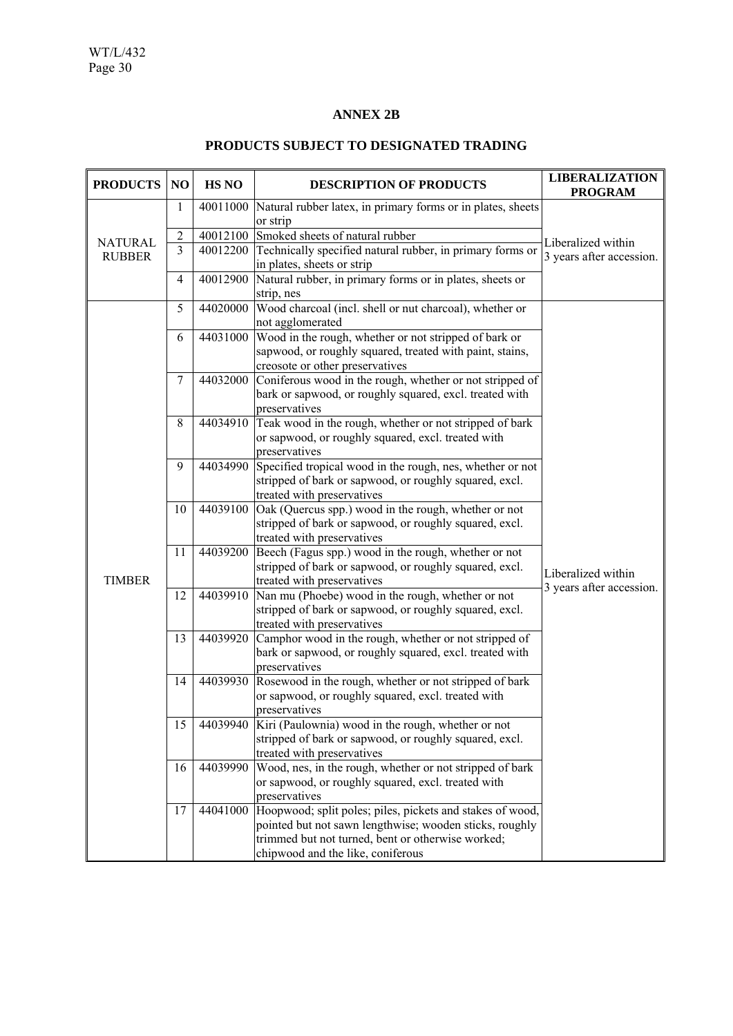# **ANNEX 2B**

# **PRODUCTS SUBJECT TO DESIGNATED TRADING**

| <b>PRODUCTS</b>                 | NO                      | HS NO    | <b>DESCRIPTION OF PRODUCTS</b>                                                                                    | <b>LIBERALIZATION</b><br><b>PROGRAM</b> |
|---------------------------------|-------------------------|----------|-------------------------------------------------------------------------------------------------------------------|-----------------------------------------|
|                                 | 1                       |          | 40011000 Natural rubber latex, in primary forms or in plates, sheets                                              |                                         |
| <b>NATURAL</b><br><b>RUBBER</b> |                         |          | or strip                                                                                                          |                                         |
|                                 | $\boldsymbol{2}$        |          | 40012100 Smoked sheets of natural rubber                                                                          | Liberalized within                      |
|                                 | $\overline{\mathbf{3}}$ | 40012200 | Technically specified natural rubber, in primary forms or                                                         | 3 years after accession.                |
|                                 |                         |          | in plates, sheets or strip                                                                                        |                                         |
|                                 | $\overline{4}$          | 40012900 | Natural rubber, in primary forms or in plates, sheets or                                                          |                                         |
|                                 |                         |          | strip, nes                                                                                                        |                                         |
|                                 | 5                       | 44020000 | Wood charcoal (incl. shell or nut charcoal), whether or                                                           |                                         |
|                                 |                         |          | not agglomerated                                                                                                  |                                         |
|                                 | 6                       | 44031000 | Wood in the rough, whether or not stripped of bark or<br>sapwood, or roughly squared, treated with paint, stains, |                                         |
|                                 |                         |          | creosote or other preservatives                                                                                   |                                         |
|                                 | 7                       | 44032000 | Coniferous wood in the rough, whether or not stripped of                                                          |                                         |
|                                 |                         |          | bark or sapwood, or roughly squared, excl. treated with                                                           |                                         |
|                                 |                         |          | preservatives                                                                                                     |                                         |
|                                 | 8                       | 44034910 | Teak wood in the rough, whether or not stripped of bark                                                           |                                         |
|                                 |                         |          | or sapwood, or roughly squared, excl. treated with                                                                |                                         |
|                                 |                         |          | preservatives                                                                                                     |                                         |
|                                 | 9                       | 44034990 | Specified tropical wood in the rough, nes, whether or not                                                         |                                         |
|                                 |                         |          | stripped of bark or sapwood, or roughly squared, excl.                                                            |                                         |
|                                 |                         |          | treated with preservatives                                                                                        |                                         |
|                                 | 10                      | 44039100 | Oak (Quercus spp.) wood in the rough, whether or not                                                              |                                         |
|                                 |                         |          | stripped of bark or sapwood, or roughly squared, excl.                                                            |                                         |
|                                 |                         |          | treated with preservatives                                                                                        |                                         |
|                                 | 11                      | 44039200 | Beech (Fagus spp.) wood in the rough, whether or not                                                              |                                         |
|                                 |                         |          | stripped of bark or sapwood, or roughly squared, excl.                                                            | Liberalized within                      |
| <b>TIMBER</b>                   |                         |          | treated with preservatives                                                                                        | 3 years after accession.                |
|                                 | 12                      | 44039910 | Nan mu (Phoebe) wood in the rough, whether or not                                                                 |                                         |
|                                 |                         |          | stripped of bark or sapwood, or roughly squared, excl.                                                            |                                         |
|                                 |                         |          | treated with preservatives                                                                                        |                                         |
|                                 | 13                      | 44039920 | Camphor wood in the rough, whether or not stripped of<br>bark or sapwood, or roughly squared, excl. treated with  |                                         |
|                                 |                         |          | preservatives                                                                                                     |                                         |
|                                 | 14                      | 44039930 | Rosewood in the rough, whether or not stripped of bark                                                            |                                         |
|                                 |                         |          | or sapwood, or roughly squared, excl. treated with                                                                |                                         |
|                                 |                         |          | preservatives                                                                                                     |                                         |
|                                 |                         |          | 15 44039940 Kiri (Paulownia) wood in the rough, whether or not                                                    |                                         |
|                                 |                         |          | stripped of bark or sapwood, or roughly squared, excl.                                                            |                                         |
|                                 |                         |          | treated with preservatives                                                                                        |                                         |
|                                 | 16                      | 44039990 | Wood, nes, in the rough, whether or not stripped of bark                                                          |                                         |
|                                 |                         |          | or sapwood, or roughly squared, excl. treated with                                                                |                                         |
|                                 |                         |          | preservatives                                                                                                     |                                         |
|                                 | 17                      | 44041000 | Hoopwood; split poles; piles, pickets and stakes of wood,                                                         |                                         |
|                                 |                         |          | pointed but not sawn lengthwise; wooden sticks, roughly                                                           |                                         |
|                                 |                         |          | trimmed but not turned, bent or otherwise worked;                                                                 |                                         |
|                                 |                         |          | chipwood and the like, coniferous                                                                                 |                                         |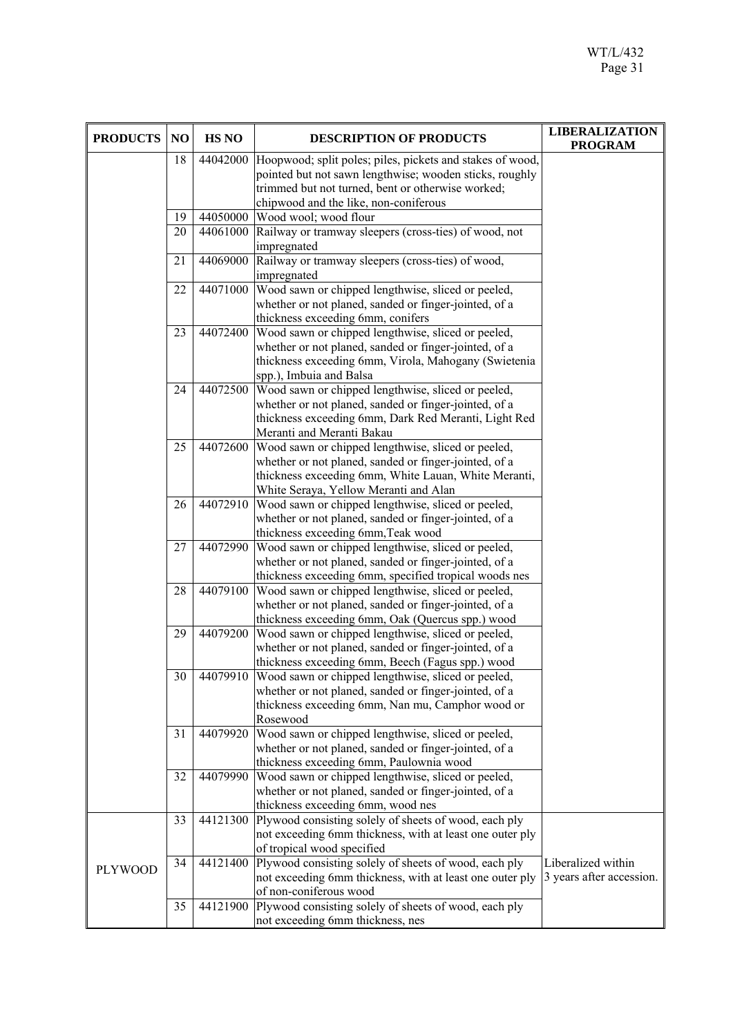| <b>PRODUCTS</b> | NO | <b>HS NO</b> | <b>DESCRIPTION OF PRODUCTS</b>                                       | <b>LIBERALIZATION</b>    |
|-----------------|----|--------------|----------------------------------------------------------------------|--------------------------|
|                 |    |              |                                                                      | <b>PROGRAM</b>           |
|                 | 18 | 44042000     | Hoopwood; split poles; piles, pickets and stakes of wood,            |                          |
|                 |    |              | pointed but not sawn lengthwise; wooden sticks, roughly              |                          |
|                 |    |              | trimmed but not turned, bent or otherwise worked;                    |                          |
|                 |    |              | chipwood and the like, non-coniferous                                |                          |
|                 | 19 | 44050000     | Wood wool; wood flour                                                |                          |
|                 | 20 | 44061000     | Railway or tramway sleepers (cross-ties) of wood, not<br>impregnated |                          |
|                 | 21 | 44069000     | Railway or tramway sleepers (cross-ties) of wood,                    |                          |
|                 |    |              | impregnated                                                          |                          |
|                 | 22 | 44071000     | Wood sawn or chipped lengthwise, sliced or peeled,                   |                          |
|                 |    |              | whether or not planed, sanded or finger-jointed, of a                |                          |
|                 |    |              | thickness exceeding 6mm, conifers                                    |                          |
|                 | 23 | 44072400     | Wood sawn or chipped lengthwise, sliced or peeled,                   |                          |
|                 |    |              | whether or not planed, sanded or finger-jointed, of a                |                          |
|                 |    |              | thickness exceeding 6mm, Virola, Mahogany (Swietenia                 |                          |
|                 |    |              | spp.), Imbuia and Balsa                                              |                          |
|                 | 24 | 44072500     | Wood sawn or chipped lengthwise, sliced or peeled,                   |                          |
|                 |    |              | whether or not planed, sanded or finger-jointed, of a                |                          |
|                 |    |              | thickness exceeding 6mm, Dark Red Meranti, Light Red                 |                          |
|                 |    |              | Meranti and Meranti Bakau                                            |                          |
|                 | 25 | 44072600     | Wood sawn or chipped lengthwise, sliced or peeled,                   |                          |
|                 |    |              | whether or not planed, sanded or finger-jointed, of a                |                          |
|                 |    |              | thickness exceeding 6mm, White Lauan, White Meranti,                 |                          |
|                 |    |              | White Seraya, Yellow Meranti and Alan                                |                          |
|                 | 26 | 44072910     | Wood sawn or chipped lengthwise, sliced or peeled,                   |                          |
|                 |    |              | whether or not planed, sanded or finger-jointed, of a                |                          |
|                 |    |              | thickness exceeding 6mm, Teak wood                                   |                          |
|                 | 27 | 44072990     | Wood sawn or chipped lengthwise, sliced or peeled,                   |                          |
|                 |    |              | whether or not planed, sanded or finger-jointed, of a                |                          |
|                 |    |              | thickness exceeding 6mm, specified tropical woods nes                |                          |
|                 | 28 | 44079100     | Wood sawn or chipped lengthwise, sliced or peeled,                   |                          |
|                 |    |              | whether or not planed, sanded or finger-jointed, of a                |                          |
|                 |    |              | thickness exceeding 6mm, Oak (Quercus spp.) wood                     |                          |
|                 | 29 | 44079200     | Wood sawn or chipped lengthwise, sliced or peeled,                   |                          |
|                 |    |              | whether or not planed, sanded or finger-jointed, of a                |                          |
|                 |    |              | thickness exceeding 6mm, Beech (Fagus spp.) wood                     |                          |
|                 | 30 |              | 44079910 Wood sawn or chipped lengthwise, sliced or peeled,          |                          |
|                 |    |              | whether or not planed, sanded or finger-jointed, of a                |                          |
|                 |    |              | thickness exceeding 6mm, Nan mu, Camphor wood or                     |                          |
|                 |    | 44079920     | Rosewood<br>Wood sawn or chipped lengthwise, sliced or peeled,       |                          |
|                 | 31 |              | whether or not planed, sanded or finger-jointed, of a                |                          |
|                 |    |              | thickness exceeding 6mm, Paulownia wood                              |                          |
|                 | 32 | 44079990     | Wood sawn or chipped lengthwise, sliced or peeled,                   |                          |
|                 |    |              | whether or not planed, sanded or finger-jointed, of a                |                          |
|                 |    |              | thickness exceeding 6mm, wood nes                                    |                          |
|                 | 33 | 44121300     | Plywood consisting solely of sheets of wood, each ply                |                          |
|                 |    |              | not exceeding 6mm thickness, with at least one outer ply             |                          |
|                 |    |              | of tropical wood specified                                           |                          |
|                 | 34 | 44121400     | Plywood consisting solely of sheets of wood, each ply                | Liberalized within       |
| <b>PLYWOOD</b>  |    |              | not exceeding 6mm thickness, with at least one outer ply             | 3 years after accession. |
|                 |    |              | of non-coniferous wood                                               |                          |
|                 | 35 | 44121900     | Plywood consisting solely of sheets of wood, each ply                |                          |
|                 |    |              | not exceeding 6mm thickness, nes                                     |                          |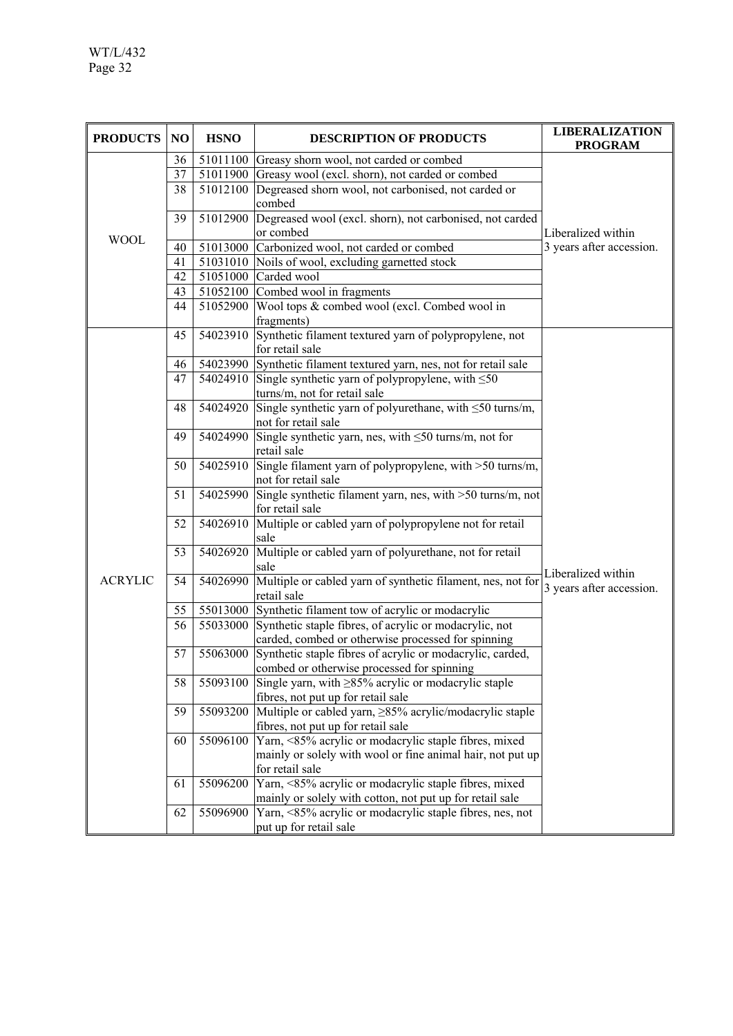| <b>PRODUCTS</b> | N <sub>O</sub> | <b>HSNO</b> | <b>DESCRIPTION OF PRODUCTS</b>                                                           | <b>LIBERALIZATION</b><br><b>PROGRAM</b> |
|-----------------|----------------|-------------|------------------------------------------------------------------------------------------|-----------------------------------------|
|                 | 36             |             | 51011100 Greasy shorn wool, not carded or combed                                         |                                         |
|                 | 37             |             | 51011900 Greasy wool (excl. shorn), not carded or combed                                 |                                         |
|                 | 38             |             | 51012100 Degreased shorn wool, not carbonised, not carded or                             |                                         |
| <b>WOOL</b>     |                |             | combed                                                                                   |                                         |
|                 | 39             |             | 51012900 Degreased wool (excl. shorn), not carbonised, not carded                        |                                         |
|                 |                |             | or combed                                                                                | Liberalized within                      |
|                 | 40             |             | 51013000 Carbonized wool, not carded or combed                                           | 3 years after accession.                |
|                 | 41             |             | 51031010 Noils of wool, excluding garnetted stock                                        |                                         |
|                 | 42             |             | 51051000 Carded wool                                                                     |                                         |
|                 | 43             |             | 51052100 Combed wool in fragments                                                        |                                         |
|                 | 44             |             | 51052900 Wool tops & combed wool (excl. Combed wool in<br>fragments)                     |                                         |
|                 | 45             |             | 54023910 Synthetic filament textured yarn of polypropylene, not                          |                                         |
|                 |                |             | for retail sale                                                                          |                                         |
|                 | 46             |             | 54023990 Synthetic filament textured yarn, nes, not for retail sale                      |                                         |
|                 | 47             |             | 54024910 Single synthetic yarn of polypropylene, with $\leq 50$                          |                                         |
|                 |                |             | turns/m, not for retail sale                                                             |                                         |
|                 | 48             |             | 54024920 Single synthetic yarn of polyurethane, with $\leq 50$ turns/m,                  |                                         |
|                 |                |             | not for retail sale                                                                      |                                         |
|                 | 49             |             | 54024990 Single synthetic yarn, nes, with $\leq 50$ turns/m, not for                     |                                         |
|                 |                |             | retail sale                                                                              |                                         |
|                 | 50             |             | 54025910 Single filament yarn of polypropylene, with >50 turns/m,<br>not for retail sale |                                         |
|                 | 51             |             | 54025990 Single synthetic filament yarn, nes, with >50 turns/m, not<br>for retail sale   |                                         |
|                 | 52             |             | 54026910 Multiple or cabled yarn of polypropylene not for retail                         |                                         |
|                 |                |             | sale                                                                                     |                                         |
| <b>ACRYLIC</b>  | 53             | 54026920    | Multiple or cabled yarn of polyurethane, not for retail<br>sale                          |                                         |
|                 | 54             | 54026990    | Multiple or cabled yarn of synthetic filament, nes, not for                              | Liberalized within                      |
|                 |                |             | retail sale                                                                              | 3 years after accession.                |
|                 | 55             |             | 55013000 Synthetic filament tow of acrylic or modacrylic                                 |                                         |
|                 | 56             | 55033000    | Synthetic staple fibres, of acrylic or modacrylic, not                                   |                                         |
|                 |                |             | carded, combed or otherwise processed for spinning                                       |                                         |
|                 | 57<br>58<br>59 |             | 55063000 Synthetic staple fibres of acrylic or modacrylic, carded,                       |                                         |
|                 |                |             | combed or otherwise processed for spinning                                               |                                         |
|                 |                |             | 55093100 Single yarn, with $\geq$ 85% acrylic or modacrylic staple                       |                                         |
|                 |                |             | fibres, not put up for retail sale                                                       |                                         |
|                 |                |             | 55093200 Multiple or cabled yarn, ≥85% acrylic/modacrylic staple                         |                                         |
|                 |                |             | fibres, not put up for retail sale                                                       |                                         |
|                 | 60             |             | 55096100 Yarn, <85% acrylic or modacrylic staple fibres, mixed                           |                                         |
|                 |                |             | mainly or solely with wool or fine animal hair, not put up                               |                                         |
|                 |                |             | for retail sale<br>Yarn, <85% acrylic or modacrylic staple fibres, mixed                 |                                         |
|                 | 61             | 55096200    | mainly or solely with cotton, not put up for retail sale                                 |                                         |
|                 | 62             |             | 55096900 Yarn, <85% acrylic or modacrylic staple fibres, nes, not                        |                                         |
|                 |                |             | put up for retail sale                                                                   |                                         |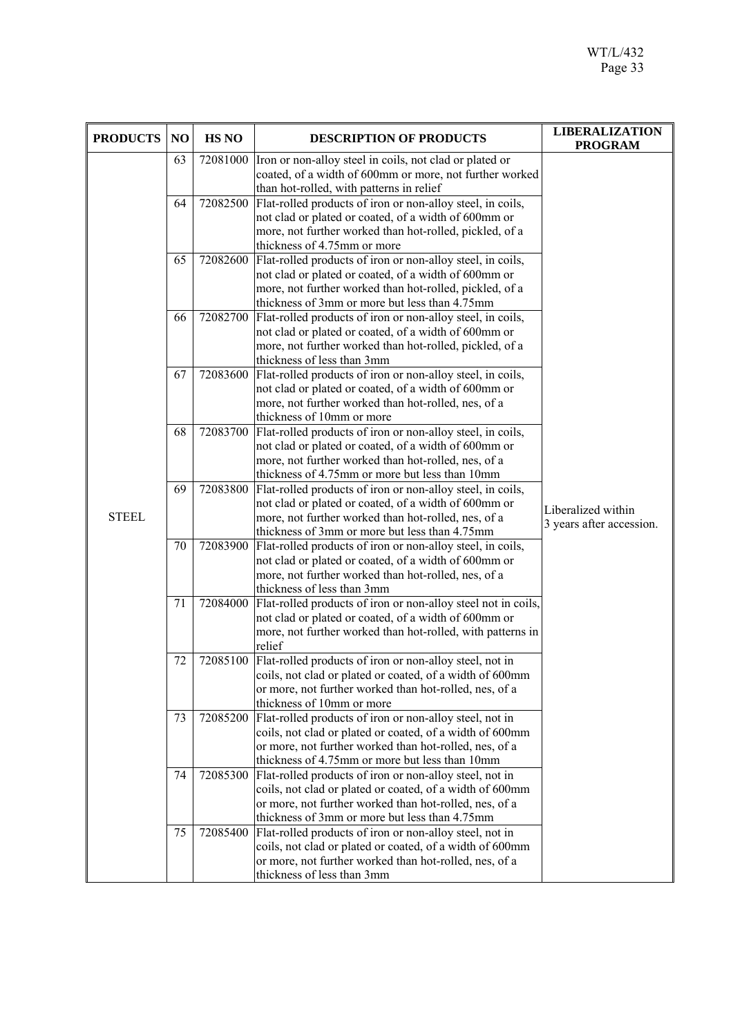| <b>PRODUCTS</b> | N <sub>O</sub> | HS <sub>NO</sub> | <b>DESCRIPTION OF PRODUCTS</b>                                                                       | <b>LIBERALIZATION</b><br><b>PROGRAM</b> |
|-----------------|----------------|------------------|------------------------------------------------------------------------------------------------------|-----------------------------------------|
|                 | 63             | 72081000         | Iron or non-alloy steel in coils, not clad or plated or                                              |                                         |
|                 |                |                  | coated, of a width of 600mm or more, not further worked                                              |                                         |
|                 |                |                  | than hot-rolled, with patterns in relief                                                             |                                         |
|                 | 64             |                  | 72082500 Flat-rolled products of iron or non-alloy steel, in coils,                                  |                                         |
|                 |                |                  | not clad or plated or coated, of a width of 600mm or                                                 |                                         |
|                 |                |                  | more, not further worked than hot-rolled, pickled, of a                                              |                                         |
|                 |                |                  | thickness of 4.75mm or more                                                                          |                                         |
|                 | 65             |                  | 72082600 Flat-rolled products of iron or non-alloy steel, in coils,                                  |                                         |
|                 |                |                  | not clad or plated or coated, of a width of 600mm or                                                 |                                         |
|                 |                |                  | more, not further worked than hot-rolled, pickled, of a                                              |                                         |
|                 |                |                  | thickness of 3mm or more but less than 4.75mm                                                        |                                         |
|                 | 66             |                  | 72082700 Flat-rolled products of iron or non-alloy steel, in coils,                                  |                                         |
|                 |                |                  | not clad or plated or coated, of a width of 600mm or                                                 |                                         |
|                 |                |                  | more, not further worked than hot-rolled, pickled, of a                                              |                                         |
|                 |                |                  | thickness of less than 3mm                                                                           |                                         |
|                 | 67             |                  | 72083600 Flat-rolled products of iron or non-alloy steel, in coils,                                  |                                         |
|                 |                |                  | not clad or plated or coated, of a width of 600mm or                                                 |                                         |
|                 |                |                  | more, not further worked than hot-rolled, nes, of a                                                  |                                         |
|                 |                |                  | thickness of 10mm or more                                                                            |                                         |
|                 | 68             |                  | 72083700 Flat-rolled products of iron or non-alloy steel, in coils,                                  |                                         |
|                 |                |                  | not clad or plated or coated, of a width of 600mm or                                                 |                                         |
|                 |                |                  | more, not further worked than hot-rolled, nes, of a                                                  |                                         |
|                 |                |                  | thickness of 4.75mm or more but less than 10mm                                                       |                                         |
|                 | 69             |                  | 72083800 Flat-rolled products of iron or non-alloy steel, in coils,                                  |                                         |
| <b>STEEL</b>    |                |                  | not clad or plated or coated, of a width of 600mm or                                                 | Liberalized within                      |
|                 | 70             |                  | more, not further worked than hot-rolled, nes, of a<br>thickness of 3mm or more but less than 4.75mm | 3 years after accession.                |
|                 |                |                  | 72083900 Flat-rolled products of iron or non-alloy steel, in coils,                                  |                                         |
|                 |                |                  | not clad or plated or coated, of a width of 600mm or                                                 |                                         |
|                 |                |                  | more, not further worked than hot-rolled, nes, of a                                                  |                                         |
|                 |                | 72084000         | thickness of less than 3mm                                                                           |                                         |
|                 | 71             |                  | Flat-rolled products of iron or non-alloy steel not in coils,                                        |                                         |
|                 |                |                  | not clad or plated or coated, of a width of 600mm or                                                 |                                         |
|                 |                |                  | more, not further worked than hot-rolled, with patterns in                                           |                                         |
|                 |                |                  | relief                                                                                               |                                         |
|                 | 72             |                  | 72085100 Flat-rolled products of iron or non-alloy steel, not in                                     |                                         |
|                 |                |                  | coils, not clad or plated or coated, of a width of 600mm                                             |                                         |
|                 |                |                  | or more, not further worked than hot-rolled, nes, of a                                               |                                         |
|                 |                |                  | thickness of 10mm or more                                                                            |                                         |
|                 | 73             |                  | 72085200 Flat-rolled products of iron or non-alloy steel, not in                                     |                                         |
|                 |                |                  | coils, not clad or plated or coated, of a width of 600mm                                             |                                         |
|                 |                |                  | or more, not further worked than hot-rolled, nes, of a                                               |                                         |
|                 |                |                  | thickness of 4.75mm or more but less than 10mm                                                       |                                         |
|                 | 74<br>75       | 72085300         | Flat-rolled products of iron or non-alloy steel, not in                                              |                                         |
|                 |                |                  | coils, not clad or plated or coated, of a width of 600mm                                             |                                         |
|                 |                |                  | or more, not further worked than hot-rolled, nes, of a                                               |                                         |
|                 |                |                  | thickness of 3mm or more but less than 4.75mm                                                        |                                         |
|                 |                | 72085400         | Flat-rolled products of iron or non-alloy steel, not in                                              |                                         |
|                 |                |                  | coils, not clad or plated or coated, of a width of 600mm                                             |                                         |
|                 |                |                  | or more, not further worked than hot-rolled, nes, of a                                               |                                         |
|                 |                |                  | thickness of less than 3mm                                                                           |                                         |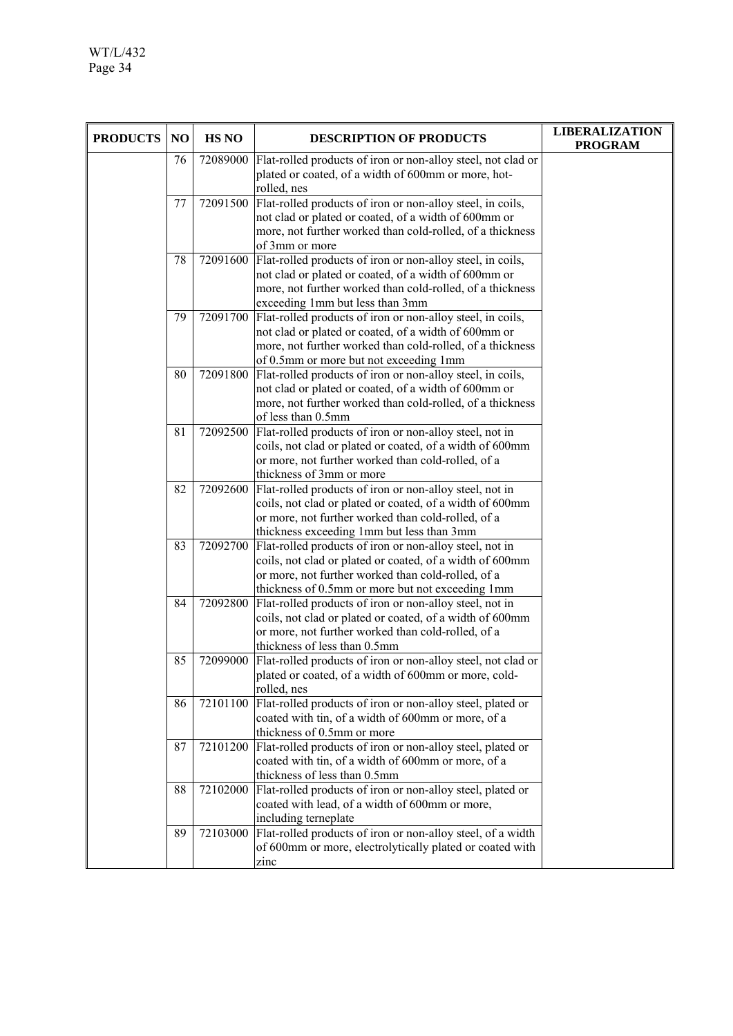| <b>PRODUCTS</b> | N <sub>O</sub> | HS <sub>NO</sub> | <b>DESCRIPTION OF PRODUCTS</b>                                                                                                                                                                                                         | <b>LIBERALIZATION</b><br><b>PROGRAM</b> |
|-----------------|----------------|------------------|----------------------------------------------------------------------------------------------------------------------------------------------------------------------------------------------------------------------------------------|-----------------------------------------|
|                 | 76             |                  | 72089000 Flat-rolled products of iron or non-alloy steel, not clad or<br>plated or coated, of a width of 600mm or more, hot-<br>rolled, nes                                                                                            |                                         |
|                 | 77             |                  | 72091500 Flat-rolled products of iron or non-alloy steel, in coils,<br>not clad or plated or coated, of a width of 600mm or<br>more, not further worked than cold-rolled, of a thickness<br>of 3mm or more                             |                                         |
|                 | 78             |                  | 72091600 Flat-rolled products of iron or non-alloy steel, in coils,<br>not clad or plated or coated, of a width of 600mm or<br>more, not further worked than cold-rolled, of a thickness<br>exceeding 1mm but less than 3mm            |                                         |
|                 | 79             |                  | 72091700   Flat-rolled products of iron or non-alloy steel, in coils,<br>not clad or plated or coated, of a width of 600mm or<br>more, not further worked than cold-rolled, of a thickness<br>of 0.5mm or more but not exceeding 1mm   |                                         |
|                 | 80             |                  | 72091800 Flat-rolled products of iron or non-alloy steel, in coils,<br>not clad or plated or coated, of a width of 600mm or<br>more, not further worked than cold-rolled, of a thickness<br>of less than 0.5mm                         |                                         |
|                 | 81             |                  | 72092500 Flat-rolled products of iron or non-alloy steel, not in<br>coils, not clad or plated or coated, of a width of 600mm<br>or more, not further worked than cold-rolled, of a<br>thickness of 3mm or more                         |                                         |
|                 | 82             |                  | 72092600 Flat-rolled products of iron or non-alloy steel, not in<br>coils, not clad or plated or coated, of a width of 600mm<br>or more, not further worked than cold-rolled, of a<br>thickness exceeding 1mm but less than 3mm        |                                         |
|                 | 83             |                  | 72092700 Flat-rolled products of iron or non-alloy steel, not in<br>coils, not clad or plated or coated, of a width of 600mm<br>or more, not further worked than cold-rolled, of a<br>thickness of 0.5mm or more but not exceeding 1mm |                                         |
|                 | 84             | 72092800         | Flat-rolled products of iron or non-alloy steel, not in<br>coils, not clad or plated or coated, of a width of 600mm<br>or more, not further worked than cold-rolled, of a<br>thickness of less than 0.5mm                              |                                         |
|                 | 85             |                  | 72099000 Flat-rolled products of iron or non-alloy steel, not clad or<br>plated or coated, of a width of 600mm or more, cold-<br>rolled, nes                                                                                           |                                         |
|                 | 86             | 72101100         | Flat-rolled products of iron or non-alloy steel, plated or<br>coated with tin, of a width of 600mm or more, of a<br>thickness of 0.5mm or more                                                                                         |                                         |
|                 | 87             |                  | 72101200 Flat-rolled products of iron or non-alloy steel, plated or<br>coated with tin, of a width of 600mm or more, of a<br>thickness of less than 0.5mm                                                                              |                                         |
|                 | 88             |                  | 72102000 Flat-rolled products of iron or non-alloy steel, plated or<br>coated with lead, of a width of 600mm or more,<br>including terneplate                                                                                          |                                         |
|                 | 89             | 72103000         | Flat-rolled products of iron or non-alloy steel, of a width<br>of 600mm or more, electrolytically plated or coated with<br>zinc                                                                                                        |                                         |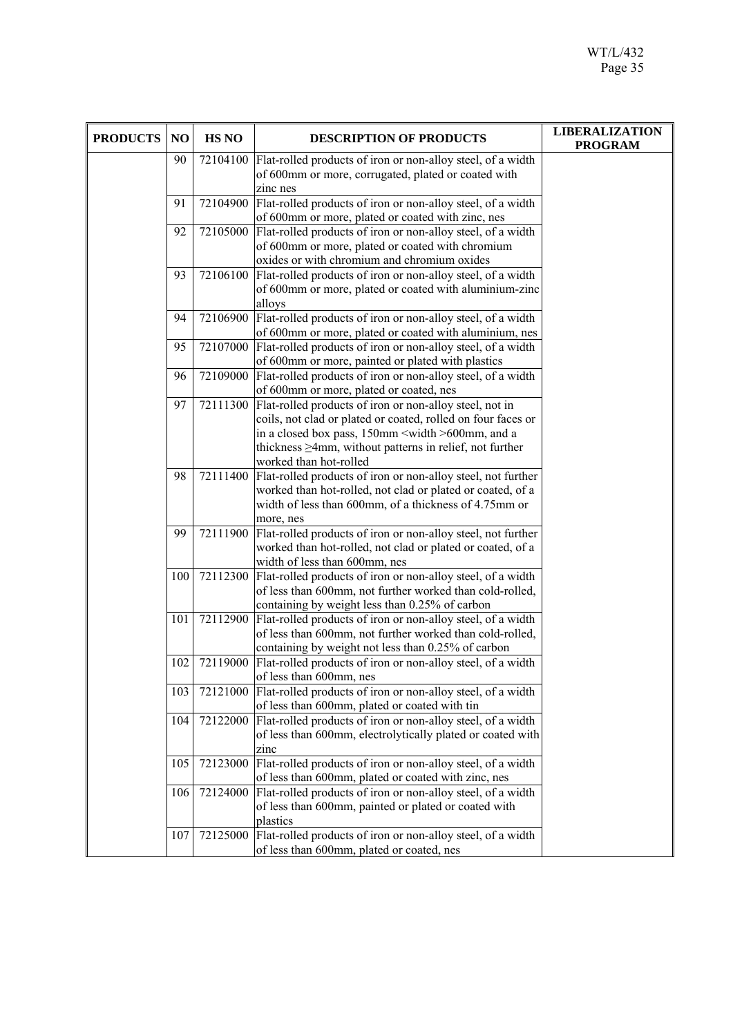| Flat-rolled products of iron or non-alloy steel, of a width<br>72104100<br>90<br>of 600mm or more, corrugated, plated or coated with<br>zinc nes<br>72104900 Flat-rolled products of iron or non-alloy steel, of a width<br>91<br>of 600mm or more, plated or coated with zinc, nes<br>72105000 Flat-rolled products of iron or non-alloy steel, of a width<br>92<br>of 600mm or more, plated or coated with chromium<br>oxides or with chromium and chromium oxides<br>72106100 Flat-rolled products of iron or non-alloy steel, of a width<br>93<br>of 600mm or more, plated or coated with aluminium-zinc<br>alloys<br>72106900 Flat-rolled products of iron or non-alloy steel, of a width<br>94<br>of 600mm or more, plated or coated with aluminium, nes<br>72107000 Flat-rolled products of iron or non-alloy steel, of a width<br>95<br>of 600mm or more, painted or plated with plastics<br>72109000 Flat-rolled products of iron or non-alloy steel, of a width<br>96<br>of 600mm or more, plated or coated, nes<br>72111300 Flat-rolled products of iron or non-alloy steel, not in<br>97<br>coils, not clad or plated or coated, rolled on four faces or<br>in a closed box pass, 150mm <width>600mm, and a<br/>thickness ≥4mm, without patterns in relief, not further<br/>worked than hot-rolled<br/>72111400 Flat-rolled products of iron or non-alloy steel, not further<br/>98<br/>worked than hot-rolled, not clad or plated or coated, of a<br/>width of less than 600mm, of a thickness of 4.75mm or<br/>more, nes<br/>72111900 Flat-rolled products of iron or non-alloy steel, not further<br/>99<br/>worked than hot-rolled, not clad or plated or coated, of a<br/>width of less than 600mm, nes<br/>72112300 Flat-rolled products of iron or non-alloy steel, of a width<br/>100<br/>of less than 600mm, not further worked than cold-rolled,<br/>containing by weight less than 0.25% of carbon<br/>72112900 Flat-rolled products of iron or non-alloy steel, of a width<br/>101<br/>of less than 600mm, not further worked than cold-rolled,<br/>containing by weight not less than 0.25% of carbon<br/>72119000 Flat-rolled products of iron or non-alloy steel, of a width<br/>102<br/>of less than 600mm, nes<br/>Flat-rolled products of iron or non-alloy steel, of a width<br/>103<br/>72121000</width> | <b>PRODUCTS</b> | N <sub>O</sub> | HS <sub>NO</sub> | <b>DESCRIPTION OF PRODUCTS</b>                | <b>LIBERALIZATION</b><br><b>PROGRAM</b> |
|------------------------------------------------------------------------------------------------------------------------------------------------------------------------------------------------------------------------------------------------------------------------------------------------------------------------------------------------------------------------------------------------------------------------------------------------------------------------------------------------------------------------------------------------------------------------------------------------------------------------------------------------------------------------------------------------------------------------------------------------------------------------------------------------------------------------------------------------------------------------------------------------------------------------------------------------------------------------------------------------------------------------------------------------------------------------------------------------------------------------------------------------------------------------------------------------------------------------------------------------------------------------------------------------------------------------------------------------------------------------------------------------------------------------------------------------------------------------------------------------------------------------------------------------------------------------------------------------------------------------------------------------------------------------------------------------------------------------------------------------------------------------------------------------------------------------------------------------------------------------------------------------------------------------------------------------------------------------------------------------------------------------------------------------------------------------------------------------------------------------------------------------------------------------------------------------------------------------------------------------------------------------------------------------------------------------------------------|-----------------|----------------|------------------|-----------------------------------------------|-----------------------------------------|
|                                                                                                                                                                                                                                                                                                                                                                                                                                                                                                                                                                                                                                                                                                                                                                                                                                                                                                                                                                                                                                                                                                                                                                                                                                                                                                                                                                                                                                                                                                                                                                                                                                                                                                                                                                                                                                                                                                                                                                                                                                                                                                                                                                                                                                                                                                                                          |                 |                |                  |                                               |                                         |
|                                                                                                                                                                                                                                                                                                                                                                                                                                                                                                                                                                                                                                                                                                                                                                                                                                                                                                                                                                                                                                                                                                                                                                                                                                                                                                                                                                                                                                                                                                                                                                                                                                                                                                                                                                                                                                                                                                                                                                                                                                                                                                                                                                                                                                                                                                                                          |                 |                |                  |                                               |                                         |
|                                                                                                                                                                                                                                                                                                                                                                                                                                                                                                                                                                                                                                                                                                                                                                                                                                                                                                                                                                                                                                                                                                                                                                                                                                                                                                                                                                                                                                                                                                                                                                                                                                                                                                                                                                                                                                                                                                                                                                                                                                                                                                                                                                                                                                                                                                                                          |                 |                |                  |                                               |                                         |
|                                                                                                                                                                                                                                                                                                                                                                                                                                                                                                                                                                                                                                                                                                                                                                                                                                                                                                                                                                                                                                                                                                                                                                                                                                                                                                                                                                                                                                                                                                                                                                                                                                                                                                                                                                                                                                                                                                                                                                                                                                                                                                                                                                                                                                                                                                                                          |                 |                |                  |                                               |                                         |
|                                                                                                                                                                                                                                                                                                                                                                                                                                                                                                                                                                                                                                                                                                                                                                                                                                                                                                                                                                                                                                                                                                                                                                                                                                                                                                                                                                                                                                                                                                                                                                                                                                                                                                                                                                                                                                                                                                                                                                                                                                                                                                                                                                                                                                                                                                                                          |                 |                |                  |                                               |                                         |
|                                                                                                                                                                                                                                                                                                                                                                                                                                                                                                                                                                                                                                                                                                                                                                                                                                                                                                                                                                                                                                                                                                                                                                                                                                                                                                                                                                                                                                                                                                                                                                                                                                                                                                                                                                                                                                                                                                                                                                                                                                                                                                                                                                                                                                                                                                                                          |                 |                |                  |                                               |                                         |
|                                                                                                                                                                                                                                                                                                                                                                                                                                                                                                                                                                                                                                                                                                                                                                                                                                                                                                                                                                                                                                                                                                                                                                                                                                                                                                                                                                                                                                                                                                                                                                                                                                                                                                                                                                                                                                                                                                                                                                                                                                                                                                                                                                                                                                                                                                                                          |                 |                |                  |                                               |                                         |
|                                                                                                                                                                                                                                                                                                                                                                                                                                                                                                                                                                                                                                                                                                                                                                                                                                                                                                                                                                                                                                                                                                                                                                                                                                                                                                                                                                                                                                                                                                                                                                                                                                                                                                                                                                                                                                                                                                                                                                                                                                                                                                                                                                                                                                                                                                                                          |                 |                |                  |                                               |                                         |
|                                                                                                                                                                                                                                                                                                                                                                                                                                                                                                                                                                                                                                                                                                                                                                                                                                                                                                                                                                                                                                                                                                                                                                                                                                                                                                                                                                                                                                                                                                                                                                                                                                                                                                                                                                                                                                                                                                                                                                                                                                                                                                                                                                                                                                                                                                                                          |                 |                |                  |                                               |                                         |
|                                                                                                                                                                                                                                                                                                                                                                                                                                                                                                                                                                                                                                                                                                                                                                                                                                                                                                                                                                                                                                                                                                                                                                                                                                                                                                                                                                                                                                                                                                                                                                                                                                                                                                                                                                                                                                                                                                                                                                                                                                                                                                                                                                                                                                                                                                                                          |                 |                |                  |                                               |                                         |
|                                                                                                                                                                                                                                                                                                                                                                                                                                                                                                                                                                                                                                                                                                                                                                                                                                                                                                                                                                                                                                                                                                                                                                                                                                                                                                                                                                                                                                                                                                                                                                                                                                                                                                                                                                                                                                                                                                                                                                                                                                                                                                                                                                                                                                                                                                                                          |                 |                |                  |                                               |                                         |
|                                                                                                                                                                                                                                                                                                                                                                                                                                                                                                                                                                                                                                                                                                                                                                                                                                                                                                                                                                                                                                                                                                                                                                                                                                                                                                                                                                                                                                                                                                                                                                                                                                                                                                                                                                                                                                                                                                                                                                                                                                                                                                                                                                                                                                                                                                                                          |                 |                |                  |                                               |                                         |
|                                                                                                                                                                                                                                                                                                                                                                                                                                                                                                                                                                                                                                                                                                                                                                                                                                                                                                                                                                                                                                                                                                                                                                                                                                                                                                                                                                                                                                                                                                                                                                                                                                                                                                                                                                                                                                                                                                                                                                                                                                                                                                                                                                                                                                                                                                                                          |                 |                |                  |                                               |                                         |
|                                                                                                                                                                                                                                                                                                                                                                                                                                                                                                                                                                                                                                                                                                                                                                                                                                                                                                                                                                                                                                                                                                                                                                                                                                                                                                                                                                                                                                                                                                                                                                                                                                                                                                                                                                                                                                                                                                                                                                                                                                                                                                                                                                                                                                                                                                                                          |                 |                |                  |                                               |                                         |
|                                                                                                                                                                                                                                                                                                                                                                                                                                                                                                                                                                                                                                                                                                                                                                                                                                                                                                                                                                                                                                                                                                                                                                                                                                                                                                                                                                                                                                                                                                                                                                                                                                                                                                                                                                                                                                                                                                                                                                                                                                                                                                                                                                                                                                                                                                                                          |                 |                |                  |                                               |                                         |
|                                                                                                                                                                                                                                                                                                                                                                                                                                                                                                                                                                                                                                                                                                                                                                                                                                                                                                                                                                                                                                                                                                                                                                                                                                                                                                                                                                                                                                                                                                                                                                                                                                                                                                                                                                                                                                                                                                                                                                                                                                                                                                                                                                                                                                                                                                                                          |                 |                |                  |                                               |                                         |
|                                                                                                                                                                                                                                                                                                                                                                                                                                                                                                                                                                                                                                                                                                                                                                                                                                                                                                                                                                                                                                                                                                                                                                                                                                                                                                                                                                                                                                                                                                                                                                                                                                                                                                                                                                                                                                                                                                                                                                                                                                                                                                                                                                                                                                                                                                                                          |                 |                |                  |                                               |                                         |
|                                                                                                                                                                                                                                                                                                                                                                                                                                                                                                                                                                                                                                                                                                                                                                                                                                                                                                                                                                                                                                                                                                                                                                                                                                                                                                                                                                                                                                                                                                                                                                                                                                                                                                                                                                                                                                                                                                                                                                                                                                                                                                                                                                                                                                                                                                                                          |                 |                |                  |                                               |                                         |
|                                                                                                                                                                                                                                                                                                                                                                                                                                                                                                                                                                                                                                                                                                                                                                                                                                                                                                                                                                                                                                                                                                                                                                                                                                                                                                                                                                                                                                                                                                                                                                                                                                                                                                                                                                                                                                                                                                                                                                                                                                                                                                                                                                                                                                                                                                                                          |                 |                |                  |                                               |                                         |
|                                                                                                                                                                                                                                                                                                                                                                                                                                                                                                                                                                                                                                                                                                                                                                                                                                                                                                                                                                                                                                                                                                                                                                                                                                                                                                                                                                                                                                                                                                                                                                                                                                                                                                                                                                                                                                                                                                                                                                                                                                                                                                                                                                                                                                                                                                                                          |                 |                |                  |                                               |                                         |
|                                                                                                                                                                                                                                                                                                                                                                                                                                                                                                                                                                                                                                                                                                                                                                                                                                                                                                                                                                                                                                                                                                                                                                                                                                                                                                                                                                                                                                                                                                                                                                                                                                                                                                                                                                                                                                                                                                                                                                                                                                                                                                                                                                                                                                                                                                                                          |                 |                |                  |                                               |                                         |
|                                                                                                                                                                                                                                                                                                                                                                                                                                                                                                                                                                                                                                                                                                                                                                                                                                                                                                                                                                                                                                                                                                                                                                                                                                                                                                                                                                                                                                                                                                                                                                                                                                                                                                                                                                                                                                                                                                                                                                                                                                                                                                                                                                                                                                                                                                                                          |                 |                |                  |                                               |                                         |
|                                                                                                                                                                                                                                                                                                                                                                                                                                                                                                                                                                                                                                                                                                                                                                                                                                                                                                                                                                                                                                                                                                                                                                                                                                                                                                                                                                                                                                                                                                                                                                                                                                                                                                                                                                                                                                                                                                                                                                                                                                                                                                                                                                                                                                                                                                                                          |                 |                |                  |                                               |                                         |
|                                                                                                                                                                                                                                                                                                                                                                                                                                                                                                                                                                                                                                                                                                                                                                                                                                                                                                                                                                                                                                                                                                                                                                                                                                                                                                                                                                                                                                                                                                                                                                                                                                                                                                                                                                                                                                                                                                                                                                                                                                                                                                                                                                                                                                                                                                                                          |                 |                |                  |                                               |                                         |
|                                                                                                                                                                                                                                                                                                                                                                                                                                                                                                                                                                                                                                                                                                                                                                                                                                                                                                                                                                                                                                                                                                                                                                                                                                                                                                                                                                                                                                                                                                                                                                                                                                                                                                                                                                                                                                                                                                                                                                                                                                                                                                                                                                                                                                                                                                                                          |                 |                |                  |                                               |                                         |
|                                                                                                                                                                                                                                                                                                                                                                                                                                                                                                                                                                                                                                                                                                                                                                                                                                                                                                                                                                                                                                                                                                                                                                                                                                                                                                                                                                                                                                                                                                                                                                                                                                                                                                                                                                                                                                                                                                                                                                                                                                                                                                                                                                                                                                                                                                                                          |                 |                |                  |                                               |                                         |
|                                                                                                                                                                                                                                                                                                                                                                                                                                                                                                                                                                                                                                                                                                                                                                                                                                                                                                                                                                                                                                                                                                                                                                                                                                                                                                                                                                                                                                                                                                                                                                                                                                                                                                                                                                                                                                                                                                                                                                                                                                                                                                                                                                                                                                                                                                                                          |                 |                |                  |                                               |                                         |
|                                                                                                                                                                                                                                                                                                                                                                                                                                                                                                                                                                                                                                                                                                                                                                                                                                                                                                                                                                                                                                                                                                                                                                                                                                                                                                                                                                                                                                                                                                                                                                                                                                                                                                                                                                                                                                                                                                                                                                                                                                                                                                                                                                                                                                                                                                                                          |                 |                |                  |                                               |                                         |
|                                                                                                                                                                                                                                                                                                                                                                                                                                                                                                                                                                                                                                                                                                                                                                                                                                                                                                                                                                                                                                                                                                                                                                                                                                                                                                                                                                                                                                                                                                                                                                                                                                                                                                                                                                                                                                                                                                                                                                                                                                                                                                                                                                                                                                                                                                                                          |                 |                |                  |                                               |                                         |
|                                                                                                                                                                                                                                                                                                                                                                                                                                                                                                                                                                                                                                                                                                                                                                                                                                                                                                                                                                                                                                                                                                                                                                                                                                                                                                                                                                                                                                                                                                                                                                                                                                                                                                                                                                                                                                                                                                                                                                                                                                                                                                                                                                                                                                                                                                                                          |                 |                |                  |                                               |                                         |
|                                                                                                                                                                                                                                                                                                                                                                                                                                                                                                                                                                                                                                                                                                                                                                                                                                                                                                                                                                                                                                                                                                                                                                                                                                                                                                                                                                                                                                                                                                                                                                                                                                                                                                                                                                                                                                                                                                                                                                                                                                                                                                                                                                                                                                                                                                                                          |                 |                |                  |                                               |                                         |
|                                                                                                                                                                                                                                                                                                                                                                                                                                                                                                                                                                                                                                                                                                                                                                                                                                                                                                                                                                                                                                                                                                                                                                                                                                                                                                                                                                                                                                                                                                                                                                                                                                                                                                                                                                                                                                                                                                                                                                                                                                                                                                                                                                                                                                                                                                                                          |                 |                |                  |                                               |                                         |
|                                                                                                                                                                                                                                                                                                                                                                                                                                                                                                                                                                                                                                                                                                                                                                                                                                                                                                                                                                                                                                                                                                                                                                                                                                                                                                                                                                                                                                                                                                                                                                                                                                                                                                                                                                                                                                                                                                                                                                                                                                                                                                                                                                                                                                                                                                                                          |                 |                |                  |                                               |                                         |
|                                                                                                                                                                                                                                                                                                                                                                                                                                                                                                                                                                                                                                                                                                                                                                                                                                                                                                                                                                                                                                                                                                                                                                                                                                                                                                                                                                                                                                                                                                                                                                                                                                                                                                                                                                                                                                                                                                                                                                                                                                                                                                                                                                                                                                                                                                                                          |                 |                |                  |                                               |                                         |
|                                                                                                                                                                                                                                                                                                                                                                                                                                                                                                                                                                                                                                                                                                                                                                                                                                                                                                                                                                                                                                                                                                                                                                                                                                                                                                                                                                                                                                                                                                                                                                                                                                                                                                                                                                                                                                                                                                                                                                                                                                                                                                                                                                                                                                                                                                                                          |                 |                |                  |                                               |                                         |
|                                                                                                                                                                                                                                                                                                                                                                                                                                                                                                                                                                                                                                                                                                                                                                                                                                                                                                                                                                                                                                                                                                                                                                                                                                                                                                                                                                                                                                                                                                                                                                                                                                                                                                                                                                                                                                                                                                                                                                                                                                                                                                                                                                                                                                                                                                                                          |                 |                |                  |                                               |                                         |
|                                                                                                                                                                                                                                                                                                                                                                                                                                                                                                                                                                                                                                                                                                                                                                                                                                                                                                                                                                                                                                                                                                                                                                                                                                                                                                                                                                                                                                                                                                                                                                                                                                                                                                                                                                                                                                                                                                                                                                                                                                                                                                                                                                                                                                                                                                                                          |                 |                |                  |                                               |                                         |
|                                                                                                                                                                                                                                                                                                                                                                                                                                                                                                                                                                                                                                                                                                                                                                                                                                                                                                                                                                                                                                                                                                                                                                                                                                                                                                                                                                                                                                                                                                                                                                                                                                                                                                                                                                                                                                                                                                                                                                                                                                                                                                                                                                                                                                                                                                                                          |                 |                |                  | of less than 600mm, plated or coated with tin |                                         |
| 72122000 Flat-rolled products of iron or non-alloy steel, of a width<br>104                                                                                                                                                                                                                                                                                                                                                                                                                                                                                                                                                                                                                                                                                                                                                                                                                                                                                                                                                                                                                                                                                                                                                                                                                                                                                                                                                                                                                                                                                                                                                                                                                                                                                                                                                                                                                                                                                                                                                                                                                                                                                                                                                                                                                                                              |                 |                |                  |                                               |                                         |
| of less than 600mm, electrolytically plated or coated with                                                                                                                                                                                                                                                                                                                                                                                                                                                                                                                                                                                                                                                                                                                                                                                                                                                                                                                                                                                                                                                                                                                                                                                                                                                                                                                                                                                                                                                                                                                                                                                                                                                                                                                                                                                                                                                                                                                                                                                                                                                                                                                                                                                                                                                                               |                 |                |                  |                                               |                                         |
| zinc                                                                                                                                                                                                                                                                                                                                                                                                                                                                                                                                                                                                                                                                                                                                                                                                                                                                                                                                                                                                                                                                                                                                                                                                                                                                                                                                                                                                                                                                                                                                                                                                                                                                                                                                                                                                                                                                                                                                                                                                                                                                                                                                                                                                                                                                                                                                     |                 |                |                  |                                               |                                         |
| 72123000 Flat-rolled products of iron or non-alloy steel, of a width<br>105                                                                                                                                                                                                                                                                                                                                                                                                                                                                                                                                                                                                                                                                                                                                                                                                                                                                                                                                                                                                                                                                                                                                                                                                                                                                                                                                                                                                                                                                                                                                                                                                                                                                                                                                                                                                                                                                                                                                                                                                                                                                                                                                                                                                                                                              |                 |                |                  |                                               |                                         |
| of less than 600mm, plated or coated with zinc, nes                                                                                                                                                                                                                                                                                                                                                                                                                                                                                                                                                                                                                                                                                                                                                                                                                                                                                                                                                                                                                                                                                                                                                                                                                                                                                                                                                                                                                                                                                                                                                                                                                                                                                                                                                                                                                                                                                                                                                                                                                                                                                                                                                                                                                                                                                      |                 |                |                  |                                               |                                         |
| 72124000 Flat-rolled products of iron or non-alloy steel, of a width<br>106                                                                                                                                                                                                                                                                                                                                                                                                                                                                                                                                                                                                                                                                                                                                                                                                                                                                                                                                                                                                                                                                                                                                                                                                                                                                                                                                                                                                                                                                                                                                                                                                                                                                                                                                                                                                                                                                                                                                                                                                                                                                                                                                                                                                                                                              |                 |                |                  |                                               |                                         |
| of less than 600mm, painted or plated or coated with                                                                                                                                                                                                                                                                                                                                                                                                                                                                                                                                                                                                                                                                                                                                                                                                                                                                                                                                                                                                                                                                                                                                                                                                                                                                                                                                                                                                                                                                                                                                                                                                                                                                                                                                                                                                                                                                                                                                                                                                                                                                                                                                                                                                                                                                                     |                 |                |                  |                                               |                                         |
| plastics                                                                                                                                                                                                                                                                                                                                                                                                                                                                                                                                                                                                                                                                                                                                                                                                                                                                                                                                                                                                                                                                                                                                                                                                                                                                                                                                                                                                                                                                                                                                                                                                                                                                                                                                                                                                                                                                                                                                                                                                                                                                                                                                                                                                                                                                                                                                 |                 |                |                  |                                               |                                         |
| 72125000 Flat-rolled products of iron or non-alloy steel, of a width<br>107                                                                                                                                                                                                                                                                                                                                                                                                                                                                                                                                                                                                                                                                                                                                                                                                                                                                                                                                                                                                                                                                                                                                                                                                                                                                                                                                                                                                                                                                                                                                                                                                                                                                                                                                                                                                                                                                                                                                                                                                                                                                                                                                                                                                                                                              |                 |                |                  |                                               |                                         |
| of less than 600mm, plated or coated, nes                                                                                                                                                                                                                                                                                                                                                                                                                                                                                                                                                                                                                                                                                                                                                                                                                                                                                                                                                                                                                                                                                                                                                                                                                                                                                                                                                                                                                                                                                                                                                                                                                                                                                                                                                                                                                                                                                                                                                                                                                                                                                                                                                                                                                                                                                                |                 |                |                  |                                               |                                         |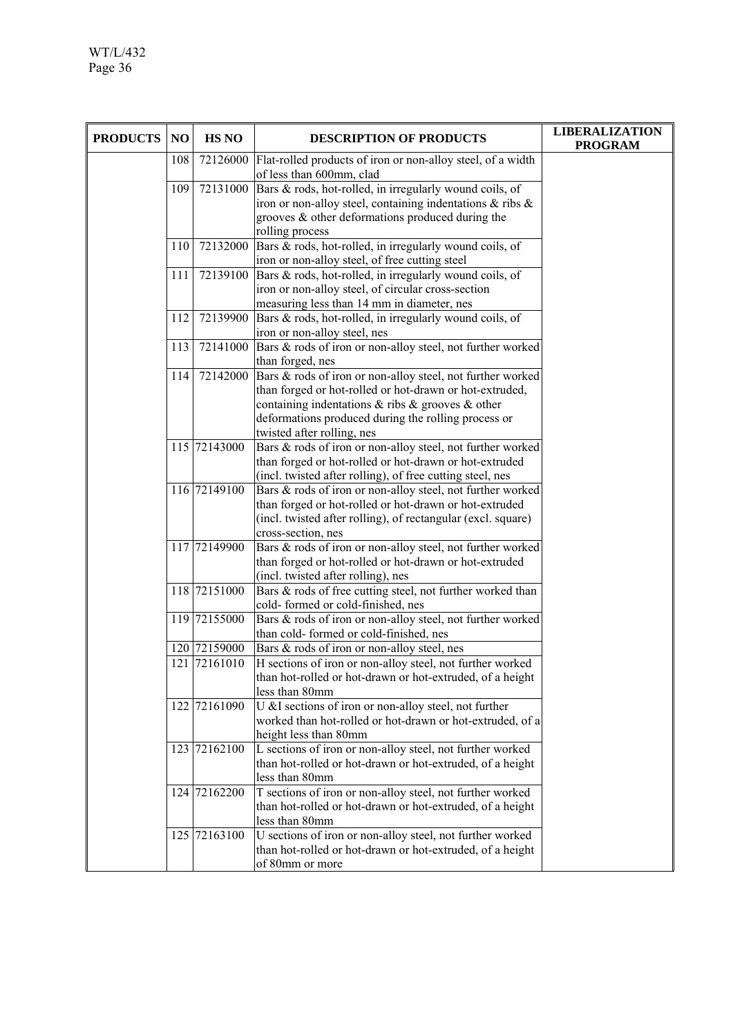| <b>PRODUCTS</b> | N <sub>O</sub> | HS <sub>NO</sub> | <b>DESCRIPTION OF PRODUCTS</b>                                                                                                | <b>LIBERALIZATION</b><br><b>PROGRAM</b> |
|-----------------|----------------|------------------|-------------------------------------------------------------------------------------------------------------------------------|-----------------------------------------|
|                 | 108            |                  | 72126000 Flat-rolled products of iron or non-alloy steel, of a width<br>of less than 600mm, clad                              |                                         |
|                 | 109            |                  | 72131000 Bars & rods, hot-rolled, in irregularly wound coils, of<br>iron or non-alloy steel, containing indentations & ribs & |                                         |
|                 |                |                  | grooves & other deformations produced during the<br>rolling process                                                           |                                         |
|                 | 110            |                  | 72132000 Bars & rods, hot-rolled, in irregularly wound coils, of                                                              |                                         |
|                 |                |                  | iron or non-alloy steel, of free cutting steel                                                                                |                                         |
|                 | 111            |                  | 72139100 Bars & rods, hot-rolled, in irregularly wound coils, of                                                              |                                         |
|                 |                |                  | iron or non-alloy steel, of circular cross-section                                                                            |                                         |
|                 |                |                  | measuring less than 14 mm in diameter, nes                                                                                    |                                         |
|                 | 112            |                  | 72139900 Bars $\&$ rods, hot-rolled, in irregularly wound coils, of                                                           |                                         |
|                 |                |                  | iron or non-alloy steel, nes                                                                                                  |                                         |
|                 | 113            |                  | 72141000 Bars & rods of iron or non-alloy steel, not further worked                                                           |                                         |
|                 |                |                  | than forged, nes                                                                                                              |                                         |
|                 | 114            |                  | 72142000 Bars & rods of iron or non-alloy steel, not further worked                                                           |                                         |
|                 |                |                  | than forged or hot-rolled or hot-drawn or hot-extruded,                                                                       |                                         |
|                 |                |                  | containing indentations $\&$ ribs $\&$ grooves $\&$ other                                                                     |                                         |
|                 |                |                  | deformations produced during the rolling process or                                                                           |                                         |
|                 |                |                  | twisted after rolling, nes                                                                                                    |                                         |
|                 |                | 115 72143000     | Bars & rods of iron or non-alloy steel, not further worked                                                                    |                                         |
|                 |                |                  | than forged or hot-rolled or hot-drawn or hot-extruded                                                                        |                                         |
|                 |                |                  | (incl. twisted after rolling), of free cutting steel, nes                                                                     |                                         |
|                 |                | 116 72149100     | Bars & rods of iron or non-alloy steel, not further worked                                                                    |                                         |
|                 |                |                  | than forged or hot-rolled or hot-drawn or hot-extruded                                                                        |                                         |
|                 |                |                  | (incl. twisted after rolling), of rectangular (excl. square)                                                                  |                                         |
|                 |                |                  | cross-section, nes                                                                                                            |                                         |
|                 |                | 117 72149900     | Bars & rods of iron or non-alloy steel, not further worked                                                                    |                                         |
|                 |                |                  | than forged or hot-rolled or hot-drawn or hot-extruded                                                                        |                                         |
|                 |                |                  | (incl. twisted after rolling), nes                                                                                            |                                         |
|                 |                | 118 72151000     | Bars & rods of free cutting steel, not further worked than                                                                    |                                         |
|                 |                |                  | cold-formed or cold-finished, nes                                                                                             |                                         |
|                 |                | 119 72155000     | Bars & rods of iron or non-alloy steel, not further worked                                                                    |                                         |
|                 |                |                  | than cold-formed or cold-finished, nes                                                                                        |                                         |
|                 |                | 120 72159000     | Bars & rods of iron or non-alloy steel, nes                                                                                   |                                         |
|                 |                | 121 72161010     | H sections of iron or non-alloy steel, not further worked<br>than hot-rolled or hot-drawn or hot-extruded, of a height        |                                         |
|                 |                |                  | less than 80mm                                                                                                                |                                         |
|                 |                | 122 72161090     | U &I sections of iron or non-alloy steel, not further                                                                         |                                         |
|                 |                |                  | worked than hot-rolled or hot-drawn or hot-extruded, of a                                                                     |                                         |
|                 |                |                  | height less than 80mm                                                                                                         |                                         |
|                 |                | 123 72162100     | L sections of iron or non-alloy steel, not further worked                                                                     |                                         |
|                 |                |                  | than hot-rolled or hot-drawn or hot-extruded, of a height                                                                     |                                         |
|                 |                |                  | less than 80mm                                                                                                                |                                         |
|                 |                | 124 72162200     | T sections of iron or non-alloy steel, not further worked                                                                     |                                         |
|                 |                |                  | than hot-rolled or hot-drawn or hot-extruded, of a height                                                                     |                                         |
|                 |                |                  | less than 80mm                                                                                                                |                                         |
|                 |                | 125 72163100     | U sections of iron or non-alloy steel, not further worked                                                                     |                                         |
|                 |                |                  | than hot-rolled or hot-drawn or hot-extruded, of a height                                                                     |                                         |
|                 |                |                  | of 80mm or more                                                                                                               |                                         |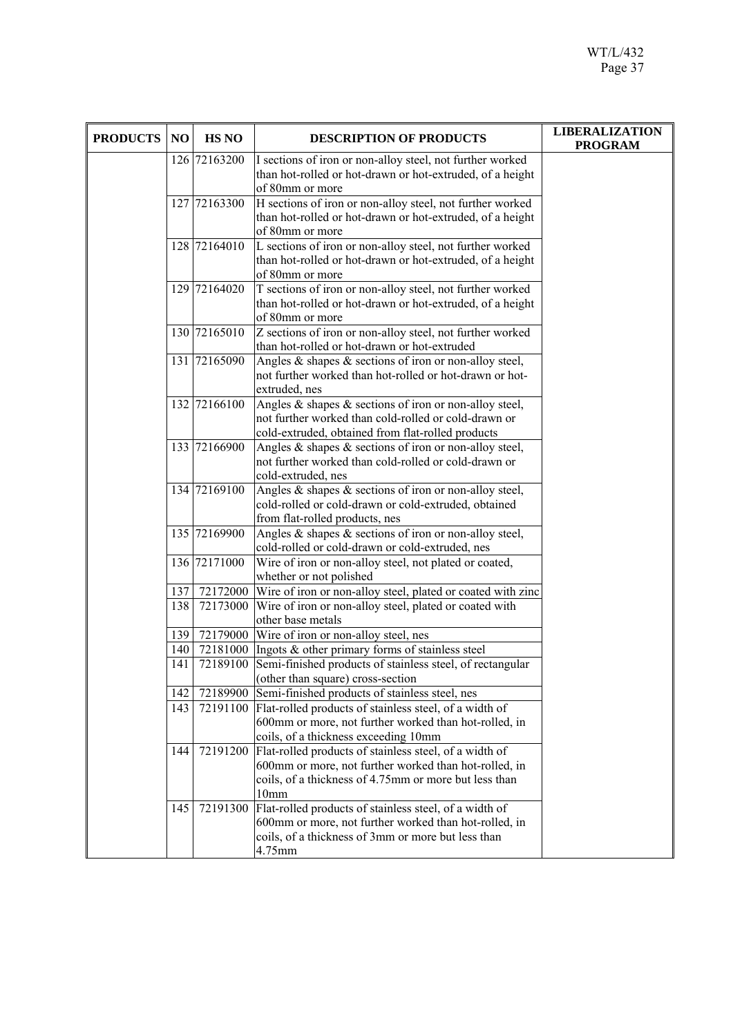| <b>PRODUCTS</b> | N <sub>O</sub> | <b>HS NO</b> | <b>DESCRIPTION OF PRODUCTS</b>                                                    | <b>LIBERALIZATION</b><br><b>PROGRAM</b> |
|-----------------|----------------|--------------|-----------------------------------------------------------------------------------|-----------------------------------------|
|                 |                | 126 72163200 | I sections of iron or non-alloy steel, not further worked                         |                                         |
|                 |                |              | than hot-rolled or hot-drawn or hot-extruded, of a height                         |                                         |
|                 |                |              | of 80mm or more                                                                   |                                         |
|                 |                | 127 72163300 | H sections of iron or non-alloy steel, not further worked                         |                                         |
|                 |                |              | than hot-rolled or hot-drawn or hot-extruded, of a height                         |                                         |
|                 |                |              | of 80mm or more                                                                   |                                         |
|                 |                | 128 72164010 | L sections of iron or non-alloy steel, not further worked                         |                                         |
|                 |                |              | than hot-rolled or hot-drawn or hot-extruded, of a height                         |                                         |
|                 |                |              | of 80mm or more                                                                   |                                         |
|                 |                | 129 72164020 | T sections of iron or non-alloy steel, not further worked                         |                                         |
|                 |                |              | than hot-rolled or hot-drawn or hot-extruded, of a height                         |                                         |
|                 |                |              | of 80mm or more                                                                   |                                         |
|                 |                | 130 72165010 | Z sections of iron or non-alloy steel, not further worked                         |                                         |
|                 |                |              | than hot-rolled or hot-drawn or hot-extruded                                      |                                         |
|                 |                | 131 72165090 | Angles $\&$ shapes $\&$ sections of iron or non-alloy steel,                      |                                         |
|                 |                |              | not further worked than hot-rolled or hot-drawn or hot-                           |                                         |
|                 |                |              | extruded, nes                                                                     |                                         |
|                 |                | 132 72166100 | Angles $\&$ shapes $\&$ sections of iron or non-alloy steel,                      |                                         |
|                 |                |              | not further worked than cold-rolled or cold-drawn or                              |                                         |
|                 |                |              | cold-extruded, obtained from flat-rolled products                                 |                                         |
|                 |                | 133 72166900 | Angles $\&$ shapes $\&$ sections of iron or non-alloy steel,                      |                                         |
|                 |                |              | not further worked than cold-rolled or cold-drawn or                              |                                         |
|                 |                |              | cold-extruded, nes                                                                |                                         |
|                 |                | 134 72169100 | Angles & shapes & sections of iron or non-alloy steel,                            |                                         |
|                 |                |              | cold-rolled or cold-drawn or cold-extruded, obtained                              |                                         |
|                 |                |              | from flat-rolled products, nes                                                    |                                         |
|                 |                | 135 72169900 | Angles $\&$ shapes $\&$ sections of iron or non-alloy steel,                      |                                         |
|                 |                |              | cold-rolled or cold-drawn or cold-extruded, nes                                   |                                         |
|                 |                | 136 72171000 | Wire of iron or non-alloy steel, not plated or coated,<br>whether or not polished |                                         |
|                 | 137            |              | 72172000 Wire of iron or non-alloy steel, plated or coated with zinc              |                                         |
|                 | 138            | 72173000     | Wire of iron or non-alloy steel, plated or coated with                            |                                         |
|                 |                |              | other base metals                                                                 |                                         |
|                 | 139            |              | 72179000 Wire of iron or non-alloy steel, nes                                     |                                         |
|                 | 140            |              | 72181000 Ingots & other primary forms of stainless steel                          |                                         |
|                 | 141            |              | 72189100 Semi-finished products of stainless steel, of rectangular                |                                         |
|                 |                |              | (other than square) cross-section                                                 |                                         |
|                 | 142            |              | 72189900 Semi-finished products of stainless steel, nes                           |                                         |
|                 | 143            |              | 72191100 Flat-rolled products of stainless steel, of a width of                   |                                         |
|                 |                |              | 600mm or more, not further worked than hot-rolled, in                             |                                         |
|                 |                |              | coils, of a thickness exceeding 10mm                                              |                                         |
|                 | 144            | 72191200     | Flat-rolled products of stainless steel, of a width of                            |                                         |
|                 |                |              | 600mm or more, not further worked than hot-rolled, in                             |                                         |
|                 |                |              | coils, of a thickness of 4.75mm or more but less than                             |                                         |
|                 |                |              | 10 <sub>mm</sub>                                                                  |                                         |
|                 | 145            |              | 72191300 Flat-rolled products of stainless steel, of a width of                   |                                         |
|                 |                |              | 600mm or more, not further worked than hot-rolled, in                             |                                         |
|                 |                |              | coils, of a thickness of 3mm or more but less than                                |                                         |
|                 |                |              | 4.75mm                                                                            |                                         |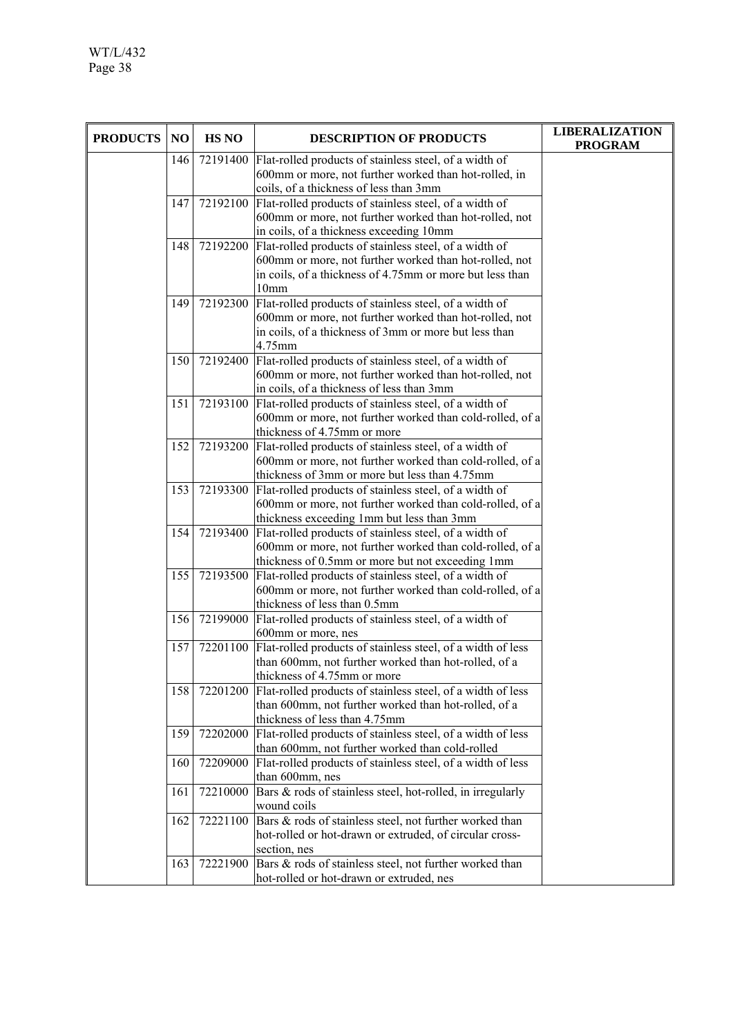| <b>PRODUCTS</b> | NO  | HS <sub>NO</sub> | <b>DESCRIPTION OF PRODUCTS</b>                                               | <b>LIBERALIZATION</b><br><b>PROGRAM</b> |
|-----------------|-----|------------------|------------------------------------------------------------------------------|-----------------------------------------|
|                 | 146 | 72191400         | Flat-rolled products of stainless steel, of a width of                       |                                         |
|                 |     |                  | 600mm or more, not further worked than hot-rolled, in                        |                                         |
|                 |     |                  | coils, of a thickness of less than 3mm                                       |                                         |
|                 | 147 |                  | 72192100 Flat-rolled products of stainless steel, of a width of              |                                         |
|                 |     |                  | 600mm or more, not further worked than hot-rolled, not                       |                                         |
|                 |     |                  | in coils, of a thickness exceeding 10mm                                      |                                         |
|                 | 148 | 72192200         | Flat-rolled products of stainless steel, of a width of                       |                                         |
|                 |     |                  | 600mm or more, not further worked than hot-rolled, not                       |                                         |
|                 |     |                  | in coils, of a thickness of 4.75mm or more but less than                     |                                         |
|                 |     |                  | 10mm                                                                         |                                         |
|                 | 149 | 72192300         | Flat-rolled products of stainless steel, of a width of                       |                                         |
|                 |     |                  | 600mm or more, not further worked than hot-rolled, not                       |                                         |
|                 |     |                  | in coils, of a thickness of 3mm or more but less than                        |                                         |
|                 |     |                  | 4.75mm                                                                       |                                         |
|                 | 150 | 72192400         | Flat-rolled products of stainless steel, of a width of                       |                                         |
|                 |     |                  | 600mm or more, not further worked than hot-rolled, not                       |                                         |
|                 |     |                  | in coils, of a thickness of less than 3mm                                    |                                         |
|                 | 151 |                  | 72193100 Flat-rolled products of stainless steel, of a width of              |                                         |
|                 |     |                  | 600mm or more, not further worked than cold-rolled, of a                     |                                         |
|                 |     |                  | thickness of 4.75mm or more                                                  |                                         |
|                 | 152 |                  | 72193200 Flat-rolled products of stainless steel, of a width of              |                                         |
|                 |     |                  | 600mm or more, not further worked than cold-rolled, of a                     |                                         |
|                 |     |                  | thickness of 3mm or more but less than 4.75mm                                |                                         |
|                 | 153 | 72193300         | Flat-rolled products of stainless steel, of a width of                       |                                         |
|                 |     |                  | 600mm or more, not further worked than cold-rolled, of a                     |                                         |
|                 |     |                  | thickness exceeding 1mm but less than 3mm                                    |                                         |
|                 | 154 | 72193400         | Flat-rolled products of stainless steel, of a width of                       |                                         |
|                 |     |                  | 600mm or more, not further worked than cold-rolled, of a                     |                                         |
|                 |     |                  | thickness of 0.5mm or more but not exceeding 1mm                             |                                         |
|                 | 155 | 72193500         | Flat-rolled products of stainless steel, of a width of                       |                                         |
|                 |     |                  | 600mm or more, not further worked than cold-rolled, of a                     |                                         |
|                 |     |                  | thickness of less than 0.5mm                                                 |                                         |
|                 | 156 | 72199000         | Flat-rolled products of stainless steel, of a width of<br>600mm or more, nes |                                         |
|                 | 157 | 72201100         | Flat-rolled products of stainless steel, of a width of less                  |                                         |
|                 |     |                  | than 600mm, not further worked than hot-rolled, of a                         |                                         |
|                 |     |                  | thickness of 4.75mm or more                                                  |                                         |
|                 | 158 |                  | 72201200 Flat-rolled products of stainless steel, of a width of less         |                                         |
|                 |     |                  | than 600mm, not further worked than hot-rolled, of a                         |                                         |
|                 |     |                  | thickness of less than 4.75mm                                                |                                         |
|                 | 159 | 72202000         | Flat-rolled products of stainless steel, of a width of less                  |                                         |
|                 |     |                  | than 600mm, not further worked than cold-rolled                              |                                         |
|                 | 160 | 72209000         | Flat-rolled products of stainless steel, of a width of less                  |                                         |
|                 |     |                  | than 600mm, nes                                                              |                                         |
|                 | 161 | 72210000         | Bars & rods of stainless steel, hot-rolled, in irregularly                   |                                         |
|                 |     |                  | wound coils                                                                  |                                         |
|                 | 162 | 72221100         | Bars & rods of stainless steel, not further worked than                      |                                         |
|                 |     |                  | hot-rolled or hot-drawn or extruded, of circular cross-                      |                                         |
|                 |     |                  | section, nes                                                                 |                                         |
|                 | 163 | 72221900         | Bars & rods of stainless steel, not further worked than                      |                                         |
|                 |     |                  | hot-rolled or hot-drawn or extruded, nes                                     |                                         |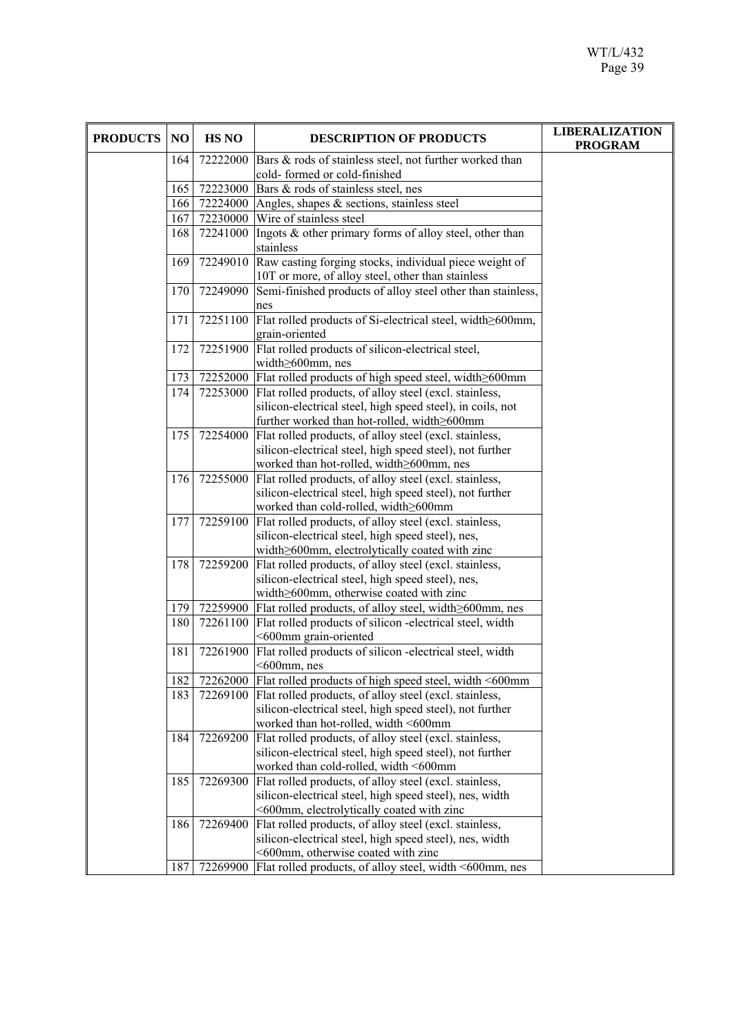| <b>PRODUCTS</b> | N <sub>O</sub> | <b>HS NO</b> | <b>DESCRIPTION OF PRODUCTS</b>                                              | <b>LIBERALIZATION</b><br><b>PROGRAM</b> |
|-----------------|----------------|--------------|-----------------------------------------------------------------------------|-----------------------------------------|
|                 | 164            |              | 72222000 Bars & rods of stainless steel, not further worked than            |                                         |
|                 |                |              | cold-formed or cold-finished                                                |                                         |
|                 | 165            |              | 72223000 Bars & rods of stainless steel, nes                                |                                         |
|                 | 166            |              | 72224000 Angles, shapes & sections, stainless steel                         |                                         |
|                 | 167            |              | 72230000 Wire of stainless steel                                            |                                         |
|                 | 168            |              | 72241000 Ingots $\&$ other primary forms of alloy steel, other than         |                                         |
|                 |                |              | stainless                                                                   |                                         |
|                 | 169            |              | 72249010 Raw casting forging stocks, individual piece weight of             |                                         |
|                 |                |              | 10T or more, of alloy steel, other than stainless                           |                                         |
|                 | 170            | 72249090     | Semi-finished products of alloy steel other than stainless,                 |                                         |
|                 |                |              | nes                                                                         |                                         |
|                 | 171            |              | 72251100 Flat rolled products of Si-electrical steel, width  both  governm, |                                         |
|                 |                |              | grain-oriented                                                              |                                         |
|                 | 172            |              | 72251900 Flat rolled products of silicon-electrical steel,                  |                                         |
|                 |                |              | width≥600mm, nes                                                            |                                         |
|                 | 173            |              | 72252000 Flat rolled products of high speed steel, width  bothm             |                                         |
|                 | 174            |              | 72253000 Flat rolled products, of alloy steel (excl. stainless,             |                                         |
|                 |                |              | silicon-electrical steel, high speed steel), in coils, not                  |                                         |
|                 |                |              | further worked than hot-rolled, width≥600mm                                 |                                         |
|                 | 175            |              | 72254000 Flat rolled products, of alloy steel (excl. stainless,             |                                         |
|                 |                |              | silicon-electrical steel, high speed steel), not further                    |                                         |
|                 |                |              | worked than hot-rolled, width≥600mm, nes                                    |                                         |
|                 | 176            |              | 72255000 Flat rolled products, of alloy steel (excl. stainless,             |                                         |
|                 |                |              | silicon-electrical steel, high speed steel), not further                    |                                         |
|                 |                |              | worked than cold-rolled, width≥600mm                                        |                                         |
|                 | 177            |              | 72259100 Flat rolled products, of alloy steel (excl. stainless,             |                                         |
|                 |                |              | silicon-electrical steel, high speed steel), nes,                           |                                         |
|                 |                |              |                                                                             |                                         |
|                 | 178            |              | 72259200 Flat rolled products, of alloy steel (excl. stainless,             |                                         |
|                 |                |              | silicon-electrical steel, high speed steel), nes,                           |                                         |
|                 |                |              | width≥600mm, otherwise coated with zinc                                     |                                         |
|                 | 179            |              | 72259900 Flat rolled products, of alloy steel, width  left>600mm, nes       |                                         |
|                 | 180            |              | 72261100 Flat rolled products of silicon-electrical steel, width            |                                         |
|                 |                |              | <600mm grain-oriented                                                       |                                         |
|                 | 181            |              | 72261900 Flat rolled products of silicon-electrical steel, width            |                                         |
|                 |                |              | $< 600$ mm, nes                                                             |                                         |
|                 | 182            |              | 72262000   Flat rolled products of high speed steel, width <600mm           |                                         |
|                 | 183            |              | 72269100 Flat rolled products, of alloy steel (excl. stainless,             |                                         |
|                 |                |              | silicon-electrical steel, high speed steel), not further                    |                                         |
|                 |                |              | worked than hot-rolled, width <600mm                                        |                                         |
|                 | 184            |              | 72269200 Flat rolled products, of alloy steel (excl. stainless,             |                                         |
|                 |                |              | silicon-electrical steel, high speed steel), not further                    |                                         |
|                 |                |              | worked than cold-rolled, width <600mm                                       |                                         |
|                 | 185            |              | 72269300 Flat rolled products, of alloy steel (excl. stainless,             |                                         |
|                 |                |              | silicon-electrical steel, high speed steel), nes, width                     |                                         |
|                 |                |              | <600mm, electrolytically coated with zinc                                   |                                         |
|                 | 186            |              | 72269400 Flat rolled products, of alloy steel (excl. stainless,             |                                         |
|                 |                |              | silicon-electrical steel, high speed steel), nes, width                     |                                         |
|                 |                |              | <600mm, otherwise coated with zinc                                          |                                         |
|                 | 187            |              | 72269900 Flat rolled products, of alloy steel, width <600mm, nes            |                                         |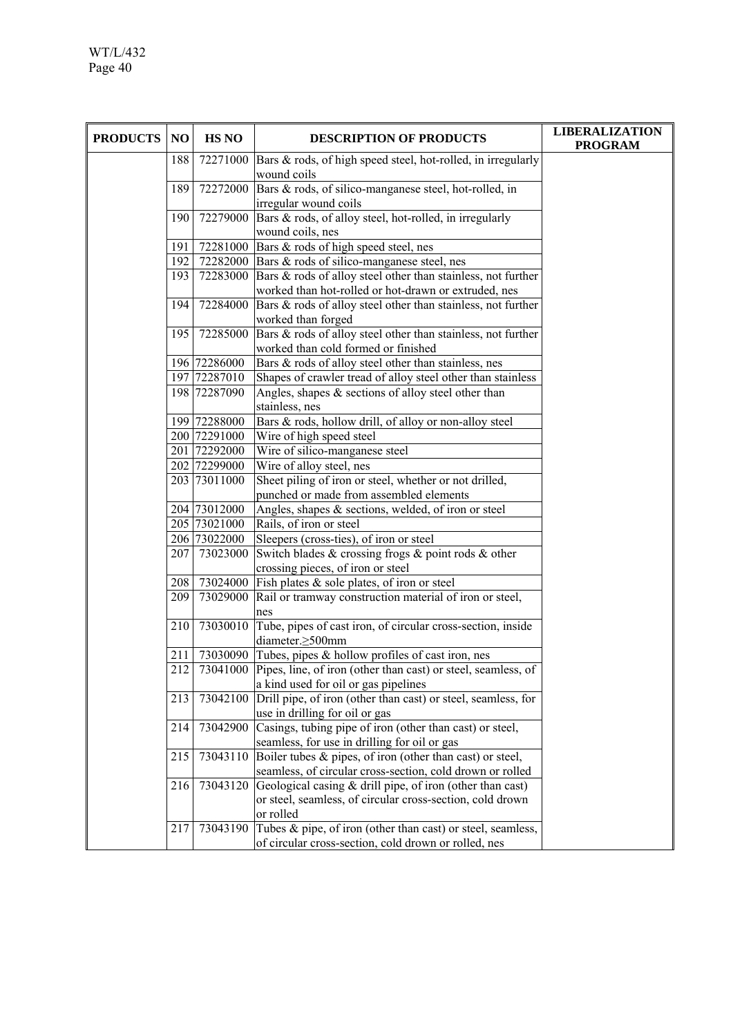| <b>PRODUCTS</b> | NO  | HS <sub>NO</sub> | <b>DESCRIPTION OF PRODUCTS</b>                                                                                         | <b>LIBERALIZATION</b><br><b>PROGRAM</b> |
|-----------------|-----|------------------|------------------------------------------------------------------------------------------------------------------------|-----------------------------------------|
|                 | 188 | 72271000         | Bars & rods, of high speed steel, hot-rolled, in irregularly<br>wound coils                                            |                                         |
|                 | 189 |                  | 72272000 Bars & rods, of silico-manganese steel, hot-rolled, in<br>irregular wound coils                               |                                         |
|                 | 190 |                  | 72279000 Bars & rods, of alloy steel, hot-rolled, in irregularly<br>wound coils, nes                                   |                                         |
|                 | 191 |                  | 72281000 Bars $\&$ rods of high speed steel, nes                                                                       |                                         |
|                 | 192 |                  | 72282000 Bars & rods of silico-manganese steel, nes                                                                    |                                         |
|                 | 193 |                  | 72283000 Bars $\&$ rods of alloy steel other than stainless, not further                                               |                                         |
|                 |     |                  | worked than hot-rolled or hot-drawn or extruded, nes                                                                   |                                         |
|                 | 194 |                  | 72284000 Bars $\&$ rods of alloy steel other than stainless, not further                                               |                                         |
|                 |     |                  | worked than forged                                                                                                     |                                         |
|                 | 195 | 72285000         | Bars & rods of alloy steel other than stainless, not further                                                           |                                         |
|                 |     |                  | worked than cold formed or finished                                                                                    |                                         |
|                 |     | 196 72286000     | Bars & rods of alloy steel other than stainless, nes                                                                   |                                         |
|                 |     | 197 72287010     | Shapes of crawler tread of alloy steel other than stainless                                                            |                                         |
|                 |     | 198 72287090     | Angles, shapes & sections of alloy steel other than<br>stainless, nes                                                  |                                         |
|                 |     | 199 72288000     | Bars & rods, hollow drill, of alloy or non-alloy steel                                                                 |                                         |
|                 |     | 200 72291000     | Wire of high speed steel                                                                                               |                                         |
|                 |     | 201 72292000     | Wire of silico-manganese steel                                                                                         |                                         |
|                 |     | 202 72299000     | Wire of alloy steel, nes                                                                                               |                                         |
|                 |     | 203 73011000     | Sheet piling of iron or steel, whether or not drilled,                                                                 |                                         |
|                 |     |                  | punched or made from assembled elements                                                                                |                                         |
|                 |     | 204 73012000     | Angles, shapes & sections, welded, of iron or steel                                                                    |                                         |
|                 |     | 205 73021000     | Rails, of iron or steel                                                                                                |                                         |
|                 |     | 206 73022000     | Sleepers (cross-ties), of iron or steel                                                                                |                                         |
|                 |     |                  | 207   73023000 Switch blades & crossing frogs & point rods & other                                                     |                                         |
|                 |     |                  | crossing pieces, of iron or steel                                                                                      |                                         |
|                 |     |                  | 208   73024000   Fish plates $\&$ sole plates, of iron or steel                                                        |                                         |
|                 | 209 |                  | 73029000 Rail or tramway construction material of iron or steel,<br>nes                                                |                                         |
|                 | 210 | 73030010         | Tube, pipes of cast iron, of circular cross-section, inside<br>diameter. > 500mm                                       |                                         |
|                 | 211 |                  | 73030090 Tubes, pipes & hollow profiles of cast iron, nes                                                              |                                         |
|                 | 212 |                  | 73041000 Pipes, line, of iron (other than cast) or steel, seamless, of                                                 |                                         |
|                 |     |                  | a kind used for oil or gas pipelines                                                                                   |                                         |
|                 | 213 | 73042100         | Drill pipe, of iron (other than cast) or steel, seamless, for                                                          |                                         |
|                 |     |                  | use in drilling for oil or gas                                                                                         |                                         |
|                 | 214 | 73042900         | Casings, tubing pipe of iron (other than cast) or steel,<br>seamless, for use in drilling for oil or gas               |                                         |
|                 | 215 | 73043110         |                                                                                                                        |                                         |
|                 |     |                  | Boiler tubes & pipes, of iron (other than cast) or steel,<br>seamless, of circular cross-section, cold drown or rolled |                                         |
|                 | 216 | 73043120         | Geological casing & drill pipe, of iron (other than cast)                                                              |                                         |
|                 |     |                  | or steel, seamless, of circular cross-section, cold drown                                                              |                                         |
|                 |     |                  | or rolled                                                                                                              |                                         |
|                 | 217 | 73043190         | Tubes & pipe, of iron (other than cast) or steel, seamless,                                                            |                                         |
|                 |     |                  | of circular cross-section, cold drown or rolled, nes                                                                   |                                         |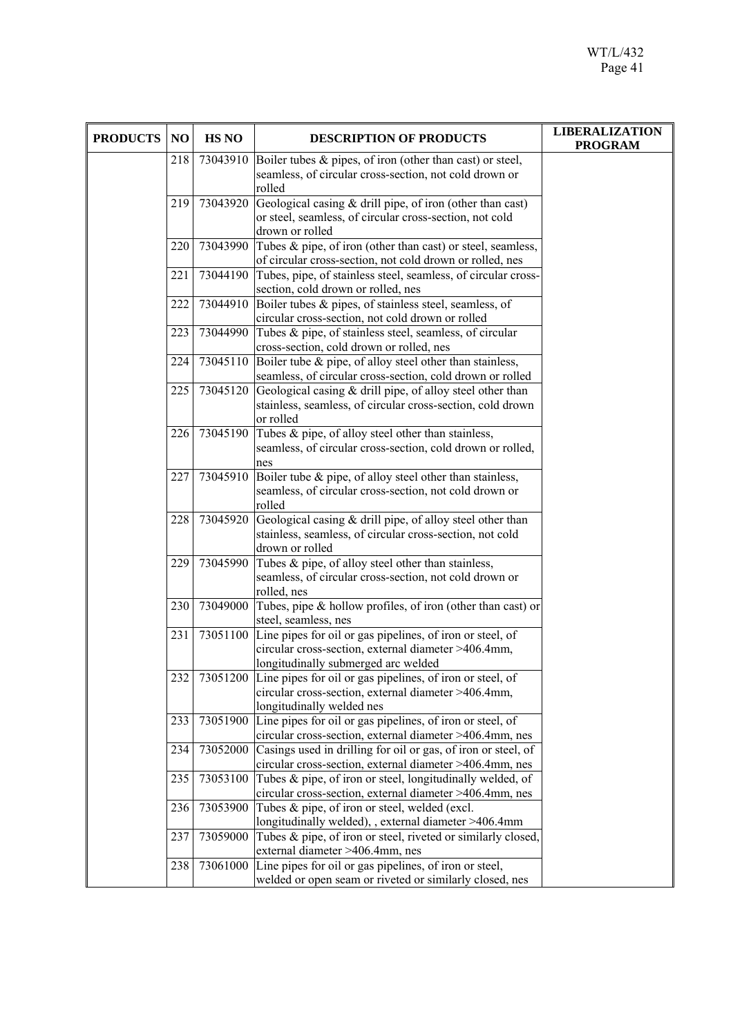| <b>PRODUCTS</b> | N <sub>O</sub> | <b>HS NO</b> | <b>DESCRIPTION OF PRODUCTS</b>                                                                                                                                   | <b>LIBERALIZATION</b><br><b>PROGRAM</b> |
|-----------------|----------------|--------------|------------------------------------------------------------------------------------------------------------------------------------------------------------------|-----------------------------------------|
|                 | 218            | 73043910     | Boiler tubes $\&$ pipes, of iron (other than cast) or steel,<br>seamless, of circular cross-section, not cold drown or<br>rolled                                 |                                         |
|                 | 219            | 73043920     | Geological casing & drill pipe, of iron (other than cast)<br>or steel, seamless, of circular cross-section, not cold<br>drown or rolled                          |                                         |
|                 | 220            | 73043990     | Tubes & pipe, of iron (other than cast) or steel, seamless,<br>of circular cross-section, not cold drown or rolled, nes                                          |                                         |
|                 | 221            | 73044190     | Tubes, pipe, of stainless steel, seamless, of circular cross-<br>section, cold drown or rolled, nes                                                              |                                         |
|                 | 222            | 73044910     | Boiler tubes & pipes, of stainless steel, seamless, of<br>circular cross-section, not cold drown or rolled                                                       |                                         |
|                 | 223            | 73044990     | Tubes & pipe, of stainless steel, seamless, of circular<br>cross-section, cold drown or rolled, nes                                                              |                                         |
|                 | 224            | 73045110     | Boiler tube & pipe, of alloy steel other than stainless,<br>seamless, of circular cross-section, cold drown or rolled                                            |                                         |
|                 | 225            | 73045120     | Geological casing & drill pipe, of alloy steel other than<br>stainless, seamless, of circular cross-section, cold drown<br>or rolled                             |                                         |
|                 | 226            |              | 73045190 Tubes & pipe, of alloy steel other than stainless,<br>seamless, of circular cross-section, cold drown or rolled,<br>nes                                 |                                         |
|                 | 227            |              | 73045910 Boiler tube & pipe, of alloy steel other than stainless,<br>seamless, of circular cross-section, not cold drown or<br>rolled                            |                                         |
|                 | 228            | 73045920     | Geological casing $\&$ drill pipe, of alloy steel other than<br>stainless, seamless, of circular cross-section, not cold<br>drown or rolled                      |                                         |
|                 | 229            | 73045990     | Tubes & pipe, of alloy steel other than stainless,<br>seamless, of circular cross-section, not cold drown or<br>rolled, nes                                      |                                         |
|                 | 230            | 73049000     | Tubes, pipe & hollow profiles, of iron (other than cast) or<br>steel, seamless, nes                                                                              |                                         |
|                 | 231            |              | 73051100 Line pipes for oil or gas pipelines, of iron or steel, of<br>circular cross-section, external diameter >406.4mm,<br>longitudinally submerged arc welded |                                         |
|                 | 232            |              | 73051200 Line pipes for oil or gas pipelines, of iron or steel, of<br>circular cross-section, external diameter >406.4mm,<br>longitudinally welded nes           |                                         |
|                 | 233            |              | 73051900 Line pipes for oil or gas pipelines, of iron or steel, of<br>circular cross-section, external diameter >406.4mm, nes                                    |                                         |
|                 | 234            | 73052000     | Casings used in drilling for oil or gas, of iron or steel, of<br>circular cross-section, external diameter >406.4mm, nes                                         |                                         |
|                 | 235            | 73053100     | Tubes & pipe, of iron or steel, longitudinally welded, of<br>circular cross-section, external diameter >406.4mm, nes                                             |                                         |
|                 | 236            | 73053900     | Tubes & pipe, of iron or steel, welded (excl.<br>longitudinally welded), , external diameter >406.4mm                                                            |                                         |
|                 | 237            | 73059000     | Tubes & pipe, of iron or steel, riveted or similarly closed,<br>external diameter >406.4mm, nes                                                                  |                                         |
|                 | 238            | 73061000     | Line pipes for oil or gas pipelines, of iron or steel,<br>welded or open seam or riveted or similarly closed, nes                                                |                                         |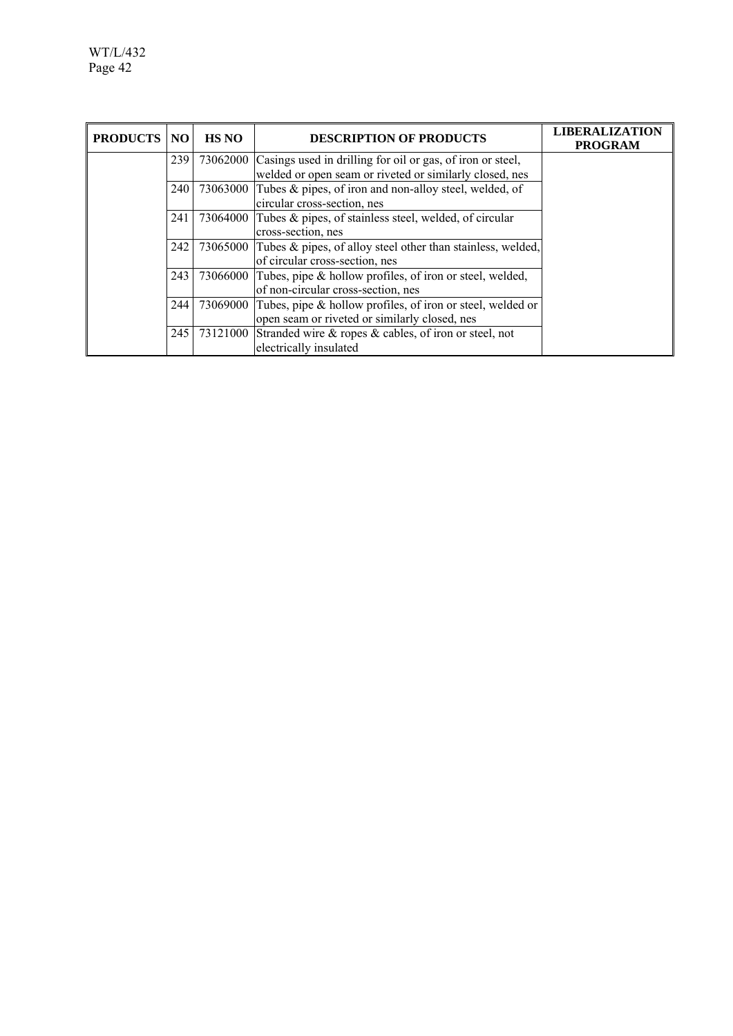| <b>PRODUCTS</b> | NO. | <b>HS NO</b> | <b>DESCRIPTION OF PRODUCTS</b>                                       | <b>LIBERALIZATION</b><br><b>PROGRAM</b> |
|-----------------|-----|--------------|----------------------------------------------------------------------|-----------------------------------------|
|                 | 239 | 73062000     | Casings used in drilling for oil or gas, of iron or steel,           |                                         |
|                 |     |              | welded or open seam or riveted or similarly closed, nes              |                                         |
|                 | 240 |              | 73063000 Tubes & pipes, of iron and non-alloy steel, welded, of      |                                         |
|                 |     |              | circular cross-section, nes                                          |                                         |
|                 | 241 |              | 73064000 Tubes & pipes, of stainless steel, welded, of circular      |                                         |
|                 |     |              | cross-section, nes                                                   |                                         |
|                 | 242 |              | 73065000 Tubes & pipes, of alloy steel other than stainless, welded, |                                         |
|                 |     |              | of circular cross-section, nes                                       |                                         |
|                 | 243 |              | 73066000 Tubes, pipe & hollow profiles, of iron or steel, welded,    |                                         |
|                 |     |              | of non-circular cross-section, nes                                   |                                         |
|                 | 244 |              | 73069000 Tubes, pipe & hollow profiles, of iron or steel, welded or  |                                         |
|                 |     |              | open seam or riveted or similarly closed, nes                        |                                         |
|                 | 245 | 73121000     | Stranded wire & ropes & cables, of iron or steel, not                |                                         |
|                 |     |              | electrically insulated                                               |                                         |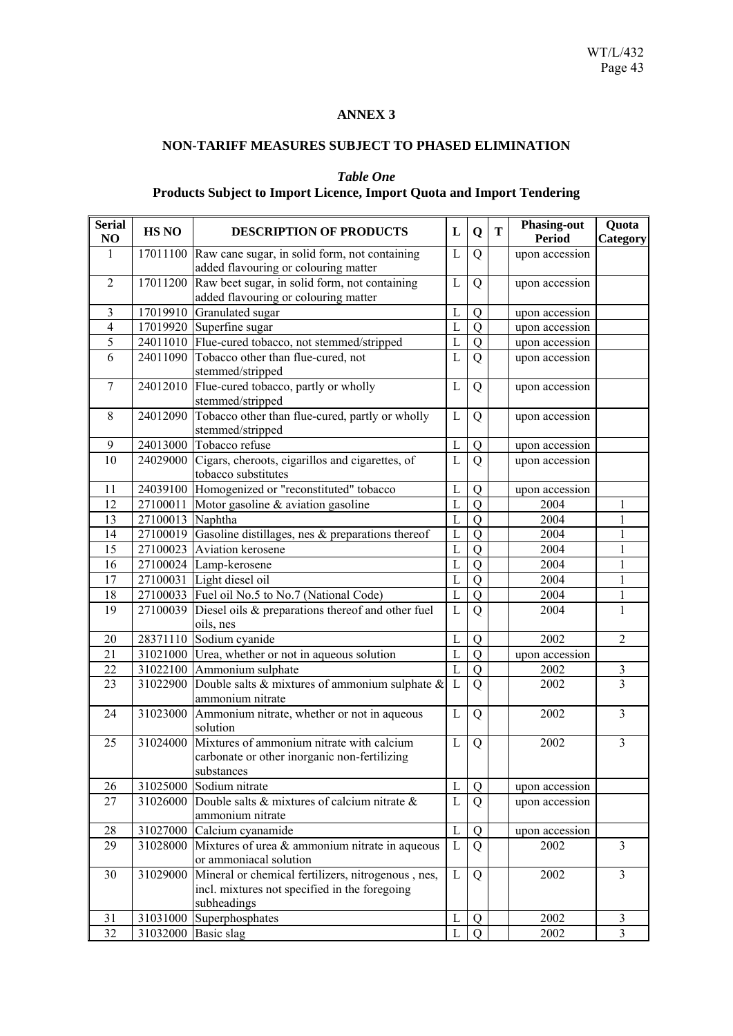#### **ANNEX 3**

### **NON-TARIFF MEASURES SUBJECT TO PHASED ELIMINATION**

### *Table One*  **Products Subject to Import Licence, Import Quota and Import Tendering**

| <b>Serial</b><br>NO | HS NO            | <b>DESCRIPTION OF PRODUCTS</b>                                                                          | L              | Q              | T | <b>Phasing-out</b><br><b>Period</b> | Quota<br>Category       |
|---------------------|------------------|---------------------------------------------------------------------------------------------------------|----------------|----------------|---|-------------------------------------|-------------------------|
| -1                  |                  | 17011100 Raw cane sugar, in solid form, not containing<br>added flavouring or colouring matter          | L              | Q              |   | upon accession                      |                         |
| $\overline{2}$      |                  | 17011200 Raw beet sugar, in solid form, not containing<br>added flavouring or colouring matter          | L              | Q              |   | upon accession                      |                         |
| $\mathfrak{Z}$      |                  | 17019910 Granulated sugar                                                                               | $\mathbf{L}$   | Q              |   | upon accession                      |                         |
| $\overline{4}$      |                  | 17019920 Superfine sugar                                                                                | L              | Q              |   | upon accession                      |                         |
| 5                   |                  | 24011010 Flue-cured tobacco, not stemmed/stripped                                                       | L              | Q              |   | upon accession                      |                         |
| 6                   | 24011090         | Tobacco other than flue-cured, not<br>stemmed/stripped                                                  | L              | $\overline{Q}$ |   | upon accession                      |                         |
| $\tau$              | 24012010         | Flue-cured tobacco, partly or wholly<br>stemmed/stripped                                                | L              | Q              |   | upon accession                      |                         |
| 8                   | 24012090         | Tobacco other than flue-cured, partly or wholly<br>stemmed/stripped                                     | L              | Q              |   | upon accession                      |                         |
| $\boldsymbol{9}$    |                  | 24013000 Tobacco refuse                                                                                 | $\mathbf{L}$   | Q              |   | upon accession                      |                         |
| 10                  |                  | 24029000 Cigars, cheroots, cigarillos and cigarettes, of<br>tobacco substitutes                         | L              | Q              |   | upon accession                      |                         |
| 11                  |                  | 24039100 Homogenized or "reconstituted" tobacco                                                         | L              | Q              |   | upon accession                      |                         |
| 12                  |                  | 27100011 Motor gasoline & aviation gasoline                                                             | $\overline{L}$ | Q              |   | 2004                                | $\mathbf{1}$            |
| 13                  | 27100013 Naphtha |                                                                                                         | $\mathbf{L}$   | $\overline{Q}$ |   | 2004                                | $\mathbf{1}$            |
| 14                  |                  | 27100019 Gasoline distillages, nes $\&$ preparations thereof                                            | L              | Q              |   | 2004                                | $\mathbf{1}$            |
| 15                  | 27100023         | Aviation kerosene                                                                                       | L              | Q              |   | 2004                                | $\mathbf{1}$            |
| 16                  |                  | 27100024 Lamp-kerosene                                                                                  | $\overline{L}$ | Q              |   | 2004                                | $\mathbf{1}$            |
| 17                  |                  | 27100031 Light diesel oil                                                                               | $\overline{L}$ | $\overline{Q}$ |   | 2004                                | $\mathbf{1}$            |
| 18                  | 27100033         | Fuel oil No.5 to No.7 (National Code)                                                                   | L              | Q              |   | 2004                                | $\mathbf{1}$            |
| 19                  | 27100039         | Diesel oils & preparations thereof and other fuel<br>oils, nes                                          | L              | Q              |   | 2004                                | $\mathbf{1}$            |
| 20                  | 28371110         | Sodium cyanide                                                                                          | L              | Q              |   | 2002                                | $\overline{2}$          |
| 21                  |                  | 31021000 Urea, whether or not in aqueous solution                                                       | $\mathbf{L}$   | Q              |   | upon accession                      |                         |
| 22                  |                  | 31022100 Ammonium sulphate                                                                              | L              | Q              |   | 2002                                | 3                       |
| 23                  |                  | 31022900 Double salts & mixtures of ammonium sulphate &<br>ammonium nitrate                             | L              | Q              |   | 2002                                | $\overline{\mathbf{3}}$ |
| 24                  |                  | 31023000 Ammonium nitrate, whether or not in aqueous<br>solution                                        | L              | Q              |   | 2002                                | $\overline{3}$          |
| 25                  | 31024000         | Mixtures of ammonium nitrate with calcium<br>carbonate or other inorganic non-fertilizing<br>substances | L              | Q              |   | 2002                                | $\overline{3}$          |
| 26                  | 31025000         | Sodium nitrate                                                                                          | $\mathbf L$    | Q              |   | upon accession                      |                         |
| 27                  | 31026000         | Double salts $\&$ mixtures of calcium nitrate $\&$<br>ammonium nitrate                                  | L              | $\overline{Q}$ |   | upon accession                      |                         |
| 28                  |                  | 31027000 Calcium cyanamide                                                                              | $\mathbf L$    | Q              |   | upon accession                      |                         |
| 29                  | 31028000         | Mixtures of urea & ammonium nitrate in aqueous<br>or ammoniacal solution                                | L              | $\overline{Q}$ |   | 2002                                | $\overline{3}$          |
| 30                  | 31029000         | Mineral or chemical fertilizers, nitrogenous, nes,<br>incl. mixtures not specified in the foregoing     | $\mathbf L$    | Q              |   | 2002                                | $\overline{3}$          |
|                     |                  | subheadings                                                                                             |                |                |   |                                     |                         |
| 31                  | 31031000         | Superphosphates                                                                                         | $\mathbf L$    | Q              |   | 2002                                | $\mathfrak{Z}$          |
| 32                  | 31032000         | Basic slag                                                                                              | L              | Q              |   | 2002                                | $\overline{\mathbf{3}}$ |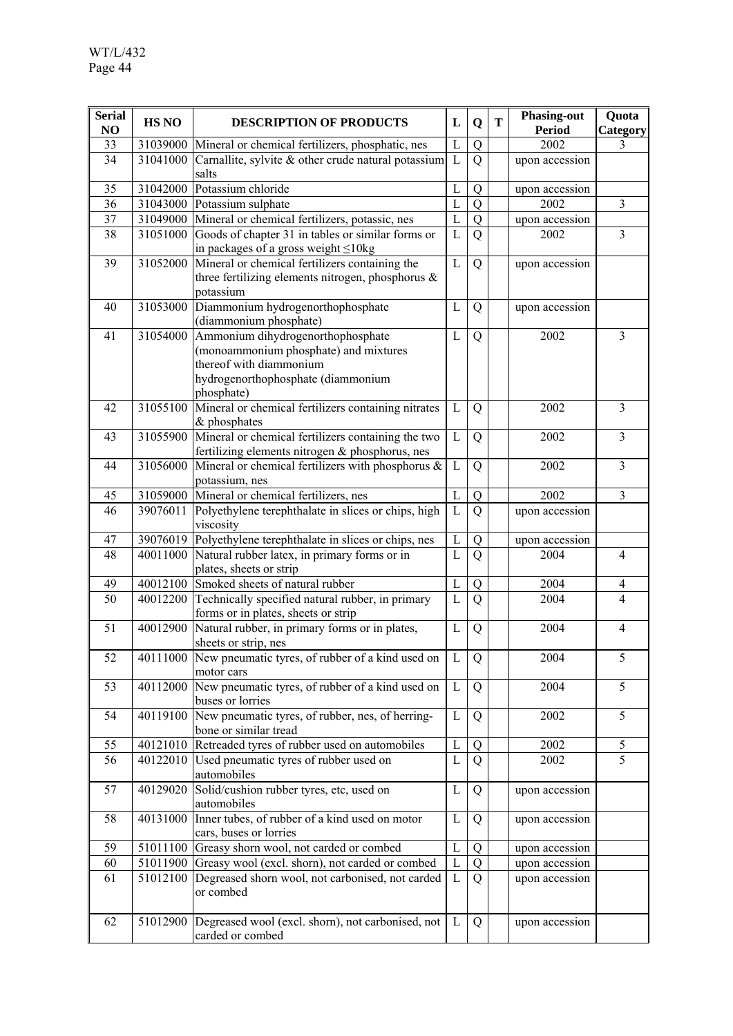| <b>Serial</b><br>NO | <b>HS NO</b> | <b>DESCRIPTION OF PRODUCTS</b>                                                                                                                            | L            | Q           | T | <b>Phasing-out</b><br><b>Period</b> | Quota<br>Category |
|---------------------|--------------|-----------------------------------------------------------------------------------------------------------------------------------------------------------|--------------|-------------|---|-------------------------------------|-------------------|
| 33                  | 31039000     | Mineral or chemical fertilizers, phosphatic, nes                                                                                                          | L            | Q           |   | 2002                                | 3                 |
| 34                  | 31041000     | Carnallite, sylvite & other crude natural potassium<br>salts                                                                                              | $\mathbf{L}$ | Q           |   | upon accession                      |                   |
| 35                  | 31042000     | Potassium chloride                                                                                                                                        | L            | Q           |   | upon accession                      |                   |
| 36                  |              | 31043000 Potassium sulphate                                                                                                                               | L            | $\mathbf Q$ |   | 2002                                | $\overline{3}$    |
| 37                  | 31049000     | Mineral or chemical fertilizers, potassic, nes                                                                                                            | L            | Q           |   | upon accession                      |                   |
| 38                  | 31051000     | Goods of chapter 31 in tables or similar forms or<br>in packages of a gross weight $\leq 10$ kg                                                           | $\mathbf L$  | Q           |   | 2002                                | $\overline{3}$    |
| 39                  | 31052000     | Mineral or chemical fertilizers containing the<br>three fertilizing elements nitrogen, phosphorus &<br>potassium                                          | L            | Q           |   | upon accession                      |                   |
| 40                  | 31053000     | Diammonium hydrogenorthophosphate<br>(diammonium phosphate)                                                                                               | L            | Q           |   | upon accession                      |                   |
| 41                  | 31054000     | Ammonium dihydrogenorthophosphate<br>(monoammonium phosphate) and mixtures<br>thereof with diammonium<br>hydrogenorthophosphate (diammonium<br>phosphate) | L            | Q           |   | 2002                                | $\overline{3}$    |
| 42                  | 31055100     | Mineral or chemical fertilizers containing nitrates<br>& phosphates                                                                                       | L            | Q           |   | 2002                                | $\overline{3}$    |
| 43                  | 31055900     | Mineral or chemical fertilizers containing the two<br>fertilizing elements nitrogen & phosphorus, nes                                                     | L            | Q           |   | 2002                                | $\overline{3}$    |
| 44                  | 31056000     | Mineral or chemical fertilizers with phosphorus $\&$<br>potassium, nes                                                                                    | L            | Q           |   | 2002                                | $\overline{3}$    |
| 45                  | 31059000     | Mineral or chemical fertilizers, nes                                                                                                                      | L            | Q           |   | 2002                                | $\overline{3}$    |
| 46                  | 39076011     | Polyethylene terephthalate in slices or chips, high<br>viscosity                                                                                          | L            | Q           |   | upon accession                      |                   |
| 47                  | 39076019     | Polyethylene terephthalate in slices or chips, nes                                                                                                        | L            | Q           |   | upon accession                      |                   |
| 48                  | 40011000     | Natural rubber latex, in primary forms or in<br>plates, sheets or strip                                                                                   | L            | $\mathbf Q$ |   | 2004                                | $\overline{4}$    |
| 49                  | 40012100     | Smoked sheets of natural rubber                                                                                                                           | L            | Q           |   | 2004                                | $\overline{4}$    |
| 50                  | 40012200     | Technically specified natural rubber, in primary<br>forms or in plates, sheets or strip                                                                   | L            | $\mathbf Q$ |   | 2004                                | 4                 |
| 51                  | 40012900     | Natural rubber, in primary forms or in plates,<br>sheets or strip, nes                                                                                    | L            | $\mathbf Q$ |   | 2004                                | $\overline{4}$    |
| 52                  |              | 40111000 New pneumatic tyres, of rubber of a kind used on $ L $<br>motor cars                                                                             |              | Q           |   | 2004                                | 5                 |
| 53                  | 40112000     | New pneumatic tyres, of rubber of a kind used on<br>buses or lorries                                                                                      | L            | Q           |   | 2004                                | 5                 |
| 54                  | 40119100     | New pneumatic tyres, of rubber, nes, of herring-<br>bone or similar tread                                                                                 | $\mathbf L$  | Q           |   | 2002                                | 5                 |
| 55                  | 40121010     | Retreaded tyres of rubber used on automobiles                                                                                                             | L            | Q           |   | 2002                                | 5                 |
| 56                  | 40122010     | Used pneumatic tyres of rubber used on<br>automobiles                                                                                                     | $\mathbf{L}$ | Q           |   | 2002                                | $\overline{5}$    |
| 57                  | 40129020     | Solid/cushion rubber tyres, etc, used on<br>automobiles                                                                                                   | L            | Q           |   | upon accession                      |                   |
| 58                  | 40131000     | Inner tubes, of rubber of a kind used on motor<br>cars, buses or lorries                                                                                  | L            | Q           |   | upon accession                      |                   |
| 59                  | 51011100     | Greasy shorn wool, not carded or combed                                                                                                                   | L            | Q           |   | upon accession                      |                   |
| 60                  | 51011900     | Greasy wool (excl. shorn), not carded or combed                                                                                                           | $\mathbf L$  | Q           |   | upon accession                      |                   |
| 61                  | 51012100     | Degreased shorn wool, not carbonised, not carded<br>or combed                                                                                             | L            | Q           |   | upon accession                      |                   |
| 62                  | 51012900     | Degreased wool (excl. shorn), not carbonised, not<br>carded or combed                                                                                     | L            | Q           |   | upon accession                      |                   |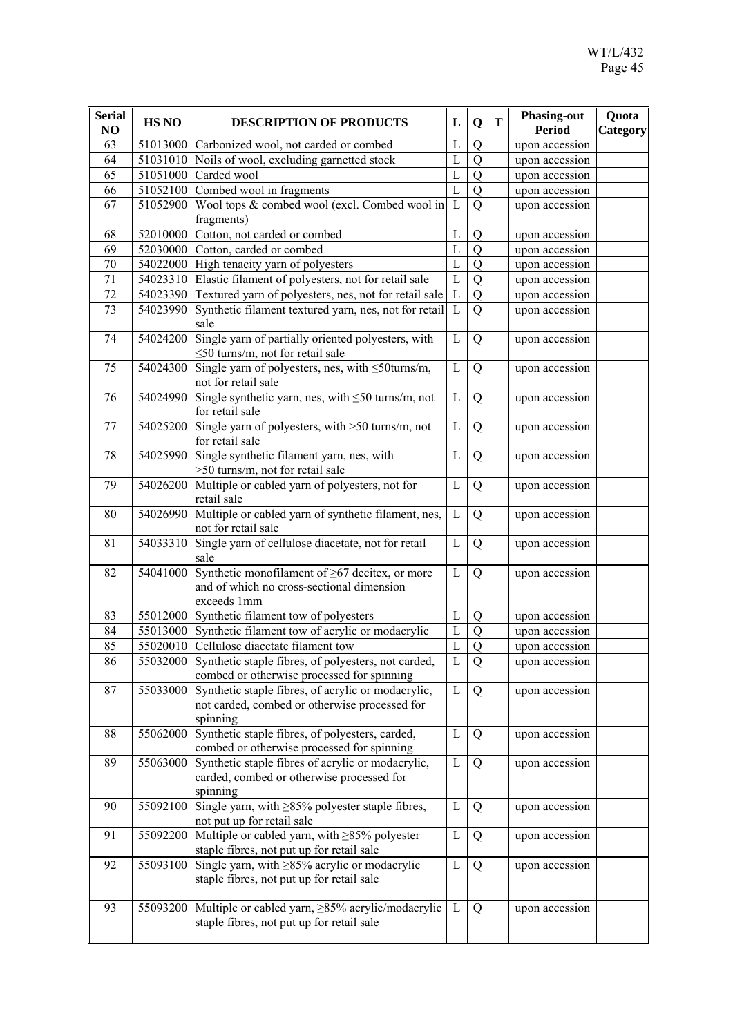| <b>Serial</b><br>NO | <b>HS NO</b> | <b>DESCRIPTION OF PRODUCTS</b>                                                                                   | L            | Q           | T | <b>Phasing-out</b><br><b>Period</b> | Quota<br>Category |
|---------------------|--------------|------------------------------------------------------------------------------------------------------------------|--------------|-------------|---|-------------------------------------|-------------------|
| 63                  |              | 51013000 Carbonized wool, not carded or combed                                                                   | L            | Q           |   | upon accession                      |                   |
| 64                  |              | 51031010 Noils of wool, excluding garnetted stock                                                                | L            | $\mathbf Q$ |   | upon accession                      |                   |
| 65                  |              | 51051000 Carded wool                                                                                             | L            | $\mathbf Q$ |   | upon accession                      |                   |
| 66                  |              | 51052100 Combed wool in fragments                                                                                | L            | $\mathbf Q$ |   | upon accession                      |                   |
| 67                  | 51052900     | Wool tops & combed wool (excl. Combed wool in<br>fragments)                                                      | L            | Q           |   | upon accession                      |                   |
| 68                  |              | 52010000 Cotton, not carded or combed                                                                            | L            | Q           |   | upon accession                      |                   |
| 69                  |              | 52030000 Cotton, carded or combed                                                                                | L            | Q           |   | upon accession                      |                   |
| 70                  |              | 54022000 High tenacity yarn of polyesters                                                                        | L            | $\mathbf Q$ |   | upon accession                      |                   |
| 71                  |              | 54023310 Elastic filament of polyesters, not for retail sale                                                     | $\mathbf L$  | Q           |   | upon accession                      |                   |
| 72                  |              | 54023390 Textured yarn of polyesters, nes, not for retail sale                                                   | $\mathbf L$  | Q           |   | upon accession                      |                   |
| 73                  |              | 54023990 Synthetic filament textured yarn, nes, not for retail<br>sale                                           | $\mathbf{L}$ | Q           |   | upon accession                      |                   |
| 74                  | 54024200     | Single yarn of partially oriented polyesters, with<br>$\leq$ 50 turns/m, not for retail sale                     | L            | Q           |   | upon accession                      |                   |
| 75                  | 54024300     | Single yarn of polyesters, nes, with ≤50turns/m,<br>not for retail sale                                          | L            | Q           |   | upon accession                      |                   |
| 76                  | 54024990     | Single synthetic yarn, nes, with $\leq 50$ turns/m, not<br>for retail sale                                       | L            | Q           |   | upon accession                      |                   |
| 77                  | 54025200     | Single yarn of polyesters, with >50 turns/m, not<br>for retail sale                                              | L            | Q           |   | upon accession                      |                   |
| 78                  | 54025990     | Single synthetic filament yarn, nes, with<br>>50 turns/m, not for retail sale                                    | L            | Q           |   | upon accession                      |                   |
| 79                  | 54026200     | Multiple or cabled yarn of polyesters, not for<br>retail sale                                                    | L            | Q           |   | upon accession                      |                   |
| 80                  | 54026990     | Multiple or cabled yarn of synthetic filament, nes,<br>not for retail sale                                       | L            | Q           |   | upon accession                      |                   |
| 81                  | 54033310     | Single yarn of cellulose diacetate, not for retail<br>sale                                                       | L            | Q           |   | upon accession                      |                   |
| 82                  | 54041000     | Synthetic monofilament of $\geq 67$ decitex, or more<br>and of which no cross-sectional dimension<br>exceeds 1mm | L            | Q           |   | upon accession                      |                   |
| 83                  |              | 55012000 Synthetic filament tow of polyesters                                                                    | L            | Q           |   | upon accession                      |                   |
| 84                  |              | 55013000 Synthetic filament tow of acrylic or modacrylic                                                         | $\mathbf{L}$ | $\mathbf Q$ |   | upon accession                      |                   |
| 85                  |              | 55020010 Cellulose diacetate filament tow                                                                        | L            | $\mathbf Q$ |   | upon accession                      |                   |
| 86                  |              | 55032000 Synthetic staple fibres, of polyesters, not carded,<br>combed or otherwise processed for spinning       | L            | Q           |   | upon accession                      |                   |
| 87                  | 55033000     | Synthetic staple fibres, of acrylic or modacrylic,<br>not carded, combed or otherwise processed for<br>spinning  | L            | Q           |   | upon accession                      |                   |
| 88                  | 55062000     | Synthetic staple fibres, of polyesters, carded,<br>combed or otherwise processed for spinning                    | L            | Q           |   | upon accession                      |                   |
| 89                  | 55063000     | Synthetic staple fibres of acrylic or modacrylic,<br>carded, combed or otherwise processed for<br>spinning       | L            | Q           |   | upon accession                      |                   |
| 90                  | 55092100     | Single yarn, with $\geq$ 85% polyester staple fibres,<br>not put up for retail sale                              | L            | Q           |   | upon accession                      |                   |
| 91                  | 55092200     | Multiple or cabled yarn, with $\geq$ 85% polyester<br>staple fibres, not put up for retail sale                  | L            | Q           |   | upon accession                      |                   |
| 92                  | 55093100     | Single yarn, with $\geq$ 85% acrylic or modacrylic<br>staple fibres, not put up for retail sale                  | L            | Q           |   | upon accession                      |                   |
| 93                  |              | 55093200 Multiple or cabled yarn, $\geq$ 85% acrylic/modacrylic<br>staple fibres, not put up for retail sale     | L            | Q           |   | upon accession                      |                   |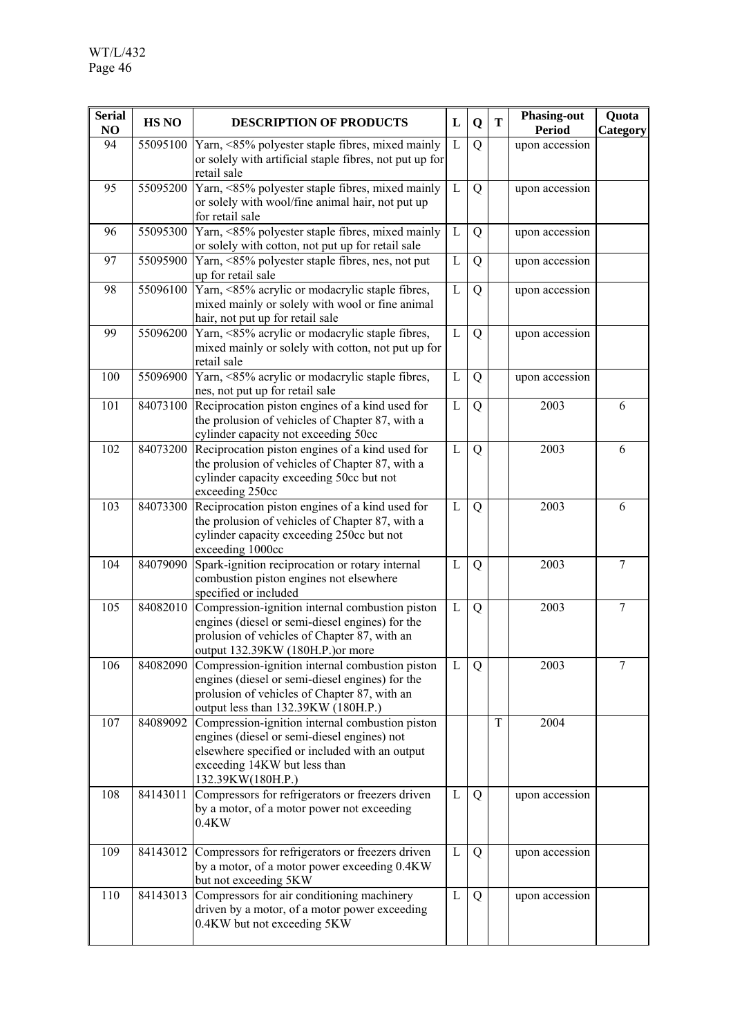| <b>Serial</b><br>NO | <b>HS NO</b> | <b>DESCRIPTION OF PRODUCTS</b>                                                                                                                                                                        | L | Q           | T | <b>Phasing-out</b><br><b>Period</b> | Quota<br>Category |
|---------------------|--------------|-------------------------------------------------------------------------------------------------------------------------------------------------------------------------------------------------------|---|-------------|---|-------------------------------------|-------------------|
| 94                  | 55095100     | Yarn, <85% polyester staple fibres, mixed mainly<br>or solely with artificial staple fibres, not put up for<br>retail sale                                                                            | L | $\mathbf Q$ |   | upon accession                      |                   |
| 95                  | 55095200     | Yarn, <85% polyester staple fibres, mixed mainly<br>or solely with wool/fine animal hair, not put up<br>for retail sale                                                                               | L | Q           |   | upon accession                      |                   |
| 96                  | 55095300     | Yarn, <85% polyester staple fibres, mixed mainly<br>or solely with cotton, not put up for retail sale                                                                                                 | L | Q           |   | upon accession                      |                   |
| 97                  | 55095900     | Yarn, <85% polyester staple fibres, nes, not put<br>up for retail sale                                                                                                                                | L | Q           |   | upon accession                      |                   |
| 98                  | 55096100     | Yarn, <85% acrylic or modacrylic staple fibres,<br>mixed mainly or solely with wool or fine animal<br>hair, not put up for retail sale                                                                | L | Q           |   | upon accession                      |                   |
| 99                  | 55096200     | Yarn, <85% acrylic or modacrylic staple fibres,<br>mixed mainly or solely with cotton, not put up for<br>retail sale                                                                                  | L | Q           |   | upon accession                      |                   |
| 100                 | 55096900     | Yarn, <85% acrylic or modacrylic staple fibres,<br>nes, not put up for retail sale                                                                                                                    | L | Q           |   | upon accession                      |                   |
| 101                 | 84073100     | Reciprocation piston engines of a kind used for<br>the prolusion of vehicles of Chapter 87, with a<br>cylinder capacity not exceeding 50cc                                                            | L | Q           |   | 2003                                | 6                 |
| 102                 | 84073200     | Reciprocation piston engines of a kind used for<br>the prolusion of vehicles of Chapter 87, with a<br>cylinder capacity exceeding 50cc but not<br>exceeding 250cc                                     | L | Q           |   | 2003                                | 6                 |
| 103                 | 84073300     | Reciprocation piston engines of a kind used for<br>the prolusion of vehicles of Chapter 87, with a<br>cylinder capacity exceeding 250cc but not<br>exceeding 1000cc                                   | L | Q           |   | 2003                                | 6                 |
| 104                 | 84079090     | Spark-ignition reciprocation or rotary internal<br>combustion piston engines not elsewhere<br>specified or included                                                                                   | L | Q           |   | 2003                                | 7                 |
| 105                 | 84082010     | Compression-ignition internal combustion piston<br>engines (diesel or semi-diesel engines) for the<br>prolusion of vehicles of Chapter 87, with an<br>output 132.39KW (180H.P.)or more                | L | Q           |   | 2003                                | $\overline{7}$    |
| 106                 |              | 84082090 Compression-ignition internal combustion piston<br>engines (diesel or semi-diesel engines) for the<br>prolusion of vehicles of Chapter 87, with an<br>output less than 132.39KW (180H.P.)    | L | Q           |   | 2003                                | 7                 |
| 107                 | 84089092     | Compression-ignition internal combustion piston<br>engines (diesel or semi-diesel engines) not<br>elsewhere specified or included with an output<br>exceeding 14KW but less than<br>132.39KW(180H.P.) |   |             | T | 2004                                |                   |
| 108                 | 84143011     | Compressors for refrigerators or freezers driven<br>by a motor, of a motor power not exceeding<br>0.4KW                                                                                               | L | Q           |   | upon accession                      |                   |
| 109                 |              | 84143012 Compressors for refrigerators or freezers driven<br>by a motor, of a motor power exceeding 0.4KW<br>but not exceeding 5KW                                                                    | L | Q           |   | upon accession                      |                   |
| 110                 | 84143013     | Compressors for air conditioning machinery<br>driven by a motor, of a motor power exceeding<br>0.4KW but not exceeding 5KW                                                                            | L | Q           |   | upon accession                      |                   |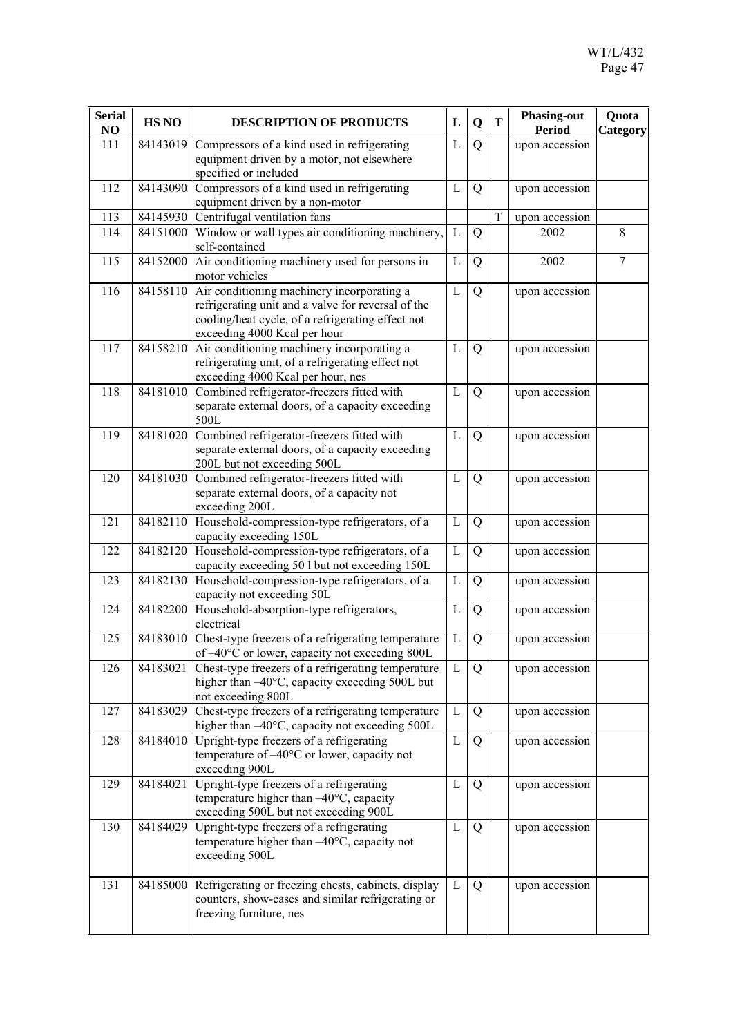| <b>Serial</b><br>NO | <b>HS NO</b> | <b>DESCRIPTION OF PRODUCTS</b>                                                                                                                | L | Q | T | <b>Phasing-out</b><br><b>Period</b> | Quota<br>Category |
|---------------------|--------------|-----------------------------------------------------------------------------------------------------------------------------------------------|---|---|---|-------------------------------------|-------------------|
| 111                 | 84143019     | Compressors of a kind used in refrigerating<br>equipment driven by a motor, not elsewhere<br>specified or included                            | L | Q |   | upon accession                      |                   |
| 112                 | 84143090     | Compressors of a kind used in refrigerating<br>equipment driven by a non-motor                                                                | L | Q |   | upon accession                      |                   |
| 113                 |              | 84145930 Centrifugal ventilation fans                                                                                                         |   |   | T | upon accession                      |                   |
| 114                 | 84151000     | Window or wall types air conditioning machinery,                                                                                              | L | Q |   | 2002                                | 8                 |
| 115                 | 84152000     | self-contained<br>Air conditioning machinery used for persons in                                                                              | L | Q |   | 2002                                | $\overline{7}$    |
| 116                 | 84158110     | motor vehicles<br>Air conditioning machinery incorporating a                                                                                  | L | Q |   | upon accession                      |                   |
|                     |              | refrigerating unit and a valve for reversal of the<br>cooling/heat cycle, of a refrigerating effect not<br>exceeding 4000 Kcal per hour       |   |   |   |                                     |                   |
| 117                 |              | 84158210 Air conditioning machinery incorporating a<br>refrigerating unit, of a refrigerating effect not<br>exceeding 4000 Kcal per hour, nes | L | Q |   | upon accession                      |                   |
| 118                 | 84181010     | Combined refrigerator-freezers fitted with<br>separate external doors, of a capacity exceeding<br>500L                                        | L | Q |   | upon accession                      |                   |
| 119                 | 84181020     | Combined refrigerator-freezers fitted with<br>separate external doors, of a capacity exceeding<br>200L but not exceeding 500L                 | L | Q |   | upon accession                      |                   |
| 120                 |              | 84181030 Combined refrigerator-freezers fitted with<br>separate external doors, of a capacity not<br>exceeding 200L                           | L | Q |   | upon accession                      |                   |
| 121                 | 84182110     | Household-compression-type refrigerators, of a<br>capacity exceeding 150L                                                                     | L | Q |   | upon accession                      |                   |
| 122                 | 84182120     | Household-compression-type refrigerators, of a<br>capacity exceeding 50 l but not exceeding 150L                                              | L | Q |   | upon accession                      |                   |
| 123                 | 84182130     | Household-compression-type refrigerators, of a<br>capacity not exceeding 50L                                                                  | L | Q |   | upon accession                      |                   |
| 124                 | 84182200     | Household-absorption-type refrigerators,<br>electrical                                                                                        | L | Q |   | upon accession                      |                   |
| 125                 | 84183010     | Chest-type freezers of a refrigerating temperature<br>of -40°C or lower, capacity not exceeding 800L                                          | L | Q |   | upon accession                      |                   |
| 126                 |              | 84183021 Chest-type freezers of a refrigerating temperature<br>higher than -40°C, capacity exceeding 500L but<br>not exceeding 800L           | L | Q |   | upon accession                      |                   |
| 127                 |              | 84183029 Chest-type freezers of a refrigerating temperature<br>higher than -40°C, capacity not exceeding 500L                                 | L | Q |   | upon accession                      |                   |
| 128                 |              | 84184010 Upright-type freezers of a refrigerating<br>temperature of -40°C or lower, capacity not<br>exceeding 900L                            | L | Q |   | upon accession                      |                   |
| 129                 |              | 84184021 Upright-type freezers of a refrigerating<br>temperature higher than -40°C, capacity<br>exceeding 500L but not exceeding 900L         | L | Q |   | upon accession                      |                   |
| 130                 |              | 84184029 Upright-type freezers of a refrigerating<br>temperature higher than -40°C, capacity not<br>exceeding 500L                            | L | Q |   | upon accession                      |                   |
| 131                 |              | 84185000 Refrigerating or freezing chests, cabinets, display<br>counters, show-cases and similar refrigerating or<br>freezing furniture, nes  | L | Q |   | upon accession                      |                   |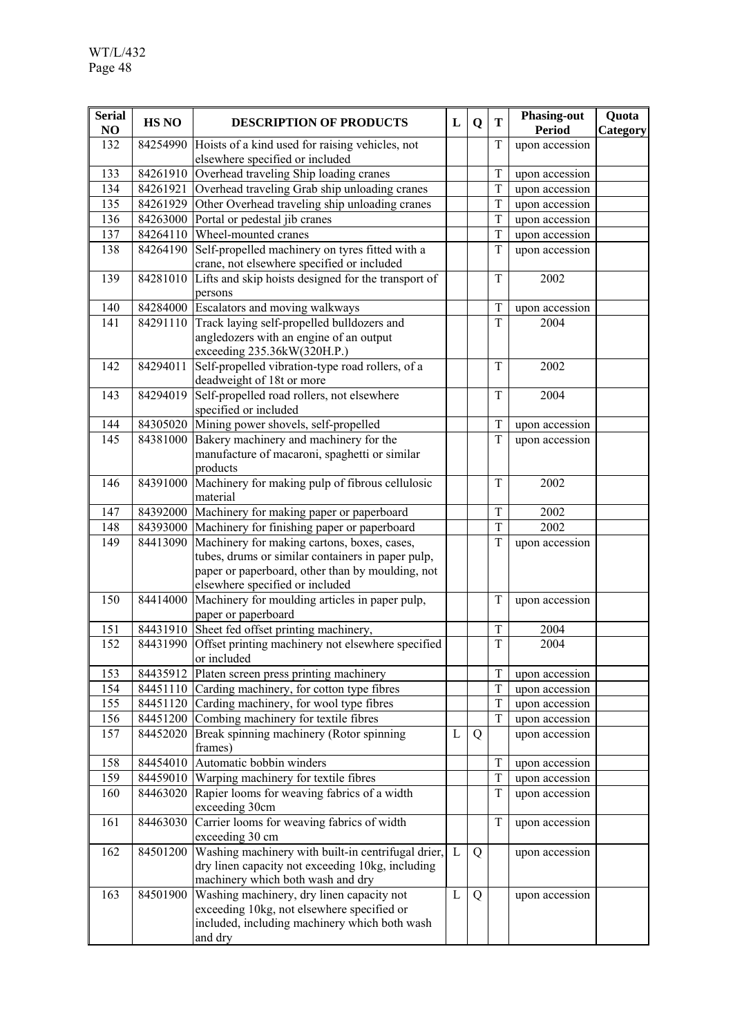| <b>Serial</b><br>NO | <b>HS NO</b> | <b>DESCRIPTION OF PRODUCTS</b>                                                                                                                                                          | L | $\mathbf Q$ | T              | <b>Phasing-out</b><br><b>Period</b> | Quota<br>Category |
|---------------------|--------------|-----------------------------------------------------------------------------------------------------------------------------------------------------------------------------------------|---|-------------|----------------|-------------------------------------|-------------------|
| 132                 | 84254990     | Hoists of a kind used for raising vehicles, not<br>elsewhere specified or included                                                                                                      |   |             | T              | upon accession                      |                   |
| 133                 | 84261910     | Overhead traveling Ship loading cranes                                                                                                                                                  |   |             | T              | upon accession                      |                   |
| 134                 | 84261921     | Overhead traveling Grab ship unloading cranes                                                                                                                                           |   |             | T              | upon accession                      |                   |
| 135                 | 84261929     | Other Overhead traveling ship unloading cranes                                                                                                                                          |   |             | T              | upon accession                      |                   |
| 136                 | 84263000     | Portal or pedestal jib cranes                                                                                                                                                           |   |             | $\mathbf T$    | upon accession                      |                   |
| 137                 |              | 84264110 Wheel-mounted cranes                                                                                                                                                           |   |             | T              | upon accession                      |                   |
| 138                 | 84264190     | Self-propelled machinery on tyres fitted with a<br>crane, not elsewhere specified or included                                                                                           |   |             | T              | upon accession                      |                   |
| 139                 | 84281010     | Lifts and skip hoists designed for the transport of<br>persons                                                                                                                          |   |             | T              | 2002                                |                   |
| 140                 |              | 84284000 Escalators and moving walkways                                                                                                                                                 |   |             | T              | upon accession                      |                   |
| 141                 | 84291110     | Track laying self-propelled bulldozers and<br>angledozers with an engine of an output<br>exceeding 235.36kW(320H.P.)                                                                    |   |             | T              | 2004                                |                   |
| 142                 | 84294011     | Self-propelled vibration-type road rollers, of a<br>deadweight of 18t or more                                                                                                           |   |             | T              | 2002                                |                   |
| 143                 | 84294019     | Self-propelled road rollers, not elsewhere<br>specified or included                                                                                                                     |   |             | T              | 2004                                |                   |
| 144                 | 84305020     | Mining power shovels, self-propelled                                                                                                                                                    |   |             | T              | upon accession                      |                   |
| 145                 | 84381000     | Bakery machinery and machinery for the                                                                                                                                                  |   |             | T              | upon accession                      |                   |
|                     |              | manufacture of macaroni, spaghetti or similar<br>products                                                                                                                               |   |             |                |                                     |                   |
| 146                 | 84391000     | Machinery for making pulp of fibrous cellulosic<br>material                                                                                                                             |   |             | T              | 2002                                |                   |
| 147                 | 84392000     | Machinery for making paper or paperboard                                                                                                                                                |   |             | $\mathbf T$    | 2002                                |                   |
| 148                 |              | 84393000 Machinery for finishing paper or paperboard                                                                                                                                    |   |             | $\overline{T}$ | 2002                                |                   |
| 149                 | 84413090     | Machinery for making cartons, boxes, cases,<br>tubes, drums or similar containers in paper pulp,<br>paper or paperboard, other than by moulding, not<br>elsewhere specified or included |   |             | T              | upon accession                      |                   |
| 150                 | 84414000     | Machinery for moulding articles in paper pulp,<br>paper or paperboard                                                                                                                   |   |             | T              | upon accession                      |                   |
| 151                 | 84431910     | Sheet fed offset printing machinery,                                                                                                                                                    |   |             | T              | 2004                                |                   |
| 152                 | 84431990     | Offset printing machinery not elsewhere specified<br>or included                                                                                                                        |   |             | T              | 2004                                |                   |
| 153                 | 84435912     | Platen screen press printing machinery                                                                                                                                                  |   |             | T              | upon accession                      |                   |
| 154                 | 84451110     | Carding machinery, for cotton type fibres                                                                                                                                               |   |             | T              | upon accession                      |                   |
| 155                 | 84451120     | Carding machinery, for wool type fibres                                                                                                                                                 |   |             | $\mathbf T$    | upon accession                      |                   |
| 156                 | 84451200     | Combing machinery for textile fibres                                                                                                                                                    |   |             | T              | upon accession                      |                   |
| 157                 | 84452020     | Break spinning machinery (Rotor spinning)<br>frames)                                                                                                                                    | L | Q           |                | upon accession                      |                   |
| 158                 | 84454010     | Automatic bobbin winders                                                                                                                                                                |   |             | T              | upon accession                      |                   |
| 159                 | 84459010     | Warping machinery for textile fibres                                                                                                                                                    |   |             | T              | upon accession                      |                   |
| 160                 | 84463020     | Rapier looms for weaving fabrics of a width<br>exceeding 30cm                                                                                                                           |   |             | T              | upon accession                      |                   |
| 161                 | 84463030     | Carrier looms for weaving fabrics of width<br>exceeding 30 cm                                                                                                                           |   |             | T              | upon accession                      |                   |
| 162                 | 84501200     | Washing machinery with built-in centrifugal drier,<br>dry linen capacity not exceeding 10kg, including<br>machinery which both wash and dry                                             | L | Q           |                | upon accession                      |                   |
| 163                 | 84501900     | Washing machinery, dry linen capacity not<br>exceeding 10kg, not elsewhere specified or<br>included, including machinery which both wash<br>and dry                                     | L | Q           |                | upon accession                      |                   |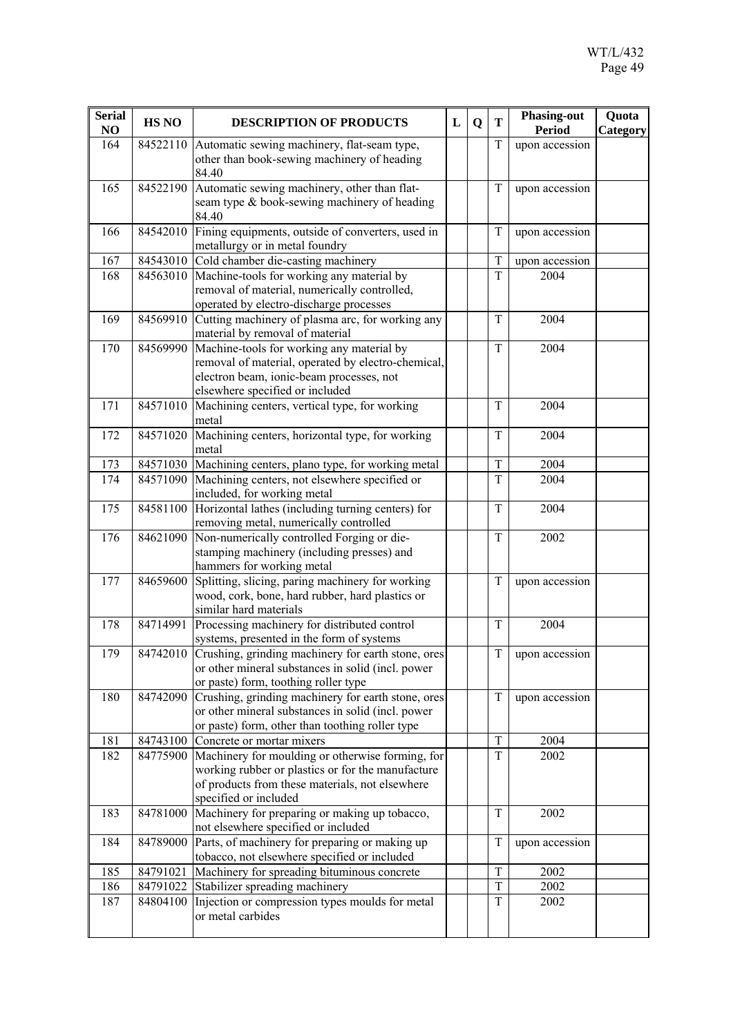| <b>Serial</b><br>NO | HS NO    | <b>DESCRIPTION OF PRODUCTS</b>                                                                                                                                                             | L | Q | T              | <b>Phasing-out</b><br><b>Period</b> | Quota<br>Category |
|---------------------|----------|--------------------------------------------------------------------------------------------------------------------------------------------------------------------------------------------|---|---|----------------|-------------------------------------|-------------------|
| 164                 | 84522110 | Automatic sewing machinery, flat-seam type,<br>other than book-sewing machinery of heading<br>84.40                                                                                        |   |   | T              | upon accession                      |                   |
| 165                 |          | 84522190 Automatic sewing machinery, other than flat-<br>seam type & book-sewing machinery of heading<br>84.40                                                                             |   |   | $\mathbf T$    | upon accession                      |                   |
| 166                 |          | 84542010 Fining equipments, outside of converters, used in<br>metallurgy or in metal foundry                                                                                               |   |   | T              | upon accession                      |                   |
| 167                 |          | 84543010 Cold chamber die-casting machinery                                                                                                                                                |   |   | $\mathbf T$    | upon accession                      |                   |
| 168                 |          | 84563010 Machine-tools for working any material by<br>removal of material, numerically controlled,<br>operated by electro-discharge processes                                              |   |   | T              | 2004                                |                   |
| 169                 | 84569910 | Cutting machinery of plasma arc, for working any<br>material by removal of material                                                                                                        |   |   | T              | 2004                                |                   |
| 170                 | 84569990 | Machine-tools for working any material by<br>removal of material, operated by electro-chemical,<br>electron beam, ionic-beam processes, not<br>elsewhere specified or included             |   |   | T              | 2004                                |                   |
| 171                 | 84571010 | Machining centers, vertical type, for working<br>metal                                                                                                                                     |   |   | $\mathbf T$    | 2004                                |                   |
| 172                 | 84571020 | Machining centers, horizontal type, for working<br>metal                                                                                                                                   |   |   | T              | 2004                                |                   |
| 173                 |          | 84571030 Machining centers, plano type, for working metal                                                                                                                                  |   |   | $\mathbf T$    | 2004                                |                   |
| $\overline{174}$    |          | 84571090 Machining centers, not elsewhere specified or<br>included, for working metal                                                                                                      |   |   | T              | 2004                                |                   |
| 175                 |          | 84581100 Horizontal lathes (including turning centers) for<br>removing metal, numerically controlled                                                                                       |   |   | T              | 2004                                |                   |
| 176                 | 84621090 | Non-numerically controlled Forging or die-<br>stamping machinery (including presses) and<br>hammers for working metal                                                                      |   |   | T              | 2002                                |                   |
| 177                 | 84659600 | Splitting, slicing, paring machinery for working<br>wood, cork, bone, hard rubber, hard plastics or<br>similar hard materials                                                              |   |   | T              | upon accession                      |                   |
| 178                 | 84714991 | Processing machinery for distributed control<br>systems, presented in the form of systems                                                                                                  |   |   | T              | 2004                                |                   |
| 179                 |          | 84742010 Crushing, grinding machinery for earth stone, ores<br>or other mineral substances in solid (incl. power<br>or paste) form, toothing roller type                                   |   |   | $\mathbf T$    | upon accession                      |                   |
| 180                 | 84742090 | Crushing, grinding machinery for earth stone, ores<br>or other mineral substances in solid (incl. power<br>or paste) form, other than toothing roller type                                 |   |   | T              | upon accession                      |                   |
| 181                 |          | 84743100 Concrete or mortar mixers                                                                                                                                                         |   |   | $\rm T$        | 2004                                |                   |
| 182                 |          | 84775900 Machinery for moulding or otherwise forming, for<br>working rubber or plastics or for the manufacture<br>of products from these materials, not elsewhere<br>specified or included |   |   | $\overline{T}$ | 2002                                |                   |
| 183                 | 84781000 | Machinery for preparing or making up tobacco,<br>not elsewhere specified or included                                                                                                       |   |   | T              | 2002                                |                   |
| 184                 | 84789000 | Parts, of machinery for preparing or making up<br>tobacco, not elsewhere specified or included                                                                                             |   |   | T              | upon accession                      |                   |
| 185                 | 84791021 | Machinery for spreading bituminous concrete                                                                                                                                                |   |   | T              | 2002                                |                   |
| 186                 | 84791022 | Stabilizer spreading machinery                                                                                                                                                             |   |   | T              | 2002                                |                   |
| 187                 | 84804100 | Injection or compression types moulds for metal<br>or metal carbides                                                                                                                       |   |   | T              | 2002                                |                   |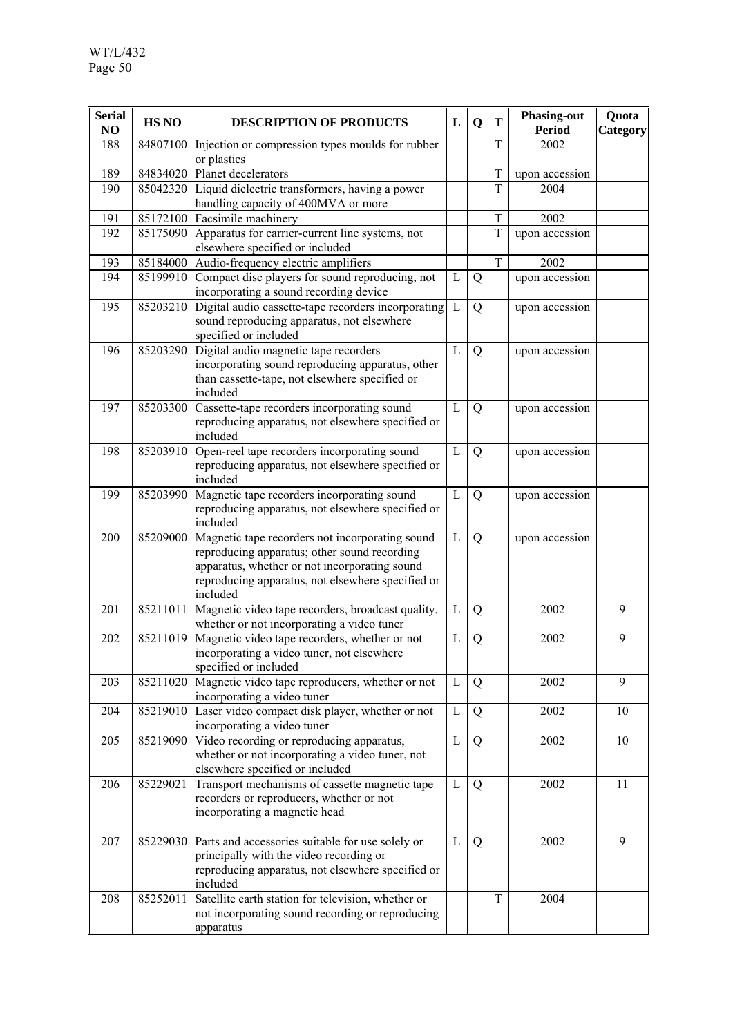| <b>Serial</b><br>NO | HS <sub>NO</sub> | <b>DESCRIPTION OF PRODUCTS</b>                                                                  | L | $\mathbf Q$ | T | <b>Phasing-out</b><br><b>Period</b> | Quota<br>Category |
|---------------------|------------------|-------------------------------------------------------------------------------------------------|---|-------------|---|-------------------------------------|-------------------|
| 188                 | 84807100         | Injection or compression types moulds for rubber<br>or plastics                                 |   |             | T | 2002                                |                   |
| 189                 | 84834020         | Planet decelerators                                                                             |   |             | T | upon accession                      |                   |
| 190                 | 85042320         | Liquid dielectric transformers, having a power<br>handling capacity of 400MVA or more           |   |             | T | 2004                                |                   |
| 191                 | 85172100         | Facsimile machinery                                                                             |   |             | T | 2002                                |                   |
| 192                 | 85175090         | Apparatus for carrier-current line systems, not                                                 |   |             | T | upon accession                      |                   |
|                     |                  | elsewhere specified or included                                                                 |   |             |   |                                     |                   |
| 193                 | 85184000         | Audio-frequency electric amplifiers                                                             |   |             | T | 2002                                |                   |
| 194                 | 85199910         | Compact disc players for sound reproducing, not<br>incorporating a sound recording device       | L | Q           |   | upon accession                      |                   |
| 195                 | 85203210         | Digital audio cassette-tape recorders incorporating                                             | L | Q           |   | upon accession                      |                   |
|                     |                  | sound reproducing apparatus, not elsewhere<br>specified or included                             |   |             |   |                                     |                   |
| 196                 | 85203290         | Digital audio magnetic tape recorders                                                           | L | Q           |   | upon accession                      |                   |
|                     |                  | incorporating sound reproducing apparatus, other                                                |   |             |   |                                     |                   |
|                     |                  | than cassette-tape, not elsewhere specified or<br>included                                      |   |             |   |                                     |                   |
| 197                 | 85203300         | Cassette-tape recorders incorporating sound                                                     | L | Q           |   |                                     |                   |
|                     |                  | reproducing apparatus, not elsewhere specified or                                               |   |             |   | upon accession                      |                   |
|                     |                  | included                                                                                        |   |             |   |                                     |                   |
| 198                 | 85203910         | Open-reel tape recorders incorporating sound                                                    | L | $\mathbf Q$ |   | upon accession                      |                   |
|                     |                  | reproducing apparatus, not elsewhere specified or                                               |   |             |   |                                     |                   |
|                     |                  | included                                                                                        |   |             |   |                                     |                   |
| 199                 | 85203990         | Magnetic tape recorders incorporating sound                                                     | L | Q           |   | upon accession                      |                   |
|                     |                  | reproducing apparatus, not elsewhere specified or<br>included                                   |   |             |   |                                     |                   |
| 200                 | 85209000         | Magnetic tape recorders not incorporating sound                                                 | L | Q           |   | upon accession                      |                   |
|                     |                  | reproducing apparatus; other sound recording                                                    |   |             |   |                                     |                   |
|                     |                  | apparatus, whether or not incorporating sound                                                   |   |             |   |                                     |                   |
|                     |                  | reproducing apparatus, not elsewhere specified or                                               |   |             |   |                                     |                   |
|                     |                  | included                                                                                        |   |             |   |                                     |                   |
| 201                 | 85211011         | Magnetic video tape recorders, broadcast quality,<br>whether or not incorporating a video tuner | L | Q           |   | 2002                                | 9                 |
| 202                 | 85211019         | Magnetic video tape recorders, whether or not                                                   | L | Q           |   | 2002                                | 9                 |
|                     |                  | incorporating a video tuner, not elsewhere                                                      |   |             |   |                                     |                   |
|                     |                  | specified or included                                                                           |   |             |   |                                     |                   |
| 203                 | 85211020         | Magnetic video tape reproducers, whether or not                                                 | L | Q           |   | 2002                                | 9                 |
| 204                 | 85219010         | incorporating a video tuner<br>Laser video compact disk player, whether or not                  | L | Q           |   | 2002                                | 10                |
|                     |                  | incorporating a video tuner                                                                     |   |             |   |                                     |                   |
| 205                 | 85219090         | Video recording or reproducing apparatus,                                                       | L | Q           |   | 2002                                | 10                |
|                     |                  | whether or not incorporating a video tuner, not                                                 |   |             |   |                                     |                   |
|                     |                  | elsewhere specified or included                                                                 |   |             |   |                                     |                   |
| 206                 | 85229021         | Transport mechanisms of cassette magnetic tape                                                  | L | Q           |   | 2002                                | 11                |
|                     |                  | recorders or reproducers, whether or not<br>incorporating a magnetic head                       |   |             |   |                                     |                   |
|                     |                  |                                                                                                 |   |             |   |                                     |                   |
| 207                 |                  | 85229030 Parts and accessories suitable for use solely or                                       | L | Q           |   | 2002                                | 9                 |
|                     |                  | principally with the video recording or                                                         |   |             |   |                                     |                   |
|                     |                  | reproducing apparatus, not elsewhere specified or                                               |   |             |   |                                     |                   |
|                     |                  | included                                                                                        |   |             |   |                                     |                   |
| 208                 | 85252011         | Satellite earth station for television, whether or                                              |   |             | T | 2004                                |                   |
|                     |                  | not incorporating sound recording or reproducing                                                |   |             |   |                                     |                   |
|                     |                  | apparatus                                                                                       |   |             |   |                                     |                   |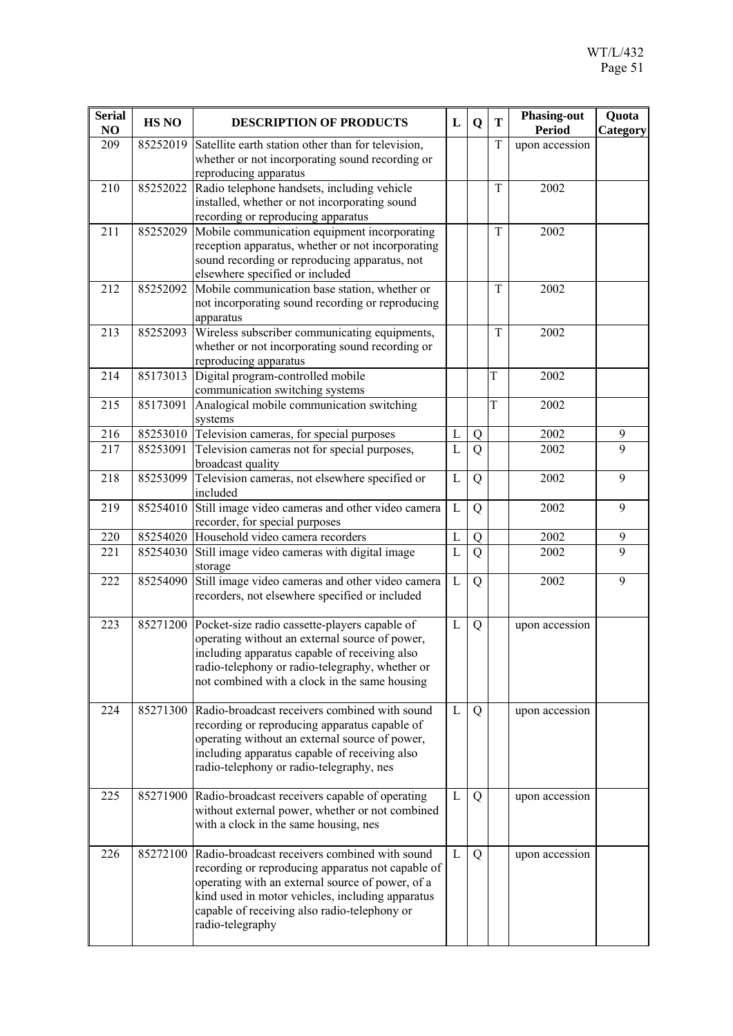| <b>Serial</b><br>NO | HS <sub>NO</sub> | <b>DESCRIPTION OF PRODUCTS</b>                          | L           | Q | T           | <b>Phasing-out</b><br><b>Period</b> | Quota<br>Category |
|---------------------|------------------|---------------------------------------------------------|-------------|---|-------------|-------------------------------------|-------------------|
| 209                 | 85252019         | Satellite earth station other than for television,      |             |   | T           | upon accession                      |                   |
|                     |                  | whether or not incorporating sound recording or         |             |   |             |                                     |                   |
|                     |                  | reproducing apparatus                                   |             |   |             |                                     |                   |
| 210                 | 85252022         | Radio telephone handsets, including vehicle             |             |   | T           | 2002                                |                   |
|                     |                  | installed, whether or not incorporating sound           |             |   |             |                                     |                   |
|                     |                  | recording or reproducing apparatus                      |             |   |             |                                     |                   |
| 211                 | 85252029         | Mobile communication equipment incorporating            |             |   | $\mathbf T$ | 2002                                |                   |
|                     |                  | reception apparatus, whether or not incorporating       |             |   |             |                                     |                   |
|                     |                  | sound recording or reproducing apparatus, not           |             |   |             |                                     |                   |
|                     |                  | elsewhere specified or included                         |             |   |             |                                     |                   |
| 212                 | 85252092         | Mobile communication base station, whether or           |             |   | T           | 2002                                |                   |
|                     |                  | not incorporating sound recording or reproducing        |             |   |             |                                     |                   |
|                     |                  | apparatus                                               |             |   |             |                                     |                   |
| 213                 | 85252093         | Wireless subscriber communicating equipments,           |             |   | T           | 2002                                |                   |
|                     |                  | whether or not incorporating sound recording or         |             |   |             |                                     |                   |
|                     |                  | reproducing apparatus                                   |             |   |             |                                     |                   |
| 214                 | 85173013         | Digital program-controlled mobile                       |             |   | T           | 2002                                |                   |
|                     |                  | communication switching systems                         |             |   |             |                                     |                   |
| 215                 | 85173091         | Analogical mobile communication switching<br>systems    |             |   | T           | 2002                                |                   |
| 216                 | 85253010         | Television cameras, for special purposes                | L           | Q |             | 2002                                | 9                 |
| 217                 | 85253091         | Television cameras not for special purposes,            | L           | Q |             | 2002                                | 9                 |
|                     |                  | broadcast quality                                       |             |   |             |                                     |                   |
| 218                 | 85253099         | Television cameras, not elsewhere specified or          | L           | Q |             | 2002                                | 9                 |
|                     |                  | included                                                |             |   |             |                                     |                   |
| 219                 | 85254010         | Still image video cameras and other video camera        | L           | Q |             | 2002                                | 9                 |
|                     |                  | recorder, for special purposes                          |             |   |             |                                     |                   |
| 220                 | 85254020         | Household video camera recorders                        | $\mathbf L$ | Q |             | 2002                                | 9                 |
| 221                 | 85254030         | Still image video cameras with digital image            | L           | Q |             | 2002                                | $\overline{9}$    |
|                     |                  | storage                                                 |             |   |             |                                     |                   |
| 222                 | 85254090         | Still image video cameras and other video camera        | L           | Q |             | 2002                                | 9                 |
|                     |                  | recorders, not elsewhere specified or included          |             |   |             |                                     |                   |
|                     |                  |                                                         |             |   |             |                                     |                   |
| 223                 | 85271200         | Pocket-size radio cassette-players capable of           | L           | Q |             | upon accession                      |                   |
|                     |                  | operating without an external source of power,          |             |   |             |                                     |                   |
|                     |                  | including apparatus capable of receiving also           |             |   |             |                                     |                   |
|                     |                  | radio-telephony or radio-telegraphy, whether or         |             |   |             |                                     |                   |
|                     |                  | not combined with a clock in the same housing           |             |   |             |                                     |                   |
|                     |                  |                                                         |             |   |             |                                     |                   |
| 224                 | 85271300         | Radio-broadcast receivers combined with sound           | L           | Q |             | upon accession                      |                   |
|                     |                  | recording or reproducing apparatus capable of           |             |   |             |                                     |                   |
|                     |                  | operating without an external source of power,          |             |   |             |                                     |                   |
|                     |                  | including apparatus capable of receiving also           |             |   |             |                                     |                   |
|                     |                  | radio-telephony or radio-telegraphy, nes                |             |   |             |                                     |                   |
|                     |                  |                                                         |             |   |             |                                     |                   |
| 225                 |                  | 85271900 Radio-broadcast receivers capable of operating | L           | Q |             | upon accession                      |                   |
|                     |                  | without external power, whether or not combined         |             |   |             |                                     |                   |
|                     |                  | with a clock in the same housing, nes                   |             |   |             |                                     |                   |
| 226                 | 85272100         | Radio-broadcast receivers combined with sound           | L           | Q |             | upon accession                      |                   |
|                     |                  | recording or reproducing apparatus not capable of       |             |   |             |                                     |                   |
|                     |                  | operating with an external source of power, of a        |             |   |             |                                     |                   |
|                     |                  | kind used in motor vehicles, including apparatus        |             |   |             |                                     |                   |
|                     |                  | capable of receiving also radio-telephony or            |             |   |             |                                     |                   |
|                     |                  | radio-telegraphy                                        |             |   |             |                                     |                   |
|                     |                  |                                                         |             |   |             |                                     |                   |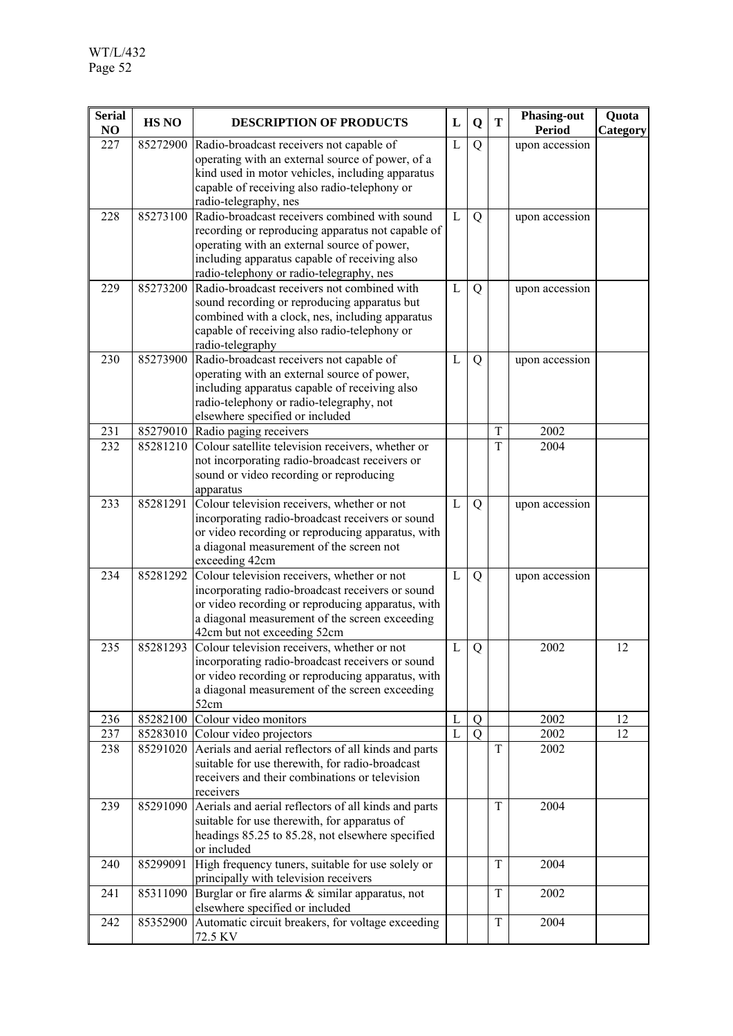| <b>Serial</b><br>NO | <b>HS NO</b> | <b>DESCRIPTION OF PRODUCTS</b>                                                                      | L              | Q              | T | <b>Phasing-out</b><br><b>Period</b> | Quota<br>Category |
|---------------------|--------------|-----------------------------------------------------------------------------------------------------|----------------|----------------|---|-------------------------------------|-------------------|
| 227                 | 85272900     | Radio-broadcast receivers not capable of                                                            | L              | Q              |   | upon accession                      |                   |
|                     |              | operating with an external source of power, of a                                                    |                |                |   |                                     |                   |
|                     |              | kind used in motor vehicles, including apparatus                                                    |                |                |   |                                     |                   |
|                     |              | capable of receiving also radio-telephony or                                                        |                |                |   |                                     |                   |
|                     |              | radio-telegraphy, nes                                                                               |                |                |   |                                     |                   |
| 228                 | 85273100     | Radio-broadcast receivers combined with sound                                                       | L              | Q              |   | upon accession                      |                   |
|                     |              | recording or reproducing apparatus not capable of<br>operating with an external source of power,    |                |                |   |                                     |                   |
|                     |              | including apparatus capable of receiving also                                                       |                |                |   |                                     |                   |
|                     |              | radio-telephony or radio-telegraphy, nes                                                            |                |                |   |                                     |                   |
| 229                 | 85273200     | Radio-broadcast receivers not combined with                                                         | L              | Q              |   | upon accession                      |                   |
|                     |              | sound recording or reproducing apparatus but                                                        |                |                |   |                                     |                   |
|                     |              | combined with a clock, nes, including apparatus                                                     |                |                |   |                                     |                   |
|                     |              | capable of receiving also radio-telephony or                                                        |                |                |   |                                     |                   |
|                     |              | radio-telegraphy                                                                                    |                |                |   |                                     |                   |
| 230                 | 85273900     | Radio-broadcast receivers not capable of                                                            | L              | Q              |   | upon accession                      |                   |
|                     |              | operating with an external source of power,                                                         |                |                |   |                                     |                   |
|                     |              | including apparatus capable of receiving also                                                       |                |                |   |                                     |                   |
|                     |              | radio-telephony or radio-telegraphy, not                                                            |                |                |   |                                     |                   |
| 231                 | 85279010     | elsewhere specified or included<br>Radio paging receivers                                           |                |                | T | 2002                                |                   |
| 232                 | 85281210     | Colour satellite television receivers, whether or                                                   |                |                | T | 2004                                |                   |
|                     |              | not incorporating radio-broadcast receivers or                                                      |                |                |   |                                     |                   |
|                     |              | sound or video recording or reproducing                                                             |                |                |   |                                     |                   |
|                     |              | apparatus                                                                                           |                |                |   |                                     |                   |
| 233                 | 85281291     | Colour television receivers, whether or not                                                         | L              | Q              |   | upon accession                      |                   |
|                     |              | incorporating radio-broadcast receivers or sound                                                    |                |                |   |                                     |                   |
|                     |              | or video recording or reproducing apparatus, with                                                   |                |                |   |                                     |                   |
|                     |              | a diagonal measurement of the screen not                                                            |                |                |   |                                     |                   |
|                     |              | exceeding 42cm                                                                                      |                |                |   |                                     |                   |
| 234                 | 85281292     | Colour television receivers, whether or not                                                         | L              | Q              |   | upon accession                      |                   |
|                     |              | incorporating radio-broadcast receivers or sound                                                    |                |                |   |                                     |                   |
|                     |              | or video recording or reproducing apparatus, with<br>a diagonal measurement of the screen exceeding |                |                |   |                                     |                   |
|                     |              | 42cm but not exceeding 52cm                                                                         |                |                |   |                                     |                   |
| 235                 | 85281293     | Colour television receivers, whether or not                                                         | L              | Q              |   | 2002                                | 12                |
|                     |              | incorporating radio-broadcast receivers or sound                                                    |                |                |   |                                     |                   |
|                     |              | or video recording or reproducing apparatus, with                                                   |                |                |   |                                     |                   |
|                     |              | a diagonal measurement of the screen exceeding                                                      |                |                |   |                                     |                   |
|                     |              | 52cm                                                                                                |                |                |   |                                     |                   |
| 236                 | 85282100     | Colour video monitors                                                                               | L              | Q              |   | 2002                                | 12                |
| 237                 |              | 85283010 Colour video projectors                                                                    | $\overline{L}$ | $\overline{Q}$ |   | 2002                                | 12                |
| 238                 | 85291020     | Aerials and aerial reflectors of all kinds and parts                                                |                |                | T | 2002                                |                   |
|                     |              | suitable for use therewith, for radio-broadcast                                                     |                |                |   |                                     |                   |
|                     |              | receivers and their combinations or television                                                      |                |                |   |                                     |                   |
| 239                 | 85291090     | receivers<br>Aerials and aerial reflectors of all kinds and parts                                   |                |                | T | 2004                                |                   |
|                     |              | suitable for use therewith, for apparatus of                                                        |                |                |   |                                     |                   |
|                     |              | headings 85.25 to 85.28, not elsewhere specified                                                    |                |                |   |                                     |                   |
|                     |              | or included                                                                                         |                |                |   |                                     |                   |
| 240                 | 85299091     | High frequency tuners, suitable for use solely or                                                   |                |                | T | 2004                                |                   |
|                     |              | principally with television receivers                                                               |                |                |   |                                     |                   |
| 241                 | 85311090     | Burglar or fire alarms $\&$ similar apparatus, not                                                  |                |                | T | 2002                                |                   |
|                     |              | elsewhere specified or included                                                                     |                |                |   |                                     |                   |
| 242                 | 85352900     | Automatic circuit breakers, for voltage exceeding                                                   |                |                | T | 2004                                |                   |
|                     |              | 72.5 KV                                                                                             |                |                |   |                                     |                   |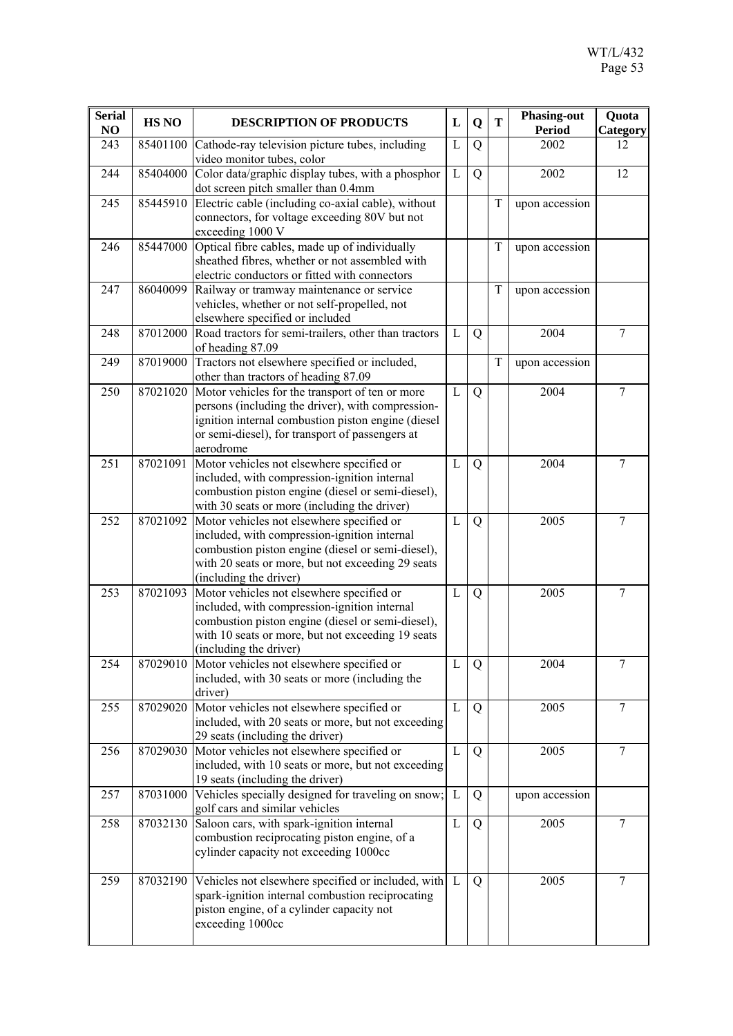| <b>Serial</b><br>NO | <b>HS NO</b> | <b>DESCRIPTION OF PRODUCTS</b>                                                                                                                                                                                                | L | $\mathbf Q$ | T | <b>Phasing-out</b><br><b>Period</b> | Quota<br>Category |
|---------------------|--------------|-------------------------------------------------------------------------------------------------------------------------------------------------------------------------------------------------------------------------------|---|-------------|---|-------------------------------------|-------------------|
| 243                 | 85401100     | Cathode-ray television picture tubes, including<br>video monitor tubes, color                                                                                                                                                 | L | Q           |   | 2002                                | 12                |
| 244                 | 85404000     | Color data/graphic display tubes, with a phosphor<br>dot screen pitch smaller than 0.4mm                                                                                                                                      | L | Q           |   | 2002                                | 12                |
| 245                 | 85445910     | Electric cable (including co-axial cable), without<br>connectors, for voltage exceeding 80V but not<br>exceeding 1000 V                                                                                                       |   |             | T | upon accession                      |                   |
| 246                 | 85447000     | Optical fibre cables, made up of individually<br>sheathed fibres, whether or not assembled with<br>electric conductors or fitted with connectors                                                                              |   |             | T | upon accession                      |                   |
| 247                 | 86040099     | Railway or tramway maintenance or service<br>vehicles, whether or not self-propelled, not<br>elsewhere specified or included                                                                                                  |   |             | T | upon accession                      |                   |
| 248                 | 87012000     | Road tractors for semi-trailers, other than tractors<br>of heading 87.09                                                                                                                                                      | L | Q           |   | 2004                                | $\overline{7}$    |
| 249                 | 87019000     | Tractors not elsewhere specified or included,<br>other than tractors of heading 87.09                                                                                                                                         |   |             | T | upon accession                      |                   |
| 250                 | 87021020     | Motor vehicles for the transport of ten or more<br>persons (including the driver), with compression-<br>ignition internal combustion piston engine (diesel)<br>or semi-diesel), for transport of passengers at<br>aerodrome   | L | Q           |   | 2004                                | $\overline{7}$    |
| 251                 | 87021091     | Motor vehicles not elsewhere specified or<br>included, with compression-ignition internal<br>combustion piston engine (diesel or semi-diesel),<br>with 30 seats or more (including the driver)                                | L | Q           |   | 2004                                | $\overline{7}$    |
| 252                 | 87021092     | Motor vehicles not elsewhere specified or<br>included, with compression-ignition internal<br>combustion piston engine (diesel or semi-diesel),<br>with 20 seats or more, but not exceeding 29 seats<br>(including the driver) | L | Q           |   | 2005                                | 7                 |
| 253                 | 87021093     | Motor vehicles not elsewhere specified or<br>included, with compression-ignition internal<br>combustion piston engine (diesel or semi-diesel),<br>with 10 seats or more, but not exceeding 19 seats<br>(including the driver) | L | Q           |   | 2005                                | $\overline{7}$    |
| 254                 |              | 87029010 Motor vehicles not elsewhere specified or<br>included, with 30 seats or more (including the<br>driver)                                                                                                               | L | Q           |   | 2004                                | 7                 |
| 255                 | 87029020     | Motor vehicles not elsewhere specified or<br>included, with 20 seats or more, but not exceeding<br>29 seats (including the driver)                                                                                            | L | Q           |   | 2005                                | $\tau$            |
| 256                 |              | 87029030 Motor vehicles not elsewhere specified or<br>included, with 10 seats or more, but not exceeding<br>19 seats (including the driver)                                                                                   | L | Q           |   | 2005                                | $\tau$            |
| 257                 | 87031000     | Vehicles specially designed for traveling on snow;<br>golf cars and similar vehicles                                                                                                                                          | L | Q           |   | upon accession                      |                   |
| 258                 | 87032130     | Saloon cars, with spark-ignition internal<br>combustion reciprocating piston engine, of a<br>cylinder capacity not exceeding 1000cc                                                                                           | L | Q           |   | 2005                                | 7                 |
| 259                 | 87032190     | Vehicles not elsewhere specified or included, with L<br>spark-ignition internal combustion reciprocating<br>piston engine, of a cylinder capacity not<br>exceeding 1000cc                                                     |   | Q           |   | 2005                                | 7                 |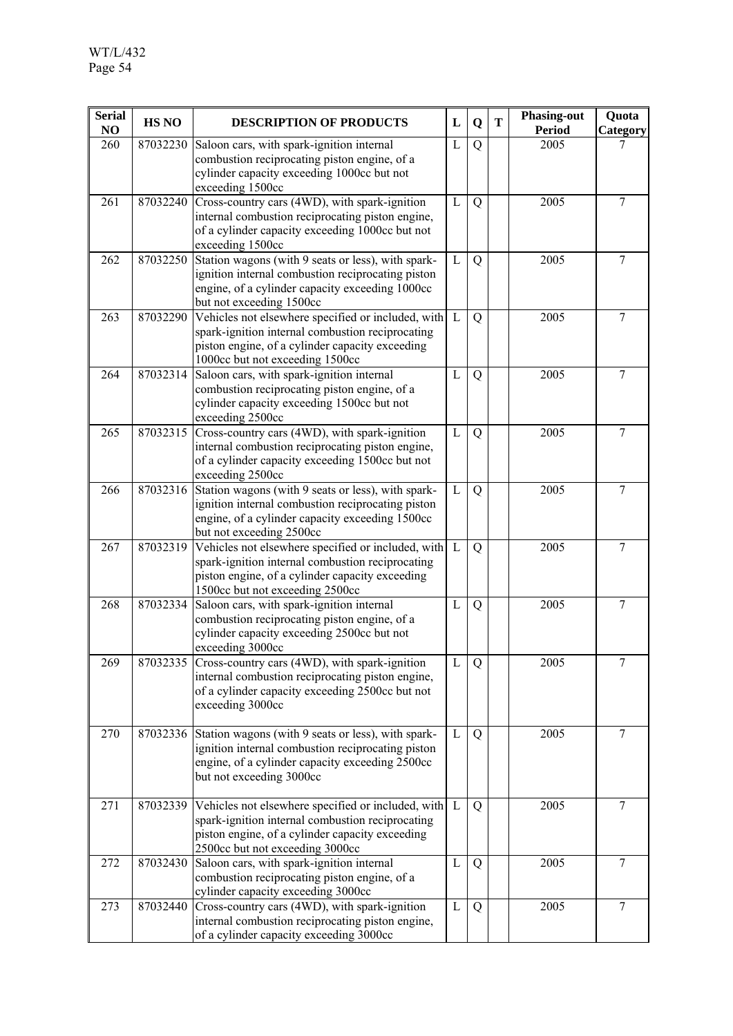| <b>Serial</b><br>NO | HS <sub>NO</sub> | <b>DESCRIPTION OF PRODUCTS</b>                                                                                                                                                                  | L | $\mathbf Q$ | T | <b>Phasing-out</b><br><b>Period</b> | Quota<br>Category |
|---------------------|------------------|-------------------------------------------------------------------------------------------------------------------------------------------------------------------------------------------------|---|-------------|---|-------------------------------------|-------------------|
| 260                 | 87032230         | Saloon cars, with spark-ignition internal<br>combustion reciprocating piston engine, of a<br>cylinder capacity exceeding 1000cc but not<br>exceeding 1500cc                                     | L | Q           |   | 2005                                | 7                 |
| 261                 | 87032240         | Cross-country cars (4WD), with spark-ignition<br>internal combustion reciprocating piston engine,<br>of a cylinder capacity exceeding 1000cc but not<br>exceeding 1500cc                        | L | $\mathbf Q$ |   | 2005                                | 7                 |
| 262                 | 87032250         | Station wagons (with 9 seats or less), with spark-<br>ignition internal combustion reciprocating piston<br>engine, of a cylinder capacity exceeding 1000cc<br>but not exceeding 1500cc          | L | Q           |   | 2005                                | $\overline{7}$    |
| 263                 | 87032290         | Vehicles not elsewhere specified or included, with L<br>spark-ignition internal combustion reciprocating<br>piston engine, of a cylinder capacity exceeding<br>1000cc but not exceeding 1500cc  |   | Q           |   | 2005                                | $\tau$            |
| 264                 | 87032314         | Saloon cars, with spark-ignition internal<br>combustion reciprocating piston engine, of a<br>cylinder capacity exceeding 1500cc but not<br>exceeding 2500cc                                     | L | Q           |   | 2005                                | 7                 |
| 265                 | 87032315         | Cross-country cars (4WD), with spark-ignition<br>internal combustion reciprocating piston engine,<br>of a cylinder capacity exceeding 1500cc but not<br>exceeding 2500cc                        | L | Q           |   | 2005                                | 7                 |
| 266                 | 87032316         | Station wagons (with 9 seats or less), with spark-<br>ignition internal combustion reciprocating piston<br>engine, of a cylinder capacity exceeding 1500cc<br>but not exceeding 2500cc          | L | Q           |   | 2005                                | 7                 |
| 267                 | 87032319         | Vehicles not elsewhere specified or included, with L<br>spark-ignition internal combustion reciprocating<br>piston engine, of a cylinder capacity exceeding<br>1500cc but not exceeding 2500cc  |   | Q           |   | 2005                                | $\tau$            |
| 268                 | 87032334         | Saloon cars, with spark-ignition internal<br>combustion reciprocating piston engine, of a<br>cylinder capacity exceeding 2500cc but not<br>exceeding 3000cc                                     | L | Q           |   | 2005                                | $\overline{7}$    |
| 269                 |                  | 87032335 Cross-country cars (4WD), with spark-ignition<br>internal combustion reciprocating piston engine,<br>of a cylinder capacity exceeding 2500cc but not<br>exceeding 3000cc               | L | Q           |   | 2005                                | 7                 |
| 270                 |                  | 87032336 Station wagons (with 9 seats or less), with spark-<br>ignition internal combustion reciprocating piston<br>engine, of a cylinder capacity exceeding 2500cc<br>but not exceeding 3000cc | L | Q           |   | 2005                                | $\overline{7}$    |
| 271                 | 87032339         | Vehicles not elsewhere specified or included, with L<br>spark-ignition internal combustion reciprocating<br>piston engine, of a cylinder capacity exceeding<br>2500cc but not exceeding 3000cc  |   | Q           |   | 2005                                | $\tau$            |
| 272                 | 87032430         | Saloon cars, with spark-ignition internal<br>combustion reciprocating piston engine, of a<br>cylinder capacity exceeding 3000cc                                                                 | L | Q           |   | 2005                                | $\overline{7}$    |
| 273                 | 87032440         | Cross-country cars (4WD), with spark-ignition<br>internal combustion reciprocating piston engine,<br>of a cylinder capacity exceeding 3000cc                                                    | L | Q           |   | 2005                                | $\overline{7}$    |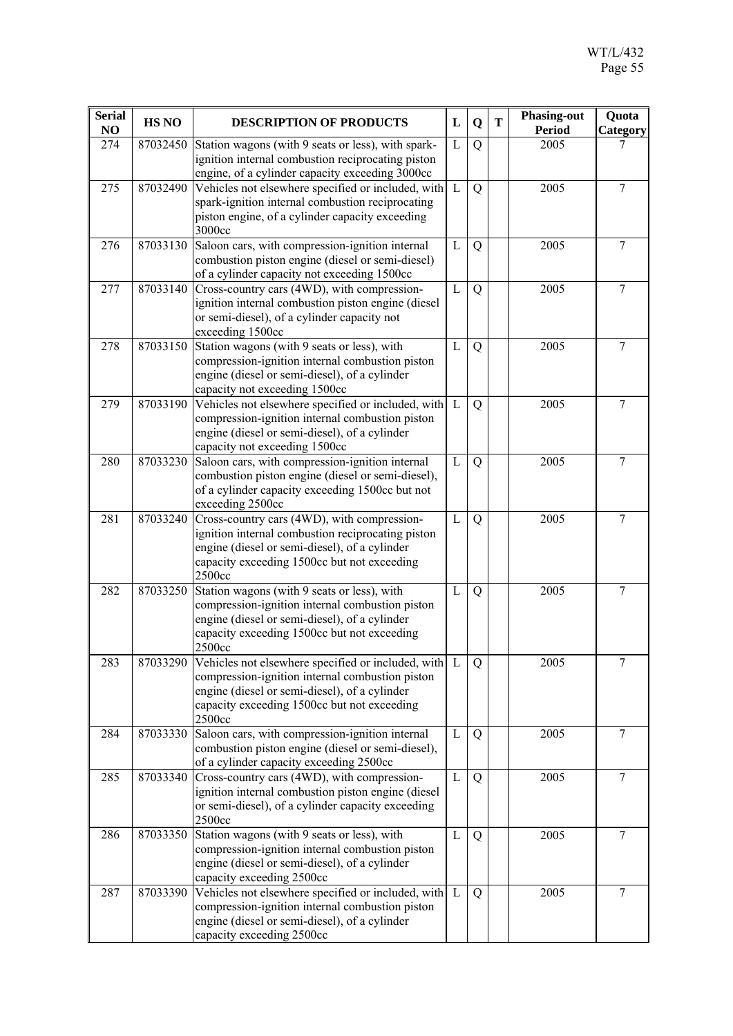| <b>Serial</b><br>NO | <b>HS NO</b> | <b>DESCRIPTION OF PRODUCTS</b>                                                                                                                                                                                             | L            | Q           | T | <b>Phasing-out</b><br><b>Period</b> | Quota<br>Category |
|---------------------|--------------|----------------------------------------------------------------------------------------------------------------------------------------------------------------------------------------------------------------------------|--------------|-------------|---|-------------------------------------|-------------------|
| 274                 | 87032450     | Station wagons (with 9 seats or less), with spark-<br>ignition internal combustion reciprocating piston<br>engine, of a cylinder capacity exceeding 3000cc                                                                 | $\mathbf L$  | Q           |   | 2005                                | 7                 |
| 275                 | 87032490     | Vehicles not elsewhere specified or included, with<br>spark-ignition internal combustion reciprocating<br>piston engine, of a cylinder capacity exceeding<br>3000cc                                                        | L            | Q           |   | 2005                                | 7                 |
| 276                 | 87033130     | Saloon cars, with compression-ignition internal<br>combustion piston engine (diesel or semi-diesel)<br>of a cylinder capacity not exceeding 1500cc                                                                         | L            | Q           |   | 2005                                | $\overline{7}$    |
| 277                 | 87033140     | Cross-country cars (4WD), with compression-<br>ignition internal combustion piston engine (diesel<br>or semi-diesel), of a cylinder capacity not<br>exceeding 1500cc                                                       | L            | $\mathbf Q$ |   | 2005                                | $\overline{7}$    |
| 278                 | 87033150     | Station wagons (with 9 seats or less), with<br>compression-ignition internal combustion piston<br>engine (diesel or semi-diesel), of a cylinder<br>capacity not exceeding 1500cc                                           | L            | Q           |   | 2005                                | 7                 |
| 279                 | 87033190     | Vehicles not elsewhere specified or included, with<br>compression-ignition internal combustion piston<br>engine (diesel or semi-diesel), of a cylinder<br>capacity not exceeding 1500cc                                    | L            | Q           |   | 2005                                | 7                 |
| 280                 | 87033230     | Saloon cars, with compression-ignition internal<br>combustion piston engine (diesel or semi-diesel),<br>of a cylinder capacity exceeding 1500cc but not<br>exceeding 2500cc                                                | L            | Q           |   | 2005                                | 7                 |
| 281                 | 87033240     | Cross-country cars (4WD), with compression-<br>ignition internal combustion reciprocating piston<br>engine (diesel or semi-diesel), of a cylinder<br>capacity exceeding 1500cc but not exceeding<br>2500cc                 | L            | Q           |   | 2005                                | $\tau$            |
| 282                 | 87033250     | Station wagons (with 9 seats or less), with<br>compression-ignition internal combustion piston<br>engine (diesel or semi-diesel), of a cylinder<br>capacity exceeding 1500cc but not exceeding<br>2500cc                   | $\mathbf{L}$ | Q           |   | 2005                                | $\overline{7}$    |
| 283                 |              | 87033290 Vehicles not elsewhere specified or included, with L<br>compression-ignition internal combustion piston<br>engine (diesel or semi-diesel), of a cylinder<br>capacity exceeding 1500cc but not exceeding<br>2500cc |              | Q           |   | 2005                                |                   |
| 284                 | 87033330     | Saloon cars, with compression-ignition internal<br>combustion piston engine (diesel or semi-diesel),<br>of a cylinder capacity exceeding 2500cc                                                                            | L            | Q           |   | 2005                                | 7                 |
| 285                 | 87033340     | Cross-country cars (4WD), with compression-<br>ignition internal combustion piston engine (diesel<br>or semi-diesel), of a cylinder capacity exceeding<br>2500cc                                                           | L            | Q           |   | 2005                                | 7                 |
| 286                 | 87033350     | Station wagons (with 9 seats or less), with<br>compression-ignition internal combustion piston<br>engine (diesel or semi-diesel), of a cylinder<br>capacity exceeding 2500cc                                               | $\mathbf{L}$ | Q           |   | 2005                                | $\overline{7}$    |
| 287                 | 87033390     | Vehicles not elsewhere specified or included, with L<br>compression-ignition internal combustion piston<br>engine (diesel or semi-diesel), of a cylinder<br>capacity exceeding 2500cc                                      |              | Q           |   | 2005                                | $7\overline{ }$   |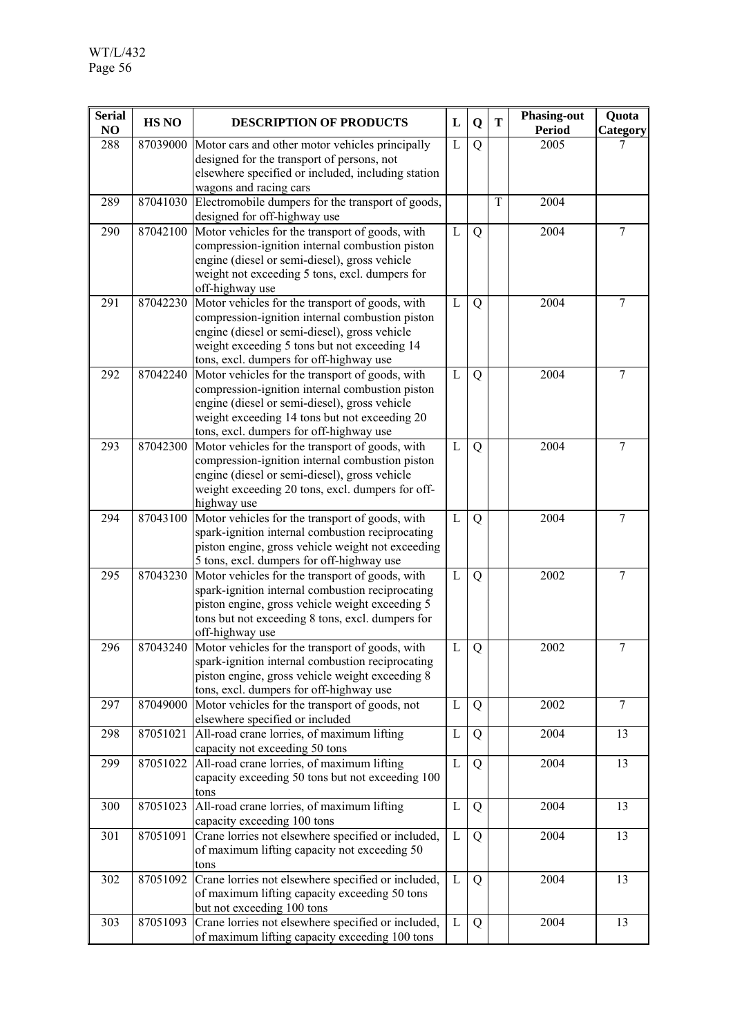| <b>Serial</b><br>NO | <b>HS NO</b> | <b>DESCRIPTION OF PRODUCTS</b>                                                                                                                                                                                                                  | L | $\mathbf Q$ | T | <b>Phasing-out</b><br><b>Period</b> | Quota<br>Category |
|---------------------|--------------|-------------------------------------------------------------------------------------------------------------------------------------------------------------------------------------------------------------------------------------------------|---|-------------|---|-------------------------------------|-------------------|
| 288                 | 87039000     | Motor cars and other motor vehicles principally<br>designed for the transport of persons, not<br>elsewhere specified or included, including station<br>wagons and racing cars                                                                   | L | Q           |   | 2005                                | 7                 |
| 289                 | 87041030     | Electromobile dumpers for the transport of goods,<br>designed for off-highway use                                                                                                                                                               |   |             | T | 2004                                |                   |
| 290                 | 87042100     | Motor vehicles for the transport of goods, with<br>compression-ignition internal combustion piston<br>engine (diesel or semi-diesel), gross vehicle<br>weight not exceeding 5 tons, excl. dumpers for<br>off-highway use                        | L | Q           |   | 2004                                | 7                 |
| 291                 | 87042230     | Motor vehicles for the transport of goods, with<br>compression-ignition internal combustion piston<br>engine (diesel or semi-diesel), gross vehicle<br>weight exceeding 5 tons but not exceeding 14<br>tons, excl. dumpers for off-highway use  | L | Q           |   | 2004                                | $\tau$            |
| 292                 | 87042240     | Motor vehicles for the transport of goods, with<br>compression-ignition internal combustion piston<br>engine (diesel or semi-diesel), gross vehicle<br>weight exceeding 14 tons but not exceeding 20<br>tons, excl. dumpers for off-highway use | L | Q           |   | 2004                                | $\overline{7}$    |
| 293                 | 87042300     | Motor vehicles for the transport of goods, with<br>compression-ignition internal combustion piston<br>engine (diesel or semi-diesel), gross vehicle<br>weight exceeding 20 tons, excl. dumpers for off-<br>highway use                          | L | Q           |   | 2004                                | 7                 |
| 294                 | 87043100     | Motor vehicles for the transport of goods, with<br>spark-ignition internal combustion reciprocating<br>piston engine, gross vehicle weight not exceeding<br>5 tons, excl. dumpers for off-highway use                                           | L | Q           |   | 2004                                | 7                 |
| 295                 | 87043230     | Motor vehicles for the transport of goods, with<br>spark-ignition internal combustion reciprocating<br>piston engine, gross vehicle weight exceeding 5<br>tons but not exceeding 8 tons, excl. dumpers for<br>off-highway use                   | L | Q           |   | 2002                                | $\overline{7}$    |
| 296                 | 87043240     | Motor vehicles for the transport of goods, with<br>spark-ignition internal combustion reciprocating<br>piston engine, gross vehicle weight exceeding 8<br>tons, excl. dumpers for off-highway use                                               | L | Q           |   | 2002                                | $\tau$            |
| 297                 | 87049000     | Motor vehicles for the transport of goods, not<br>elsewhere specified or included                                                                                                                                                               | L | Q           |   | 2002                                | $\overline{7}$    |
| 298                 | 87051021     | All-road crane lorries, of maximum lifting<br>capacity not exceeding 50 tons                                                                                                                                                                    | L | Q           |   | 2004                                | 13                |
| 299                 | 87051022     | All-road crane lorries, of maximum lifting<br>capacity exceeding 50 tons but not exceeding 100<br>tons                                                                                                                                          | L | Q           |   | 2004                                | 13                |
| 300                 | 87051023     | All-road crane lorries, of maximum lifting<br>capacity exceeding 100 tons                                                                                                                                                                       | L | Q           |   | 2004                                | 13                |
| 301                 | 87051091     | Crane lorries not elsewhere specified or included,<br>of maximum lifting capacity not exceeding 50<br>tons                                                                                                                                      | L | Q           |   | 2004                                | 13                |
| 302                 | 87051092     | Crane lorries not elsewhere specified or included,<br>of maximum lifting capacity exceeding 50 tons<br>but not exceeding 100 tons                                                                                                               | L | Q           |   | 2004                                | 13                |
| 303                 | 87051093     | Crane lorries not elsewhere specified or included,<br>of maximum lifting capacity exceeding 100 tons                                                                                                                                            | L | Q           |   | 2004                                | 13                |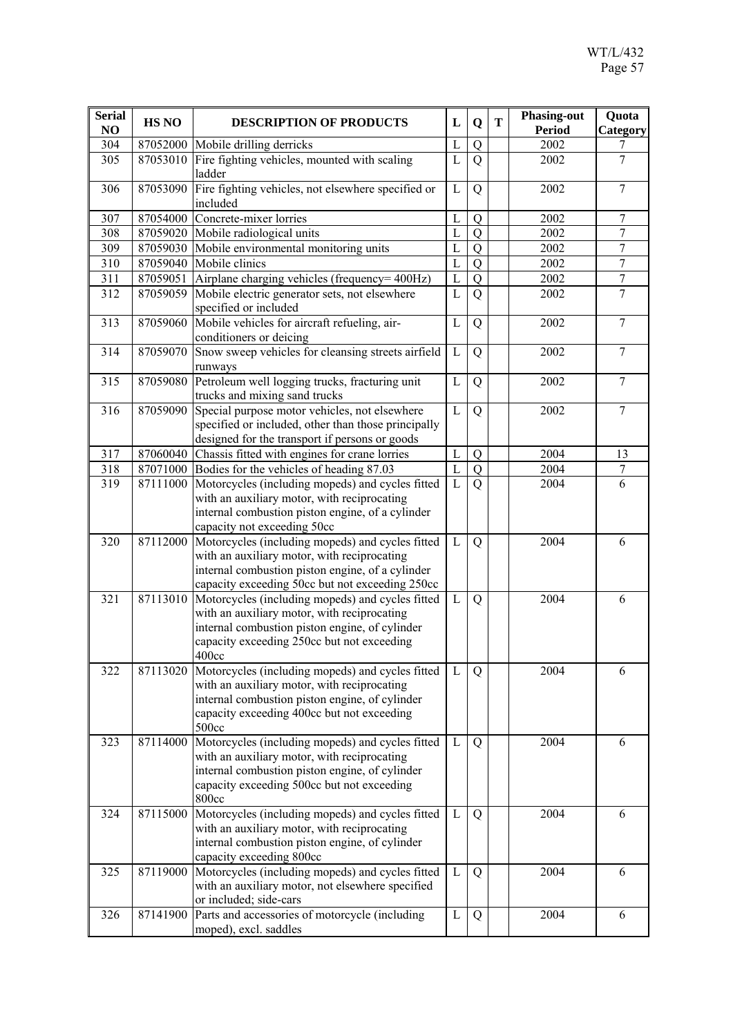| <b>Serial</b><br>NO | <b>HS NO</b> | <b>DESCRIPTION OF PRODUCTS</b>                                                                                                                                                                                    | L            | Q           | T | <b>Phasing-out</b><br><b>Period</b> | Quota<br>Category |
|---------------------|--------------|-------------------------------------------------------------------------------------------------------------------------------------------------------------------------------------------------------------------|--------------|-------------|---|-------------------------------------|-------------------|
| 304                 | 87052000     | Mobile drilling derricks                                                                                                                                                                                          | L            | Q           |   | 2002                                | 7                 |
| 305                 | 87053010     | Fire fighting vehicles, mounted with scaling<br>ladder                                                                                                                                                            | L            | $\mathbf Q$ |   | 2002                                | 7                 |
| 306                 | 87053090     | Fire fighting vehicles, not elsewhere specified or<br>included                                                                                                                                                    | L            | Q           |   | 2002                                | 7                 |
| 307                 | 87054000     | Concrete-mixer lorries                                                                                                                                                                                            | L            | Q           |   | 2002                                | 7                 |
| 308                 | 87059020     | Mobile radiological units                                                                                                                                                                                         | L            | Q           |   | 2002                                | $\tau$            |
| 309                 | 87059030     | Mobile environmental monitoring units                                                                                                                                                                             | L            | Q           |   | 2002                                | $\overline{7}$    |
| 310                 | 87059040     | Mobile clinics                                                                                                                                                                                                    | L            | Q           |   | 2002                                | 7                 |
| 311                 | 87059051     | Airplane charging vehicles (frequency= 400Hz)                                                                                                                                                                     | L            | Q           |   | 2002                                | $\overline{7}$    |
| 312                 | 87059059     | Mobile electric generator sets, not elsewhere<br>specified or included                                                                                                                                            | L            | Q           |   | 2002                                | $\overline{7}$    |
| 313                 | 87059060     | Mobile vehicles for aircraft refueling, air-<br>conditioners or deicing                                                                                                                                           | L            | Q           |   | 2002                                | $\overline{7}$    |
| 314                 | 87059070     | Snow sweep vehicles for cleansing streets airfield<br>runways                                                                                                                                                     | L            | Q           |   | 2002                                | $\overline{7}$    |
| 315                 | 87059080     | Petroleum well logging trucks, fracturing unit<br>trucks and mixing sand trucks                                                                                                                                   | L            | Q           |   | 2002                                | $\overline{7}$    |
| 316                 | 87059090     | Special purpose motor vehicles, not elsewhere<br>specified or included, other than those principally<br>designed for the transport if persons or goods                                                            | L            | Q           |   | 2002                                | 7                 |
| 317                 | 87060040     | Chassis fitted with engines for crane lorries                                                                                                                                                                     | L            | Q           |   | 2004                                | 13                |
| 318                 | 87071000     | Bodies for the vehicles of heading 87.03                                                                                                                                                                          | $\mathbf{L}$ | Q           |   | 2004                                | $\boldsymbol{7}$  |
| 319                 | 87111000     | Motorcycles (including mopeds) and cycles fitted<br>with an auxiliary motor, with reciprocating<br>internal combustion piston engine, of a cylinder<br>capacity not exceeding 50cc                                | L            | Q           |   | 2004                                | $\overline{6}$    |
| 320                 | 87112000     | Motorcycles (including mopeds) and cycles fitted<br>with an auxiliary motor, with reciprocating<br>internal combustion piston engine, of a cylinder<br>capacity exceeding 50cc but not exceeding 250cc            | L            | Q           |   | 2004                                | 6                 |
| 321                 | 87113010     | Motorcycles (including mopeds) and cycles fitted<br>with an auxiliary motor, with reciprocating<br>internal combustion piston engine, of cylinder<br>capacity exceeding 250cc but not exceeding<br>400cc          | L            | Q           |   | 2004                                | 6                 |
| 322                 |              | 87113020 Motorcycles (including mopeds) and cycles fitted<br>with an auxiliary motor, with reciprocating<br>internal combustion piston engine, of cylinder<br>capacity exceeding 400cc but not exceeding<br>500cc | L            | Q           |   | 2004                                | 6                 |
| 323                 | 87114000     | Motorcycles (including mopeds) and cycles fitted<br>with an auxiliary motor, with reciprocating<br>internal combustion piston engine, of cylinder<br>capacity exceeding 500cc but not exceeding<br>800cc          | L            | Q           |   | 2004                                | 6                 |
| 324                 | 87115000     | Motorcycles (including mopeds) and cycles fitted<br>with an auxiliary motor, with reciprocating<br>internal combustion piston engine, of cylinder<br>capacity exceeding 800cc                                     | L            | Q           |   | 2004                                | 6                 |
| 325                 | 87119000     | Motorcycles (including mopeds) and cycles fitted<br>with an auxiliary motor, not elsewhere specified<br>or included; side-cars                                                                                    | L            | Q           |   | 2004                                | 6                 |
| 326                 | 87141900     | Parts and accessories of motorcycle (including<br>moped), excl. saddles                                                                                                                                           | L            | Q           |   | 2004                                | 6                 |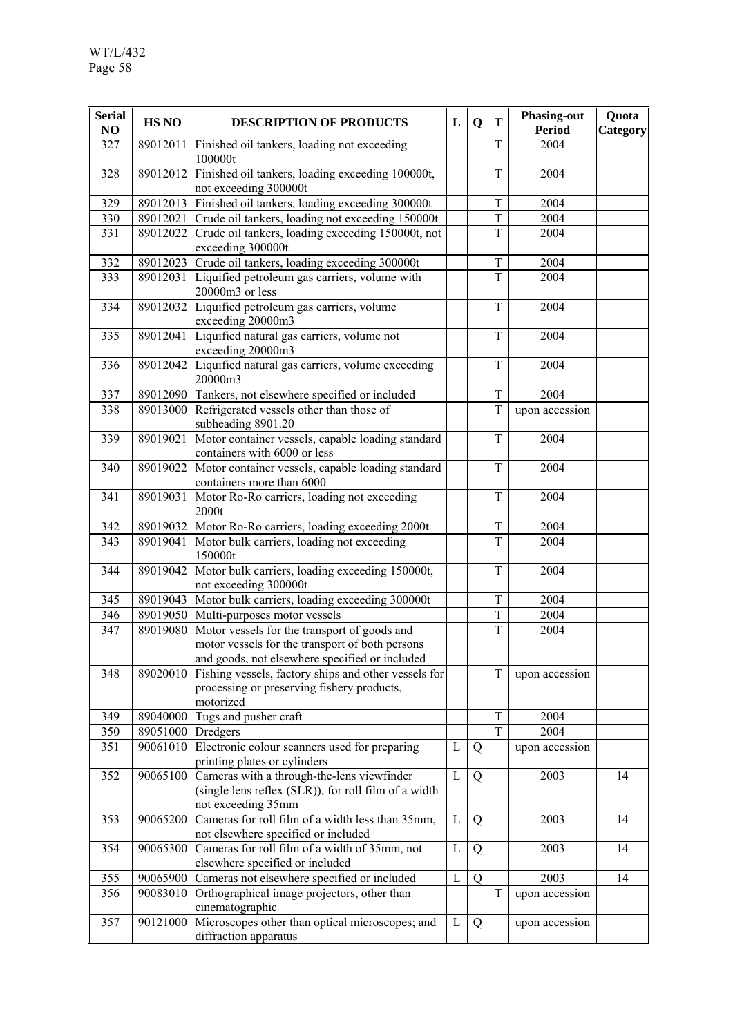| <b>Serial</b><br>NO | <b>HS NO</b> | <b>DESCRIPTION OF PRODUCTS</b>                                                                                                                           | L           | $\mathbf Q$ | T           | <b>Phasing-out</b><br><b>Period</b> | Quota<br>Category |
|---------------------|--------------|----------------------------------------------------------------------------------------------------------------------------------------------------------|-------------|-------------|-------------|-------------------------------------|-------------------|
| 327                 | 89012011     | Finished oil tankers, loading not exceeding<br>100000t                                                                                                   |             |             | T           | 2004                                |                   |
| $\overline{3}28$    | 89012012     | Finished oil tankers, loading exceeding 100000t,<br>not exceeding 300000t                                                                                |             |             | T           | 2004                                |                   |
| 329                 | 89012013     | Finished oil tankers, loading exceeding 300000t                                                                                                          |             |             | T           | 2004                                |                   |
| 330                 |              | 89012021 Crude oil tankers, loading not exceeding 150000t                                                                                                |             |             | T           | 2004                                |                   |
| 331                 | 89012022     | Crude oil tankers, loading exceeding 150000t, not                                                                                                        |             |             | T           | 2004                                |                   |
|                     |              | exceeding 300000t                                                                                                                                        |             |             |             |                                     |                   |
| 332                 | 89012023     | Crude oil tankers, loading exceeding 300000t                                                                                                             |             |             | T           | 2004                                |                   |
| 333                 | 89012031     | Liquified petroleum gas carriers, volume with<br>20000m3 or less                                                                                         |             |             | T           | 2004                                |                   |
| 334                 | 89012032     | Liquified petroleum gas carriers, volume<br>exceeding 20000m3                                                                                            |             |             | T           | 2004                                |                   |
| 335                 | 89012041     | Liquified natural gas carriers, volume not<br>exceeding 20000m3                                                                                          |             |             | T           | 2004                                |                   |
| 336                 | 89012042     | Liquified natural gas carriers, volume exceeding<br>20000m3                                                                                              |             |             | T           | 2004                                |                   |
| 337                 |              | 89012090 Tankers, not elsewhere specified or included                                                                                                    |             |             | T           | 2004                                |                   |
| 338                 |              | 89013000 Refrigerated vessels other than those of<br>subheading 8901.20                                                                                  |             |             | T           | upon accession                      |                   |
| 339                 | 89019021     | Motor container vessels, capable loading standard<br>containers with 6000 or less                                                                        |             |             | T           | 2004                                |                   |
| 340                 | 89019022     | Motor container vessels, capable loading standard<br>containers more than 6000                                                                           |             |             | T           | 2004                                |                   |
| 341                 | 89019031     | Motor Ro-Ro carriers, loading not exceeding<br>2000t                                                                                                     |             |             | T           | 2004                                |                   |
| 342                 | 89019032     | Motor Ro-Ro carriers, loading exceeding 2000t                                                                                                            |             |             | $\mathbf T$ | 2004                                |                   |
| 343                 | 89019041     | Motor bulk carriers, loading not exceeding<br>150000t                                                                                                    |             |             | T           | 2004                                |                   |
| 344                 | 89019042     | Motor bulk carriers, loading exceeding 150000t,<br>not exceeding 300000t                                                                                 |             |             | T           | 2004                                |                   |
| 345                 |              | 89019043 Motor bulk carriers, loading exceeding 300000t                                                                                                  |             |             | $\mathbf T$ | 2004                                |                   |
| 346                 |              | 89019050 Multi-purposes motor vessels                                                                                                                    |             |             | $\rm T$     | 2004                                |                   |
| 347                 | 89019080     | Motor vessels for the transport of goods and                                                                                                             |             |             | T           | 2004                                |                   |
|                     |              | motor vessels for the transport of both persons<br>and goods, not elsewhere specified or included                                                        |             |             |             |                                     |                   |
| 348                 | 89020010     | Fishing vessels, factory ships and other vessels for<br>processing or preserving fishery products,<br>motorized                                          |             |             | T           | upon accession                      |                   |
| 349                 | 89040000     | Tugs and pusher craft                                                                                                                                    |             |             | T           | 2004                                |                   |
| 350                 | 89051000     | Dredgers                                                                                                                                                 |             |             | T           | 2004                                |                   |
| 351                 | 90061010     | Electronic colour scanners used for preparing                                                                                                            | L           | Q           |             | upon accession                      |                   |
| 352                 | 90065100     | printing plates or cylinders<br>Cameras with a through-the-lens viewfinder<br>(single lens reflex (SLR)), for roll film of a width<br>not exceeding 35mm | $\mathbf L$ | Q           |             | 2003                                | 14                |
| 353                 | 90065200     | Cameras for roll film of a width less than 35mm,<br>not elsewhere specified or included                                                                  | L           | Q           |             | 2003                                | 14                |
| 354                 | 90065300     | Cameras for roll film of a width of 35mm, not<br>elsewhere specified or included                                                                         | L           | Q           |             | 2003                                | 14                |
| 355                 | 90065900     | Cameras not elsewhere specified or included                                                                                                              | L           | Q           |             | 2003                                | 14                |
| 356                 | 90083010     | Orthographical image projectors, other than<br>cinematographic                                                                                           |             |             | T           | upon accession                      |                   |
| 357                 | 90121000     | Microscopes other than optical microscopes; and<br>diffraction apparatus                                                                                 | L           | Q           |             | upon accession                      |                   |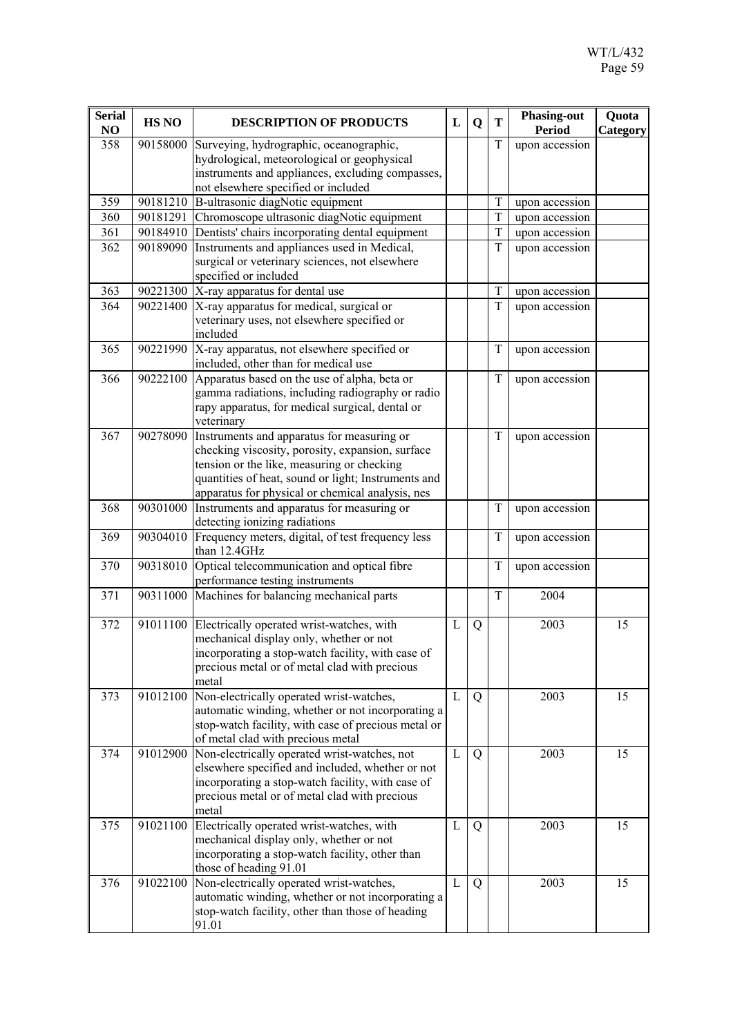| <b>Serial</b><br>NO | HS NO    | <b>DESCRIPTION OF PRODUCTS</b>                                                                           | L            | Q | T           | <b>Phasing-out</b><br><b>Period</b> | Quota<br>Category |
|---------------------|----------|----------------------------------------------------------------------------------------------------------|--------------|---|-------------|-------------------------------------|-------------------|
| 358                 | 90158000 | Surveying, hydrographic, oceanographic,                                                                  |              |   | T           | upon accession                      |                   |
|                     |          | hydrological, meteorological or geophysical                                                              |              |   |             |                                     |                   |
|                     |          | instruments and appliances, excluding compasses,                                                         |              |   |             |                                     |                   |
|                     |          | not elsewhere specified or included                                                                      |              |   |             |                                     |                   |
| 359                 |          | 90181210 B-ultrasonic diagNotic equipment                                                                |              |   | T           | upon accession                      |                   |
| $\overline{360}$    |          | 90181291 Chromoscope ultrasonic diagNotic equipment                                                      |              |   | T           | upon accession                      |                   |
| 361                 |          | 90184910 Dentists' chairs incorporating dental equipment                                                 |              |   | $\mathbf T$ | upon accession                      |                   |
| 362                 | 90189090 | Instruments and appliances used in Medical,                                                              |              |   | T           | upon accession                      |                   |
|                     |          | surgical or veterinary sciences, not elsewhere                                                           |              |   |             |                                     |                   |
|                     |          | specified or included                                                                                    |              |   |             |                                     |                   |
| 363                 |          | 90221300  X-ray apparatus for dental use                                                                 |              |   | T           | upon accession                      |                   |
| 364                 |          | 90221400 $\vert$ X-ray apparatus for medical, surgical or                                                |              |   | T           | upon accession                      |                   |
|                     |          | veterinary uses, not elsewhere specified or                                                              |              |   |             |                                     |                   |
|                     |          | included                                                                                                 |              |   |             |                                     |                   |
| 365                 | 90221990 | X-ray apparatus, not elsewhere specified or                                                              |              |   | T           | upon accession                      |                   |
|                     |          | included, other than for medical use                                                                     |              |   |             |                                     |                   |
| 366                 | 90222100 | Apparatus based on the use of alpha, beta or                                                             |              |   | T           | upon accession                      |                   |
|                     |          | gamma radiations, including radiography or radio                                                         |              |   |             |                                     |                   |
|                     |          | rapy apparatus, for medical surgical, dental or                                                          |              |   |             |                                     |                   |
| 367                 | 90278090 | veterinary<br>Instruments and apparatus for measuring or                                                 |              |   | T           |                                     |                   |
|                     |          | checking viscosity, porosity, expansion, surface                                                         |              |   |             | upon accession                      |                   |
|                     |          | tension or the like, measuring or checking                                                               |              |   |             |                                     |                   |
|                     |          | quantities of heat, sound or light; Instruments and                                                      |              |   |             |                                     |                   |
|                     |          | apparatus for physical or chemical analysis, nes                                                         |              |   |             |                                     |                   |
| 368                 | 90301000 | Instruments and apparatus for measuring or                                                               |              |   | T           | upon accession                      |                   |
|                     |          | detecting ionizing radiations                                                                            |              |   |             |                                     |                   |
| 369                 | 90304010 | Frequency meters, digital, of test frequency less                                                        |              |   | T           | upon accession                      |                   |
| 370                 | 90318010 | than 12.4GHz<br>Optical telecommunication and optical fibre                                              |              |   | T           |                                     |                   |
|                     |          | performance testing instruments                                                                          |              |   |             | upon accession                      |                   |
| 371                 | 90311000 | Machines for balancing mechanical parts                                                                  |              |   | T           | 2004                                |                   |
|                     |          |                                                                                                          |              |   |             |                                     |                   |
| 372                 |          | 91011100 Electrically operated wrist-watches, with                                                       | L            | Q |             | 2003                                | 15                |
|                     |          | mechanical display only, whether or not                                                                  |              |   |             |                                     |                   |
|                     |          | incorporating a stop-watch facility, with case of                                                        |              |   |             |                                     |                   |
|                     |          | precious metal or of metal clad with precious                                                            |              |   |             |                                     |                   |
|                     |          | metal                                                                                                    |              |   |             |                                     |                   |
| 373                 |          | 91012100 Non-electrically operated wrist-watches,                                                        | $\mathbf{L}$ | Q |             | 2003                                | 15                |
|                     |          | automatic winding, whether or not incorporating a<br>stop-watch facility, with case of precious metal or |              |   |             |                                     |                   |
|                     |          | of metal clad with precious metal                                                                        |              |   |             |                                     |                   |
| 374                 | 91012900 | Non-electrically operated wrist-watches, not                                                             | L            | Q |             | 2003                                | 15                |
|                     |          | elsewhere specified and included, whether or not                                                         |              |   |             |                                     |                   |
|                     |          | incorporating a stop-watch facility, with case of                                                        |              |   |             |                                     |                   |
|                     |          | precious metal or of metal clad with precious                                                            |              |   |             |                                     |                   |
|                     |          | metal                                                                                                    |              |   |             |                                     |                   |
| 375                 |          | 91021100 Electrically operated wrist-watches, with                                                       | L            | Q |             | 2003                                | 15                |
|                     |          | mechanical display only, whether or not                                                                  |              |   |             |                                     |                   |
|                     |          | incorporating a stop-watch facility, other than                                                          |              |   |             |                                     |                   |
|                     |          | those of heading 91.01                                                                                   |              |   |             |                                     |                   |
| 376                 | 91022100 | Non-electrically operated wrist-watches,                                                                 | L            | Q |             | 2003                                | 15                |
|                     |          | automatic winding, whether or not incorporating a                                                        |              |   |             |                                     |                   |
|                     |          | stop-watch facility, other than those of heading                                                         |              |   |             |                                     |                   |
|                     |          | 91.01                                                                                                    |              |   |             |                                     |                   |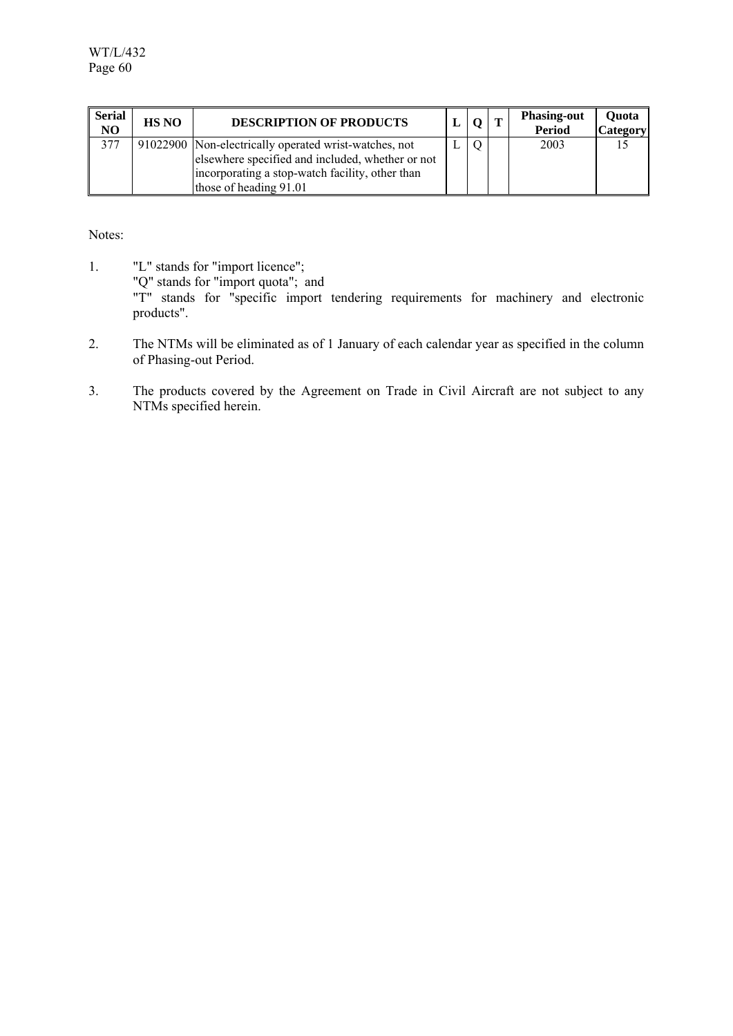| <b>Serial</b><br>N <sub>O</sub> | <b>HS NO</b> | <b>DESCRIPTION OF PRODUCTS</b>                        |  | <b>TT</b> | <b>Phasing-out</b><br><b>Period</b> | <b>Ouota</b><br><b>Category</b> |
|---------------------------------|--------------|-------------------------------------------------------|--|-----------|-------------------------------------|---------------------------------|
| 377                             |              | 91022900 Non-electrically operated wrist-watches, not |  |           | 2003                                |                                 |
|                                 |              | elsewhere specified and included, whether or not      |  |           |                                     |                                 |
|                                 |              | incorporating a stop-watch facility, other than       |  |           |                                     |                                 |
|                                 |              | those of heading 91.01                                |  |           |                                     |                                 |

#### Notes:

- 1. "L" stands for "import licence"; "Q" stands for "import quota"; and "T" stands for "specific import tendering requirements for machinery and electronic products".
- 2. The NTMs will be eliminated as of 1 January of each calendar year as specified in the column of Phasing-out Period.
- 3. The products covered by the Agreement on Trade in Civil Aircraft are not subject to any NTMs specified herein.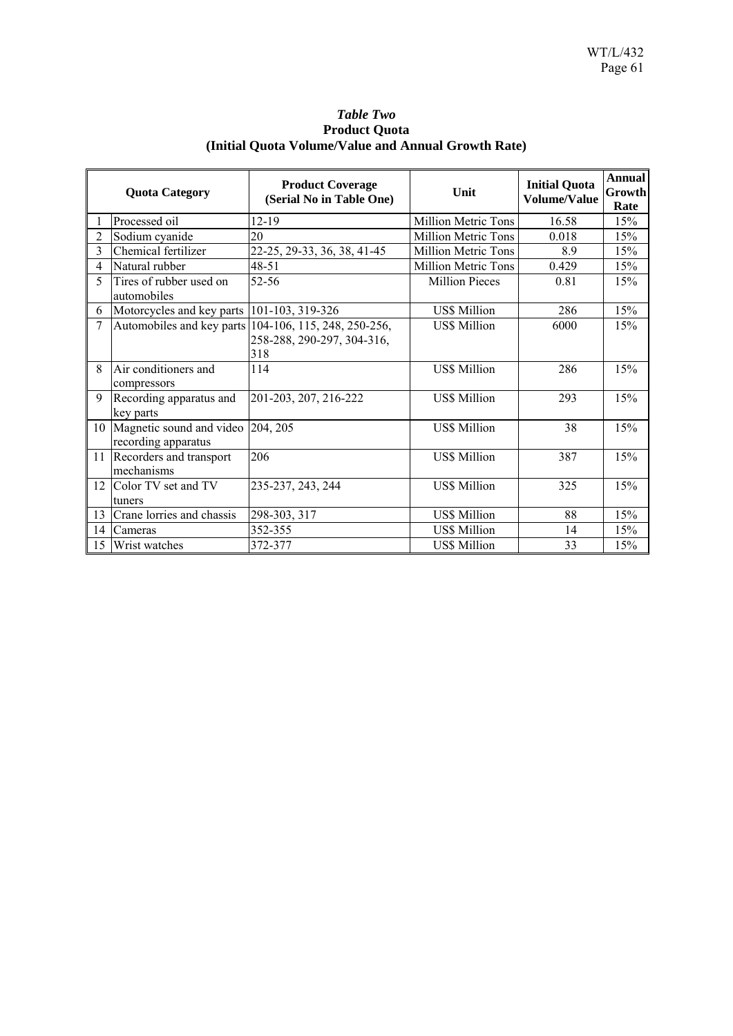| <b>Table Two</b>                                    |
|-----------------------------------------------------|
| <b>Product Quota</b>                                |
| (Initial Quota Volume/Value and Annual Growth Rate) |

|                          | <b>Product Coverage</b><br><b>Quota Category</b><br>(Serial No in Table One) |                                                                                            | Unit                  | <b>Initial Quota</b><br><b>Volume/Value</b> | <b>Annual</b><br>Growth<br>Rate |
|--------------------------|------------------------------------------------------------------------------|--------------------------------------------------------------------------------------------|-----------------------|---------------------------------------------|---------------------------------|
|                          | Processed oil                                                                | 12-19                                                                                      | Million Metric Tons   | 16.58                                       | 15%                             |
| 2                        | Sodium cyanide                                                               | 20                                                                                         | Million Metric Tons   | 0.018                                       | 15%                             |
| 3                        | Chemical fertilizer                                                          | 22-25, 29-33, 36, 38, 41-45                                                                | Million Metric Tons   | 8.9                                         | 15%                             |
| $\overline{\mathcal{A}}$ | Natural rubber                                                               | 48-51                                                                                      | Million Metric Tons   | 0.429                                       | 15%                             |
| 5                        | Tires of rubber used on<br>automobiles                                       | $52 - 56$                                                                                  | <b>Million Pieces</b> | 0.81                                        | 15%                             |
| 6                        | Motorcycles and key parts                                                    | 101-103, 319-326                                                                           | <b>US\$ Million</b>   | 286                                         | 15%                             |
| 7                        |                                                                              | Automobiles and key parts 104-106, 115, 248, 250-256,<br>258-288, 290-297, 304-316,<br>318 | <b>US\$ Million</b>   | 6000                                        | 15%                             |
| 8                        | Air conditioners and<br>compressors                                          | 114                                                                                        | <b>US\$ Million</b>   | 286                                         | 15%                             |
| 9                        | Recording apparatus and<br>key parts                                         | 201-203, 207, 216-222                                                                      | <b>US\$ Million</b>   | 293                                         | 15%                             |
|                          | 10 Magnetic sound and video<br>recording apparatus                           | 204, 205                                                                                   | <b>US\$ Million</b>   | 38                                          | 15%                             |
|                          | 11 Recorders and transport<br>mechanisms                                     | 206                                                                                        | <b>US\$ Million</b>   | 387                                         | 15%                             |
| 12                       | Color TV set and TV<br>tuners                                                | 235-237, 243, 244                                                                          | <b>US\$ Million</b>   | 325                                         | 15%                             |
| 13                       | Crane lorries and chassis                                                    | 298-303, 317                                                                               | <b>US\$ Million</b>   | 88                                          | 15%                             |
| 14                       | Cameras                                                                      | 352-355                                                                                    | <b>US\$ Million</b>   | 14                                          | 15%                             |
| 15                       | Wrist watches                                                                | 372-377                                                                                    | <b>US\$ Million</b>   | 33                                          | 15%                             |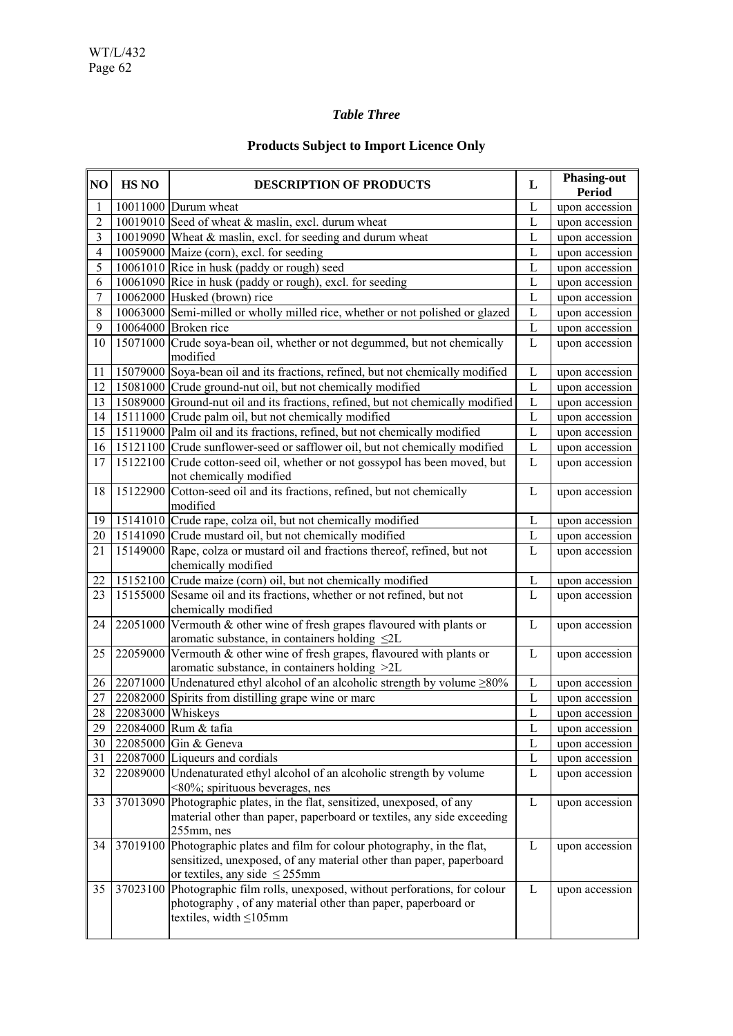### *Table Three*

# **Products Subject to Import Licence Only**

| NO             | <b>HS NO</b>      | <b>DESCRIPTION OF PRODUCTS</b>                                                                                                                                                          | L              | <b>Phasing-out</b><br><b>Period</b> |
|----------------|-------------------|-----------------------------------------------------------------------------------------------------------------------------------------------------------------------------------------|----------------|-------------------------------------|
| $\mathbf{1}$   |                   | 10011000 Durum wheat                                                                                                                                                                    | L              | upon accession                      |
| $\overline{2}$ |                   | 10019010 Seed of wheat & maslin, excl. durum wheat                                                                                                                                      | $\mathbf L$    | upon accession                      |
| 3              |                   | 10019090 Wheat & maslin, excl. for seeding and durum wheat                                                                                                                              | $\mathbf L$    | upon accession                      |
| $\overline{4}$ |                   | 10059000 Maize (corn), excl. for seeding                                                                                                                                                | $\mathbf L$    | upon accession                      |
| 5              |                   | 10061010 Rice in husk (paddy or rough) seed                                                                                                                                             | $\overline{L}$ | upon accession                      |
| 6              |                   | 10061090 Rice in husk (paddy or rough), excl. for seeding                                                                                                                               | $\overline{L}$ | upon accession                      |
| $\overline{7}$ |                   | 10062000 Husked (brown) rice                                                                                                                                                            | $\overline{L}$ | upon accession                      |
| 8              |                   | 10063000 Semi-milled or wholly milled rice, whether or not polished or glazed                                                                                                           | $\mathbf L$    | upon accession                      |
| 9              |                   | 10064000 Broken rice                                                                                                                                                                    | $\overline{L}$ | upon accession                      |
| 10             |                   | 15071000 Crude soya-bean oil, whether or not degummed, but not chemically<br>modified                                                                                                   | $\mathbf L$    | upon accession                      |
| 11             |                   | 15079000 Soya-bean oil and its fractions, refined, but not chemically modified                                                                                                          | L              | upon accession                      |
| 12             |                   | 15081000 Crude ground-nut oil, but not chemically modified                                                                                                                              | $\mathbf L$    | upon accession                      |
| 13             |                   | 15089000 Ground-nut oil and its fractions, refined, but not chemically modified                                                                                                         | $\mathbf L$    | upon accession                      |
| 14             |                   | 15111000 Crude palm oil, but not chemically modified                                                                                                                                    | $\mathbf L$    | upon accession                      |
| 15             |                   | 15119000 Palm oil and its fractions, refined, but not chemically modified                                                                                                               | $\mathbf L$    | upon accession                      |
| 16             |                   | 15121100 Crude sunflower-seed or safflower oil, but not chemically modified                                                                                                             | $\mathbf L$    | upon accession                      |
| 17             |                   | 15122100 Crude cotton-seed oil, whether or not gossypol has been moved, but<br>not chemically modified                                                                                  | L              | upon accession                      |
| 18             | 15122900          | Cotton-seed oil and its fractions, refined, but not chemically<br>modified                                                                                                              | $\mathbf L$    | upon accession                      |
| 19             |                   | 15141010 Crude rape, colza oil, but not chemically modified                                                                                                                             | L              | upon accession                      |
| 20             |                   | 15141090 Crude mustard oil, but not chemically modified                                                                                                                                 | $\mathbf L$    | upon accession                      |
| 21             |                   | 15149000 Rape, colza or mustard oil and fractions thereof, refined, but not<br>chemically modified                                                                                      | L              | upon accession                      |
| 22             |                   | 15152100 Crude maize (corn) oil, but not chemically modified                                                                                                                            | L              | upon accession                      |
| 23             |                   | 15155000 Sesame oil and its fractions, whether or not refined, but not<br>chemically modified                                                                                           | L              | upon accession                      |
| 24             |                   | 22051000 Vermouth $\&$ other wine of fresh grapes flavoured with plants or<br>aromatic substance, in containers holding $\leq 2L$                                                       | $\mathbf L$    | upon accession                      |
| 25             |                   | 22059000 Vermouth $\&$ other wine of fresh grapes, flavoured with plants or<br>aromatic substance, in containers holding >2L                                                            | $\mathbf L$    | upon accession                      |
| 26             |                   | 22071000 Undenatured ethyl alcohol of an alcoholic strength by volume $\geq$ 80%                                                                                                        | L              | upon accession                      |
| 27             |                   | 22082000 Spirits from distilling grape wine or marc                                                                                                                                     | L              | upon accession                      |
| 28             | 22083000 Whiskeys |                                                                                                                                                                                         | $\Gamma$       | upon accession                      |
| 29             |                   | 22084000 Rum & tafia                                                                                                                                                                    | L              | upon accession                      |
| 30             |                   | 22085000 Gin & Geneva                                                                                                                                                                   | L              | upon accession                      |
| 31             |                   | 22087000 Liqueurs and cordials                                                                                                                                                          | L              | upon accession                      |
| 32             |                   | 22089000 Undenaturated ethyl alcohol of an alcoholic strength by volume                                                                                                                 | L              | upon accession                      |
|                |                   | <80%; spirituous beverages, nes                                                                                                                                                         |                |                                     |
| 33             |                   | 37013090 Photographic plates, in the flat, sensitized, unexposed, of any<br>material other than paper, paperboard or textiles, any side exceeding<br>255mm, nes                         | L              | upon accession                      |
| 34             |                   | 37019100 Photographic plates and film for colour photography, in the flat,<br>sensitized, unexposed, of any material other than paper, paperboard<br>or textiles, any side $\leq$ 255mm | L              | upon accession                      |
| 35             | 37023100          | Photographic film rolls, unexposed, without perforations, for colour<br>photography, of any material other than paper, paperboard or<br>textiles, width $\leq 105$ mm                   | L              | upon accession                      |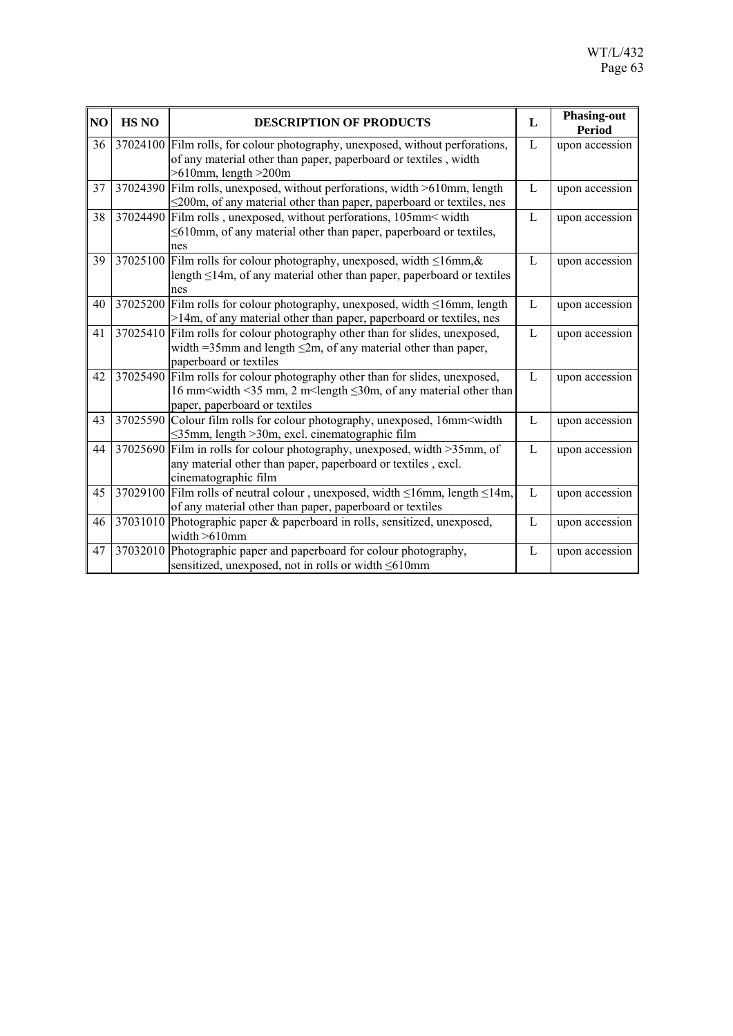| NO | HS <sub>NO</sub> | <b>DESCRIPTION OF PRODUCTS</b>                                                                                                                                                                                          | L            | <b>Phasing-out</b><br><b>Period</b> |
|----|------------------|-------------------------------------------------------------------------------------------------------------------------------------------------------------------------------------------------------------------------|--------------|-------------------------------------|
| 36 |                  | 37024100 Film rolls, for colour photography, unexposed, without perforations,<br>of any material other than paper, paperboard or textiles, width<br>$>610$ mm, length $>200$ m                                          | L            | upon accession                      |
| 37 |                  | 37024390 Film rolls, unexposed, without perforations, width >610mm, length<br>≤200m, of any material other than paper, paperboard or textiles, nes                                                                      | $\mathbf{L}$ | upon accession                      |
| 38 |                  | 37024490 Film rolls, unexposed, without perforations, 105mm< width<br>≤610mm, of any material other than paper, paperboard or textiles,<br>nes                                                                          | L            | upon accession                      |
| 39 |                  | 37025100 Film rolls for colour photography, unexposed, width ≤16mm, &<br>length $\leq$ 14m, of any material other than paper, paperboard or textiles<br>nes                                                             | $\mathbf{L}$ | upon accession                      |
| 40 |                  | 37025200 Film rolls for colour photography, unexposed, width ≤16mm, length<br>>14m, of any material other than paper, paperboard or textiles, nes                                                                       | L            | upon accession                      |
| 41 |                  | 37025410 Film rolls for colour photography other than for slides, unexposed,<br>width = $35$ mm and length $\leq 2m$ , of any material other than paper,<br>paperboard or textiles                                      | L            | upon accession                      |
| 42 |                  | 37025490 Film rolls for colour photography other than for slides, unexposed,<br>16 mm <width 2="" <35="" any="" m<length="" material="" mm,="" of="" other="" than<br="" ≤30m,="">paper, paperboard or textiles</width> | $\mathbf{L}$ | upon accession                      |
| 43 |                  | 37025590 Colour film rolls for colour photography, unexposed, 16mm <width<br>≤35mm, length &gt;30m, excl. cinematographic film</width<br>                                                                               | L            | upon accession                      |
| 44 |                  | 37025690 Film in rolls for colour photography, unexposed, width > 35mm, of<br>any material other than paper, paperboard or textiles, excl.<br>cinematographic film                                                      | $\mathbf{L}$ | upon accession                      |
| 45 |                  | 37029100 Film rolls of neutral colour, unexposed, width $\leq$ 16mm, length $\leq$ 14m,<br>of any material other than paper, paperboard or textiles                                                                     | $\mathbf{L}$ | upon accession                      |
| 46 |                  | 37031010 Photographic paper & paperboard in rolls, sensitized, unexposed,<br>width $>610$ mm                                                                                                                            | L            | upon accession                      |
| 47 |                  | 37032010 Photographic paper and paperboard for colour photography,<br>sensitized, unexposed, not in rolls or width ≤610mm                                                                                               | $\mathbf{L}$ | upon accession                      |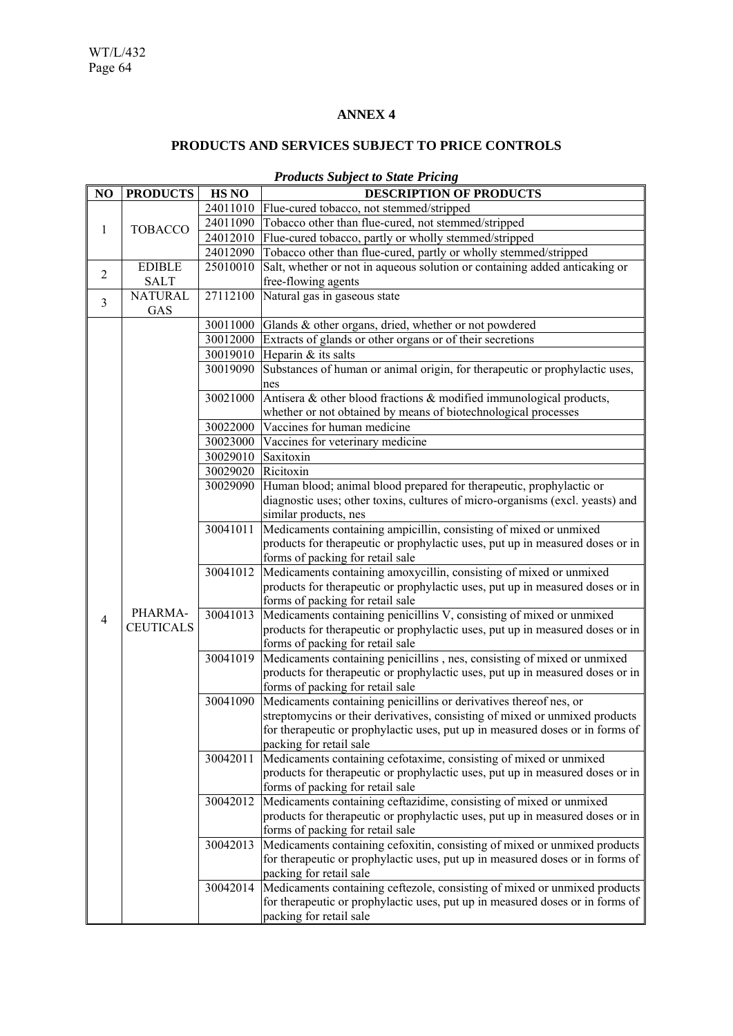### **ANNEX 4**

## **PRODUCTS AND SERVICES SUBJECT TO PRICE CONTROLS**

| NO             | <b>PRODUCTS</b>             | HS NO              | <b>DESCRIPTION OF PRODUCTS</b>                                                |
|----------------|-----------------------------|--------------------|-------------------------------------------------------------------------------|
|                |                             |                    | 24011010 Flue-cured tobacco, not stemmed/stripped                             |
|                | <b>TOBACCO</b>              |                    | 24011090 Tobacco other than flue-cured, not stemmed/stripped                  |
| $\mathbf{1}$   |                             |                    | 24012010 Flue-cured tobacco, partly or wholly stemmed/stripped                |
|                |                             |                    | 24012090 Tobacco other than flue-cured, partly or wholly stemmed/stripped     |
|                | <b>EDIBLE</b>               | 25010010           | Salt, whether or not in aqueous solution or containing added anticaking or    |
| 2              | <b>SALT</b>                 |                    | free-flowing agents                                                           |
|                | <b>NATURAL</b>              |                    | 27112100 Natural gas in gaseous state                                         |
| 3              | GAS                         |                    |                                                                               |
|                |                             |                    | 30011000 Glands & other organs, dried, whether or not powdered                |
|                |                             |                    | 30012000 Extracts of glands or other organs or of their secretions            |
|                |                             |                    | 30019010 Heparin $&$ its salts                                                |
|                |                             | 30019090           | Substances of human or animal origin, for therapeutic or prophylactic uses,   |
|                |                             |                    | nes                                                                           |
|                |                             | 30021000           | Antisera & other blood fractions & modified immunological products,           |
|                |                             |                    | whether or not obtained by means of biotechnological processes                |
|                |                             |                    | 30022000 Vaccines for human medicine                                          |
|                |                             |                    | 30023000 Vaccines for veterinary medicine                                     |
|                |                             | 30029010 Saxitoxin |                                                                               |
|                |                             | 30029020 Ricitoxin |                                                                               |
|                |                             | 30029090           | Human blood; animal blood prepared for therapeutic, prophylactic or           |
|                |                             |                    | diagnostic uses; other toxins, cultures of micro-organisms (excl. yeasts) and |
|                |                             |                    | similar products, nes                                                         |
|                |                             | 30041011           | Medicaments containing ampicillin, consisting of mixed or unmixed             |
|                |                             |                    | products for therapeutic or prophylactic uses, put up in measured doses or in |
|                |                             |                    | forms of packing for retail sale                                              |
|                |                             | 30041012           | Medicaments containing amoxycillin, consisting of mixed or unmixed            |
|                | PHARMA-<br><b>CEUTICALS</b> |                    | products for therapeutic or prophylactic uses, put up in measured doses or in |
|                |                             |                    | forms of packing for retail sale                                              |
| $\overline{4}$ |                             | 30041013           | Medicaments containing penicillins V, consisting of mixed or unmixed          |
|                |                             |                    | products for therapeutic or prophylactic uses, put up in measured doses or in |
|                |                             |                    | forms of packing for retail sale                                              |
|                |                             | 30041019           | Medicaments containing penicillins, nes, consisting of mixed or unmixed       |
|                |                             |                    | products for therapeutic or prophylactic uses, put up in measured doses or in |
|                |                             |                    | forms of packing for retail sale                                              |
|                |                             | 30041090           | Medicaments containing penicillins or derivatives thereof nes, or             |
|                |                             |                    | streptomycins or their derivatives, consisting of mixed or unmixed products   |
|                |                             |                    | for therapeutic or prophylactic uses, put up in measured doses or in forms of |
|                |                             |                    | packing for retail sale                                                       |
|                |                             | 30042011           | Medicaments containing cefotaxime, consisting of mixed or unmixed             |
|                |                             |                    | products for therapeutic or prophylactic uses, put up in measured doses or in |
|                |                             |                    | forms of packing for retail sale                                              |
|                |                             | 30042012           | Medicaments containing ceftazidime, consisting of mixed or unmixed            |
|                |                             |                    | products for therapeutic or prophylactic uses, put up in measured doses or in |
|                |                             |                    | forms of packing for retail sale                                              |
|                |                             | 30042013           | Medicaments containing cefoxitin, consisting of mixed or unmixed products     |
|                |                             |                    | for therapeutic or prophylactic uses, put up in measured doses or in forms of |
|                |                             |                    | packing for retail sale                                                       |
|                |                             | 30042014           | Medicaments containing ceftezole, consisting of mixed or unmixed products     |
|                |                             |                    | for therapeutic or prophylactic uses, put up in measured doses or in forms of |
|                |                             |                    | packing for retail sale                                                       |

#### *Products Subject to State Pricing*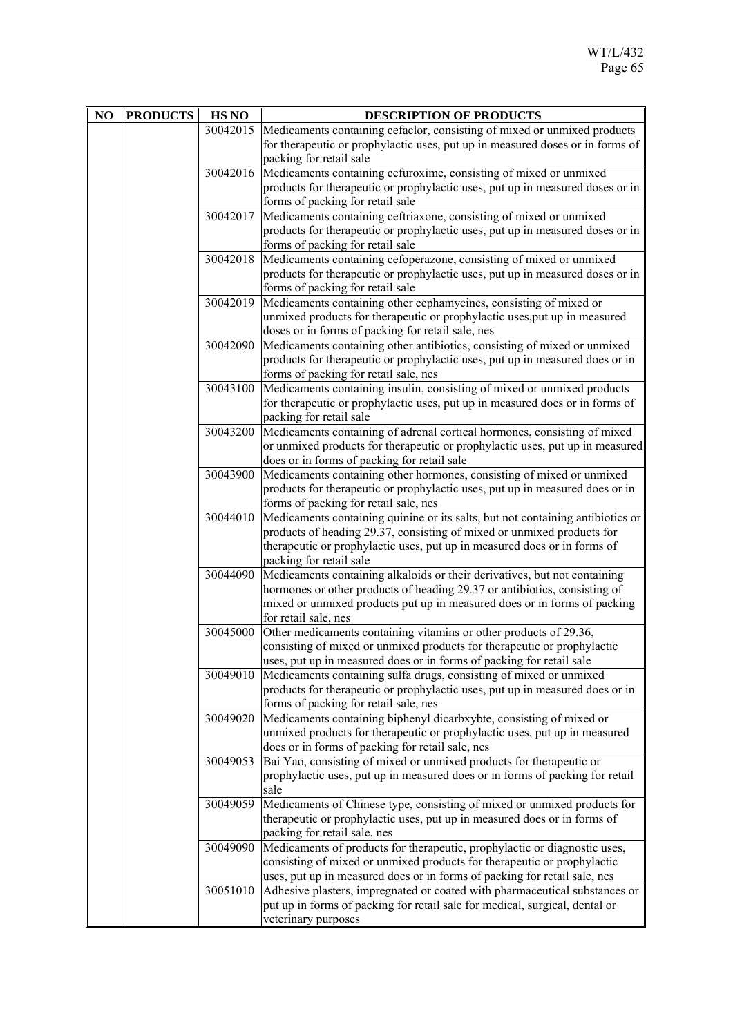| NO | <b>PRODUCTS</b> | HS NO    | <b>DESCRIPTION OF PRODUCTS</b>                                                                                                                                    |  |  |  |
|----|-----------------|----------|-------------------------------------------------------------------------------------------------------------------------------------------------------------------|--|--|--|
|    |                 |          | 30042015 Medicaments containing cefaclor, consisting of mixed or unmixed products                                                                                 |  |  |  |
|    |                 |          | for therapeutic or prophylactic uses, put up in measured doses or in forms of                                                                                     |  |  |  |
|    |                 |          | packing for retail sale                                                                                                                                           |  |  |  |
|    |                 | 30042016 | Medicaments containing cefuroxime, consisting of mixed or unmixed                                                                                                 |  |  |  |
|    |                 |          | products for therapeutic or prophylactic uses, put up in measured doses or in                                                                                     |  |  |  |
|    |                 |          | forms of packing for retail sale                                                                                                                                  |  |  |  |
|    |                 | 30042017 | Medicaments containing ceftriaxone, consisting of mixed or unmixed                                                                                                |  |  |  |
|    |                 |          | products for therapeutic or prophylactic uses, put up in measured doses or in                                                                                     |  |  |  |
|    |                 |          | forms of packing for retail sale                                                                                                                                  |  |  |  |
|    |                 |          | 30042018 Medicaments containing cefoperazone, consisting of mixed or unmixed                                                                                      |  |  |  |
|    |                 |          | products for therapeutic or prophylactic uses, put up in measured doses or in                                                                                     |  |  |  |
|    |                 |          | forms of packing for retail sale                                                                                                                                  |  |  |  |
|    |                 |          | 30042019 Medicaments containing other cephamycines, consisting of mixed or                                                                                        |  |  |  |
|    |                 |          | unmixed products for therapeutic or prophylactic uses, put up in measured                                                                                         |  |  |  |
|    |                 |          | doses or in forms of packing for retail sale, nes                                                                                                                 |  |  |  |
|    |                 |          | 30042090 Medicaments containing other antibiotics, consisting of mixed or unmixed<br>products for therapeutic or prophylactic uses, put up in measured does or in |  |  |  |
|    |                 |          | forms of packing for retail sale, nes                                                                                                                             |  |  |  |
|    |                 |          | 30043100 Medicaments containing insulin, consisting of mixed or unmixed products                                                                                  |  |  |  |
|    |                 |          | for therapeutic or prophylactic uses, put up in measured does or in forms of                                                                                      |  |  |  |
|    |                 |          | packing for retail sale                                                                                                                                           |  |  |  |
|    |                 | 30043200 | Medicaments containing of adrenal cortical hormones, consisting of mixed                                                                                          |  |  |  |
|    |                 |          | or unmixed products for therapeutic or prophylactic uses, put up in measured                                                                                      |  |  |  |
|    |                 |          | does or in forms of packing for retail sale                                                                                                                       |  |  |  |
|    |                 | 30043900 | Medicaments containing other hormones, consisting of mixed or unmixed                                                                                             |  |  |  |
|    |                 |          | products for therapeutic or prophylactic uses, put up in measured does or in                                                                                      |  |  |  |
|    |                 |          | forms of packing for retail sale, nes                                                                                                                             |  |  |  |
|    |                 | 30044010 | Medicaments containing quinine or its salts, but not containing antibiotics or                                                                                    |  |  |  |
|    |                 |          | products of heading 29.37, consisting of mixed or unmixed products for                                                                                            |  |  |  |
|    |                 |          | therapeutic or prophylactic uses, put up in measured does or in forms of                                                                                          |  |  |  |
|    |                 |          | packing for retail sale                                                                                                                                           |  |  |  |
|    |                 | 30044090 | Medicaments containing alkaloids or their derivatives, but not containing                                                                                         |  |  |  |
|    |                 |          | hormones or other products of heading 29.37 or antibiotics, consisting of                                                                                         |  |  |  |
|    |                 |          | mixed or unmixed products put up in measured does or in forms of packing                                                                                          |  |  |  |
|    |                 |          | for retail sale, nes                                                                                                                                              |  |  |  |
|    |                 | 30045000 | Other medicaments containing vitamins or other products of 29.36,                                                                                                 |  |  |  |
|    |                 |          | consisting of mixed or unmixed products for therapeutic or prophylactic                                                                                           |  |  |  |
|    |                 |          | uses, put up in measured does or in forms of packing for retail sale                                                                                              |  |  |  |
|    |                 | 30049010 | Medicaments containing sulfa drugs, consisting of mixed or unmixed                                                                                                |  |  |  |
|    |                 |          | products for therapeutic or prophylactic uses, put up in measured does or in                                                                                      |  |  |  |
|    |                 |          | forms of packing for retail sale, nes                                                                                                                             |  |  |  |
|    |                 | 30049020 | Medicaments containing biphenyl dicarbxybte, consisting of mixed or                                                                                               |  |  |  |
|    |                 |          | unmixed products for therapeutic or prophylactic uses, put up in measured                                                                                         |  |  |  |
|    |                 | 30049053 | does or in forms of packing for retail sale, nes<br>Bai Yao, consisting of mixed or unmixed products for therapeutic or                                           |  |  |  |
|    |                 |          | prophylactic uses, put up in measured does or in forms of packing for retail                                                                                      |  |  |  |
|    |                 |          | sale                                                                                                                                                              |  |  |  |
|    |                 | 30049059 | Medicaments of Chinese type, consisting of mixed or unmixed products for                                                                                          |  |  |  |
|    |                 |          | therapeutic or prophylactic uses, put up in measured does or in forms of                                                                                          |  |  |  |
|    |                 |          | packing for retail sale, nes                                                                                                                                      |  |  |  |
|    |                 | 30049090 | Medicaments of products for therapeutic, prophylactic or diagnostic uses,                                                                                         |  |  |  |
|    |                 |          | consisting of mixed or unmixed products for therapeutic or prophylactic                                                                                           |  |  |  |
|    |                 |          | uses, put up in measured does or in forms of packing for retail sale, nes                                                                                         |  |  |  |
|    |                 | 30051010 | Adhesive plasters, impregnated or coated with pharmaceutical substances or                                                                                        |  |  |  |
|    |                 |          | put up in forms of packing for retail sale for medical, surgical, dental or                                                                                       |  |  |  |
|    |                 |          | veterinary purposes                                                                                                                                               |  |  |  |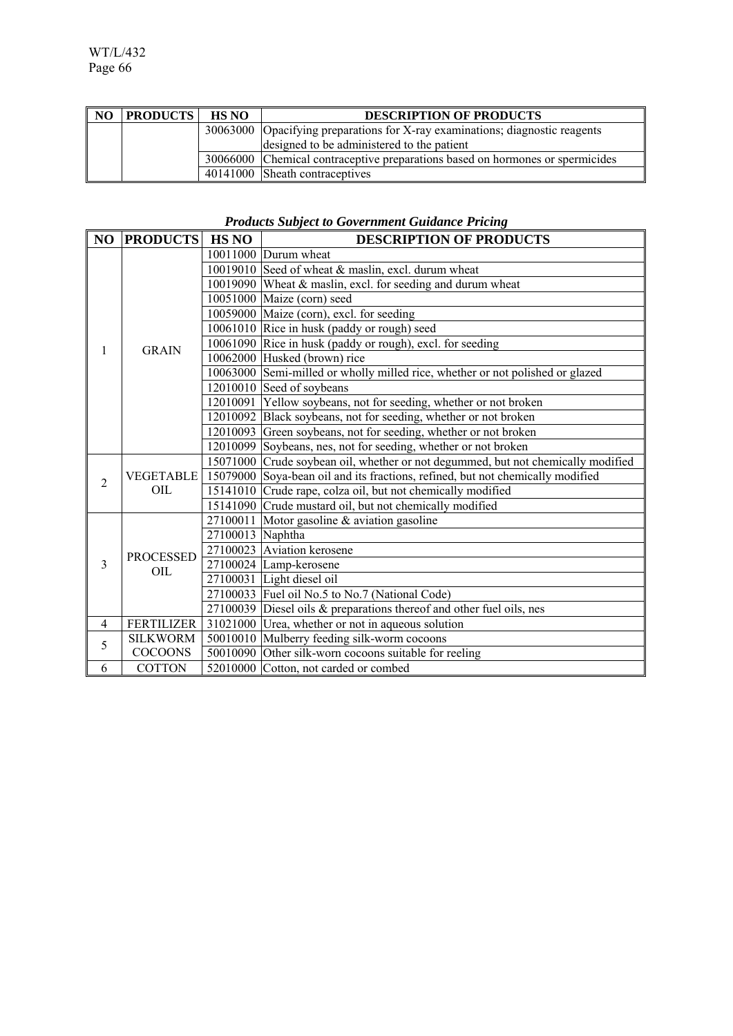| N <sub>O</sub> | <b>PRODUCTS</b> | <b>HS NO</b> | <b>DESCRIPTION OF PRODUCTS</b>                                                |  |  |  |
|----------------|-----------------|--------------|-------------------------------------------------------------------------------|--|--|--|
|                |                 |              | 30063000 Opacifying preparations for X-ray examinations; diagnostic reagents  |  |  |  |
|                |                 |              | designed to be administered to the patient                                    |  |  |  |
|                |                 |              | 30066000 Chemical contraceptive preparations based on hormones or spermicides |  |  |  |
|                |                 |              | 40141000 Sheath contraceptives                                                |  |  |  |

*Products Subject to Government Guidance Pricing* 

| NO             | <b>PRODUCTS</b> HS NO |                  | <b>DESCRIPTION OF PRODUCTS</b>                                                           |
|----------------|-----------------------|------------------|------------------------------------------------------------------------------------------|
|                |                       |                  | 10011000 Durum wheat                                                                     |
|                |                       |                  | 10019010 Seed of wheat & maslin, excl. durum wheat                                       |
|                |                       |                  | 10019090 Wheat & maslin, excl. for seeding and durum wheat                               |
|                |                       |                  | 10051000 Maize (corn) seed                                                               |
|                |                       |                  | 10059000 Maize (corn), excl. for seeding                                                 |
|                |                       |                  | 10061010 Rice in husk (paddy or rough) seed                                              |
| 1              | <b>GRAIN</b>          |                  | 10061090 Rice in husk (paddy or rough), excl. for seeding                                |
|                |                       |                  | 10062000 Husked (brown) rice                                                             |
|                |                       |                  | 10063000 Semi-milled or wholly milled rice, whether or not polished or glazed            |
|                |                       |                  | 12010010 Seed of soybeans                                                                |
|                |                       |                  | 12010091 Yellow soybeans, not for seeding, whether or not broken                         |
|                |                       |                  | 12010092 Black soybeans, not for seeding, whether or not broken                          |
|                |                       |                  | 12010093 Green soybeans, not for seeding, whether or not broken                          |
|                |                       |                  | 12010099 Soybeans, nes, not for seeding, whether or not broken                           |
|                |                       |                  | 15071000 Crude soybean oil, whether or not degummed, but not chemically modified         |
| $\overline{2}$ |                       |                  | VEGETABLE 15079000 Soya-bean oil and its fractions, refined, but not chemically modified |
|                | OIL                   |                  | 15141010 Crude rape, colza oil, but not chemically modified                              |
|                |                       |                  | 15141090 Crude mustard oil, but not chemically modified                                  |
|                |                       |                  | 27100011 Motor gasoline & aviation gasoline                                              |
|                |                       | 27100013 Naphtha |                                                                                          |
|                | <b>PROCESSED</b>      |                  | 27100023 Aviation kerosene                                                               |
| 3              | OIL                   |                  | 27100024 Lamp-kerosene                                                                   |
|                |                       |                  | $27100031$ Light diesel oil                                                              |
|                |                       |                  | 27100033 Fuel oil No.5 to No.7 (National Code)                                           |
|                |                       |                  | 27100039 Diesel oils & preparations thereof and other fuel oils, nes                     |
| 4              | <b>FERTILIZER</b>     |                  | 31021000 Urea, whether or not in aqueous solution                                        |
| 5              | <b>SILKWORM</b>       |                  | 50010010 Mulberry feeding silk-worm cocoons                                              |
|                | <b>COCOONS</b>        |                  | 50010090 Other silk-worn cocoons suitable for reeling                                    |
| 6              | <b>COTTON</b>         |                  | 52010000 Cotton, not carded or combed                                                    |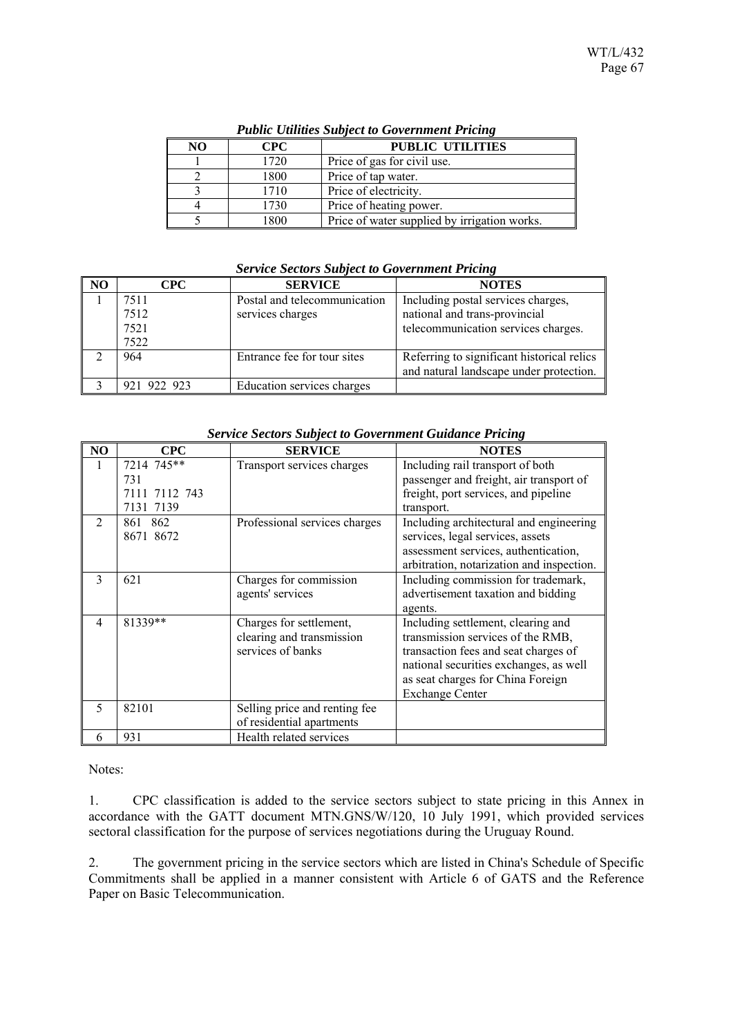| NO | CPC  | <b>PUBLIC UTILITIES</b>                      |
|----|------|----------------------------------------------|
|    | 1720 | Price of gas for civil use.                  |
|    | 1800 | Price of tap water.                          |
|    | 1710 | Price of electricity.                        |
|    | 1730 | Price of heating power.                      |
|    | 1800 | Price of water supplied by irrigation works. |

#### *Public Utilities Subject to Government Pricing*

#### *Service Sectors Subject to Government Pricing*

| N <sub>O</sub> | CPC-                         | <b>SERVICE</b>                                   | <b>NOTES</b>                                                                                               |
|----------------|------------------------------|--------------------------------------------------|------------------------------------------------------------------------------------------------------------|
|                | 7511<br>7512<br>7521<br>7522 | Postal and telecommunication<br>services charges | Including postal services charges,<br>national and trans-provincial<br>telecommunication services charges. |
|                | 964                          | Entrance fee for tour sites                      | Referring to significant historical relics<br>and natural landscape under protection.                      |
|                | 921 922 923                  | Education services charges                       |                                                                                                            |

#### *Service Sectors Subject to Government Guidance Pricing*

| NO             | <b>CPC</b>    | <b>SERVICE</b>                | <b>NOTES</b>                              |
|----------------|---------------|-------------------------------|-------------------------------------------|
| 1              | 7214 745**    | Transport services charges    | Including rail transport of both          |
|                | 731           |                               | passenger and freight, air transport of   |
|                | 7111 7112 743 |                               | freight, port services, and pipeline      |
|                | 7131 7139     |                               | transport.                                |
| $\mathfrak{D}$ | 861 862       | Professional services charges | Including architectural and engineering   |
|                | 8671 8672     |                               | services, legal services, assets          |
|                |               |                               | assessment services, authentication,      |
|                |               |                               | arbitration, notarization and inspection. |
| 3              | 621           | Charges for commission        | Including commission for trademark,       |
|                |               | agents' services              | advertisement taxation and bidding        |
|                |               |                               | agents.                                   |
| 4              | 81339**       | Charges for settlement,       | Including settlement, clearing and        |
|                |               | clearing and transmission     | transmission services of the RMB,         |
|                |               | services of banks             | transaction fees and seat charges of      |
|                |               |                               | national securities exchanges, as well    |
|                |               |                               | as seat charges for China Foreign         |
|                |               |                               | <b>Exchange Center</b>                    |
| 5              | 82101         | Selling price and renting fee |                                           |
|                |               | of residential apartments     |                                           |
| 6              | 931           | Health related services       |                                           |

Notes:

1. CPC classification is added to the service sectors subject to state pricing in this Annex in accordance with the GATT document MTN.GNS/W/120, 10 July 1991, which provided services sectoral classification for the purpose of services negotiations during the Uruguay Round.

2. The government pricing in the service sectors which are listed in China's Schedule of Specific Commitments shall be applied in a manner consistent with Article 6 of GATS and the Reference Paper on Basic Telecommunication.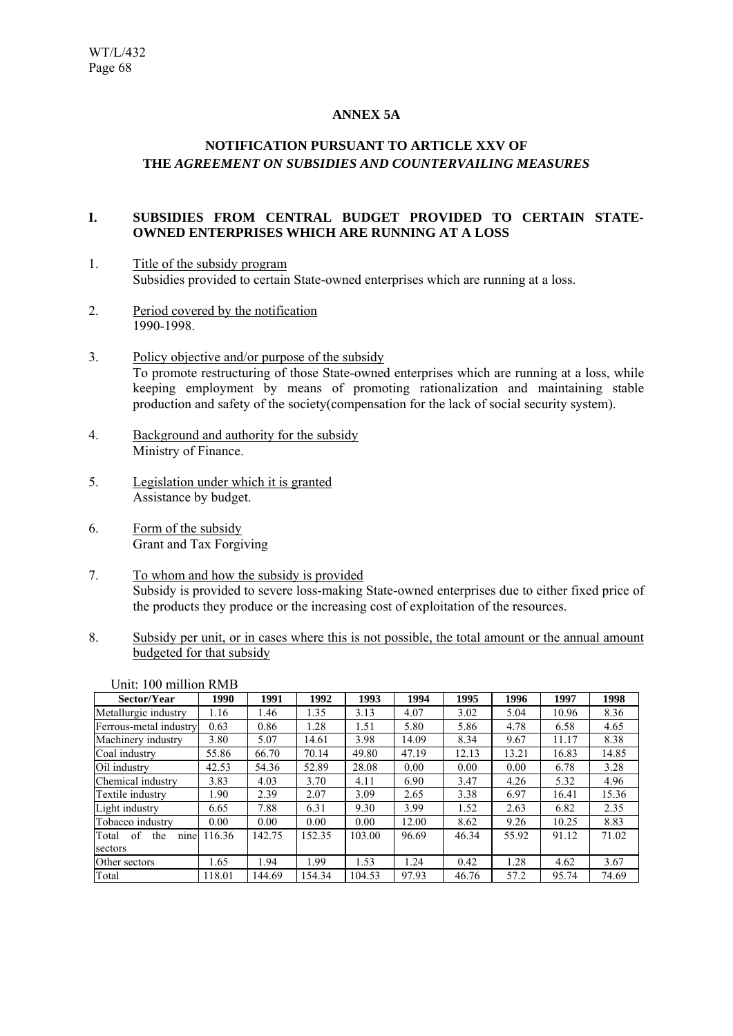### **ANNEX 5A**

### **NOTIFICATION PURSUANT TO ARTICLE XXV OF THE** *AGREEMENT ON SUBSIDIES AND COUNTERVAILING MEASURES*

#### **I. SUBSIDIES FROM CENTRAL BUDGET PROVIDED TO CERTAIN STATE-OWNED ENTERPRISES WHICH ARE RUNNING AT A LOSS**

- 1. Title of the subsidy program Subsidies provided to certain State-owned enterprises which are running at a loss.
- 2. Period covered by the notification 1990-1998.
- 3. Policy objective and/or purpose of the subsidy To promote restructuring of those State-owned enterprises which are running at a loss, while keeping employment by means of promoting rationalization and maintaining stable production and safety of the society(compensation for the lack of social security system).
- 4. Background and authority for the subsidy Ministry of Finance.
- 5. Legislation under which it is granted Assistance by budget.
- 6. Form of the subsidy Grant and Tax Forgiving
- 7. To whom and how the subsidy is provided Subsidy is provided to severe loss-making State-owned enterprises due to either fixed price of the products they produce or the increasing cost of exploitation of the resources.
- 8. Subsidy per unit, or in cases where this is not possible, the total amount or the annual amount budgeted for that subsidy

| Sector/Year                | 1990   | 1991   | 1992   | 1993   | 1994  | 1995  | 1996  | 1997  | 1998  |
|----------------------------|--------|--------|--------|--------|-------|-------|-------|-------|-------|
| Metallurgic industry       | 1.16   | 1.46   | 1.35   | 3.13   | 4.07  | 3.02  | 5.04  | 10.96 | 8.36  |
| Ferrous-metal industry     | 0.63   | 0.86   | 1.28   | 1.51   | 5.80  | 5.86  | 4.78  | 6.58  | 4.65  |
| Machinery industry         | 3.80   | 5.07   | 14.61  | 3.98   | 14.09 | 8.34  | 9.67  | 11.17 | 8.38  |
| Coal industry              | 55.86  | 66.70  | 70.14  | 49.80  | 47.19 | 12.13 | 13.21 | 16.83 | 14.85 |
| Oil industry               | 42.53  | 54.36  | 52.89  | 28.08  | 0.00  | 0.00  | 0.00  | 6.78  | 3.28  |
| Chemical industry          | 3.83   | 4.03   | 3.70   | 4.11   | 6.90  | 3.47  | 4.26  | 5.32  | 4.96  |
| Textile industry           | 1.90   | 2.39   | 2.07   | 3.09   | 2.65  | 3.38  | 6.97  | 16.41 | 15.36 |
| Light industry             | 6.65   | 7.88   | 6.31   | 9.30   | 3.99  | 1.52  | 2.63  | 6.82  | 2.35  |
| Tobacco industry           | 0.00   | 0.00   | 0.00   | 0.00   | 12.00 | 8.62  | 9.26  | 10.25 | 8.83  |
| of<br>Total<br>the<br>nine | 116.36 | 142.75 | 152.35 | 103.00 | 96.69 | 46.34 | 55.92 | 91.12 | 71.02 |
| sectors                    |        |        |        |        |       |       |       |       |       |
| Other sectors              | 1.65   | 1.94   | l.99   | 1.53   | 1.24  | 0.42  | 1.28  | 4.62  | 3.67  |
| Total                      | 118.01 | 144.69 | 154.34 | 104.53 | 97.93 | 46.76 | 57.2  | 95.74 | 74.69 |

Unit: 100 million RMB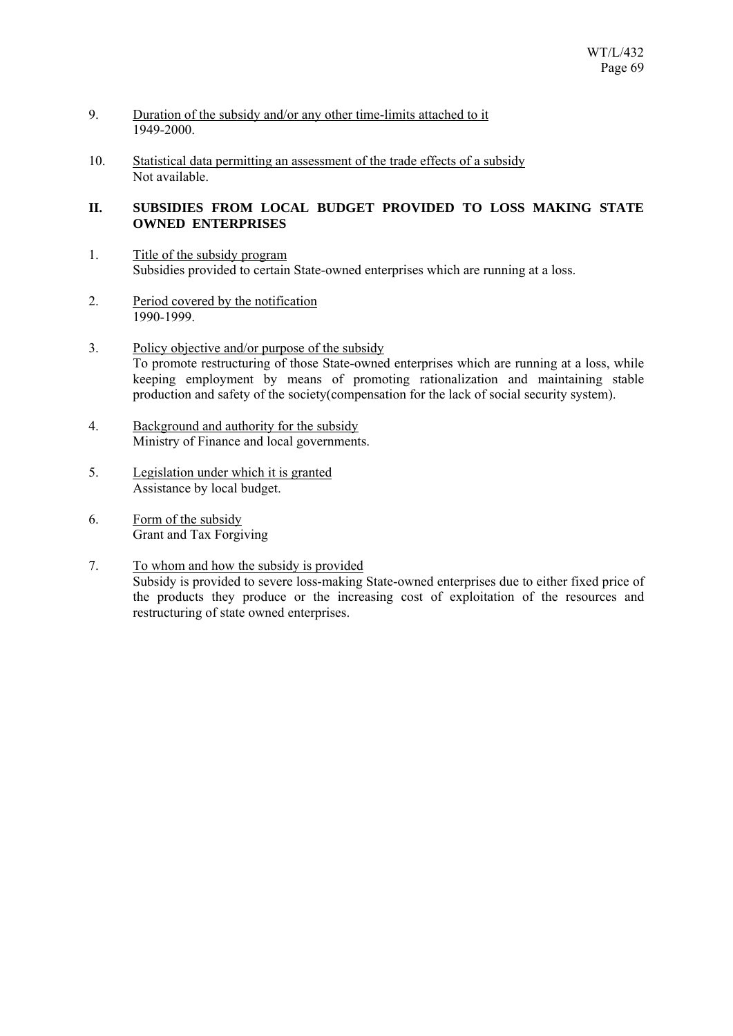- 9. Duration of the subsidy and/or any other time-limits attached to it 1949-2000.
- 10. Statistical data permitting an assessment of the trade effects of a subsidy Not available.

#### **II. SUBSIDIES FROM LOCAL BUDGET PROVIDED TO LOSS MAKING STATE OWNED ENTERPRISES**

- 1. Title of the subsidy program Subsidies provided to certain State-owned enterprises which are running at a loss.
- 2. Period covered by the notification 1990-1999.
- 3. Policy objective and/or purpose of the subsidy To promote restructuring of those State-owned enterprises which are running at a loss, while keeping employment by means of promoting rationalization and maintaining stable production and safety of the society(compensation for the lack of social security system).
- 4. Background and authority for the subsidy Ministry of Finance and local governments.
- 5. Legislation under which it is granted Assistance by local budget.
- 6. Form of the subsidy Grant and Tax Forgiving
- 7. To whom and how the subsidy is provided Subsidy is provided to severe loss-making State-owned enterprises due to either fixed price of the products they produce or the increasing cost of exploitation of the resources and restructuring of state owned enterprises.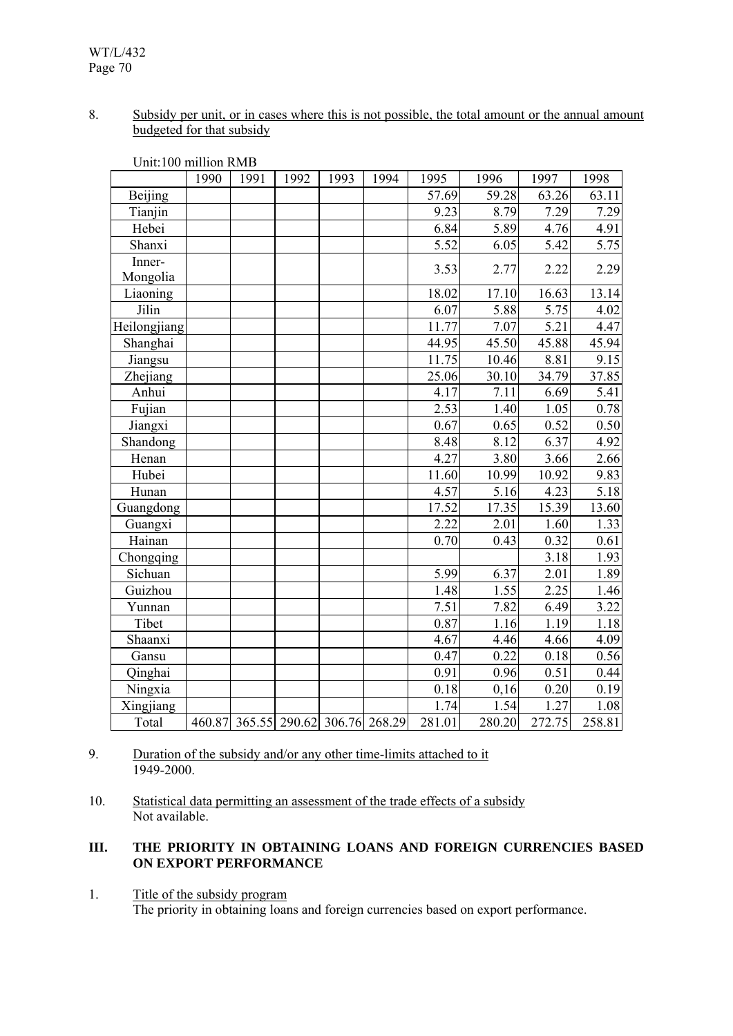#### 8. Subsidy per unit, or in cases where this is not possible, the total amount or the annual amount budgeted for that subsidy

|              | 1990   | 1991 | 1992                        | 1993 | 1994 | 1995   | 1996               | 1997              | 1998   |
|--------------|--------|------|-----------------------------|------|------|--------|--------------------|-------------------|--------|
| Beijing      |        |      |                             |      |      | 57.69  | 59.28              | 63.26             | 63.11  |
| Tianjin      |        |      |                             |      |      | 9.23   | 8.79               | 7.29              | 7.29   |
| Hebei        |        |      |                             |      |      | 6.84   | 5.89               | 4.76              | 4.91   |
| Shanxi       |        |      |                             |      |      | 5.52   | 6.05               | 5.42              | 5.75   |
| Inner-       |        |      |                             |      |      | 3.53   | 2.77               | 2.22              | 2.29   |
| Mongolia     |        |      |                             |      |      |        |                    |                   |        |
| Liaoning     |        |      |                             |      |      | 18.02  | $\overline{17.10}$ | 16.63             | 13.14  |
| Jilin        |        |      |                             |      |      | 6.07   | $\overline{5.88}$  | 5.75              | 4.02   |
| Heilongjiang |        |      |                             |      |      | 11.77  | 7.07               | 5.21              | 4.47   |
| Shanghai     |        |      |                             |      |      | 44.95  | 45.50              | 45.88             | 45.94  |
| Jiangsu      |        |      |                             |      |      | 11.75  | 10.46              | 8.81              | 9.15   |
| Zhejiang     |        |      |                             |      |      | 25.06  | 30.10              | 34.79             | 37.85  |
| Anhui        |        |      |                             |      |      | 4.17   | $\overline{7.11}$  | 6.69              | 5.41   |
| Fujian       |        |      |                             |      |      | 2.53   | 1.40               | 1.05              | 0.78   |
| Jiangxi      |        |      |                             |      |      | 0.67   | 0.65               | 0.52              | 0.50   |
| Shandong     |        |      |                             |      |      | 8.48   | 8.12               | 6.37              | 4.92   |
| Henan        |        |      |                             |      |      | 4.27   | 3.80               | 3.66              | 2.66   |
| Hubei        |        |      |                             |      |      | 11.60  | 10.99              | 10.92             | 9.83   |
| Hunan        |        |      |                             |      |      | 4.57   | $\overline{5.16}$  | 4.23              | 5.18   |
| Guangdong    |        |      |                             |      |      | 17.52  | 17.35              | 15.39             | 13.60  |
| Guangxi      |        |      |                             |      |      | 2.22   | 2.01               | 1.60              | 1.33   |
| Hainan       |        |      |                             |      |      | 0.70   | 0.43               | 0.32              | 0.61   |
| Chongqing    |        |      |                             |      |      |        |                    | 3.18              | 1.93   |
| Sichuan      |        |      |                             |      |      | 5.99   | 6.37               | $\overline{2.01}$ | 1.89   |
| Guizhou      |        |      |                             |      |      | 1.48   | 1.55               | 2.25              | 1.46   |
| Yunnan       |        |      |                             |      |      | 7.51   | 7.82               | 6.49              | 3.22   |
| Tibet        |        |      |                             |      |      | 0.87   | 1.16               | 1.19              | 1.18   |
| Shaanxi      |        |      |                             |      |      | 4.67   | 4.46               | 4.66              | 4.09   |
| Gansu        |        |      |                             |      |      | 0.47   | 0.22               | 0.18              | 0.56   |
| Qinghai      |        |      |                             |      |      | 0.91   | 0.96               | 0.51              | 0.44   |
| Ningxia      |        |      |                             |      |      | 0.18   | 0,16               | 0.20              | 0.19   |
| Xingjiang    |        |      |                             |      |      | 1.74   | 1.54               | 1.27              | 1.08   |
| Total        | 460.87 |      | 365.55 290.62 306.76 268.29 |      |      | 281.01 | 280.20             | 272.75            | 258.81 |

Unit:100 million RMB

- 9. Duration of the subsidy and/or any other time-limits attached to it 1949-2000.
- 10. Statistical data permitting an assessment of the trade effects of a subsidy Not available.

### **III. THE PRIORITY IN OBTAINING LOANS AND FOREIGN CURRENCIES BASED ON EXPORT PERFORMANCE**

1. Title of the subsidy program The priority in obtaining loans and foreign currencies based on export performance.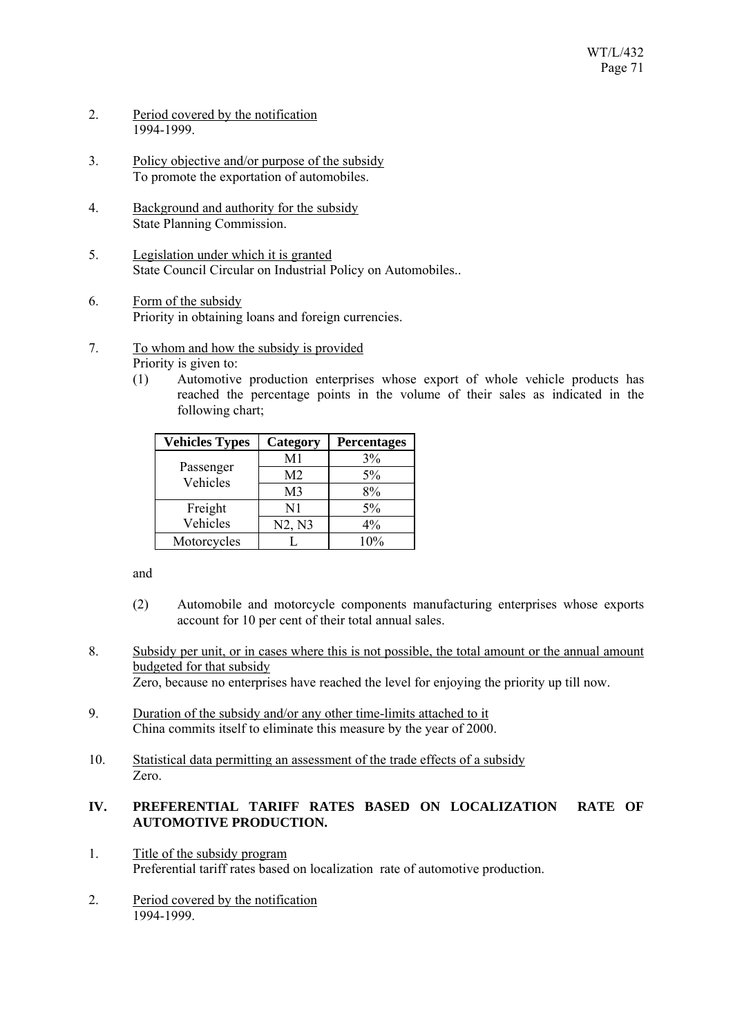- 2. Period covered by the notification 1994-1999.
- 3. Policy objective and/or purpose of the subsidy To promote the exportation of automobiles.
- 4. Background and authority for the subsidy State Planning Commission.
- 5. Legislation under which it is granted State Council Circular on Industrial Policy on Automobiles..
- 6. Form of the subsidy Priority in obtaining loans and foreign currencies.
- 7. To whom and how the subsidy is provided
	- Priority is given to:
	- (1) Automotive production enterprises whose export of whole vehicle products has reached the percentage points in the volume of their sales as indicated in the following chart;

| <b>Vehicles Types</b> | Category                        | <b>Percentages</b> |  |
|-----------------------|---------------------------------|--------------------|--|
|                       | M1                              | 3%                 |  |
| Passenger<br>Vehicles | M <sub>2</sub>                  | $5\%$              |  |
|                       | M <sub>3</sub>                  | 8%                 |  |
| Freight               | $\rm N1$                        | 5%                 |  |
| Vehicles              | N <sub>2</sub> , N <sub>3</sub> | $4\%$              |  |
| Motorcycles           |                                 | 10%                |  |

and

- (2) Automobile and motorcycle components manufacturing enterprises whose exports account for 10 per cent of their total annual sales.
- 8. Subsidy per unit, or in cases where this is not possible, the total amount or the annual amount budgeted for that subsidy Zero, because no enterprises have reached the level for enjoying the priority up till now.
- 9. Duration of the subsidy and/or any other time-limits attached to it China commits itself to eliminate this measure by the year of 2000.
- 10. Statistical data permitting an assessment of the trade effects of a subsidy Zero.

#### **IV. PREFERENTIAL TARIFF RATES BASED ON LOCALIZATION RATE OF AUTOMOTIVE PRODUCTION.**

- 1. Title of the subsidy program Preferential tariff rates based on localization rate of automotive production.
- 2. Period covered by the notification 1994-1999.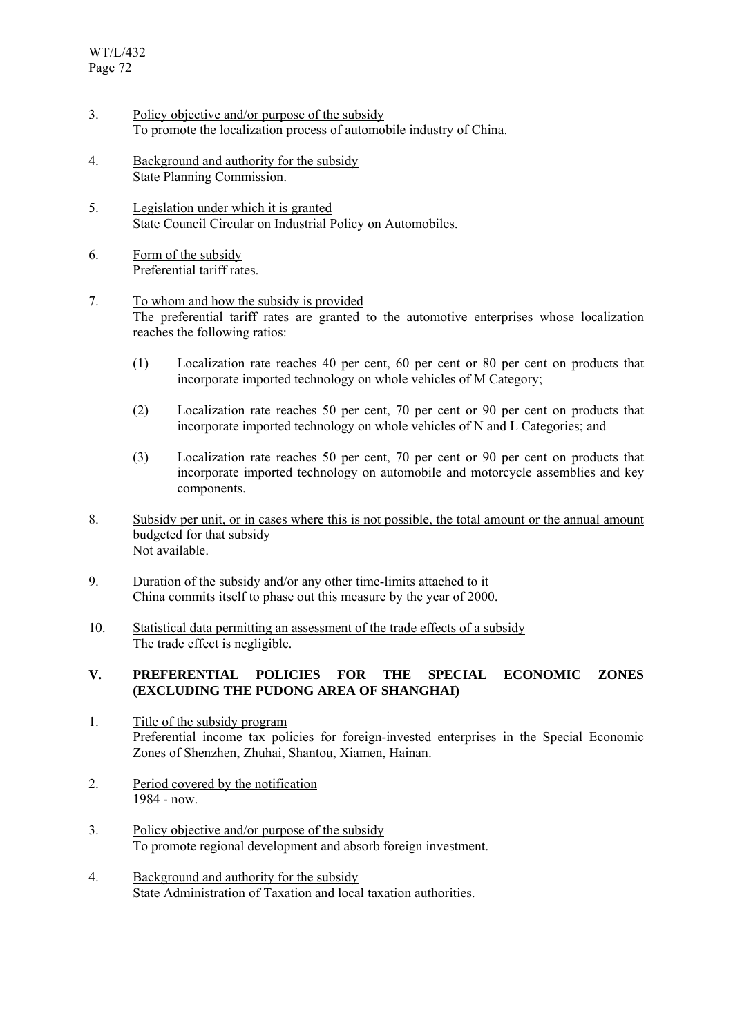- 3. Policy objective and/or purpose of the subsidy To promote the localization process of automobile industry of China.
- 4. Background and authority for the subsidy State Planning Commission.
- 5. Legislation under which it is granted State Council Circular on Industrial Policy on Automobiles.
- 6. Form of the subsidy Preferential tariff rates.
- 7. To whom and how the subsidy is provided The preferential tariff rates are granted to the automotive enterprises whose localization reaches the following ratios:
	- (1) Localization rate reaches 40 per cent, 60 per cent or 80 per cent on products that incorporate imported technology on whole vehicles of M Category;
	- (2) Localization rate reaches 50 per cent, 70 per cent or 90 per cent on products that incorporate imported technology on whole vehicles of N and L Categories; and
	- (3) Localization rate reaches 50 per cent, 70 per cent or 90 per cent on products that incorporate imported technology on automobile and motorcycle assemblies and key components.
- 8. Subsidy per unit, or in cases where this is not possible, the total amount or the annual amount budgeted for that subsidy Not available.
- 9. Duration of the subsidy and/or any other time-limits attached to it China commits itself to phase out this measure by the year of 2000.
- 10. Statistical data permitting an assessment of the trade effects of a subsidy The trade effect is negligible.

#### **V. PREFERENTIAL POLICIES FOR THE SPECIAL ECONOMIC ZONES (EXCLUDING THE PUDONG AREA OF SHANGHAI)**

- 1. Title of the subsidy program Preferential income tax policies for foreign-invested enterprises in the Special Economic Zones of Shenzhen, Zhuhai, Shantou, Xiamen, Hainan.
- 2. Period covered by the notification 1984 - now.
- 3. Policy objective and/or purpose of the subsidy To promote regional development and absorb foreign investment.
- 4. Background and authority for the subsidy State Administration of Taxation and local taxation authorities.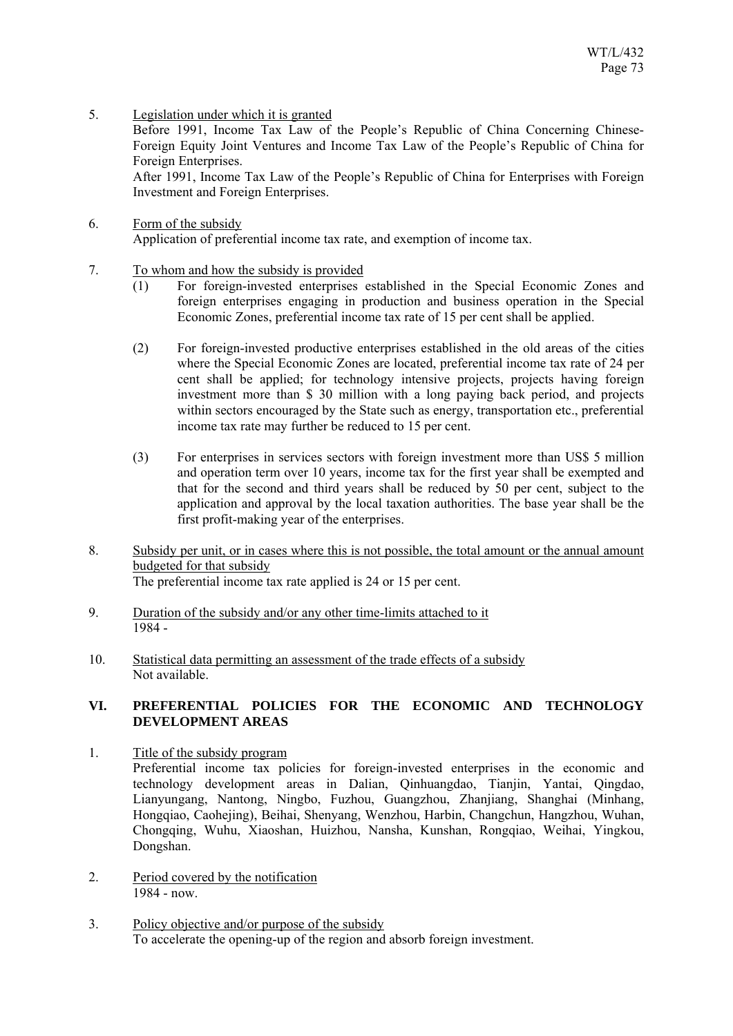5. Legislation under which it is granted

 Before 1991, Income Tax Law of the People's Republic of China Concerning Chinese-Foreign Equity Joint Ventures and Income Tax Law of the People's Republic of China for Foreign Enterprises.

 After 1991, Income Tax Law of the People's Republic of China for Enterprises with Foreign Investment and Foreign Enterprises.

- 6. Form of the subsidy Application of preferential income tax rate, and exemption of income tax.
- 7. To whom and how the subsidy is provided
	- (1) For foreign-invested enterprises established in the Special Economic Zones and foreign enterprises engaging in production and business operation in the Special Economic Zones, preferential income tax rate of 15 per cent shall be applied.
	- (2) For foreign-invested productive enterprises established in the old areas of the cities where the Special Economic Zones are located, preferential income tax rate of 24 per cent shall be applied; for technology intensive projects, projects having foreign investment more than \$ 30 million with a long paying back period, and projects within sectors encouraged by the State such as energy, transportation etc., preferential income tax rate may further be reduced to 15 per cent.
	- (3) For enterprises in services sectors with foreign investment more than US\$ 5 million and operation term over 10 years, income tax for the first year shall be exempted and that for the second and third years shall be reduced by 50 per cent, subject to the application and approval by the local taxation authorities. The base year shall be the first profit-making year of the enterprises.
- 8. Subsidy per unit, or in cases where this is not possible, the total amount or the annual amount budgeted for that subsidy The preferential income tax rate applied is 24 or 15 per cent.
- 9. Duration of the subsidy and/or any other time-limits attached to it 1984 -
- 10. Statistical data permitting an assessment of the trade effects of a subsidy Not available.

# **VI. PREFERENTIAL POLICIES FOR THE ECONOMIC AND TECHNOLOGY DEVELOPMENT AREAS**

- 1. Title of the subsidy program Preferential income tax policies for foreign-invested enterprises in the economic and technology development areas in Dalian, Qinhuangdao, Tianjin, Yantai, Qingdao, Lianyungang, Nantong, Ningbo, Fuzhou, Guangzhou, Zhanjiang, Shanghai (Minhang, Hongqiao, Caohejing), Beihai, Shenyang, Wenzhou, Harbin, Changchun, Hangzhou, Wuhan, Chongqing, Wuhu, Xiaoshan, Huizhou, Nansha, Kunshan, Rongqiao, Weihai, Yingkou, Dongshan.
- 2. Period covered by the notification 1984 - now.
- 3. Policy objective and/or purpose of the subsidy To accelerate the opening-up of the region and absorb foreign investment.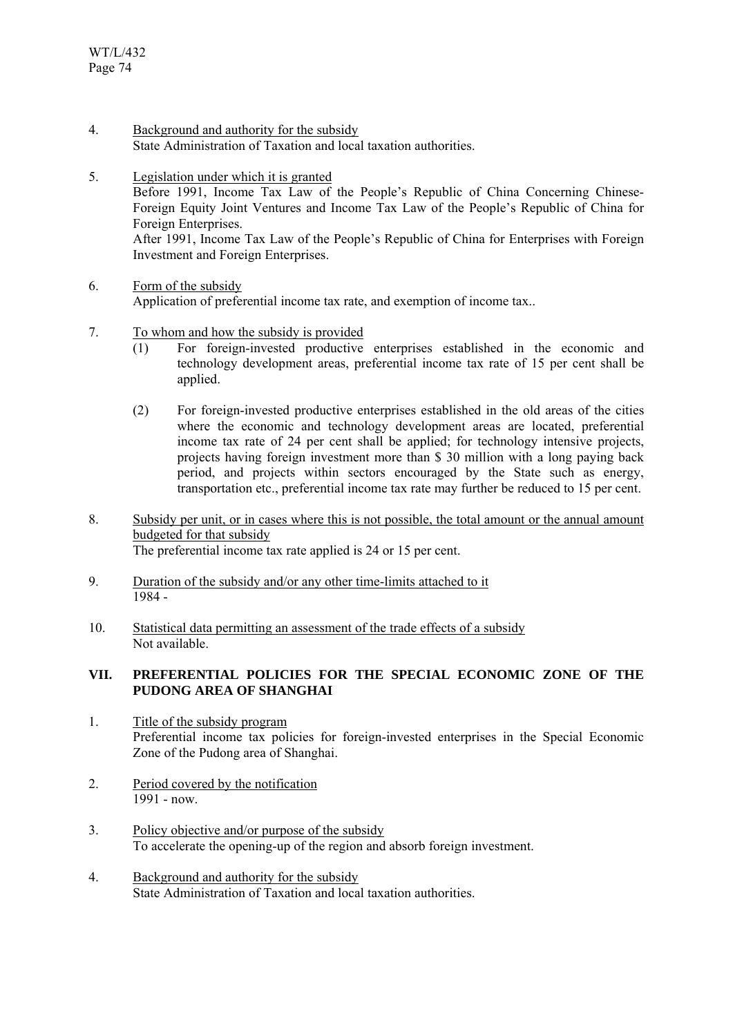- 4. Background and authority for the subsidy State Administration of Taxation and local taxation authorities.
- 5. Legislation under which it is granted Before 1991, Income Tax Law of the People's Republic of China Concerning Chinese-Foreign Equity Joint Ventures and Income Tax Law of the People's Republic of China for Foreign Enterprises. After 1991, Income Tax Law of the People's Republic of China for Enterprises with Foreign Investment and Foreign Enterprises.
- 6. Form of the subsidy Application of preferential income tax rate, and exemption of income tax..
- 7. To whom and how the subsidy is provided
	- (1) For foreign-invested productive enterprises established in the economic and technology development areas, preferential income tax rate of 15 per cent shall be applied.
	- (2) For foreign-invested productive enterprises established in the old areas of the cities where the economic and technology development areas are located, preferential income tax rate of 24 per cent shall be applied; for technology intensive projects, projects having foreign investment more than \$ 30 million with a long paying back period, and projects within sectors encouraged by the State such as energy, transportation etc., preferential income tax rate may further be reduced to 15 per cent.
- 8. Subsidy per unit, or in cases where this is not possible, the total amount or the annual amount budgeted for that subsidy The preferential income tax rate applied is 24 or 15 per cent.
- 9. Duration of the subsidy and/or any other time-limits attached to it 1984 -
- 10. Statistical data permitting an assessment of the trade effects of a subsidy Not available.

# **VII. PREFERENTIAL POLICIES FOR THE SPECIAL ECONOMIC ZONE OF THE PUDONG AREA OF SHANGHAI**

- 1. Title of the subsidy program Preferential income tax policies for foreign-invested enterprises in the Special Economic Zone of the Pudong area of Shanghai.
- 2. Period covered by the notification 1991 - now.
- 3. Policy objective and/or purpose of the subsidy To accelerate the opening-up of the region and absorb foreign investment.
- 4. Background and authority for the subsidy State Administration of Taxation and local taxation authorities.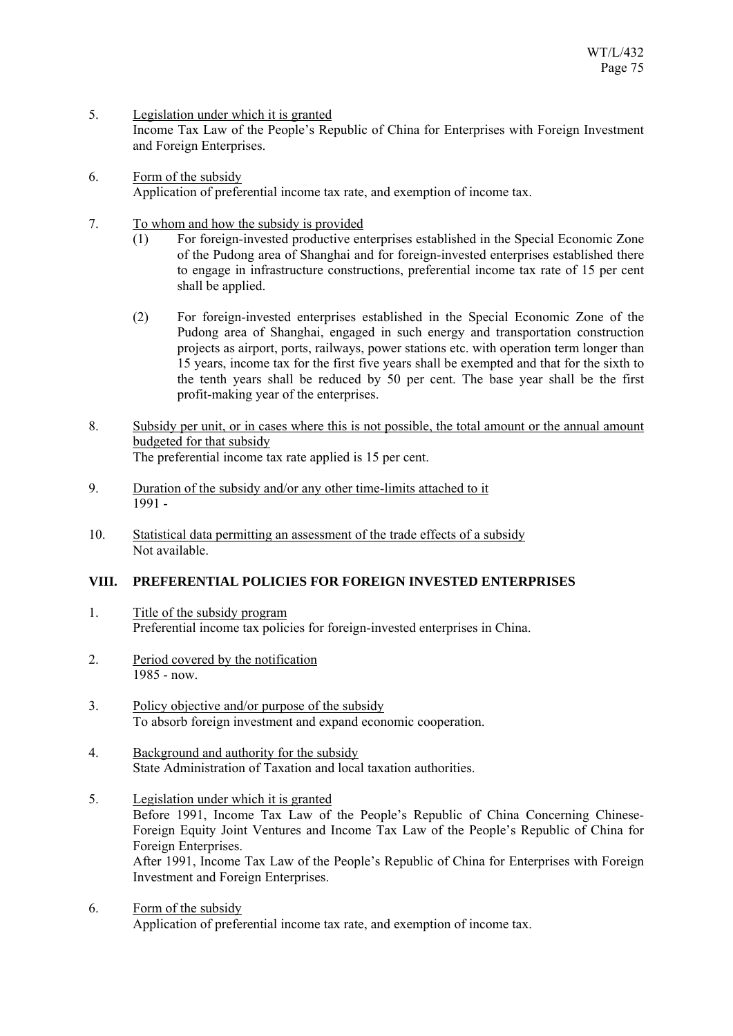- 5. Legislation under which it is granted Income Tax Law of the People's Republic of China for Enterprises with Foreign Investment and Foreign Enterprises.
- 6. Form of the subsidy Application of preferential income tax rate, and exemption of income tax.
- 7. To whom and how the subsidy is provided
	- (1) For foreign-invested productive enterprises established in the Special Economic Zone of the Pudong area of Shanghai and for foreign-invested enterprises established there to engage in infrastructure constructions, preferential income tax rate of 15 per cent shall be applied.
	- (2) For foreign-invested enterprises established in the Special Economic Zone of the Pudong area of Shanghai, engaged in such energy and transportation construction projects as airport, ports, railways, power stations etc. with operation term longer than 15 years, income tax for the first five years shall be exempted and that for the sixth to the tenth years shall be reduced by 50 per cent. The base year shall be the first profit-making year of the enterprises.
- 8. Subsidy per unit, or in cases where this is not possible, the total amount or the annual amount budgeted for that subsidy The preferential income tax rate applied is 15 per cent.
- 9. Duration of the subsidy and/or any other time-limits attached to it 1991 -
- 10. Statistical data permitting an assessment of the trade effects of a subsidy Not available.

# **VIII. PREFERENTIAL POLICIES FOR FOREIGN INVESTED ENTERPRISES**

- 1. Title of the subsidy program Preferential income tax policies for foreign-invested enterprises in China.
- 2. Period covered by the notification  $1985 - now$
- 3. Policy objective and/or purpose of the subsidy To absorb foreign investment and expand economic cooperation.
- 4. Background and authority for the subsidy State Administration of Taxation and local taxation authorities.
- 5. Legislation under which it is granted Before 1991, Income Tax Law of the People's Republic of China Concerning Chinese-Foreign Equity Joint Ventures and Income Tax Law of the People's Republic of China for Foreign Enterprises. After 1991, Income Tax Law of the People's Republic of China for Enterprises with Foreign Investment and Foreign Enterprises.
- 6. Form of the subsidy Application of preferential income tax rate, and exemption of income tax.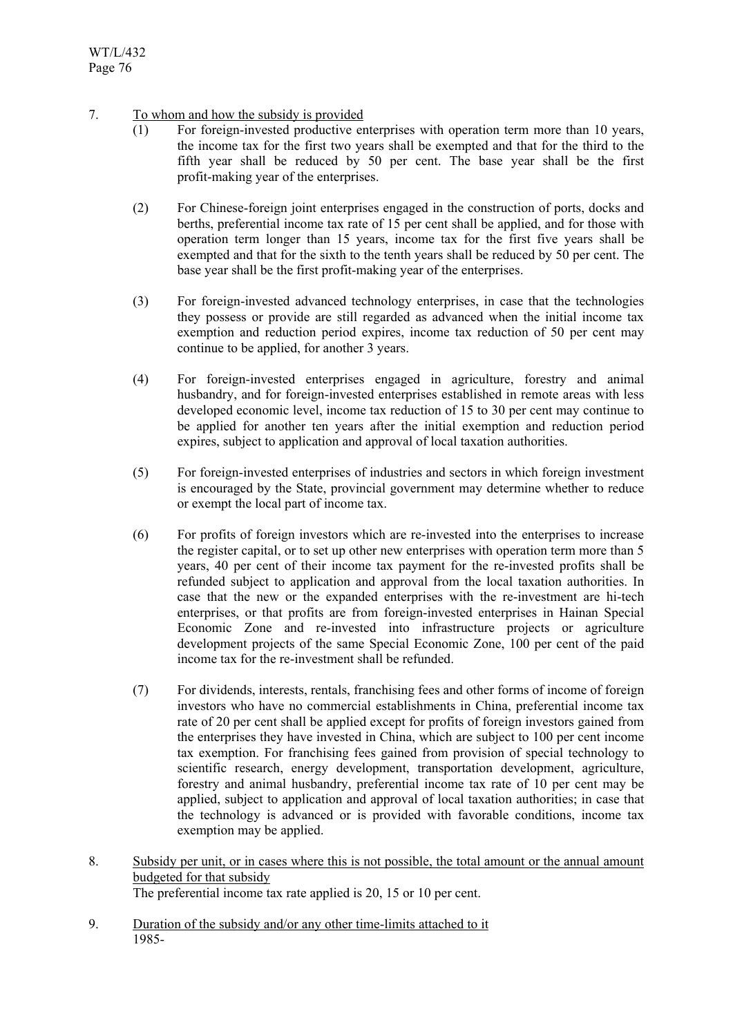- 7. To whom and how the subsidy is provided
	- (1) For foreign-invested productive enterprises with operation term more than 10 years, the income tax for the first two years shall be exempted and that for the third to the fifth year shall be reduced by 50 per cent. The base year shall be the first profit-making year of the enterprises.
	- (2) For Chinese-foreign joint enterprises engaged in the construction of ports, docks and berths, preferential income tax rate of 15 per cent shall be applied, and for those with operation term longer than 15 years, income tax for the first five years shall be exempted and that for the sixth to the tenth years shall be reduced by 50 per cent. The base year shall be the first profit-making year of the enterprises.
	- (3) For foreign-invested advanced technology enterprises, in case that the technologies they possess or provide are still regarded as advanced when the initial income tax exemption and reduction period expires, income tax reduction of 50 per cent may continue to be applied, for another 3 years.
	- (4) For foreign-invested enterprises engaged in agriculture, forestry and animal husbandry, and for foreign-invested enterprises established in remote areas with less developed economic level, income tax reduction of 15 to 30 per cent may continue to be applied for another ten years after the initial exemption and reduction period expires, subject to application and approval of local taxation authorities.
	- (5) For foreign-invested enterprises of industries and sectors in which foreign investment is encouraged by the State, provincial government may determine whether to reduce or exempt the local part of income tax.
	- (6) For profits of foreign investors which are re-invested into the enterprises to increase the register capital, or to set up other new enterprises with operation term more than 5 years, 40 per cent of their income tax payment for the re-invested profits shall be refunded subject to application and approval from the local taxation authorities. In case that the new or the expanded enterprises with the re-investment are hi-tech enterprises, or that profits are from foreign-invested enterprises in Hainan Special Economic Zone and re-invested into infrastructure projects or agriculture development projects of the same Special Economic Zone, 100 per cent of the paid income tax for the re-investment shall be refunded.
	- (7) For dividends, interests, rentals, franchising fees and other forms of income of foreign investors who have no commercial establishments in China, preferential income tax rate of 20 per cent shall be applied except for profits of foreign investors gained from the enterprises they have invested in China, which are subject to 100 per cent income tax exemption. For franchising fees gained from provision of special technology to scientific research, energy development, transportation development, agriculture, forestry and animal husbandry, preferential income tax rate of 10 per cent may be applied, subject to application and approval of local taxation authorities; in case that the technology is advanced or is provided with favorable conditions, income tax exemption may be applied.
- 8. Subsidy per unit, or in cases where this is not possible, the total amount or the annual amount budgeted for that subsidy The preferential income tax rate applied is 20, 15 or 10 per cent.
- 9. Duration of the subsidy and/or any other time-limits attached to it 1985-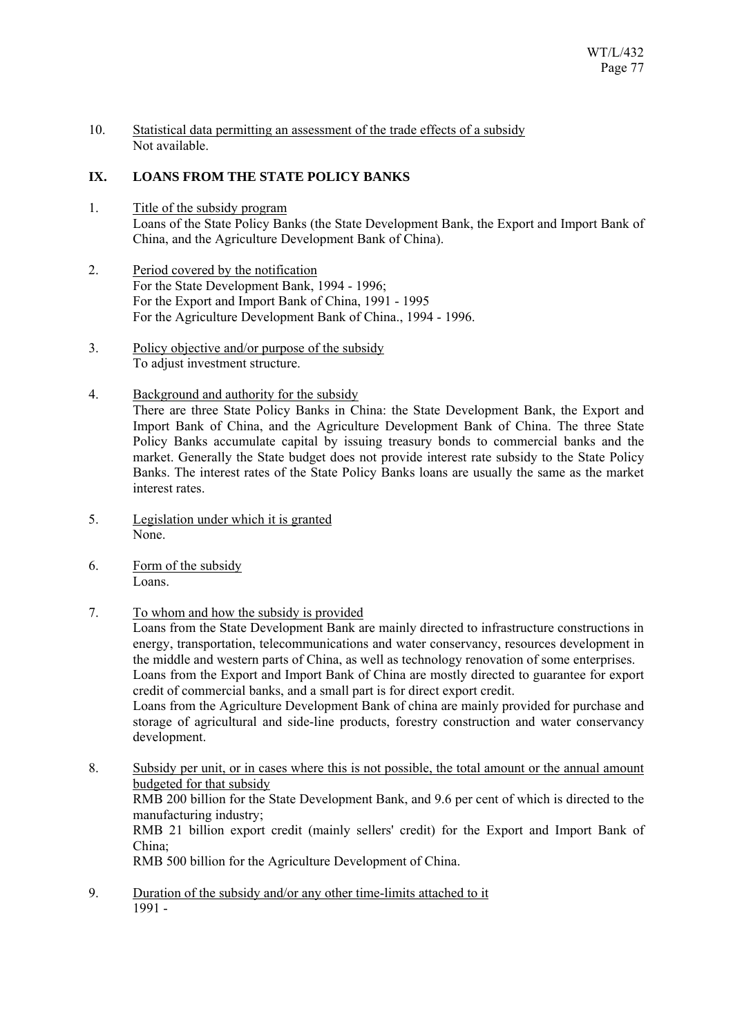10. Statistical data permitting an assessment of the trade effects of a subsidy Not available.

### **IX. LOANS FROM THE STATE POLICY BANKS**

- 1. Title of the subsidy program Loans of the State Policy Banks (the State Development Bank, the Export and Import Bank of China, and the Agriculture Development Bank of China).
- 2. Period covered by the notification For the State Development Bank, 1994 - 1996; For the Export and Import Bank of China, 1991 - 1995 For the Agriculture Development Bank of China., 1994 - 1996.
- 3. Policy objective and/or purpose of the subsidy To adjust investment structure.
- 4. Background and authority for the subsidy

 There are three State Policy Banks in China: the State Development Bank, the Export and Import Bank of China, and the Agriculture Development Bank of China. The three State Policy Banks accumulate capital by issuing treasury bonds to commercial banks and the market. Generally the State budget does not provide interest rate subsidy to the State Policy Banks. The interest rates of the State Policy Banks loans are usually the same as the market interest rates.

- 5. Legislation under which it is granted None.
- 6. Form of the subsidy Loans.
- 7. To whom and how the subsidy is provided

 Loans from the State Development Bank are mainly directed to infrastructure constructions in energy, transportation, telecommunications and water conservancy, resources development in the middle and western parts of China, as well as technology renovation of some enterprises. Loans from the Export and Import Bank of China are mostly directed to guarantee for export credit of commercial banks, and a small part is for direct export credit. Loans from the Agriculture Development Bank of china are mainly provided for purchase and

storage of agricultural and side-line products, forestry construction and water conservancy development.

8. Subsidy per unit, or in cases where this is not possible, the total amount or the annual amount budgeted for that subsidy

 RMB 200 billion for the State Development Bank, and 9.6 per cent of which is directed to the manufacturing industry;

 RMB 21 billion export credit (mainly sellers' credit) for the Export and Import Bank of China;

RMB 500 billion for the Agriculture Development of China.

9. Duration of the subsidy and/or any other time-limits attached to it 1991 -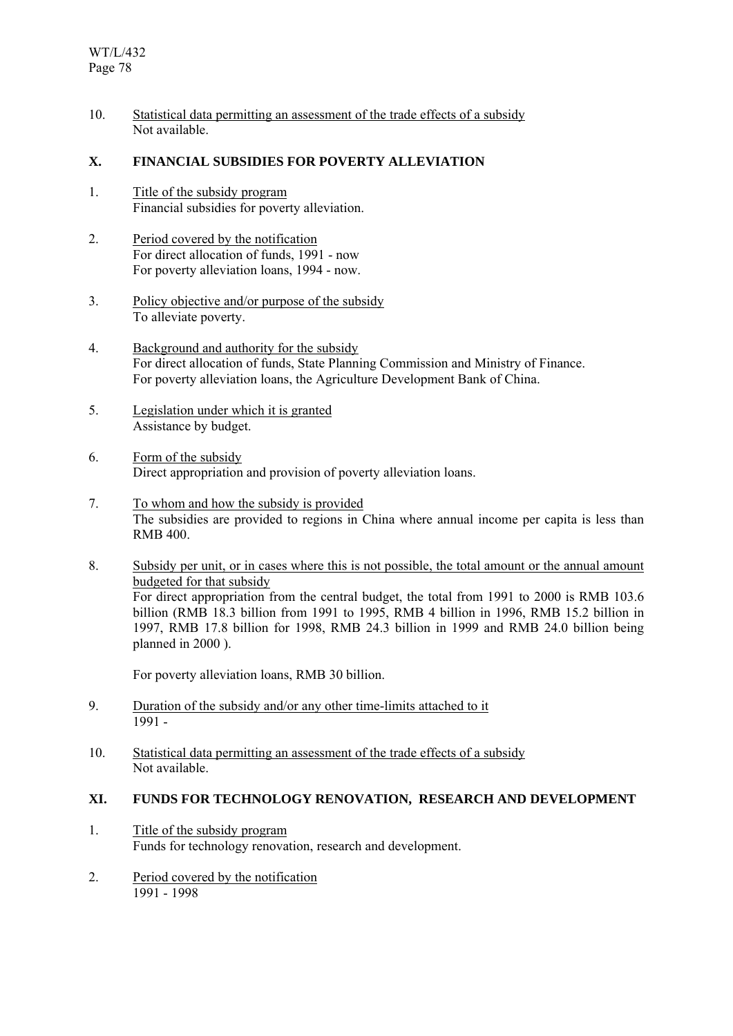10. Statistical data permitting an assessment of the trade effects of a subsidy Not available.

### **X. FINANCIAL SUBSIDIES FOR POVERTY ALLEVIATION**

- 1. Title of the subsidy program Financial subsidies for poverty alleviation.
- 2. Period covered by the notification For direct allocation of funds, 1991 - now For poverty alleviation loans, 1994 - now.
- 3. Policy objective and/or purpose of the subsidy To alleviate poverty.
- 4. Background and authority for the subsidy For direct allocation of funds, State Planning Commission and Ministry of Finance. For poverty alleviation loans, the Agriculture Development Bank of China.
- 5. Legislation under which it is granted Assistance by budget.
- 6. Form of the subsidy Direct appropriation and provision of poverty alleviation loans.
- 7. To whom and how the subsidy is provided The subsidies are provided to regions in China where annual income per capita is less than RMB 400.
- 8. Subsidy per unit, or in cases where this is not possible, the total amount or the annual amount budgeted for that subsidy For direct appropriation from the central budget, the total from 1991 to 2000 is RMB 103.6 billion (RMB 18.3 billion from 1991 to 1995, RMB 4 billion in 1996, RMB 15.2 billion in 1997, RMB 17.8 billion for 1998, RMB 24.3 billion in 1999 and RMB 24.0 billion being planned in 2000 ).

For poverty alleviation loans, RMB 30 billion.

- 9. Duration of the subsidy and/or any other time-limits attached to it 1991 -
- 10. Statistical data permitting an assessment of the trade effects of a subsidy Not available.

#### **XI. FUNDS FOR TECHNOLOGY RENOVATION, RESEARCH AND DEVELOPMENT**

- 1. Title of the subsidy program Funds for technology renovation, research and development.
- 2. Period covered by the notification 1991 - 1998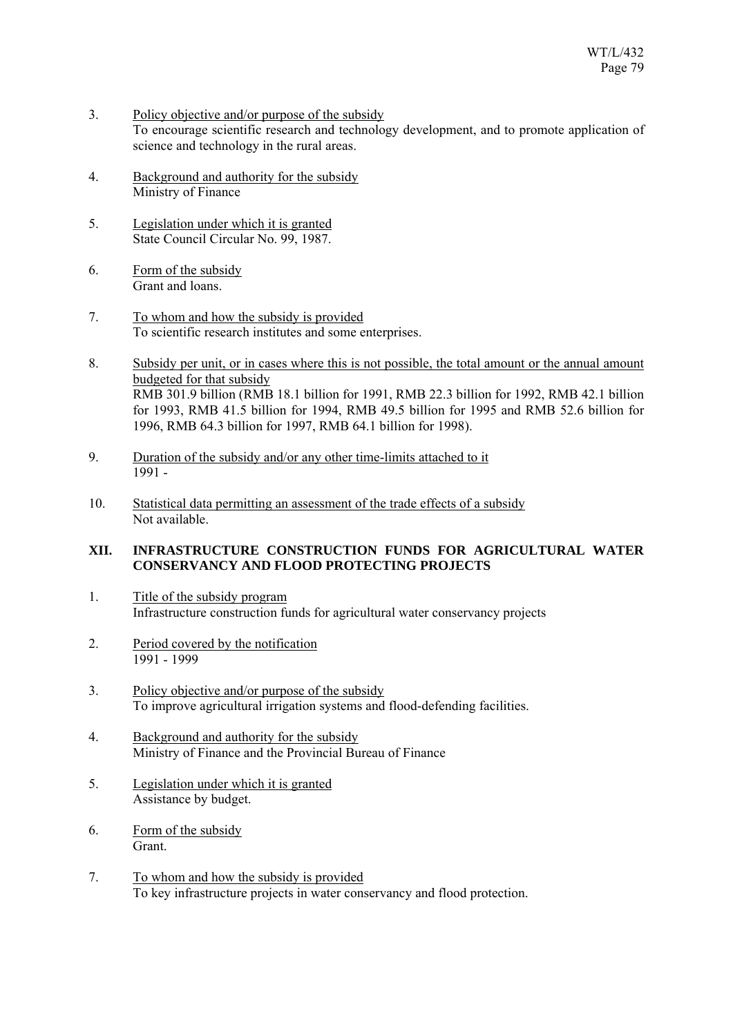- 3. Policy objective and/or purpose of the subsidy To encourage scientific research and technology development, and to promote application of science and technology in the rural areas.
- 4. Background and authority for the subsidy Ministry of Finance
- 5. Legislation under which it is granted State Council Circular No. 99, 1987.
- 6. Form of the subsidy Grant and loans.
- 7. To whom and how the subsidy is provided To scientific research institutes and some enterprises.
- 8. Subsidy per unit, or in cases where this is not possible, the total amount or the annual amount budgeted for that subsidy RMB 301.9 billion (RMB 18.1 billion for 1991, RMB 22.3 billion for 1992, RMB 42.1 billion for 1993, RMB 41.5 billion for 1994, RMB 49.5 billion for 1995 and RMB 52.6 billion for 1996, RMB 64.3 billion for 1997, RMB 64.1 billion for 1998).
- 9. Duration of the subsidy and/or any other time-limits attached to it 1991 -
- 10. Statistical data permitting an assessment of the trade effects of a subsidy Not available.

# **XII. INFRASTRUCTURE CONSTRUCTION FUNDS FOR AGRICULTURAL WATER CONSERVANCY AND FLOOD PROTECTING PROJECTS**

- 1. Title of the subsidy program Infrastructure construction funds for agricultural water conservancy projects
- 2. Period covered by the notification 1991 - 1999
- 3. Policy objective and/or purpose of the subsidy To improve agricultural irrigation systems and flood-defending facilities.
- 4. Background and authority for the subsidy Ministry of Finance and the Provincial Bureau of Finance
- 5. Legislation under which it is granted Assistance by budget.
- 6. Form of the subsidy Grant.
- 7. To whom and how the subsidy is provided To key infrastructure projects in water conservancy and flood protection.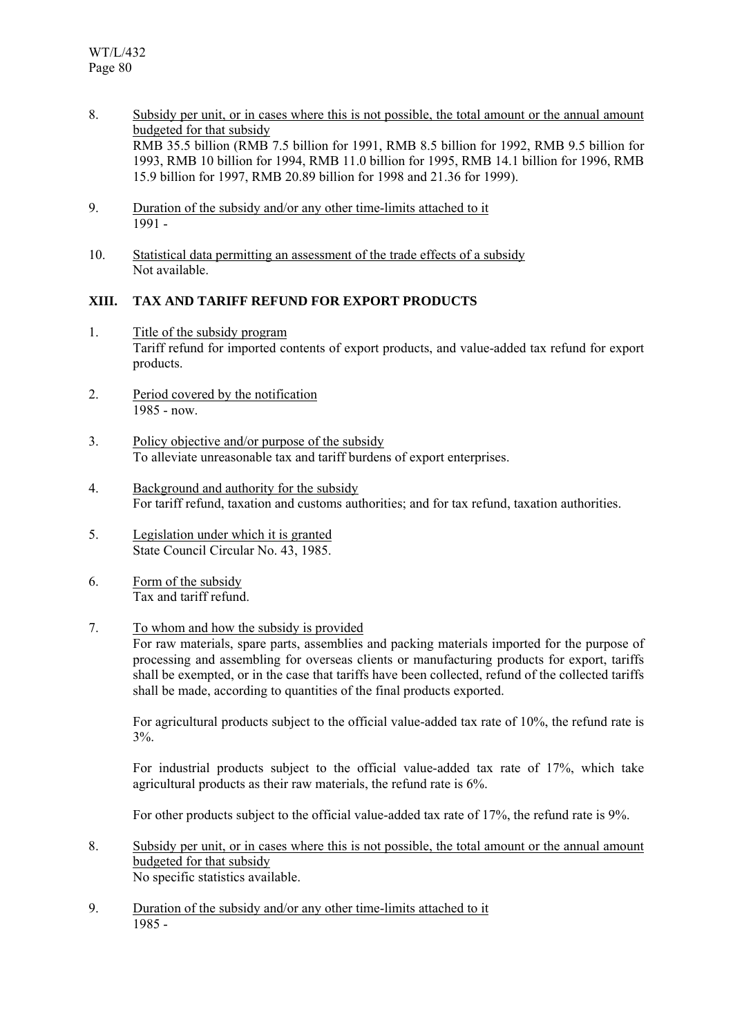- 8. Subsidy per unit, or in cases where this is not possible, the total amount or the annual amount budgeted for that subsidy RMB 35.5 billion (RMB 7.5 billion for 1991, RMB 8.5 billion for 1992, RMB 9.5 billion for 1993, RMB 10 billion for 1994, RMB 11.0 billion for 1995, RMB 14.1 billion for 1996, RMB 15.9 billion for 1997, RMB 20.89 billion for 1998 and 21.36 for 1999).
- 9. Duration of the subsidy and/or any other time-limits attached to it 1991 -
- 10. Statistical data permitting an assessment of the trade effects of a subsidy Not available.

### **XIII. TAX AND TARIFF REFUND FOR EXPORT PRODUCTS**

- 1. Title of the subsidy program Tariff refund for imported contents of export products, and value-added tax refund for export products.
- 2. Period covered by the notification 1985 - now.
- 3. Policy objective and/or purpose of the subsidy To alleviate unreasonable tax and tariff burdens of export enterprises.
- 4. Background and authority for the subsidy For tariff refund, taxation and customs authorities; and for tax refund, taxation authorities.
- 5. Legislation under which it is granted State Council Circular No. 43, 1985.
- 6. Form of the subsidy Tax and tariff refund.
- 7. To whom and how the subsidy is provided

 For raw materials, spare parts, assemblies and packing materials imported for the purpose of processing and assembling for overseas clients or manufacturing products for export, tariffs shall be exempted, or in the case that tariffs have been collected, refund of the collected tariffs shall be made, according to quantities of the final products exported.

 For agricultural products subject to the official value-added tax rate of 10%, the refund rate is  $3\%$ .

 For industrial products subject to the official value-added tax rate of 17%, which take agricultural products as their raw materials, the refund rate is 6%.

For other products subject to the official value-added tax rate of 17%, the refund rate is 9%.

- 8. Subsidy per unit, or in cases where this is not possible, the total amount or the annual amount budgeted for that subsidy No specific statistics available.
- 9. Duration of the subsidy and/or any other time-limits attached to it  $1985 -$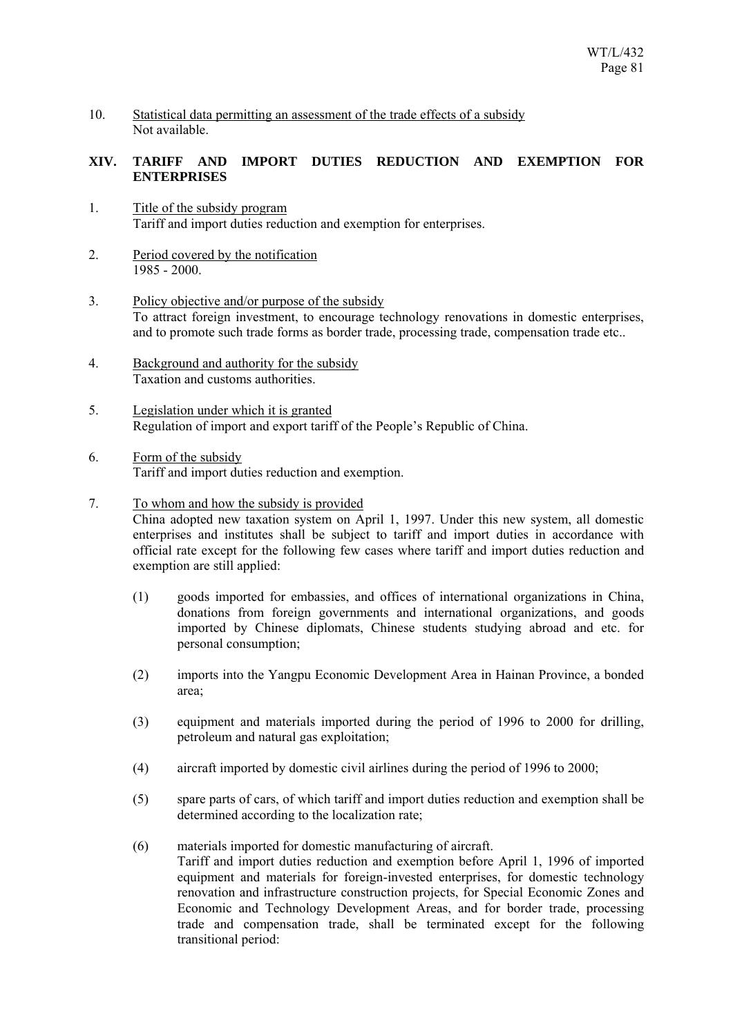10. Statistical data permitting an assessment of the trade effects of a subsidy Not available.

### **XIV. TARIFF AND IMPORT DUTIES REDUCTION AND EXEMPTION FOR ENTERPRISES**

- 1. Title of the subsidy program Tariff and import duties reduction and exemption for enterprises.
- 2. Period covered by the notification 1985 - 2000.
- 3. Policy objective and/or purpose of the subsidy To attract foreign investment, to encourage technology renovations in domestic enterprises, and to promote such trade forms as border trade, processing trade, compensation trade etc..
- 4. Background and authority for the subsidy Taxation and customs authorities.
- 5. Legislation under which it is granted Regulation of import and export tariff of the People's Republic of China.
- 6. Form of the subsidy Tariff and import duties reduction and exemption.

### 7. To whom and how the subsidy is provided

 China adopted new taxation system on April 1, 1997. Under this new system, all domestic enterprises and institutes shall be subject to tariff and import duties in accordance with official rate except for the following few cases where tariff and import duties reduction and exemption are still applied:

- (1) goods imported for embassies, and offices of international organizations in China, donations from foreign governments and international organizations, and goods imported by Chinese diplomats, Chinese students studying abroad and etc. for personal consumption;
- (2) imports into the Yangpu Economic Development Area in Hainan Province, a bonded area;
- (3) equipment and materials imported during the period of 1996 to 2000 for drilling, petroleum and natural gas exploitation;
- (4) aircraft imported by domestic civil airlines during the period of 1996 to 2000;
- (5) spare parts of cars, of which tariff and import duties reduction and exemption shall be determined according to the localization rate;
- (6) materials imported for domestic manufacturing of aircraft. Tariff and import duties reduction and exemption before April 1, 1996 of imported equipment and materials for foreign-invested enterprises, for domestic technology renovation and infrastructure construction projects, for Special Economic Zones and Economic and Technology Development Areas, and for border trade, processing trade and compensation trade, shall be terminated except for the following transitional period: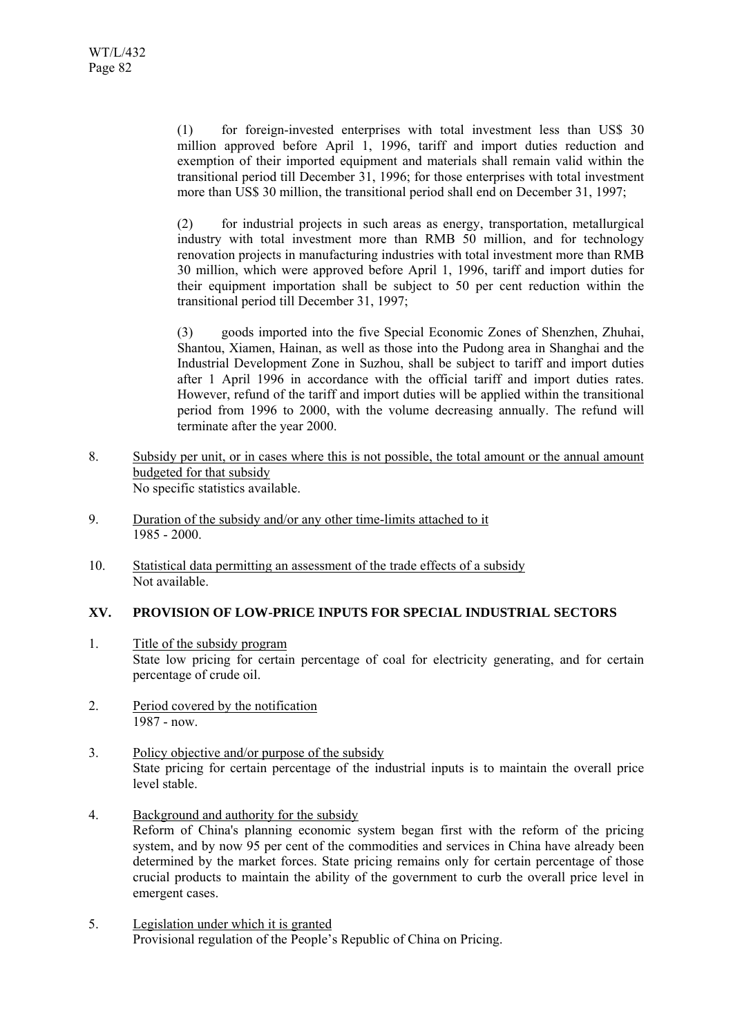(1) for foreign-invested enterprises with total investment less than US\$ 30 million approved before April 1, 1996, tariff and import duties reduction and exemption of their imported equipment and materials shall remain valid within the transitional period till December 31, 1996; for those enterprises with total investment more than US\$ 30 million, the transitional period shall end on December 31, 1997;

 (2) for industrial projects in such areas as energy, transportation, metallurgical industry with total investment more than RMB 50 million, and for technology renovation projects in manufacturing industries with total investment more than RMB 30 million, which were approved before April 1, 1996, tariff and import duties for their equipment importation shall be subject to 50 per cent reduction within the transitional period till December 31, 1997;

 (3) goods imported into the five Special Economic Zones of Shenzhen, Zhuhai, Shantou, Xiamen, Hainan, as well as those into the Pudong area in Shanghai and the Industrial Development Zone in Suzhou, shall be subject to tariff and import duties after 1 April 1996 in accordance with the official tariff and import duties rates. However, refund of the tariff and import duties will be applied within the transitional period from 1996 to 2000, with the volume decreasing annually. The refund will terminate after the year 2000.

- 8. Subsidy per unit, or in cases where this is not possible, the total amount or the annual amount budgeted for that subsidy No specific statistics available.
- 9. Duration of the subsidy and/or any other time-limits attached to it 1985 - 2000.
- 10. Statistical data permitting an assessment of the trade effects of a subsidy Not available.

# **XV. PROVISION OF LOW-PRICE INPUTS FOR SPECIAL INDUSTRIAL SECTORS**

- 1. Title of the subsidy program State low pricing for certain percentage of coal for electricity generating, and for certain percentage of crude oil.
- 2. Period covered by the notification 1987 - now.
- 3. Policy objective and/or purpose of the subsidy State pricing for certain percentage of the industrial inputs is to maintain the overall price level stable.
- 4. Background and authority for the subsidy Reform of China's planning economic system began first with the reform of the pricing system, and by now 95 per cent of the commodities and services in China have already been determined by the market forces. State pricing remains only for certain percentage of those crucial products to maintain the ability of the government to curb the overall price level in emergent cases.
- 5. Legislation under which it is granted Provisional regulation of the People's Republic of China on Pricing.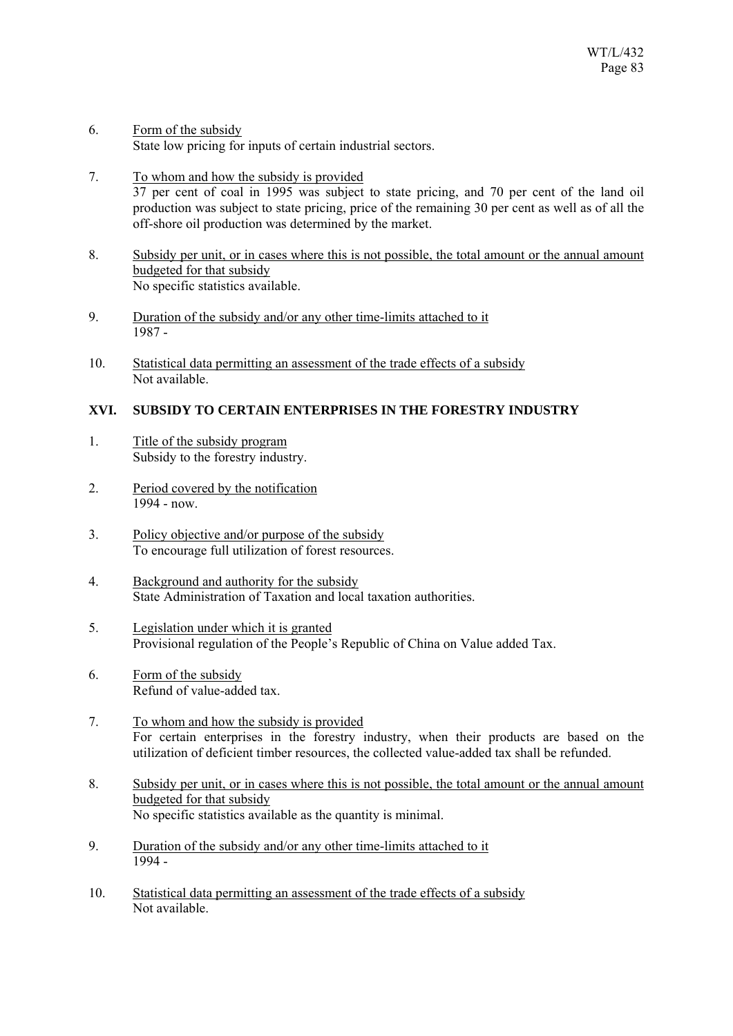- 6. Form of the subsidy State low pricing for inputs of certain industrial sectors.
- 7. To whom and how the subsidy is provided 37 per cent of coal in 1995 was subject to state pricing, and 70 per cent of the land oil production was subject to state pricing, price of the remaining 30 per cent as well as of all the off-shore oil production was determined by the market.
- 8. Subsidy per unit, or in cases where this is not possible, the total amount or the annual amount budgeted for that subsidy No specific statistics available.
- 9. Duration of the subsidy and/or any other time-limits attached to it 1987 -
- 10. Statistical data permitting an assessment of the trade effects of a subsidy Not available.

# **XVI. SUBSIDY TO CERTAIN ENTERPRISES IN THE FORESTRY INDUSTRY**

- 1. Title of the subsidy program Subsidy to the forestry industry.
- 2. Period covered by the notification 1994 - now.
- 3. Policy objective and/or purpose of the subsidy To encourage full utilization of forest resources.
- 4. Background and authority for the subsidy State Administration of Taxation and local taxation authorities.
- 5. Legislation under which it is granted Provisional regulation of the People's Republic of China on Value added Tax.
- 6. Form of the subsidy Refund of value-added tax.
- 7. To whom and how the subsidy is provided For certain enterprises in the forestry industry, when their products are based on the utilization of deficient timber resources, the collected value-added tax shall be refunded.
- 8. Subsidy per unit, or in cases where this is not possible, the total amount or the annual amount budgeted for that subsidy No specific statistics available as the quantity is minimal.
- 9. Duration of the subsidy and/or any other time-limits attached to it 1994 -
- 10. Statistical data permitting an assessment of the trade effects of a subsidy Not available.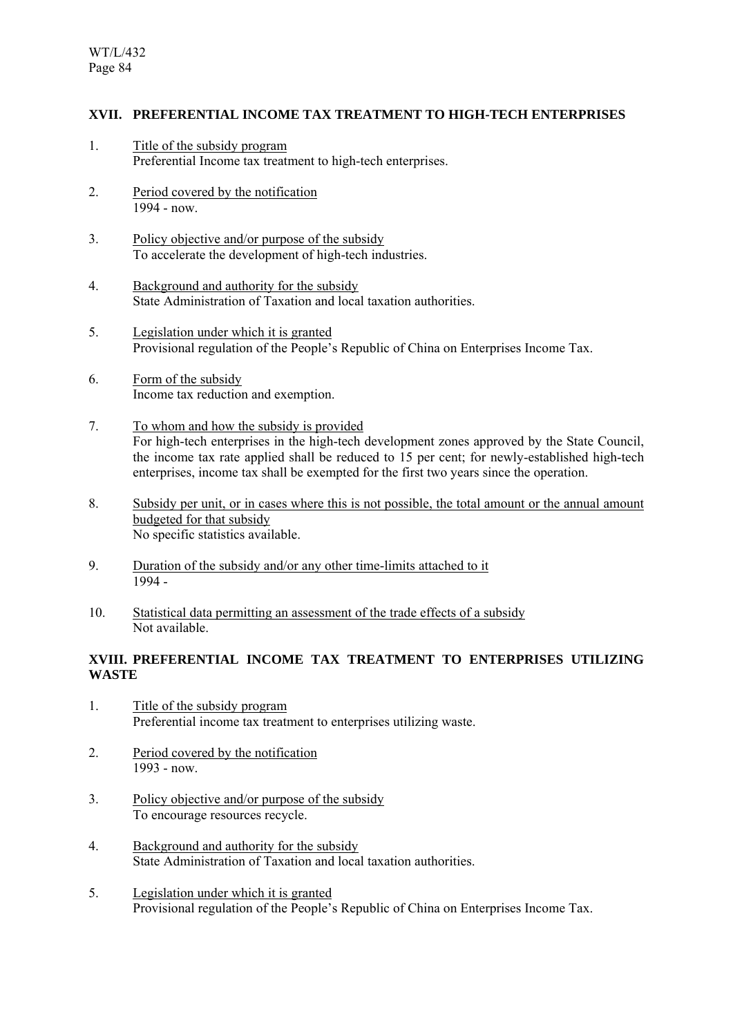# **XVII. PREFERENTIAL INCOME TAX TREATMENT TO HIGH-TECH ENTERPRISES**

- 1. Title of the subsidy program Preferential Income tax treatment to high-tech enterprises.
- 2. Period covered by the notification 1994 - now.
- 3. Policy objective and/or purpose of the subsidy To accelerate the development of high-tech industries.
- 4. Background and authority for the subsidy State Administration of Taxation and local taxation authorities.
- 5. Legislation under which it is granted Provisional regulation of the People's Republic of China on Enterprises Income Tax.
- 6. Form of the subsidy Income tax reduction and exemption.
- 7. To whom and how the subsidy is provided For high-tech enterprises in the high-tech development zones approved by the State Council, the income tax rate applied shall be reduced to 15 per cent; for newly-established high-tech enterprises, income tax shall be exempted for the first two years since the operation.
- 8. Subsidy per unit, or in cases where this is not possible, the total amount or the annual amount budgeted for that subsidy No specific statistics available.
- 9. Duration of the subsidy and/or any other time-limits attached to it 1994 -
- 10. Statistical data permitting an assessment of the trade effects of a subsidy Not available.

# **XVIII. PREFERENTIAL INCOME TAX TREATMENT TO ENTERPRISES UTILIZING WASTE**

- 1. Title of the subsidy program Preferential income tax treatment to enterprises utilizing waste.
- 2. Period covered by the notification  $1993 - now$
- 3. Policy objective and/or purpose of the subsidy To encourage resources recycle.
- 4. Background and authority for the subsidy State Administration of Taxation and local taxation authorities.
- 5. Legislation under which it is granted Provisional regulation of the People's Republic of China on Enterprises Income Tax.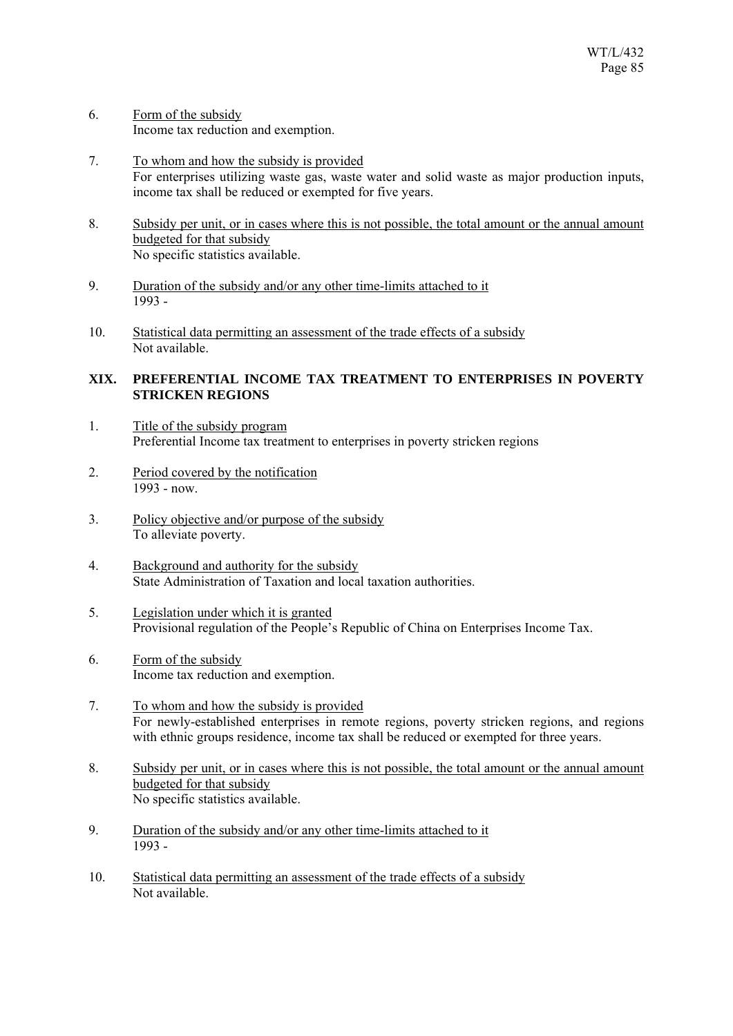- 6. Form of the subsidy Income tax reduction and exemption.
- 7. To whom and how the subsidy is provided For enterprises utilizing waste gas, waste water and solid waste as major production inputs, income tax shall be reduced or exempted for five years.
- 8. Subsidy per unit, or in cases where this is not possible, the total amount or the annual amount budgeted for that subsidy No specific statistics available.
- 9. Duration of the subsidy and/or any other time-limits attached to it 1993 -
- 10. Statistical data permitting an assessment of the trade effects of a subsidy Not available.

### **XIX. PREFERENTIAL INCOME TAX TREATMENT TO ENTERPRISES IN POVERTY STRICKEN REGIONS**

- 1. Title of the subsidy program Preferential Income tax treatment to enterprises in poverty stricken regions
- 2. Period covered by the notification  $1993 - now$
- 3. Policy objective and/or purpose of the subsidy To alleviate poverty.
- 4. Background and authority for the subsidy State Administration of Taxation and local taxation authorities.
- 5. Legislation under which it is granted Provisional regulation of the People's Republic of China on Enterprises Income Tax.
- 6. Form of the subsidy Income tax reduction and exemption.
- 7. To whom and how the subsidy is provided For newly-established enterprises in remote regions, poverty stricken regions, and regions with ethnic groups residence, income tax shall be reduced or exempted for three years.
- 8. Subsidy per unit, or in cases where this is not possible, the total amount or the annual amount budgeted for that subsidy No specific statistics available.
- 9. Duration of the subsidy and/or any other time-limits attached to it 1993 -
- 10. Statistical data permitting an assessment of the trade effects of a subsidy Not available.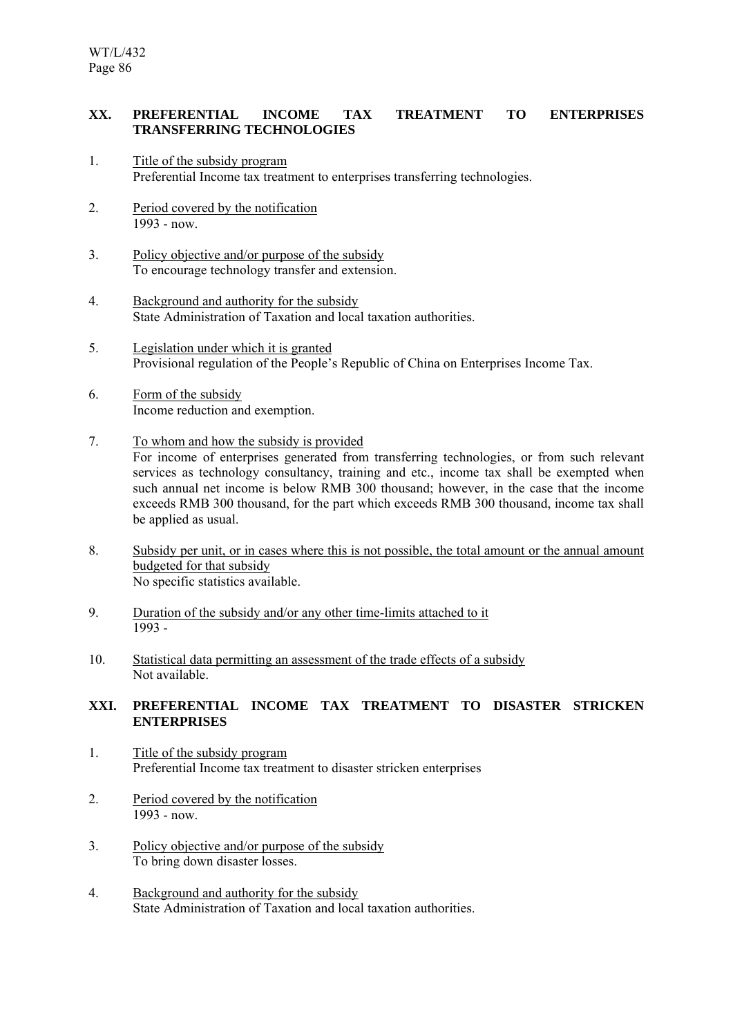# **XX. PREFERENTIAL INCOME TAX TREATMENT TO ENTERPRISES TRANSFERRING TECHNOLOGIES**

- 1. Title of the subsidy program Preferential Income tax treatment to enterprises transferring technologies.
- 2. Period covered by the notification 1993 - now.
- 3. Policy objective and/or purpose of the subsidy To encourage technology transfer and extension.
- 4. Background and authority for the subsidy State Administration of Taxation and local taxation authorities.
- 5. Legislation under which it is granted Provisional regulation of the People's Republic of China on Enterprises Income Tax.
- 6. Form of the subsidy Income reduction and exemption.
- 7. To whom and how the subsidy is provided For income of enterprises generated from transferring technologies, or from such relevant services as technology consultancy, training and etc., income tax shall be exempted when such annual net income is below RMB 300 thousand; however, in the case that the income exceeds RMB 300 thousand, for the part which exceeds RMB 300 thousand, income tax shall be applied as usual.
- 8. Subsidy per unit, or in cases where this is not possible, the total amount or the annual amount budgeted for that subsidy No specific statistics available.
- 9. Duration of the subsidy and/or any other time-limits attached to it 1993 -
- 10. Statistical data permitting an assessment of the trade effects of a subsidy Not available.

### **XXI. PREFERENTIAL INCOME TAX TREATMENT TO DISASTER STRICKEN ENTERPRISES**

- 1. Title of the subsidy program Preferential Income tax treatment to disaster stricken enterprises
- 2. Period covered by the notification  $\overline{1993 - \text{now}}$ .
- 3. Policy objective and/or purpose of the subsidy To bring down disaster losses.
- 4. Background and authority for the subsidy State Administration of Taxation and local taxation authorities.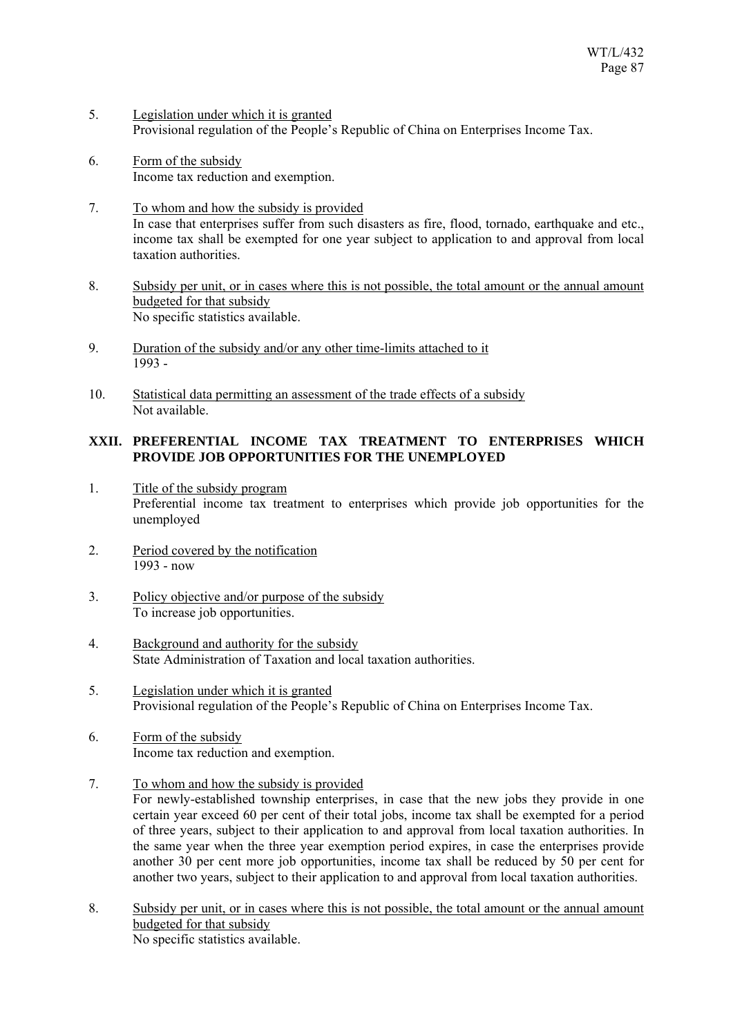- 5. Legislation under which it is granted Provisional regulation of the People's Republic of China on Enterprises Income Tax.
- 6. Form of the subsidy Income tax reduction and exemption.
- 7. To whom and how the subsidy is provided In case that enterprises suffer from such disasters as fire, flood, tornado, earthquake and etc., income tax shall be exempted for one year subject to application to and approval from local taxation authorities.
- 8. Subsidy per unit, or in cases where this is not possible, the total amount or the annual amount budgeted for that subsidy No specific statistics available.
- 9. Duration of the subsidy and/or any other time-limits attached to it 1993 -
- 10. Statistical data permitting an assessment of the trade effects of a subsidy Not available.

### **XXII. PREFERENTIAL INCOME TAX TREATMENT TO ENTERPRISES WHICH PROVIDE JOB OPPORTUNITIES FOR THE UNEMPLOYED**

- 1. Title of the subsidy program Preferential income tax treatment to enterprises which provide job opportunities for the unemployed
- 2. Period covered by the notification  $\overline{1993 - now}$
- 3. Policy objective and/or purpose of the subsidy To increase job opportunities.
- 4. Background and authority for the subsidy State Administration of Taxation and local taxation authorities.
- 5. Legislation under which it is granted Provisional regulation of the People's Republic of China on Enterprises Income Tax.
- 6. Form of the subsidy Income tax reduction and exemption.
- 7. To whom and how the subsidy is provided
	- For newly-established township enterprises, in case that the new jobs they provide in one certain year exceed 60 per cent of their total jobs, income tax shall be exempted for a period of three years, subject to their application to and approval from local taxation authorities. In the same year when the three year exemption period expires, in case the enterprises provide another 30 per cent more job opportunities, income tax shall be reduced by 50 per cent for another two years, subject to their application to and approval from local taxation authorities.
- 8. Subsidy per unit, or in cases where this is not possible, the total amount or the annual amount budgeted for that subsidy No specific statistics available.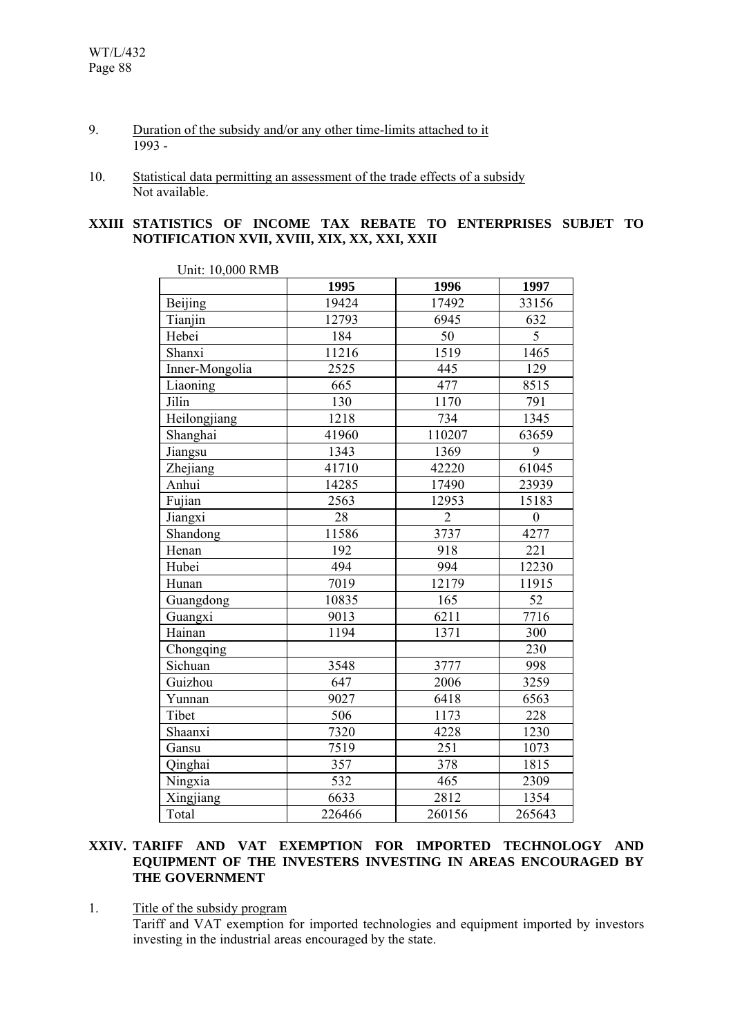- 9. Duration of the subsidy and/or any other time-limits attached to it 1993 -
- 10. Statistical data permitting an assessment of the trade effects of a subsidy Not available.

### **XXIII STATISTICS OF INCOME TAX REBATE TO ENTERPRISES SUBJET TO NOTIFICATION XVII, XVIII, XIX, XX, XXI, XXII**

| Unit: 10,000 RMB |        |                |                  |
|------------------|--------|----------------|------------------|
|                  | 1995   | 1996           | 1997             |
| Beijing          | 19424  | 17492          | 33156            |
| Tianjin          | 12793  | 6945           | 632              |
| Hebei            | 184    | 50             | $\overline{5}$   |
| Shanxi           | 11216  | 1519           | 1465             |
| Inner-Mongolia   | 2525   | 445            | 129              |
| Liaoning         | 665    | 477            | 8515             |
| Jilin            | 130    | 1170           | 791              |
| Heilongjiang     | 1218   | 734            | 1345             |
| Shanghai         | 41960  | 110207         | 63659            |
| Jiangsu          | 1343   | 1369           | 9                |
| Zhejiang         | 41710  | 42220          | 61045            |
| Anhui            | 14285  | 17490          | 23939            |
| Fujian           | 2563   | 12953          | 15183            |
| Jiangxi          | 28     | $\overline{2}$ | $\boldsymbol{0}$ |
| Shandong         | 11586  | 3737           | 4277             |
| Henan            | 192    | 918            | 221              |
| Hubei            | 494    | 994            | 12230            |
| Hunan            | 7019   | 12179          | 11915            |
| Guangdong        | 10835  | 165            | 52               |
| Guangxi          | 9013   | 6211           | 7716             |
| Hainan           | 1194   | 1371           | 300              |
| Chongqing        |        |                | 230              |
| Sichuan          | 3548   | 3777           | 998              |
| Guizhou          | 647    | 2006           | 3259             |
| Yunnan           | 9027   | 6418           | 6563             |
| Tibet            | 506    | 1173           | 228              |
| Shaanxi          | 7320   | 4228           | 1230             |
| Gansu            | 7519   | 251            | 1073             |
| Qinghai          | 357    | 378            | 1815             |
| Ningxia          | 532    | 465            | 2309             |
| Xingjiang        | 6633   | 2812           | 1354             |
| Total            | 226466 | 260156         | 265643           |

### **XXIV. TARIFF AND VAT EXEMPTION FOR IMPORTED TECHNOLOGY AND EQUIPMENT OF THE INVESTERS INVESTING IN AREAS ENCOURAGED BY THE GOVERNMENT**

1. Title of the subsidy program

 Tariff and VAT exemption for imported technologies and equipment imported by investors investing in the industrial areas encouraged by the state.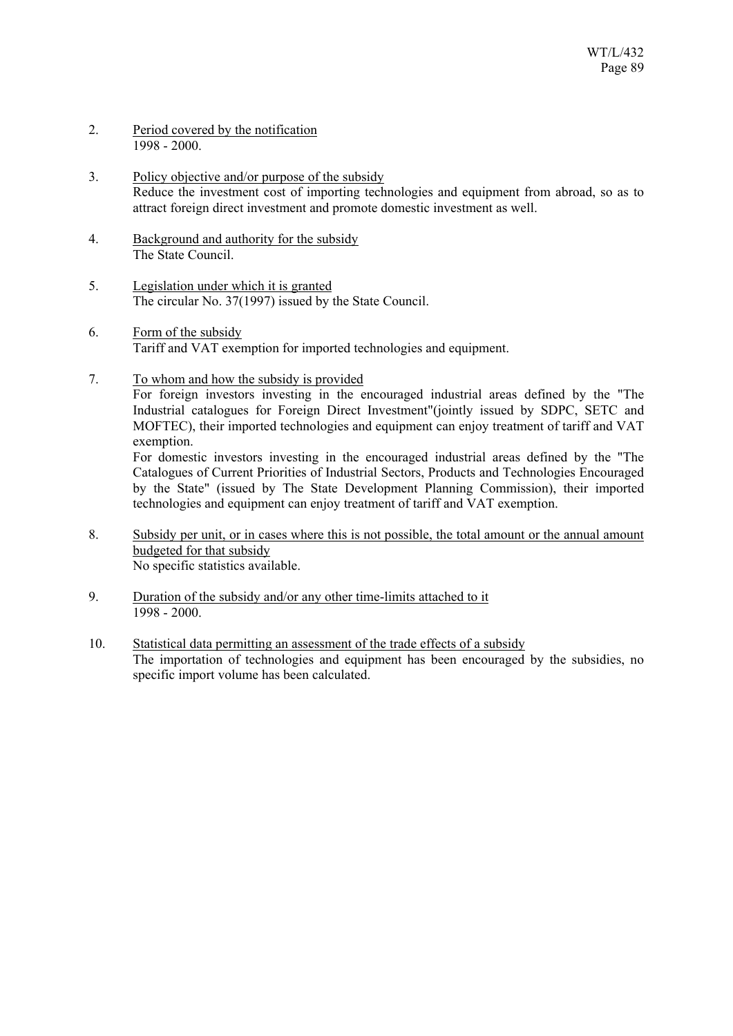- 2. Period covered by the notification 1998 - 2000.
- 3. Policy objective and/or purpose of the subsidy Reduce the investment cost of importing technologies and equipment from abroad, so as to attract foreign direct investment and promote domestic investment as well.
- 4. Background and authority for the subsidy The State Council.
- 5. Legislation under which it is granted The circular No. 37(1997) issued by the State Council.
- 6. Form of the subsidy Tariff and VAT exemption for imported technologies and equipment.
- 7. To whom and how the subsidy is provided For foreign investors investing in the encouraged industrial areas defined by the "The Industrial catalogues for Foreign Direct Investment"(jointly issued by SDPC, SETC and MOFTEC), their imported technologies and equipment can enjoy treatment of tariff and VAT exemption. For domestic investors investing in the encouraged industrial areas defined by the "The Catalogues of Current Priorities of Industrial Sectors, Products and Technologies Encouraged by the State" (issued by The State Development Planning Commission), their imported technologies and equipment can enjoy treatment of tariff and VAT exemption.
- 8. Subsidy per unit, or in cases where this is not possible, the total amount or the annual amount budgeted for that subsidy No specific statistics available.
- 9. Duration of the subsidy and/or any other time-limits attached to it 1998 - 2000.
- 10. Statistical data permitting an assessment of the trade effects of a subsidy The importation of technologies and equipment has been encouraged by the subsidies, no specific import volume has been calculated.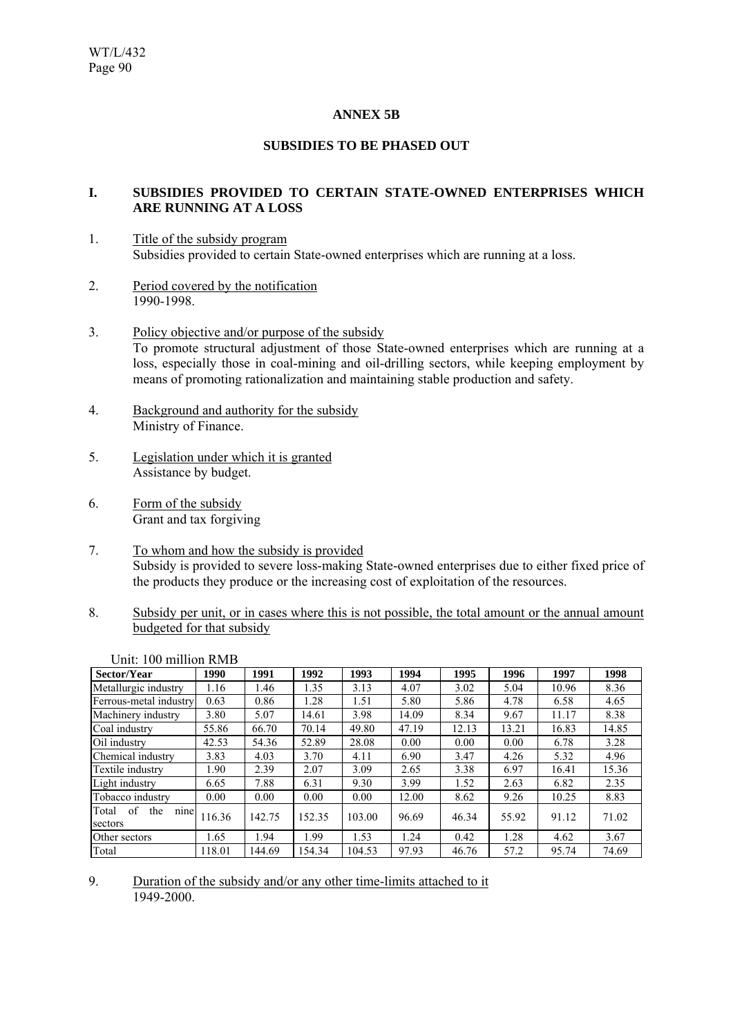# **ANNEX 5B**

### **SUBSIDIES TO BE PHASED OUT**

# **I. SUBSIDIES PROVIDED TO CERTAIN STATE-OWNED ENTERPRISES WHICH ARE RUNNING AT A LOSS**

- 1. Title of the subsidy program Subsidies provided to certain State-owned enterprises which are running at a loss.
- 2. Period covered by the notification 1990-1998.
- 3. Policy objective and/or purpose of the subsidy To promote structural adjustment of those State-owned enterprises which are running at a loss, especially those in coal-mining and oil-drilling sectors, while keeping employment by means of promoting rationalization and maintaining stable production and safety.
- 4. Background and authority for the subsidy Ministry of Finance.
- 5. Legislation under which it is granted Assistance by budget.
- 6. Form of the subsidy Grant and tax forgiving
- 7. To whom and how the subsidy is provided Subsidy is provided to severe loss-making State-owned enterprises due to either fixed price of the products they produce or the increasing cost of exploitation of the resources.
- 8. Subsidy per unit, or in cases where this is not possible, the total amount or the annual amount budgeted for that subsidy

| UMIL. TWO HIIHIWII IXIVITO            |        |        |        |        |       |       |       |       |       |
|---------------------------------------|--------|--------|--------|--------|-------|-------|-------|-------|-------|
| Sector/Year                           | 1990   | 1991   | 1992   | 1993   | 1994  | 1995  | 1996  | 1997  | 1998  |
| Metallurgic industry                  | 1.16   | 1.46   | 1.35   | 3.13   | 4.07  | 3.02  | 5.04  | 10.96 | 8.36  |
| Ferrous-metal industry                | 0.63   | 0.86   | 1.28   | 1.51   | 5.80  | 5.86  | 4.78  | 6.58  | 4.65  |
| Machinery industry                    | 3.80   | 5.07   | 14.61  | 3.98   | 14.09 | 8.34  | 9.67  | 11.17 | 8.38  |
| Coal industry                         | 55.86  | 66.70  | 70.14  | 49.80  | 47.19 | 12.13 | 13.21 | 16.83 | 14.85 |
| Oil industry                          | 42.53  | 54.36  | 52.89  | 28.08  | 0.00  | 0.00  | 0.00  | 6.78  | 3.28  |
| Chemical industry                     | 3.83   | 4.03   | 3.70   | 4.11   | 6.90  | 3.47  | 4.26  | 5.32  | 4.96  |
| Textile industry                      | 1.90   | 2.39   | 2.07   | 3.09   | 2.65  | 3.38  | 6.97  | 16.41 | 15.36 |
| Light industry                        | 6.65   | 7.88   | 6.31   | 9.30   | 3.99  | 1.52  | 2.63  | 6.82  | 2.35  |
| Tobacco industry                      | 0.00   | 0.00   | 0.00   | 0.00   | 12.00 | 8.62  | 9.26  | 10.25 | 8.83  |
| of<br>Total<br>the<br>nine<br>sectors | 116.36 | 142.75 | 152.35 | 103.00 | 96.69 | 46.34 | 55.92 | 91.12 | 71.02 |
|                                       |        |        |        |        |       |       |       |       |       |
| Other sectors                         | 1.65   | 1.94   | 1.99   | 1.53   | 1.24  | 0.42  | 1.28  | 4.62  | 3.67  |
| Total                                 | 118.01 | 144.69 | 154.34 | 104.53 | 97.93 | 46.76 | 57.2  | 95.74 | 74.69 |

Unit: 100 million RMB

9. Duration of the subsidy and/or any other time-limits attached to it 1949-2000.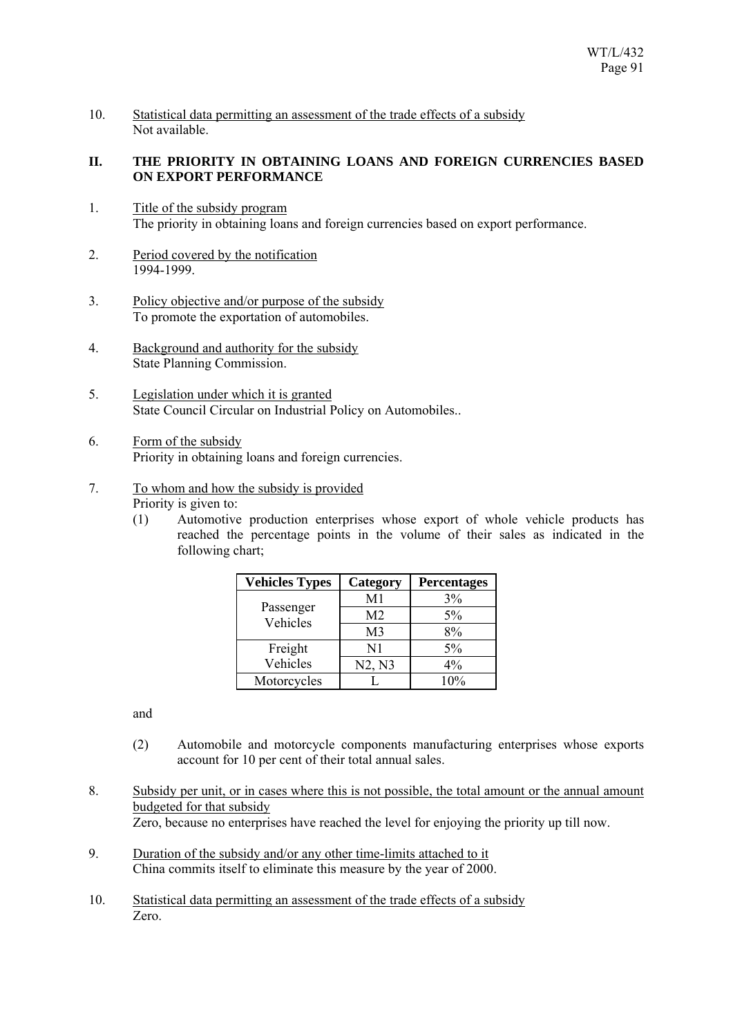10. Statistical data permitting an assessment of the trade effects of a subsidy Not available.

### **II. THE PRIORITY IN OBTAINING LOANS AND FOREIGN CURRENCIES BASED ON EXPORT PERFORMANCE**

- 1. Title of the subsidy program The priority in obtaining loans and foreign currencies based on export performance.
- 2. Period covered by the notification 1994-1999.
- 3. Policy objective and/or purpose of the subsidy To promote the exportation of automobiles.
- 4. Background and authority for the subsidy State Planning Commission.
- 5. Legislation under which it is granted State Council Circular on Industrial Policy on Automobiles..
- 6. Form of the subsidy Priority in obtaining loans and foreign currencies.
- 7. To whom and how the subsidy is provided Priority is given to:
	- (1) Automotive production enterprises whose export of whole vehicle products has reached the percentage points in the volume of their sales as indicated in the following chart;

| <b>Vehicles Types</b> | Category       | <b>Percentages</b> |
|-----------------------|----------------|--------------------|
|                       | M <sub>1</sub> | 3%                 |
| Passenger<br>Vehicles | M <sub>2</sub> | 5%                 |
|                       | M <sub>3</sub> | 8%                 |
| Freight               | $\mathbf{N}$   | 5%                 |
| Vehicles              | N2, N3         | $4\%$              |
| Motorcycles           |                | 10%                |

and

- (2) Automobile and motorcycle components manufacturing enterprises whose exports account for 10 per cent of their total annual sales.
- 8. Subsidy per unit, or in cases where this is not possible, the total amount or the annual amount budgeted for that subsidy Zero, because no enterprises have reached the level for enjoying the priority up till now.
- 9. Duration of the subsidy and/or any other time-limits attached to it China commits itself to eliminate this measure by the year of 2000.
- 10. Statistical data permitting an assessment of the trade effects of a subsidy Zero.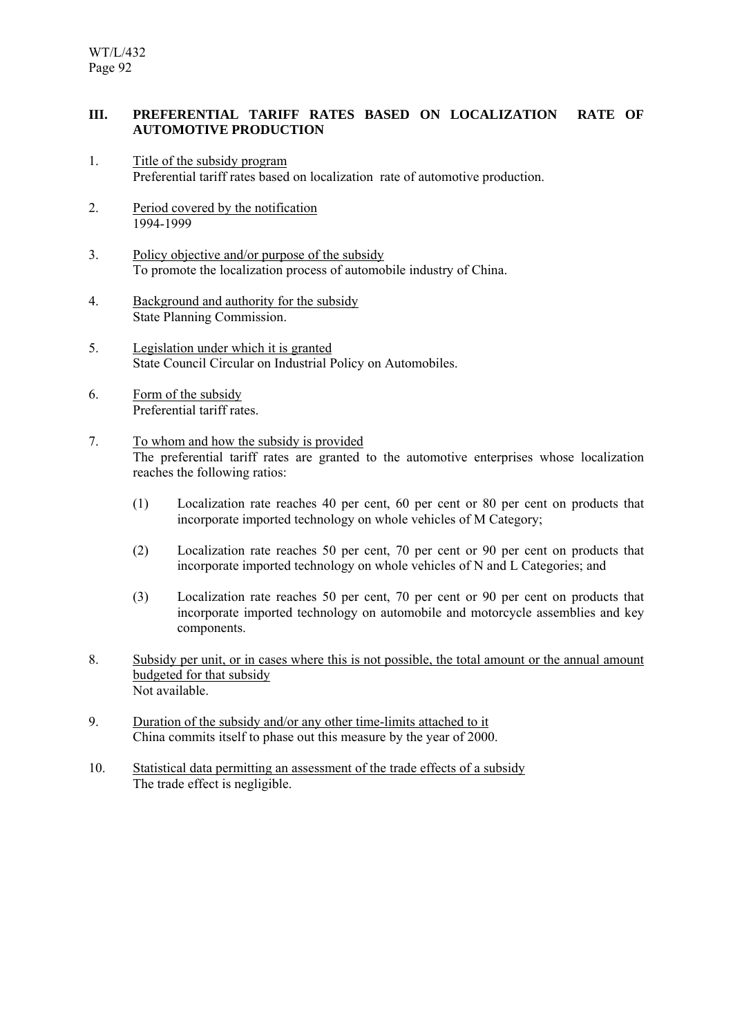### **III. PREFERENTIAL TARIFF RATES BASED ON LOCALIZATION RATE OF AUTOMOTIVE PRODUCTION**

- 1. Title of the subsidy program Preferential tariff rates based on localization rate of automotive production.
- 2. Period covered by the notification 1994-1999
- 3. Policy objective and/or purpose of the subsidy To promote the localization process of automobile industry of China.
- 4. Background and authority for the subsidy State Planning Commission.
- 5. Legislation under which it is granted State Council Circular on Industrial Policy on Automobiles.
- 6. Form of the subsidy Preferential tariff rates.
- 7. To whom and how the subsidy is provided The preferential tariff rates are granted to the automotive enterprises whose localization reaches the following ratios:
	- (1) Localization rate reaches 40 per cent, 60 per cent or 80 per cent on products that incorporate imported technology on whole vehicles of M Category;
	- (2) Localization rate reaches 50 per cent, 70 per cent or 90 per cent on products that incorporate imported technology on whole vehicles of N and L Categories; and
	- (3) Localization rate reaches 50 per cent, 70 per cent or 90 per cent on products that incorporate imported technology on automobile and motorcycle assemblies and key components.
- 8. Subsidy per unit, or in cases where this is not possible, the total amount or the annual amount budgeted for that subsidy Not available.
- 9. Duration of the subsidy and/or any other time-limits attached to it China commits itself to phase out this measure by the year of 2000.
- 10. Statistical data permitting an assessment of the trade effects of a subsidy The trade effect is negligible.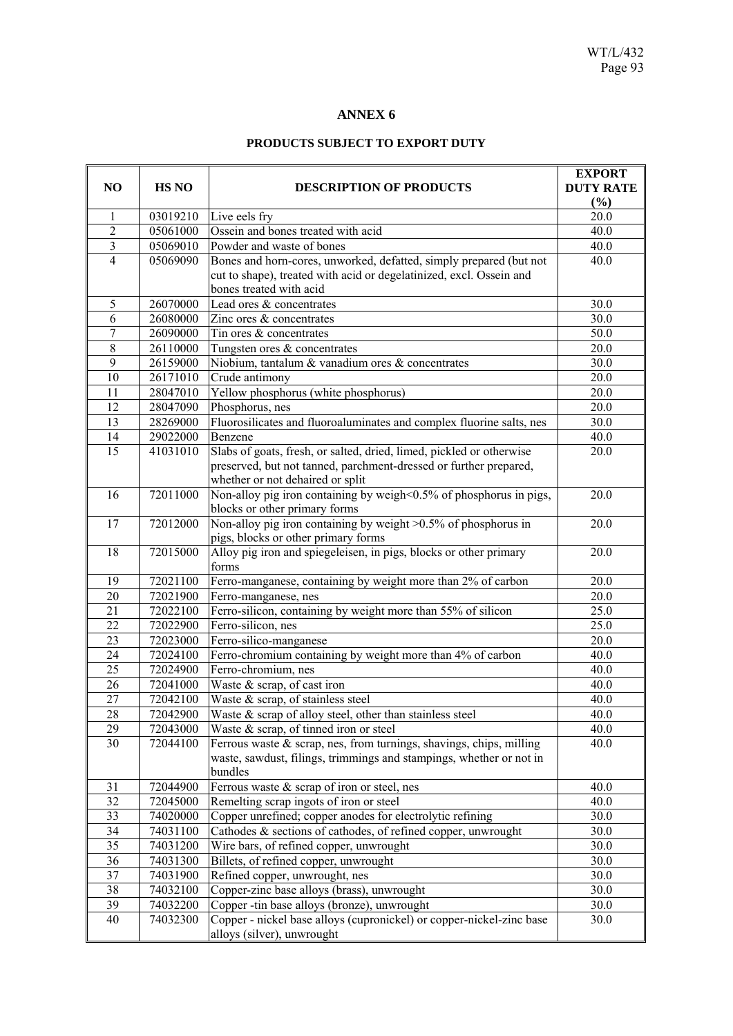#### **ANNEX 6**

### **PRODUCTS SUBJECT TO EXPORT DUTY**

| N <sub>O</sub>          | <b>HS NO</b> | <b>DESCRIPTION OF PRODUCTS</b>                                                                           | <b>EXPORT</b><br><b>DUTY RATE</b> |
|-------------------------|--------------|----------------------------------------------------------------------------------------------------------|-----------------------------------|
| $\mathbf{1}$            | 03019210     | Live eels fry                                                                                            | (%)<br>20.0                       |
| $\overline{2}$          | 05061000     | Ossein and bones treated with acid                                                                       | 40.0                              |
| $\overline{\mathbf{3}}$ | 05069010     | Powder and waste of bones                                                                                | 40.0                              |
| $\overline{4}$          | 05069090     | Bones and horn-cores, unworked, defatted, simply prepared (but not                                       | 40.0                              |
|                         |              | cut to shape), treated with acid or degelatinized, excl. Ossein and                                      |                                   |
|                         |              | bones treated with acid                                                                                  |                                   |
| 5                       | 26070000     | Lead ores & concentrates                                                                                 | 30.0                              |
| 6                       | 26080000     | $\overline{\text{Zinc}}$ ores & concentrates                                                             | 30.0                              |
| 7                       | 26090000     | Tin ores & concentrates                                                                                  | 50.0                              |
| 8                       | 26110000     | Tungsten ores & concentrates                                                                             | 20.0                              |
| 9                       | 26159000     | Niobium, tantalum & vanadium ores & concentrates                                                         | 30.0                              |
| 10                      | 26171010     | Crude antimony                                                                                           | 20.0                              |
| 11                      | 28047010     | Yellow phosphorus (white phosphorus)                                                                     | 20.0                              |
| 12                      | 28047090     | Phosphorus, nes                                                                                          | 20.0                              |
| 13                      | 28269000     | Fluorosilicates and fluoroaluminates and complex fluorine salts, nes                                     | 30.0                              |
| 14                      | 29022000     | Benzene                                                                                                  | 40.0                              |
| 15                      | 41031010     | Slabs of goats, fresh, or salted, dried, limed, pickled or otherwise                                     | 20.0                              |
|                         |              | preserved, but not tanned, parchment-dressed or further prepared,<br>whether or not dehaired or split    |                                   |
| 16                      | 72011000     | Non-alloy pig iron containing by weigh<0.5% of phosphorus in pigs,<br>blocks or other primary forms      | 20.0                              |
| 17                      | 72012000     | Non-alloy pig iron containing by weight $>0.5\%$ of phosphorus in<br>pigs, blocks or other primary forms | 20.0                              |
| 18                      | 72015000     | Alloy pig iron and spiegeleisen, in pigs, blocks or other primary<br>forms                               | 20.0                              |
| 19                      | 72021100     | Ferro-manganese, containing by weight more than 2% of carbon                                             | 20.0                              |
| 20                      | 72021900     | Ferro-manganese, nes                                                                                     | 20.0                              |
| 21                      | 72022100     | Ferro-silicon, containing by weight more than 55% of silicon                                             | 25.0                              |
| $\overline{22}$         | 72022900     | Ferro-silicon, nes                                                                                       | 25.0                              |
| 23                      | 72023000     | Ferro-silico-manganese                                                                                   | 20.0                              |
| $\overline{24}$         | 72024100     | Ferro-chromium containing by weight more than 4% of carbon                                               | 40.0                              |
| 25                      | 72024900     | Ferro-chromium, nes                                                                                      | 40.0                              |
| $\overline{26}$         | 72041000     | Waste $\&$ scrap, of cast iron                                                                           | 40.0                              |
| 27                      | 72042100     | Waste & scrap, of stainless steel                                                                        | 40.0                              |
| $\overline{28}$         | 72042900     | Waste $\&$ scrap of alloy steel, other than stainless steel                                              | 40.0                              |
| 29                      | 72043000     | Waste & scrap, of tinned iron or steel                                                                   | 40.0                              |
| 30                      | 72044100     | Ferrous waste & scrap, nes, from turnings, shavings, chips, milling                                      | 40.0                              |
|                         |              | waste, sawdust, filings, trimmings and stampings, whether or not in                                      |                                   |
|                         |              | bundles                                                                                                  |                                   |
| 31                      | 72044900     | Ferrous waste & scrap of iron or steel, nes                                                              | 40.0                              |
| 32                      | 72045000     | Remelting scrap ingots of iron or steel                                                                  | 40.0                              |
| 33                      | 74020000     | Copper unrefined; copper anodes for electrolytic refining                                                | 30.0                              |
| $\overline{34}$         | 74031100     | Cathodes & sections of cathodes, of refined copper, unwrought                                            | 30.0                              |
| 35                      | 74031200     | Wire bars, of refined copper, unwrought                                                                  | 30.0                              |
| 36                      | 74031300     | Billets, of refined copper, unwrought                                                                    | 30.0                              |
| 37                      | 74031900     | Refined copper, unwrought, nes                                                                           | 30.0                              |
| $\overline{38}$         | 74032100     | Copper-zinc base alloys (brass), unwrought                                                               | 30.0                              |
| 39                      | 74032200     | Copper -tin base alloys (bronze), unwrought                                                              | 30.0                              |
| 40                      | 74032300     | Copper - nickel base alloys (cupronickel) or copper-nickel-zinc base<br>alloys (silver), unwrought       | 30.0                              |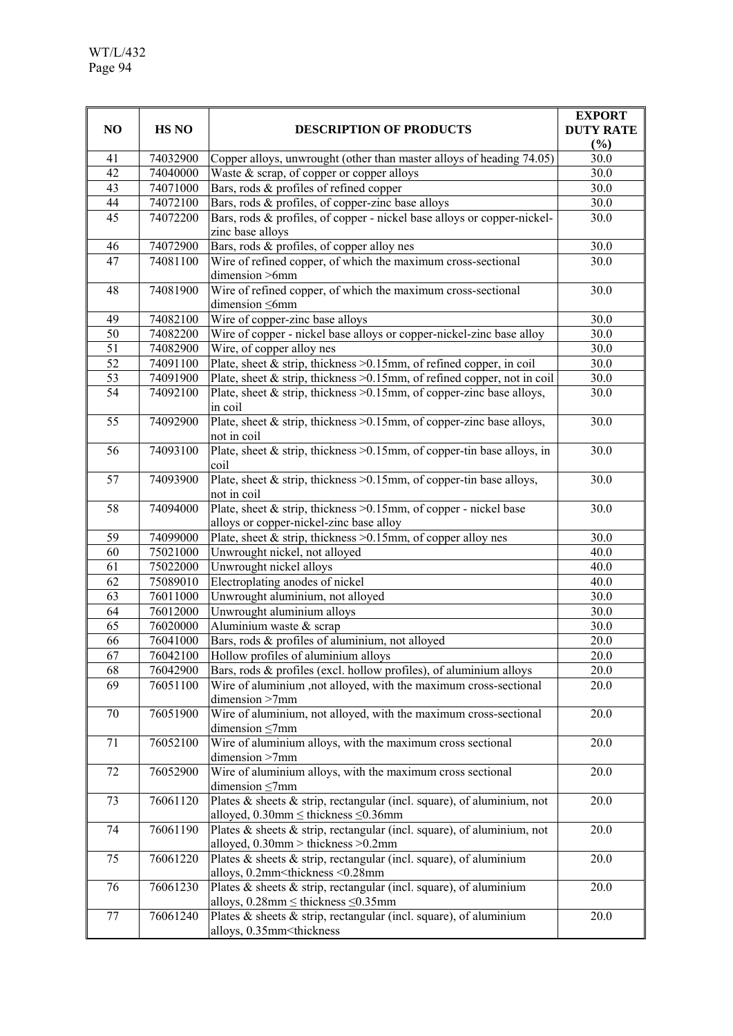| N <sub>O</sub>  | HS NO    | <b>DESCRIPTION OF PRODUCTS</b>                                                                                                                  | <b>EXPORT</b><br><b>DUTY RATE</b><br>(%) |
|-----------------|----------|-------------------------------------------------------------------------------------------------------------------------------------------------|------------------------------------------|
| 41              | 74032900 | Copper alloys, unwrought (other than master alloys of heading 74.05)                                                                            | 30.0                                     |
| 42              | 74040000 | Waste $\&$ scrap, of copper or copper alloys                                                                                                    | 30.0                                     |
| 43              | 74071000 | Bars, rods & profiles of refined copper                                                                                                         | 30.0                                     |
| 44              | 74072100 | Bars, rods & profiles, of copper-zinc base alloys                                                                                               | 30.0                                     |
| 45              | 74072200 | Bars, rods & profiles, of copper - nickel base alloys or copper-nickel-<br>zinc base alloys                                                     | 30.0                                     |
| 46              | 74072900 | Bars, rods & profiles, of copper alloy nes                                                                                                      | 30.0                                     |
| 47              | 74081100 | Wire of refined copper, of which the maximum cross-sectional<br>dimension >6mm                                                                  | 30.0                                     |
| 48              | 74081900 | Wire of refined copper, of which the maximum cross-sectional<br>dimension ≤6mm                                                                  | 30.0                                     |
| 49              | 74082100 | Wire of copper-zinc base alloys                                                                                                                 | 30.0                                     |
| $\overline{50}$ | 74082200 | Wire of copper - nickel base alloys or copper-nickel-zinc base alloy                                                                            | 30.0                                     |
| $\overline{51}$ | 74082900 | Wire, of copper alloy nes                                                                                                                       | 30.0                                     |
| 52              | 74091100 | Plate, sheet $\&$ strip, thickness >0.15mm, of refined copper, in coil                                                                          | 30.0                                     |
| 53              | 74091900 | Plate, sheet $\&$ strip, thickness >0.15mm, of refined copper, not in coil                                                                      | 30.0                                     |
| 54              | 74092100 | Plate, sheet $\&$ strip, thickness >0.15mm, of copper-zinc base alloys,<br>in coil                                                              | 30.0                                     |
| 55              | 74092900 | Plate, sheet $&$ strip, thickness >0.15mm, of copper-zinc base alloys,<br>not in coil                                                           | 30.0                                     |
| 56              | 74093100 | Plate, sheet & strip, thickness $>0.15$ mm, of copper-tin base alloys, in<br>coil                                                               | 30.0                                     |
| 57              | 74093900 | Plate, sheet $&$ strip, thickness $>0.15$ mm, of copper-tin base alloys,<br>not in coil                                                         | 30.0                                     |
| 58              | 74094000 | Plate, sheet & strip, thickness $>0.15$ mm, of copper - nickel base<br>alloys or copper-nickel-zinc base alloy                                  | 30.0                                     |
| 59              | 74099000 | Plate, sheet $\&$ strip, thickness >0.15mm, of copper alloy nes                                                                                 | 30.0                                     |
| 60              | 75021000 | Unwrought nickel, not alloyed                                                                                                                   | 40.0                                     |
| 61              | 75022000 | Unwrought nickel alloys                                                                                                                         | 40.0                                     |
| 62              | 75089010 | Electroplating anodes of nickel                                                                                                                 | 40.0                                     |
| 63              | 76011000 | Unwrought aluminium, not alloyed                                                                                                                | 30.0                                     |
| 64              | 76012000 | Unwrought aluminium alloys                                                                                                                      | 30.0                                     |
| 65              | 76020000 | Aluminium waste & scrap                                                                                                                         | 30.0                                     |
| 66              | 76041000 | Bars, rods & profiles of aluminium, not alloyed                                                                                                 | 20.0                                     |
| 67              | 76042100 | Hollow profiles of aluminium alloys                                                                                                             | $20.0\,$                                 |
| 68              | 76042900 | Bars, rods & profiles (excl. hollow profiles), of aluminium alloys                                                                              | 20.0                                     |
| 69              | 76051100 | Wire of aluminium , not alloyed, with the maximum cross-sectional<br>dimension >7mm                                                             | 20.0                                     |
| 70              | 76051900 | Wire of aluminium, not alloyed, with the maximum cross-sectional<br>dimension $\leq$ 7mm                                                        | 20.0                                     |
| 71              | 76052100 | Wire of aluminium alloys, with the maximum cross sectional<br>dimension >7mm                                                                    | 20.0                                     |
| 72              | 76052900 | Wire of aluminium alloys, with the maximum cross sectional<br>dimension $\leq$ 7mm                                                              | 20.0                                     |
| 73              | 76061120 | Plates $\&$ sheets $\&$ strip, rectangular (incl. square), of aluminium, not<br>alloyed, $0.30$ mm $\leq$ thickness $\leq 0.36$ mm              | 20.0                                     |
| 74              | 76061190 | Plates $\&$ sheets $\&$ strip, rectangular (incl. square), of aluminium, not<br>alloyed, $0.30$ mm > thickness > 0.2mm                          | 20.0                                     |
| 75              | 76061220 | Plates $\&$ sheets $\&$ strip, rectangular (incl. square), of aluminium<br>alloys, 0.2mm <thickness <0.28mm<="" td=""><td>20.0</td></thickness> | 20.0                                     |
| 76              | 76061230 | Plates $\&$ sheets $\&$ strip, rectangular (incl. square), of aluminium                                                                         | 20.0                                     |
| 77              | 76061240 | alloys, $0.28$ mm $\leq$ thickness $\leq 0.35$ mm<br>Plates $\&$ sheets $\&$ strip, rectangular (incl. square), of aluminium                    | 20.0                                     |
|                 |          | alloys, 0.35mm <thickness< td=""><td></td></thickness<>                                                                                         |                                          |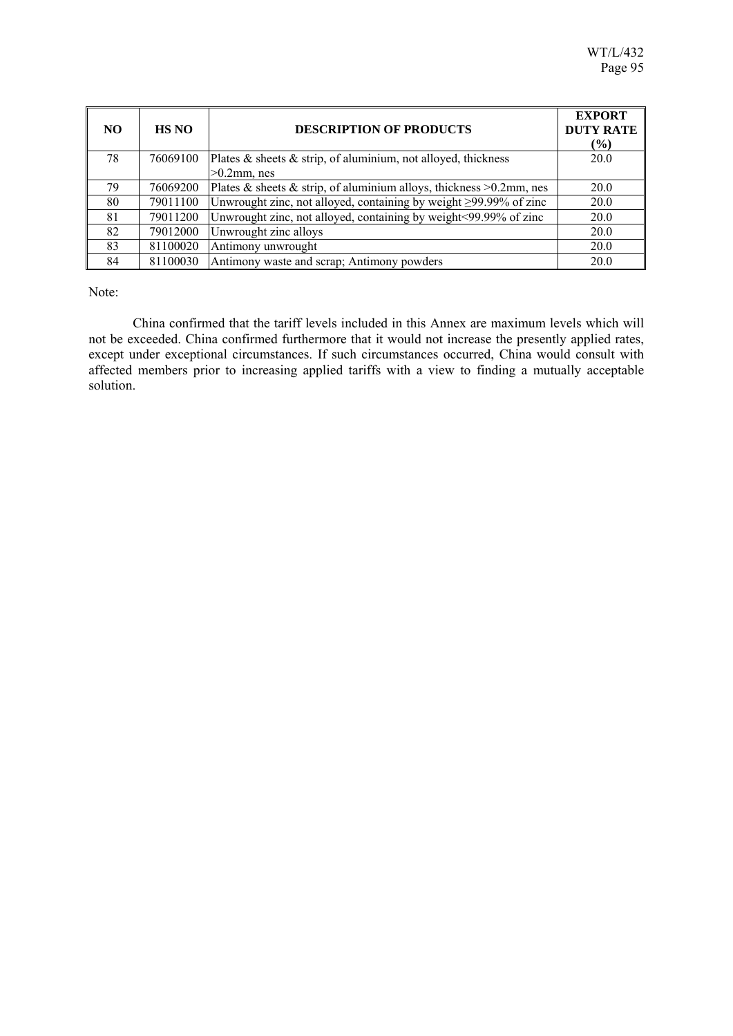| NO. | <b>HS NO</b> | <b>DESCRIPTION OF PRODUCTS</b>                                         | <b>EXPORT</b><br><b>DUTY RATE</b><br>$($ %) |
|-----|--------------|------------------------------------------------------------------------|---------------------------------------------|
| 78  | 76069100     | Plates $\&$ sheets $\&$ strip, of aluminium, not alloyed, thickness    | 20.0                                        |
|     |              | $>0.2$ mm, nes                                                         |                                             |
| 79  | 76069200     | Plates & sheets & strip, of aluminium alloys, thickness $>0.2$ mm, nes | 20.0                                        |
| 80  | 79011100     | Unwrought zinc, not alloyed, containing by weight ≥99.99% of zinc      | 20.0                                        |
| 81  | 79011200     | Unwrought zinc, not alloyed, containing by weight<99.99% of zinc       | 20.0                                        |
| 82  | 79012000     | Unwrought zinc alloys                                                  | 20.0                                        |
| 83  | 81100020     | Antimony unwrought                                                     | 20.0                                        |
| 84  | 81100030     | Antimony waste and scrap; Antimony powders                             | 20.0                                        |

Note:

 China confirmed that the tariff levels included in this Annex are maximum levels which will not be exceeded. China confirmed furthermore that it would not increase the presently applied rates, except under exceptional circumstances. If such circumstances occurred, China would consult with affected members prior to increasing applied tariffs with a view to finding a mutually acceptable solution.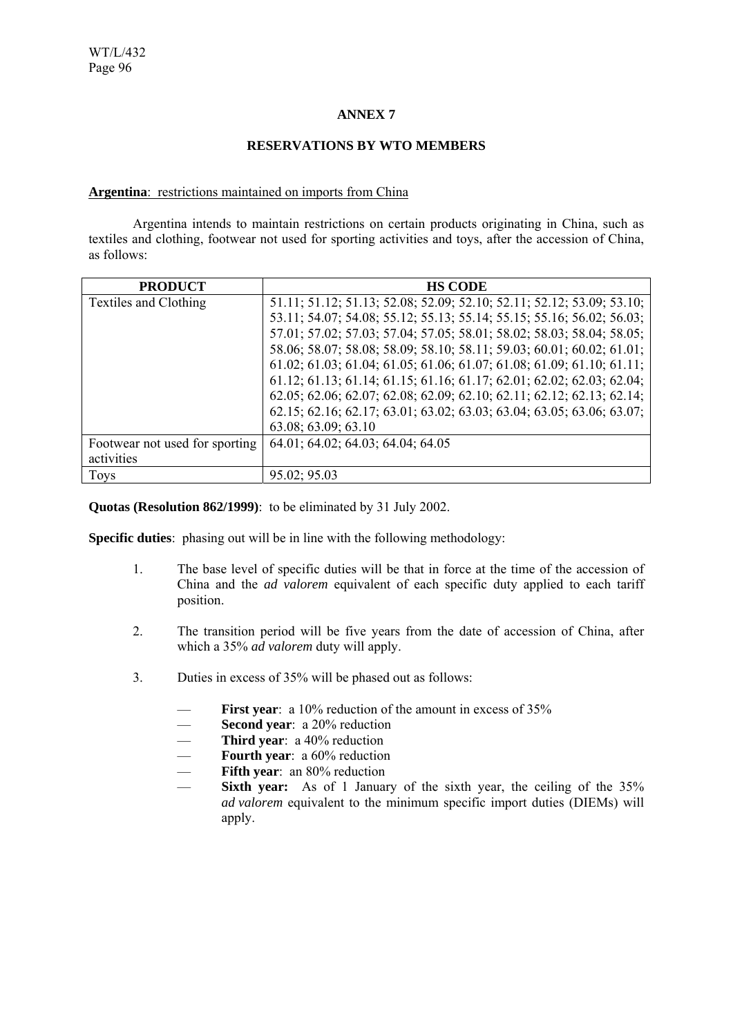### **ANNEX 7**

#### **RESERVATIONS BY WTO MEMBERS**

#### **Argentina**: restrictions maintained on imports from China

 Argentina intends to maintain restrictions on certain products originating in China, such as textiles and clothing, footwear not used for sporting activities and toys, after the accession of China, as follows:

| <b>PRODUCT</b>                 | <b>HS CODE</b>                                                          |
|--------------------------------|-------------------------------------------------------------------------|
| Textiles and Clothing          | 51.11; 51.12; 51.13; 52.08; 52.09; 52.10; 52.11; 52.12; 53.09; 53.10;   |
|                                | 53.11; 54.07; 54.08; 55.12; 55.13; 55.14; 55.15; 55.16; 56.02; 56.03;   |
|                                | 57.01; 57.02; 57.03; 57.04; 57.05; 58.01; 58.02; 58.03; 58.04; 58.05;   |
|                                | 58.06; 58.07; 58.08; 58.09; 58.10; 58.11; 59.03; 60.01; 60.02; 61.01;   |
|                                | $61.02; 61.03; 61.04; 61.05; 61.06; 61.07; 61.08; 61.09; 61.10; 61.11;$ |
|                                | 61.12; 61.13; 61.14; 61.15; 61.16; 61.17; 62.01; 62.02; 62.03; 62.04;   |
|                                | 62.05; 62.06; 62.07; 62.08; 62.09; 62.10; 62.11; 62.12; 62.13; 62.14;   |
|                                | 62.15; 62.16; 62.17; 63.01; 63.02; 63.03; 63.04; 63.05; 63.06; 63.07;   |
|                                | 63.08; 63.09; 63.10                                                     |
| Footwear not used for sporting | 64.01; 64.02; 64.03; 64.04; 64.05                                       |
| activities                     |                                                                         |
| <b>Toys</b>                    | 95.02; 95.03                                                            |

**Quotas (Resolution 862/1999)**: to be eliminated by 31 July 2002.

**Specific duties**: phasing out will be in line with the following methodology:

- 1. The base level of specific duties will be that in force at the time of the accession of China and the *ad valorem* equivalent of each specific duty applied to each tariff position.
- 2. The transition period will be five years from the date of accession of China, after which a 35% *ad valorem* duty will apply.
- 3. Duties in excess of 35% will be phased out as follows:
	- **First year**: a 10% reduction of the amount in excess of 35%
	- **Second year:** a 20% reduction
	- **Third year**: a 40% reduction
	- **Fourth year**: a 60% reduction
	- **Fifth year**: an 80% reduction
	- **Sixth year:** As of 1 January of the sixth year, the ceiling of the 35% *ad valorem* equivalent to the minimum specific import duties (DIEMs) will apply.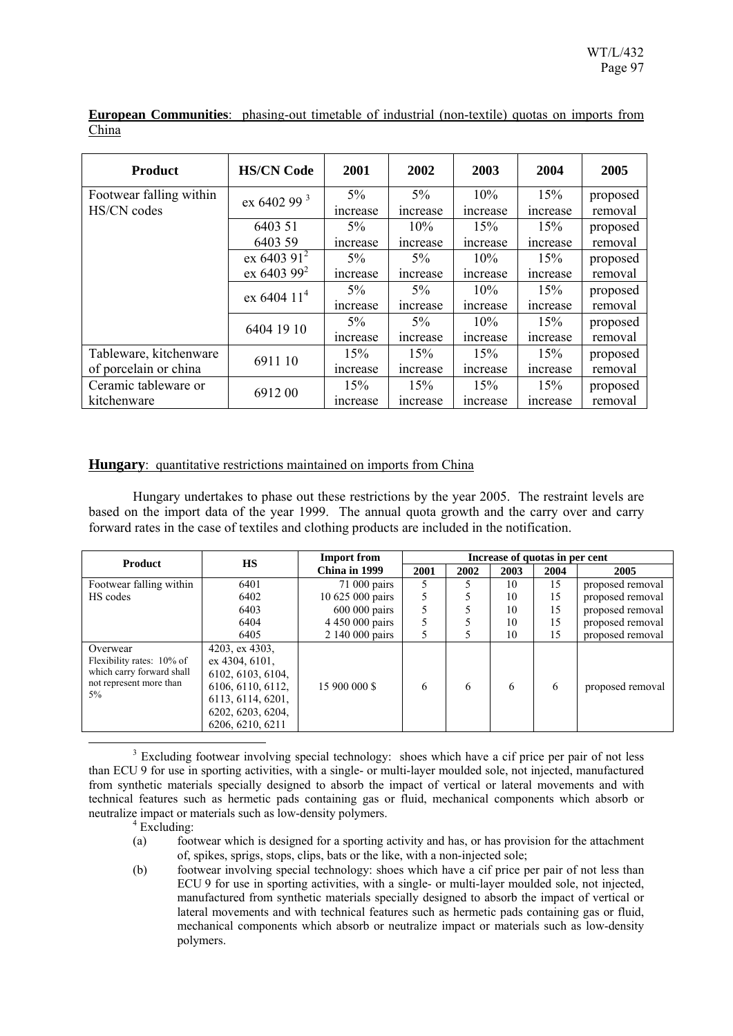| <b>Product</b>          | <b>HS/CN Code</b>       | 2001     | 2002     | 2003     | 2004     | 2005     |
|-------------------------|-------------------------|----------|----------|----------|----------|----------|
| Footwear falling within | ex 6402 99 $3$          | $5\%$    | $5\%$    | 10%      | 15%      | proposed |
| <b>HS/CN</b> codes      |                         | increase | increase | increase | increase | removal  |
|                         | 6403 51                 | $5\%$    | 10%      | 15%      | 15%      | proposed |
|                         | 6403 59                 | increase | increase | increase | increase | removal  |
|                         | ex 6403 $91^2$          | $5\%$    | $5\%$    | $10\%$   | 15%      | proposed |
|                         | ex 6403 99 <sup>2</sup> | increase | increase | increase | increase | removal  |
|                         | $ex~6404~11^4$          | $5\%$    | $5\%$    | $10\%$   | 15%      | proposed |
|                         |                         | increase | increase | increase | increase | removal  |
|                         | 6404 19 10              | $5\%$    | $5\%$    | $10\%$   | 15%      | proposed |
|                         |                         | increase | increase | increase | increase | removal  |
| Tableware, kitchenware  | 6911 10                 | 15%      | 15%      | 15%      | 15%      | proposed |
| of porcelain or china   |                         | increase | increase | increase | increase | removal  |
| Ceramic tableware or    | 6912 00                 | 15%      | 15%      | 15%      | 15%      | proposed |
| kitchenware             |                         | increase | increase | increase | increase | removal  |

**European Communities**: phasing-out timetable of industrial (non-textile) quotas on imports from China

#### **Hungary:** quantitative restrictions maintained on imports from China

 Hungary undertakes to phase out these restrictions by the year 2005. The restraint levels are based on the import data of the year 1999. The annual quota growth and the carry over and carry forward rates in the case of textiles and clothing products are included in the notification.

| <b>Product</b>                                                                                         | <b>HS</b>                                                                                                                                     | <b>Import from</b> |      |      | Increase of quotas in per cent |      |                  |
|--------------------------------------------------------------------------------------------------------|-----------------------------------------------------------------------------------------------------------------------------------------------|--------------------|------|------|--------------------------------|------|------------------|
|                                                                                                        |                                                                                                                                               | China in 1999      | 2001 | 2002 | 2003                           | 2004 | 2005             |
| Footwear falling within                                                                                | 6401                                                                                                                                          | 71 000 pairs       | 5    |      | 10                             | 15   | proposed removal |
| HS codes                                                                                               | 6402                                                                                                                                          | 10 625 000 pairs   |      |      | 10                             | 15   | proposed removal |
|                                                                                                        | 6403                                                                                                                                          | 600 000 pairs      |      |      | 10                             | 15   | proposed removal |
|                                                                                                        | 6404                                                                                                                                          | 4 450 000 pairs    |      |      | 10                             | 15   | proposed removal |
|                                                                                                        | 6405                                                                                                                                          | 2 140 000 pairs    |      |      | 10                             | 15   | proposed removal |
| Overwear<br>Flexibility rates: 10% of<br>which carry forward shall<br>not represent more than<br>$5\%$ | 4203, ex $4303$ ,<br>$ex$ 4304, 6101,<br>6102, 6103, 6104,<br>6106, 6110, 6112,<br>6113, 6114, 6201,<br>6202, 6203, 6204,<br>6206, 6210, 6211 | 15 900 000 \$      | 6    | 6    | 6                              | 6    | proposed removal |

 $\frac{1}{3}$ <sup>3</sup> Excluding footwear involving special technology: shoes which have a cif price per pair of not less than ECU 9 for use in sporting activities, with a single- or multi-layer moulded sole, not injected, manufactured from synthetic materials specially designed to absorb the impact of vertical or lateral movements and with technical features such as hermetic pads containing gas or fluid, mechanical components which absorb or neutralize impact or materials such as low-density polymers. 4

<sup>4</sup> Excluding:

- (a) footwear which is designed for a sporting activity and has, or has provision for the attachment of, spikes, sprigs, stops, clips, bats or the like, with a non-injected sole;
- (b) footwear involving special technology: shoes which have a cif price per pair of not less than ECU 9 for use in sporting activities, with a single- or multi-layer moulded sole, not injected, manufactured from synthetic materials specially designed to absorb the impact of vertical or lateral movements and with technical features such as hermetic pads containing gas or fluid, mechanical components which absorb or neutralize impact or materials such as low-density polymers.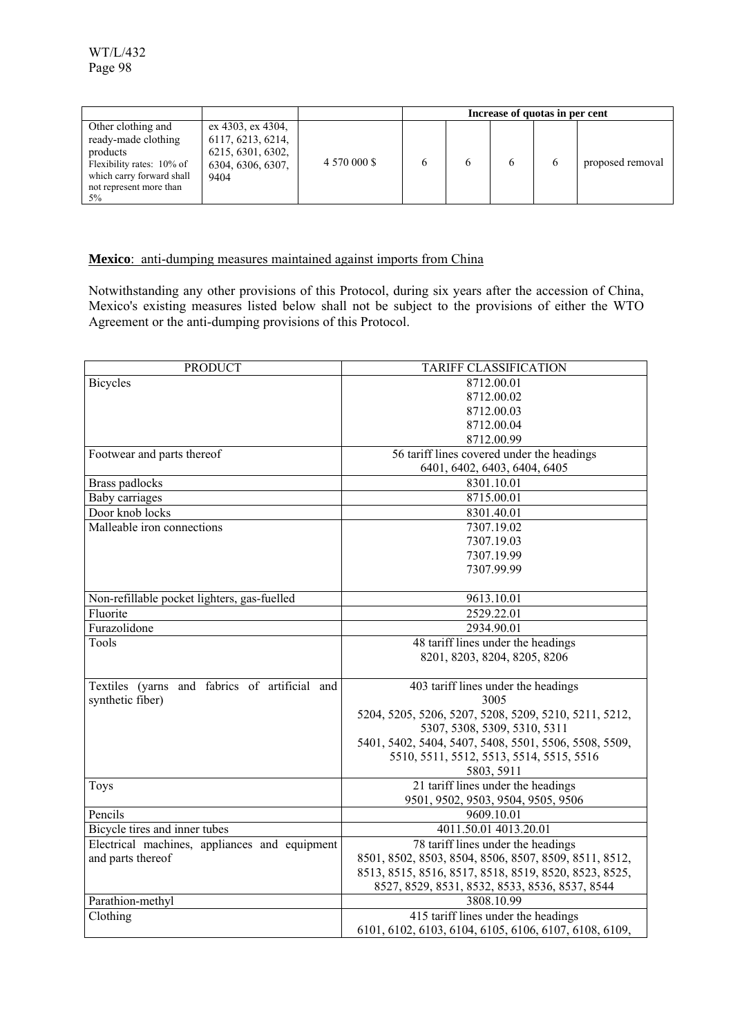|                                                                                                                                                  |                                                                                          |              |  | Increase of quotas in per cent |                  |
|--------------------------------------------------------------------------------------------------------------------------------------------------|------------------------------------------------------------------------------------------|--------------|--|--------------------------------|------------------|
| Other clothing and<br>ready-made clothing<br>products<br>Flexibility rates: 10% of<br>which carry forward shall<br>not represent more than<br>5% | ex 4303, ex 4304,<br>6117, 6213, 6214,<br>6215, 6301, 6302,<br>6304, 6306, 6307,<br>9404 | 4 570 000 \$ |  |                                | proposed removal |

### **Mexico**: anti-dumping measures maintained against imports from China

Notwithstanding any other provisions of this Protocol, during six years after the accession of China, Mexico's existing measures listed below shall not be subject to the provisions of either the WTO Agreement or the anti-dumping provisions of this Protocol.

| <b>PRODUCT</b>                                | <b>TARIFF CLASSIFICATION</b>                          |
|-----------------------------------------------|-------------------------------------------------------|
| <b>Bicycles</b>                               | 8712.00.01                                            |
|                                               | 8712.00.02                                            |
|                                               | 8712.00.03                                            |
|                                               | 8712.00.04                                            |
|                                               | 8712.00.99                                            |
| Footwear and parts thereof                    | 56 tariff lines covered under the headings            |
|                                               | 6401, 6402, 6403, 6404, 6405                          |
| <b>Brass padlocks</b>                         | 8301.10.01                                            |
| Baby carriages                                | 8715.00.01                                            |
| Door knob locks                               | 8301.40.01                                            |
| Malleable iron connections                    | 7307.19.02                                            |
|                                               | 7307.19.03                                            |
|                                               | 7307.19.99                                            |
|                                               | 7307.99.99                                            |
|                                               |                                                       |
| Non-refillable pocket lighters, gas-fuelled   | 9613.10.01                                            |
| Fluorite                                      | 2529.22.01                                            |
| Furazolidone                                  | 2934.90.01                                            |
| Tools                                         | 48 tariff lines under the headings                    |
|                                               | 8201, 8203, 8204, 8205, 8206                          |
|                                               |                                                       |
| Textiles (yarns and fabrics of artificial and | 403 tariff lines under the headings                   |
| synthetic fiber)                              | 3005                                                  |
|                                               | 5204, 5205, 5206, 5207, 5208, 5209, 5210, 5211, 5212, |
|                                               | 5307, 5308, 5309, 5310, 5311                          |
|                                               | 5401, 5402, 5404, 5407, 5408, 5501, 5506, 5508, 5509, |
|                                               | 5510, 5511, 5512, 5513, 5514, 5515, 5516              |
|                                               | 5803, 5911                                            |
| <b>Toys</b>                                   | 21 tariff lines under the headings                    |
|                                               | 9501, 9502, 9503, 9504, 9505, 9506                    |
| Pencils                                       | 9609.10.01                                            |
| Bicycle tires and inner tubes                 | 4011.50.01 4013.20.01                                 |
| Electrical machines, appliances and equipment | 78 tariff lines under the headings                    |
| and parts thereof                             | 8501, 8502, 8503, 8504, 8506, 8507, 8509, 8511, 8512, |
|                                               | 8513, 8515, 8516, 8517, 8518, 8519, 8520, 8523, 8525, |
|                                               | 8527, 8529, 8531, 8532, 8533, 8536, 8537, 8544        |
| Parathion-methyl                              | 3808.10.99                                            |
| Clothing                                      | 415 tariff lines under the headings                   |
|                                               | 6101, 6102, 6103, 6104, 6105, 6106, 6107, 6108, 6109, |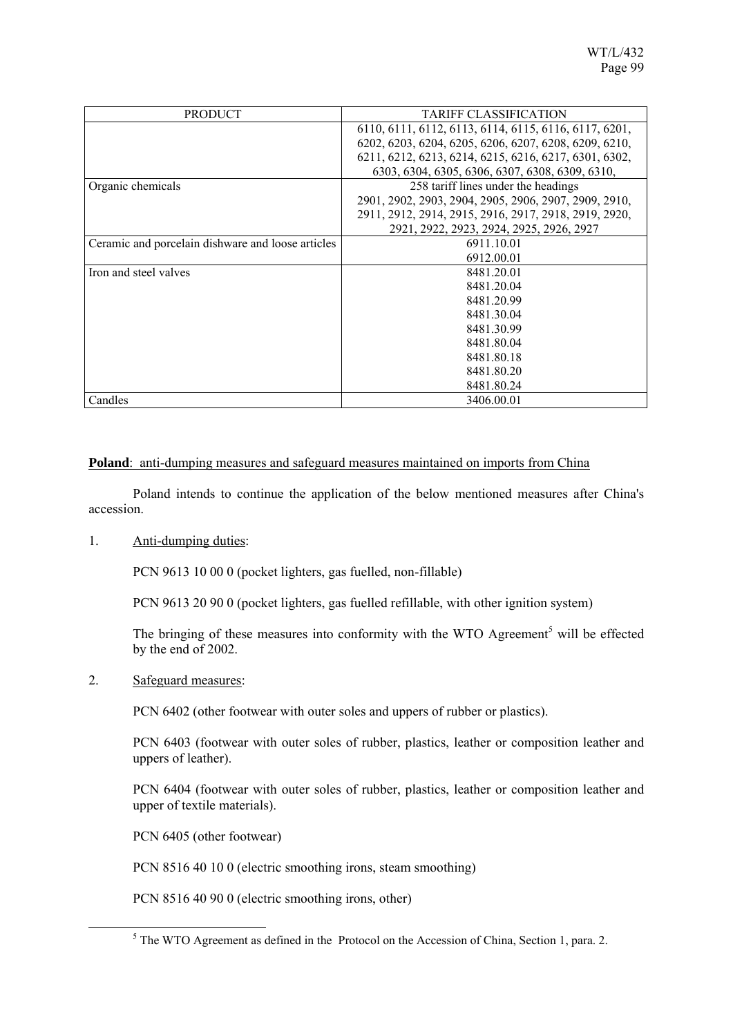| PRODUCT                                           | TARIFF CLASSIFICATION                                 |
|---------------------------------------------------|-------------------------------------------------------|
|                                                   | 6110, 6111, 6112, 6113, 6114, 6115, 6116, 6117, 6201, |
|                                                   | 6202, 6203, 6204, 6205, 6206, 6207, 6208, 6209, 6210, |
|                                                   | 6211, 6212, 6213, 6214, 6215, 6216, 6217, 6301, 6302, |
|                                                   | 6303, 6304, 6305, 6306, 6307, 6308, 6309, 6310,       |
| Organic chemicals                                 | 258 tariff lines under the headings                   |
|                                                   | 2901, 2902, 2903, 2904, 2905, 2906, 2907, 2909, 2910, |
|                                                   | 2911, 2912, 2914, 2915, 2916, 2917, 2918, 2919, 2920, |
|                                                   | 2921, 2922, 2923, 2924, 2925, 2926, 2927              |
| Ceramic and porcelain dishware and loose articles | 6911.10.01                                            |
|                                                   | 6912.00.01                                            |
| Iron and steel valves                             | 8481.20.01                                            |
|                                                   | 8481.20.04                                            |
|                                                   | 8481.20.99                                            |
|                                                   | 8481.30.04                                            |
|                                                   | 8481.30.99                                            |
|                                                   | 8481.80.04                                            |
|                                                   | 8481.80.18                                            |
|                                                   | 8481.80.20                                            |
|                                                   | 8481.80.24                                            |
| Candles                                           | 3406.00.01                                            |

#### **Poland**: anti-dumping measures and safeguard measures maintained on imports from China

 Poland intends to continue the application of the below mentioned measures after China's accession.

#### 1. Anti-dumping duties:

PCN 9613 10 00 0 (pocket lighters, gas fuelled, non-fillable)

PCN 9613 20 90 0 (pocket lighters, gas fuelled refillable, with other ignition system)

The bringing of these measures into conformity with the WTO Agreement<sup>5</sup> will be effected by the end of 2002.

#### 2. Safeguard measures:

PCN 6402 (other footwear with outer soles and uppers of rubber or plastics).

 PCN 6403 (footwear with outer soles of rubber, plastics, leather or composition leather and uppers of leather).

 PCN 6404 (footwear with outer soles of rubber, plastics, leather or composition leather and upper of textile materials).

PCN 6405 (other footwear)

PCN 8516 40 10 0 (electric smoothing irons, steam smoothing)

PCN 8516 40 90 0 (electric smoothing irons, other)

 $rac{1}{5}$  $5$  The WTO Agreement as defined in the Protocol on the Accession of China, Section 1, para. 2.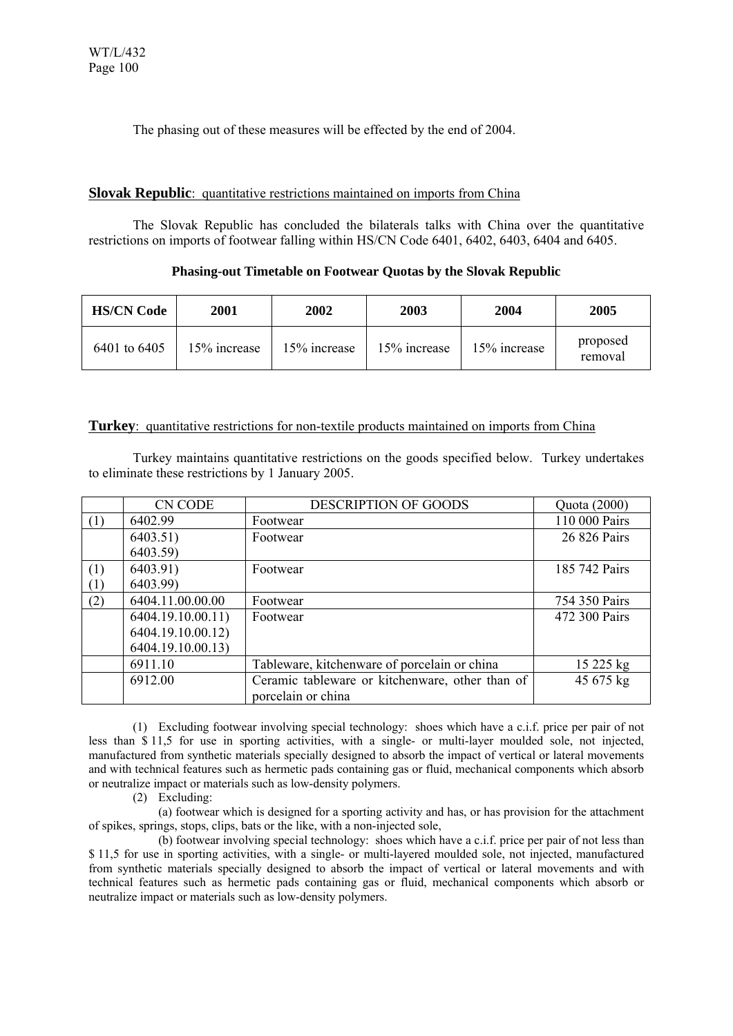The phasing out of these measures will be effected by the end of 2004.

#### **Slovak Republic**: quantitative restrictions maintained on imports from China

 The Slovak Republic has concluded the bilaterals talks with China over the quantitative restrictions on imports of footwear falling within HS/CN Code 6401, 6402, 6403, 6404 and 6405.

#### **Phasing-out Timetable on Footwear Quotas by the Slovak Republic**

| <b>HS/CN Code</b> | 2001         | 2002         | 2003         | 2004         | 2005                |
|-------------------|--------------|--------------|--------------|--------------|---------------------|
| 6401 to 6405      | 15% increase | 15% increase | 15% increase | 15% increase | proposed<br>removal |

#### **Turkey:** quantitative restrictions for non-textile products maintained on imports from China

 Turkey maintains quantitative restrictions on the goods specified below. Turkey undertakes to eliminate these restrictions by 1 January 2005.

|     | <b>CN CODE</b>    | <b>DESCRIPTION OF GOODS</b>                     | Quota (2000)  |
|-----|-------------------|-------------------------------------------------|---------------|
| (1) | 6402.99           | Footwear                                        | 110 000 Pairs |
|     | 6403.51)          | Footwear                                        | 26 826 Pairs  |
|     | 6403.59)          |                                                 |               |
| (1) | 6403.91)          | Footwear                                        | 185 742 Pairs |
| (1) | 6403.99)          |                                                 |               |
| (2) | 6404.11.00.00.00  | Footwear                                        | 754 350 Pairs |
|     | 6404.19.10.00.11) | Footwear                                        | 472 300 Pairs |
|     | 6404.19.10.00.12) |                                                 |               |
|     | 6404.19.10.00.13) |                                                 |               |
|     | 6911.10           | Tableware, kitchenware of porcelain or china    | 15 225 kg     |
|     | 6912.00           | Ceramic tableware or kitchenware, other than of | 45 675 kg     |
|     |                   | porcelain or china                              |               |

 (1) Excluding footwear involving special technology: shoes which have a c.i.f. price per pair of not less than \$ 11,5 for use in sporting activities, with a single- or multi-layer moulded sole, not injected, manufactured from synthetic materials specially designed to absorb the impact of vertical or lateral movements and with technical features such as hermetic pads containing gas or fluid, mechanical components which absorb or neutralize impact or materials such as low-density polymers.

(2) Excluding:

 (a) footwear which is designed for a sporting activity and has, or has provision for the attachment of spikes, springs, stops, clips, bats or the like, with a non-injected sole,

 (b) footwear involving special technology: shoes which have a c.i.f. price per pair of not less than \$11,5 for use in sporting activities, with a single- or multi-layered moulded sole, not injected, manufactured from synthetic materials specially designed to absorb the impact of vertical or lateral movements and with technical features such as hermetic pads containing gas or fluid, mechanical components which absorb or neutralize impact or materials such as low-density polymers.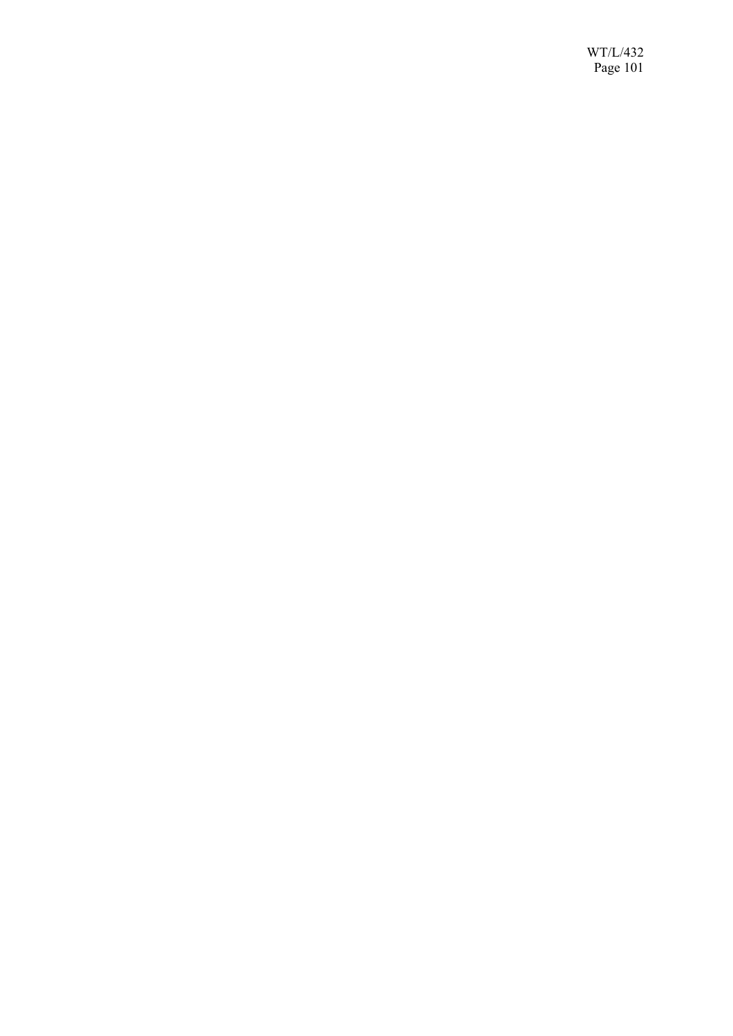WT/L/432 Page 101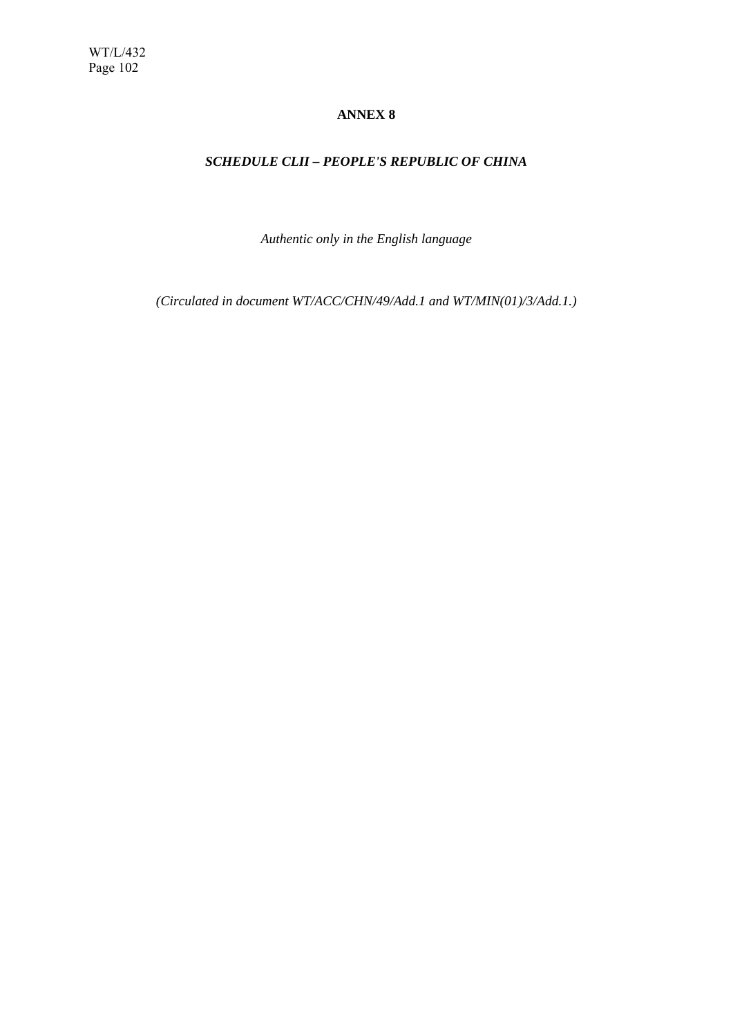# **ANNEX 8**

# *SCHEDULE CLII – PEOPLE'S REPUBLIC OF CHINA*

*Authentic only in the English language* 

*(Circulated in document WT/ACC/CHN/49/Add.1 and WT/MIN(01)/3/Add.1.)*